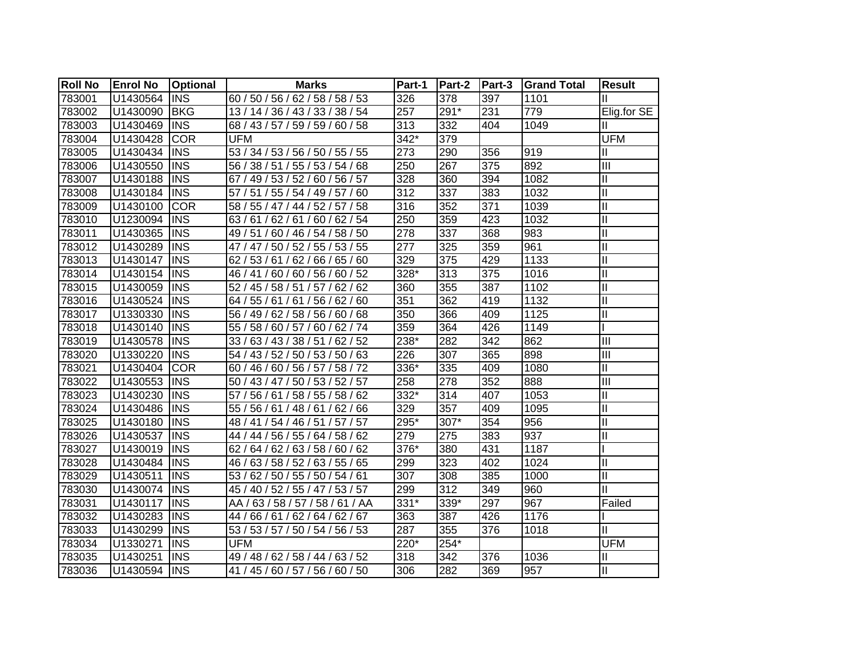| <b>Roll No</b> | <b>Enrol No</b> | Optional    | <b>Marks</b>                     | Part-1           | Part-2 | Part-3 | <b>Grand Total</b> | <b>Result</b>              |
|----------------|-----------------|-------------|----------------------------------|------------------|--------|--------|--------------------|----------------------------|
| 783001         | U1430564        | <b>INS</b>  | 60 / 50 / 56 / 62 / 58 / 58 / 53 | 326              | 378    | 397    | 1101               | Ш                          |
| 783002         | U1430090        | <b>BKG</b>  | 13 / 14 / 36 / 43 / 33 / 38 / 54 | 257              | 291*   | 231    | 779                | Elig.for SE                |
| 783003         | U1430469        | <b>INS</b>  | 68 / 43 / 57 / 59 / 59 / 60 / 58 | 313              | 332    | 404    | 1049               | Ш                          |
| 783004         | U1430428        | <b>COR</b>  | <b>UFM</b>                       | $342*$           | 379    |        |                    | <b>UFM</b>                 |
| 783005         | U1430434        | <b>INS</b>  | 53 / 34 / 53 / 56 / 50 / 55 / 55 | $\overline{273}$ | 290    | 356    | 919                | Ш                          |
| 783006         | U1430550        | <b>INS</b>  | 56 / 38 / 51 / 55 / 53 / 54 / 68 | 250              | 267    | 375    | 892                | $\mathbf{III}$             |
| 783007         | U1430188        | <b>INS</b>  | 67 / 49 / 53 / 52 / 60 / 56 / 57 | 328              | 360    | 394    | 1082               | $\mathsf{II}$              |
| 783008         | U1430184        | <b>INS</b>  | 57 / 51 / 55 / 54 / 49 / 57 / 60 | 312              | 337    | 383    | 1032               | $\mathsf{II}$              |
| 783009         | U1430100        | <b>COR</b>  | 58 / 55 / 47 / 44 / 52 / 57 / 58 | 316              | 352    | 371    | 1039               | $\mathsf{II}$              |
| 783010         | U1230094        | <b>INS</b>  | 63/61/62/61/60/62/54             | 250              | 359    | 423    | 1032               | $\mathbf{I}$               |
| 783011         | U1430365        | <b>INS</b>  | 49 / 51 / 60 / 46 / 54 / 58 / 50 | 278              | 337    | 368    | 983                | $\mathbf{I}$               |
| 783012         | U1430289        | <b>INS</b>  | 47 / 47 / 50 / 52 / 55 / 53 / 55 | 277              | 325    | 359    | 961                | $\mathbf{I}$               |
| 783013         | U1430147        | <b>INS</b>  | 62 / 53 / 61 / 62 / 66 / 65 / 60 | 329              | 375    | 429    | 1133               | $\mathbf{I}$               |
| 783014         | U1430154        | <b>INS</b>  | 46 / 41 / 60 / 60 / 56 / 60 / 52 | 328*             | 313    | 375    | 1016               | Ш                          |
| 783015         | U1430059        | <b>INS</b>  | 52 / 45 / 58 / 51 / 57 / 62 / 62 | 360              | 355    | 387    | 1102               | $\mathbf{I}$               |
| 783016         | U1430524        | <b>INS</b>  | 64 / 55 / 61 / 61 / 56 / 62 / 60 | 351              | 362    | 419    | 1132               | $\mathbf{I}$               |
| 783017         | U1330330        | <b>INS</b>  | 56 / 49 / 62 / 58 / 56 / 60 / 68 | 350              | 366    | 409    | 1125               | $\mathbf{I}$               |
| 783018         | U1430140        | <b>INS</b>  | 55 / 58 / 60 / 57 / 60 / 62 / 74 | 359              | 364    | 426    | 1149               |                            |
| 783019         | U1430578        | <b>IINS</b> | 33 / 63 / 43 / 38 / 51 / 62 / 52 | 238*             | 282    | 342    | 862                | Ш                          |
| 783020         | U1330220        | <b>INS</b>  | 54 / 43 / 52 / 50 / 53 / 50 / 63 | 226              | 307    | 365    | 898                | Ш                          |
| 783021         | U1430404        | <b>COR</b>  | 60 / 46 / 60 / 56 / 57 / 58 / 72 | 336*             | 335    | 409    | 1080               | $\mathbf{I}$               |
| 783022         | U1430553        | <b>INS</b>  | 50 / 43 / 47 / 50 / 53 / 52 / 57 | 258              | 278    | 352    | 888                | $\overline{III}$           |
| 783023         | U1430230        | <b>INS</b>  | 57 / 56 / 61 / 58 / 55 / 58 / 62 | $332*$           | 314    | 407    | 1053               | $\mathbf{I}$               |
| 783024         | U1430486        | <b>INS</b>  | 55 / 56 / 61 / 48 / 61 / 62 / 66 | 329              | 357    | 409    | 1095               | $\mathbf{I}$               |
| 783025         | U1430180        | <b>INS</b>  | 48 / 41 / 54 / 46 / 51 / 57 / 57 | 295*             | 307*   | 354    | 956                | $\mathbf{I}$               |
| 783026         | U1430537        | <b>INS</b>  | 44 / 44 / 56 / 55 / 64 / 58 / 62 | 279              | 275    | 383    | 937                | $\mathbf{I}$               |
| 783027         | U1430019        | <b>INS</b>  | 62 / 64 / 62 / 63 / 58 / 60 / 62 | $376*$           | 380    | 431    | 1187               |                            |
| 783028         | U1430484        | <b>INS</b>  | 46 / 63 / 58 / 52 / 63 / 55 / 65 | 299              | 323    | 402    | 1024               | $\mathbf{I}$               |
| 783029         | U1430511        | <b>INS</b>  | 53 / 62 / 50 / 55 / 50 / 54 / 61 | 307              | 308    | 385    | 1000               | $\mathop{\rm II}\nolimits$ |
| 783030         | U1430074        | <b>INS</b>  | 45 / 40 / 52 / 55 / 47 / 53 / 57 | 299              | 312    | 349    | 960                | $\mathbf{I}$               |
| 783031         | U1430117        | <b>INS</b>  | AA / 63 / 58 / 57 / 58 / 61 / AA | 331*             | 339*   | 297    | 967                | Failed                     |
| 783032         | U1430283        | <b>INS</b>  | 44 / 66 / 61 / 62 / 64 / 62 / 67 | 363              | 387    | 426    | 1176               |                            |
| 783033         | U1430299        | <b>INS</b>  | 53 / 53 / 57 / 50 / 54 / 56 / 53 | 287              | 355    | 376    | 1018               | Ш                          |
| 783034         | U1330271        | <b>INS</b>  | <b>UFM</b>                       | 220*             | 254*   |        |                    | <b>UFM</b>                 |
| 783035         | U1430251        | <b>INS</b>  | 49 / 48 / 62 / 58 / 44 / 63 / 52 | 318              | 342    | 376    | 1036               | Ш                          |
| 783036         | U1430594 INS    |             | 41 / 45 / 60 / 57 / 56 / 60 / 50 | 306              | 282    | 369    | 957                | $\mathbf{I}$               |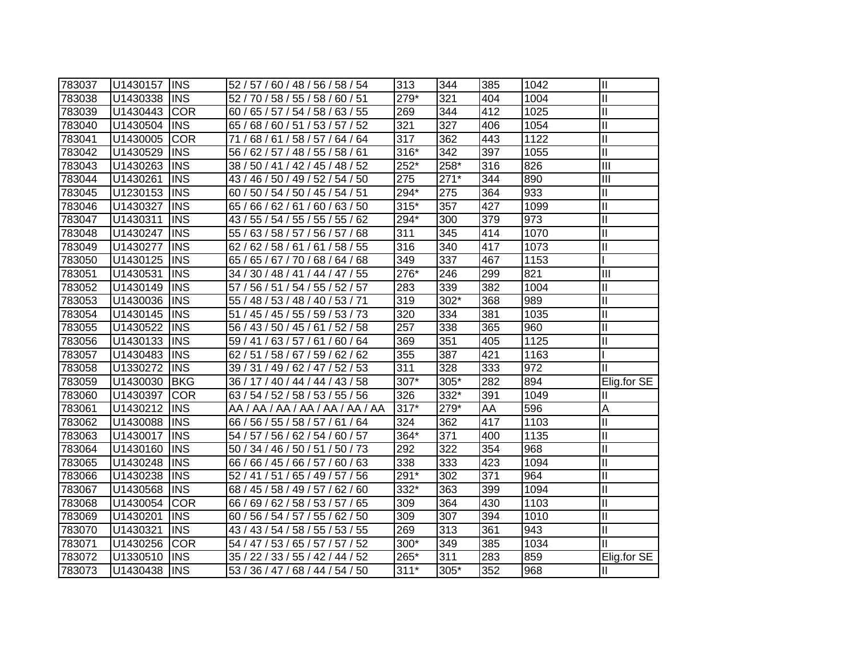| 783037 | U1430157 | <b>INS</b> | 52 / 57 / 60 / 48 / 56 / 58 / 54                | 313    | 344    | 385 | 1042 | $\mathbf{I}$ |
|--------|----------|------------|-------------------------------------------------|--------|--------|-----|------|--------------|
| 783038 | U1430338 | <b>INS</b> | 52 / 70 / 58 / 55 / 58 / 60 / 51                | 279*   | 321    | 404 | 1004 | $\mathbf{I}$ |
| 783039 | U1430443 | <b>COR</b> | 60 / 65 / 57 / 54 / 58 / 63 / 55                | 269    | 344    | 412 | 1025 | $\mathbf{I}$ |
| 783040 | U1430504 | <b>INS</b> | 65 / 68 / 60 / 51 / 53 / 57 / 52                | 321    | 327    | 406 | 1054 | $\mathbf{I}$ |
| 783041 | U1430005 | <b>COR</b> | 68 / 61 / 58 / 57 / 64 / 64<br>71/              | 317    | 362    | 443 | 1122 | $\mathbf{I}$ |
| 783042 | U1430529 | <b>INS</b> | 56 / 62 / 57 / 48 / 55 / 58 / 61                | 316*   | 342    | 397 | 1055 | $\mathbf{I}$ |
| 783043 | U1430263 | <b>INS</b> | 50 / 41 / 42 / 45 / 48 / 52<br>38/              | 252*   | 258*   | 316 | 826  | III          |
| 783044 | U1430261 | <b>INS</b> | 46 / 50 / 49 / 52 / 54 / 50<br>43/              | 275    | $271*$ | 344 | 890  | III          |
| 783045 | U1230153 | <b>INS</b> | 50 / 54 / 50 / 45 / 54 / 51 $^{\prime}$<br>60 / | 294*   | 275    | 364 | 933  | Ш            |
| 783046 | U1430327 | <b>INS</b> | 66 / 62 / 61 / 60 / 63 / 50<br>65/              | $315*$ | 357    | 427 | 1099 | Ш            |
| 783047 | U1430311 | <b>INS</b> | 43 / 55 / 54 / 55 / 55 / 55 / 62                | 294*   | 300    | 379 | 973  | $\mathbf{I}$ |
| 783048 | U1430247 | <b>INS</b> | 55 / 63 / 58 / 57 / 56 / 57 / 68                | 311    | 345    | 414 | 1070 | $\mathbf{I}$ |
| 783049 | U1430277 | <b>INS</b> | 62 / 62 / 58 / 61 / 61 / 58 / 55                | 316    | 340    | 417 | 1073 | Ш            |
| 783050 | U1430125 | <b>INS</b> | 65 / 65 / 67 / 70 / 68 / 64 / 68                | 349    | 337    | 467 | 1153 |              |
| 783051 | U1430531 | <b>INS</b> | 34 / 30 / 48 / 41 / 44 / 47 / 55                | 276*   | 246    | 299 | 821  | Ш            |
| 783052 | U1430149 | <b>INS</b> | 57 / 56 / 51 / 54 / 55 / 52 / 57                | 283    | 339    | 382 | 1004 | Ш            |
| 783053 | U1430036 | <b>INS</b> | 55 / 48 / 53 / 48 / 40 / 53 / 71                | 319    | 302*   | 368 | 989  | $\mathbf{I}$ |
| 783054 | U1430145 | <b>INS</b> | 51 / 45 / 45 / 55 / 59 / 53 / 73                | 320    | 334    | 381 | 1035 | $\mathbf{I}$ |
| 783055 | U1430522 | <b>INS</b> | 56 / 43 / 50 / 45 / 61 / 52 / 58                | 257    | 338    | 365 | 960  | $\mathbf{I}$ |
| 783056 | U1430133 | <b>INS</b> | 61/60/64<br>59 / 41 / 63 / 57 /                 | 369    | 351    | 405 | 1125 | Ш            |
| 783057 | U1430483 | <b>INS</b> | 62 / 51 / 58 / 67 / 59 / 62 / 62                | 355    | 387    | 421 | 1163 |              |
| 783058 | U1330272 | <b>INS</b> | 39 / 31 / 49 / 62 / 47 / 52 / 53                | 311    | 328    | 333 | 972  | $\mathbf{I}$ |
| 783059 | U1430030 | <b>BKG</b> | 36 / 17 / 40 / 44 / 44 / 43 / 58                | 307*   | 305*   | 282 | 894  | Elig.for SE  |
| 783060 | U1430397 | <b>COR</b> | 63 / 54 / 52 / 58 / 53 / 55 / 56                | 326    | 332*   | 391 | 1049 | Ш            |
| 783061 | U1430212 | <b>INS</b> | AA / AA / AA / AA / AA / AA / AA                | $317*$ | 279*   | AA  | 596  | A            |
| 783062 | U1430088 | <b>INS</b> | 66 / 56 / 55 / 58 / 57 / 61 / 64                | 324    | 362    | 417 | 1103 | Ш            |
| 783063 | U1430017 | <b>INS</b> | 54 / 57 / 56 / 62 / 54 / 60 / 57                | 364*   | 371    | 400 | 1135 | Ш            |
| 783064 | U1430160 | <b>INS</b> | 50 / 34 / 46 / 50 / 51 / 50 / 73                | 292    | 322    | 354 | 968  | $\mathbf{I}$ |
| 783065 | U1430248 | <b>INS</b> | 66 / 66 / 45 / 66 / 57 / 60 / 63                | 338    | 333    | 423 | 1094 | $\mathbf{I}$ |
| 783066 | U1430238 | <b>INS</b> | 52 / 41 / 51 / 65 / 49 / 57 / 56                | 291*   | 302    | 371 | 964  | $\mathbf{I}$ |
| 783067 | U1430568 | <b>INS</b> | 68 / 45 / 58 / 49 / 57 / 62 / 60                | 332*   | 363    | 399 | 1094 | $\mathbf{I}$ |
| 783068 | U1430054 | <b>COR</b> | 66 / 69 / 62 / 58 / 53 / 57 / 65                | 309    | 364    | 430 | 1103 | $\mathbf{I}$ |
| 783069 | U1430201 | <b>INS</b> | / 56 / 54 / 57 / 55 / 62 / 50<br>60             | 309    | 307    | 394 | 1010 | $\mathbf{I}$ |
| 783070 | U1430321 | <b>INS</b> | 43 / 43 / 54 / 58 / 55 / 53 / 55                | 269    | 313    | 361 | 943  | $\mathbf{I}$ |
| 783071 | U1430256 | <b>COR</b> | 54 / 47 / 53 / 65 / 57 / 57 / 52                | 300*   | 349    | 385 | 1034 | Ш            |
| 783072 | U1330510 | <b>INS</b> | 35 / 22 / 33 / 55 / 42 / 44 / 52                | 265*   | 311    | 283 | 859  | Elig.for SE  |
| 783073 | U1430438 | <b>INS</b> | 53 / 36 / 47 / 68 / 44 / 54 / 50                | $311*$ | 305*   | 352 | 968  | Ш            |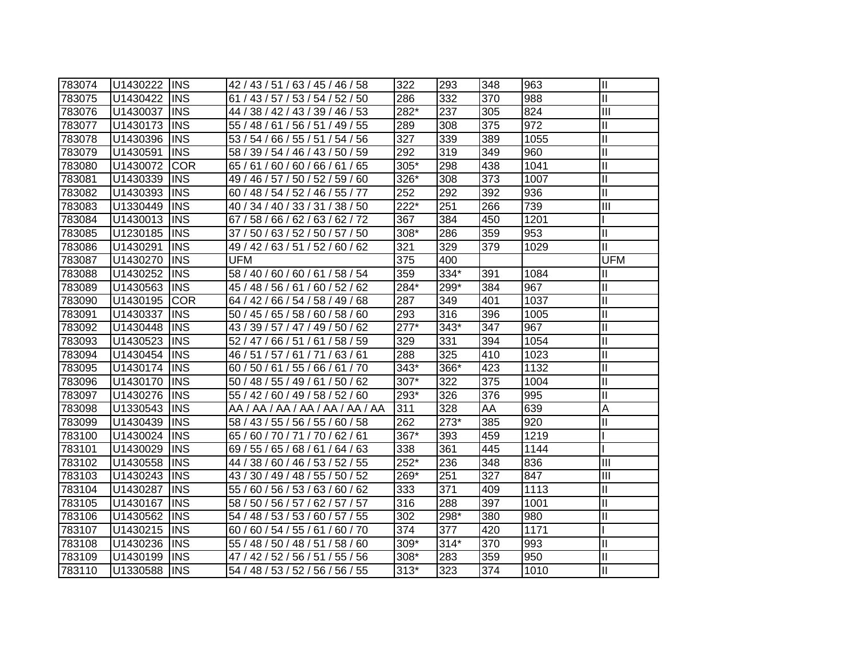| 783074 | U1430222      | <b>IINS</b> | 42 / 43 / 51 / 63 / 45 / 46 / 58    | 322    | 293    | 348 | 963  | $\mathbf{I}$               |
|--------|---------------|-------------|-------------------------------------|--------|--------|-----|------|----------------------------|
| 783075 | U1430422      | <b>IINS</b> | 61 / 43 / 57 / 53 / 54 / 52 / 50    | 286    | 332    | 370 | 988  | $\mathbf{I}$               |
| 783076 | U1430037      | <b>INS</b>  | 44 / 38 / 42 / 43 / 39 / 46 / 53    | 282*   | 237    | 305 | 824  | Ш                          |
| 783077 | U1430173      | <b>INS</b>  | 55 / 48 / 61 / 56 / 51 / 49 / 55    | 289    | 308    | 375 | 972  | $\mathop{\rm II}\nolimits$ |
| 783078 | U1430396      | <b>INS</b>  | 53 / 54 / 66 / 55 / 51 / 54 / 56    | 327    | 339    | 389 | 1055 | $\mathbf{I}$               |
| 783079 | U1430591      | <b>INS</b>  | 58 / 39 / 54 / 46 / 43 / 50 / 59    | 292    | 319    | 349 | 960  | $\mathbf{I}$               |
| 783080 | U1430072      | <b>COR</b>  | 65 / 61 / 60 / 60 / 66 / 61 / 65    | $305*$ | 298    | 438 | 1041 | $\mathbf{II}$              |
| 783081 | U1430339      | <b>INS</b>  | 49 / 46 / 57 / 50 / 52 / 59 / 60    | 326*   | 308    | 373 | 1007 | $\mathbf{I}$               |
| 783082 | U1430393      | <b>INS</b>  | 60 / 48 / 54 / 52 / 46 / 55 / 77    | 252    | 292    | 392 | 936  | $\mathbf{I}$               |
| 783083 | U1330449      | <b>INS</b>  | 40 / 34 / 40 / 33 / 31 / 38 / 50    | 222*   | 251    | 266 | 739  | $\overline{III}$           |
| 783084 | U1430013      | <b>INS</b>  | 67/58/66/62/63/62/72                | 367    | 384    | 450 | 1201 |                            |
| 783085 | U1230185      | <b>INS</b>  | 50 / 63 / 52 / 50 / 57 / 50<br>37 / | 308*   | 286    | 359 | 953  | $\mathbf{I}$               |
| 783086 | U1430291      | <b>INS</b>  | 49 / 42 / 63 / 51 / 52 / 60 / 62    | 321    | 329    | 379 | 1029 | $\mathbf{I}$               |
| 783087 | U1430270      | <b>INS</b>  | UFM                                 | 375    | 400    |     |      | <b>UFM</b>                 |
| 783088 | U1430252      | <b>INS</b>  | 58 / 40 / 60 / 60 / 61 / 58 / 54    | 359    | 334*   | 391 | 1084 | Ш                          |
| 783089 | U1430563      | <b>INS</b>  | 45 / 48 / 56 / 61 /<br>60/52/62     | 284*   | 299*   | 384 | 967  | Ш                          |
| 783090 | U1430195      | <b>COR</b>  | 64 / 42 / 66 / 54 / 58 / 49 / 68    | 287    | 349    | 401 | 1037 | Ш                          |
| 783091 | U1430337      | <b>IINS</b> | 50 / 45 / 65 / 58 / 60 / 58 / 60    | 293    | 316    | 396 | 1005 | Ш                          |
| 783092 | U1430448      | <b>IINS</b> | 43 / 39 / 57 / 47 / 49 / 50 / 62    | $277*$ | $343*$ | 347 | 967  | II                         |
| 783093 | U1430523      | <b>IINS</b> | 52 / 47 / 66 / 51 / 61 / 58 / 59    | 329    | 331    | 394 | 1054 | Ш                          |
| 783094 | U1430454      | <b>IINS</b> | 46 / 51 / 57 / 61 / 71 / 63 / 61    | 288    | 325    | 410 | 1023 | $\mathbf{I}$               |
| 783095 | U1430174      | <b>INS</b>  | 60 / 50 / 61 / 55 / 66 / 61 / 70    | $343*$ | 366*   | 423 | 1132 | $\mathbf{I}$               |
| 783096 | U1430170      | <b>INS</b>  | 50 / 48 / 55 / 49 / 61 / 50 / 62    | 307*   | 322    | 375 | 1004 | $\mathbf{I}$               |
| 783097 | U1430276      | <b>INS</b>  | 55 / 42 / 60 / 49 / 58 / 52 / 60    | 293*   | 326    | 376 | 995  | $\mathbf{I}$               |
| 783098 | U1330543      | <b>INS</b>  | AA / AA / AA / AA / AA / AA / AA    | 311    | 328    | AA  | 639  | A                          |
| 783099 | U1430439      | <b>INS</b>  | 58 / 43 / 55 / 56 / 55 / 60 / 58    | 262    | 273*   | 385 | 920  | $\mathbf{I}$               |
| 783100 | U1430024      | <b>INS</b>  | 65 / 60 / 70 / 71 / 70 / 62 / 61    | 367*   | 393    | 459 | 1219 |                            |
| 783101 | U1430029      | <b>INS</b>  | 69 / 55 / 65 / 68 / 61 / 64 / 63    | 338    | 361    | 445 | 1144 |                            |
| 783102 | U1430558      | <b>INS</b>  | 44 / 38 / 60 / 46 / 53 / 52 / 55    | $252*$ | 236    | 348 | 836  | Ш                          |
| 783103 | U1430243      | <b>INS</b>  | 43 / 30 / 49 / 48 / 55 / 50 / 52    | 269*   | 251    | 327 | 847  | Ш                          |
| 783104 | U1430287      | <b>INS</b>  | 55 / 60 / 56 / 53 / 63 / 60 / 62    | 333    | 371    | 409 | 1113 | $\mathop{\rm II}\nolimits$ |
| 783105 | U1430167      | <b>INS</b>  | 58 / 50 / 56 / 57 / 62 / 57 / 57    | 316    | 288    | 397 | 1001 | $\mathbf{I}$               |
| 783106 | U1430562      | <b>INS</b>  | 54 / 48 / 53 / 53 / 60 / 57 / 55    | 302    | 298*   | 380 | 980  | $\mathbf{I}$               |
| 783107 | U1430215      | <b>INS</b>  | 60 / 60 / 54 / 55 / 61 / 60 / 70    | 374    | 377    | 420 | 1171 |                            |
| 783108 | U1430236      | <b>INS</b>  | 55 / 48 / 50 / 48 / 51 / 58 / 60    | 309*   | $314*$ | 370 | 993  | Ш                          |
| 783109 | U1430199      | <b>INS</b>  | 47 / 42 / 52 / 56 / 51 / 55 / 56    | 308*   | 283    | 359 | 950  | $\mathbf{I}$               |
| 783110 | U1330588  INS |             | 54 / 48 / 53 / 52 / 56 / 56 / 55    | $313*$ | 323    | 374 | 1010 | $\mathbf{I}$               |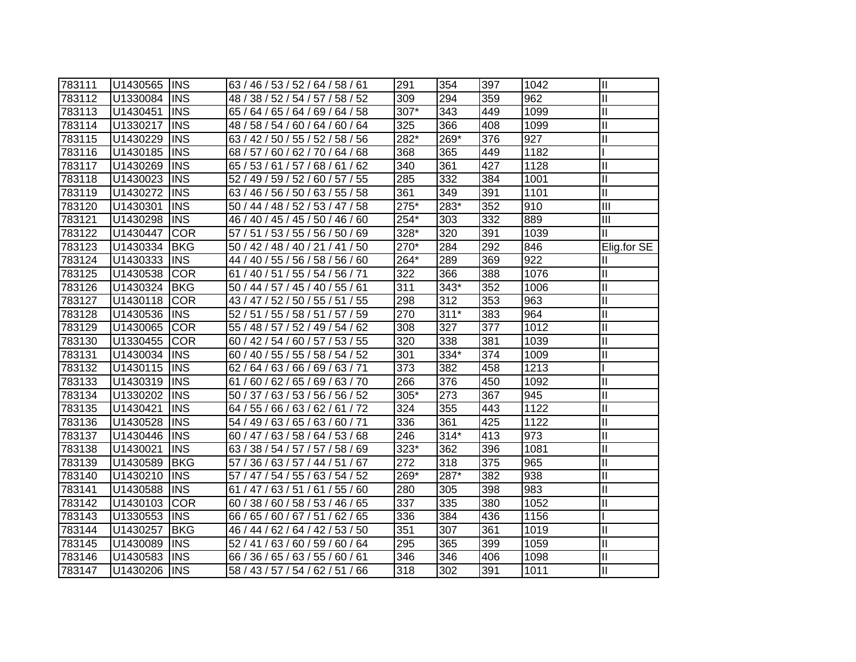| 783111 | U1430565 | <b>INS</b>  | 63 / 46 / 53 / 52 / 64 / 58 / 61   | 291    | 354    | 397 | 1042 | $\mathbf{I}$            |
|--------|----------|-------------|------------------------------------|--------|--------|-----|------|-------------------------|
| 783112 | U1330084 | <b>INS</b>  | 48 / 38 / 52 / 54 / 57 / 58 / 52   | 309    | 294    | 359 | 962  | $\mathbf{I}$            |
| 783113 | U1430451 | <b>INS</b>  | 65 / 64 / 65 / 64 / 69 / 64 / 58   | 307*   | 343    | 449 | 1099 | $\mathbf{I}$            |
| 783114 | U1330217 | <b>INS</b>  | 48 / 58 / 54 / 60 / 64 / 60 / 64   | 325    | 366    | 408 | 1099 | $\mathbf{I}$            |
| 783115 | U1430229 | <b>INS</b>  | 63 / 42 / 50 / 55 / 52 / 58 / 56   | 282*   | 269*   | 376 | 927  | $\mathbf{I}$            |
| 783116 | U1430185 | <b>INS</b>  | 68 / 57 / 60 / 62 / 70 / 64 / 68   | 368    | 365    | 449 | 1182 |                         |
| 783117 | U1430269 | <b>INS</b>  | 65 / 53 / 61 / 57 / 68 / 61 / 62   | 340    | 361    | 427 | 1128 | $\mathbf{I}$            |
| 783118 | U1430023 | <b>INS</b>  | 52 / 49 / 59 / 52 / 60 / 57 / 55   | 285    | 332    | 384 | 1001 | $\mathbf{I}$            |
| 783119 | U1430272 | <b>INS</b>  | 63 / 46 / 56 / 50 / 63 / 55 / 58   | 361    | 349    | 391 | 1101 | $\mathbf{I}$            |
| 783120 | U1430301 | <b>INS</b>  | 50 / 44 / 48 / 52 / 53 / 47 / 58   | $275*$ | 283*   | 352 | 910  | $\overline{\mathbf{m}}$ |
| 783121 | U1430298 | <b>INS</b>  | 46 / 40 / 45 / 45 / 50 / 46 / 60   | 254*   | 303    | 332 | 889  | $\overline{\mathbb{H}}$ |
| 783122 | U1430447 | <b>COR</b>  | 51 / 53 / 55 / 56 / 50 / 69<br>57/ | 328*   | 320    | 391 | 1039 | $\mathbf{I}$            |
| 783123 | U1430334 | <b>BKG</b>  | 50 / 42 / 48 / 40 / 21 / 41 / 50   | 270*   | 284    | 292 | 846  | Elig.for SE             |
| 783124 | U1430333 | <b>INS</b>  | 44 / 40 / 55 / 56 / 58 / 56 / 60   | 264*   | 289    | 369 | 922  | Ш                       |
| 783125 | U1430538 | <b>COR</b>  | 61 / 40 / 51 / 55 / 54 / 56 / 71   | 322    | 366    | 388 | 1076 | $\mathbf{I}$            |
| 783126 | U1430324 | <b>BKG</b>  | 50 / 44 / 57 / 45 / 40 / 55 / 61   | 311    | $343*$ | 352 | 1006 | $\mathbf{I}$            |
| 783127 | U1430118 | <b>COR</b>  | 43 / 47 / 52 / 50 / 55 / 51 / 55   | 298    | 312    | 353 | 963  | $\mathbf{I}$            |
| 783128 | U1430536 | <b>INS</b>  | 52 / 51 / 55 / 58 / 51 / 57 / 59   | 270    | $311*$ | 383 | 964  | $\mathbf{I}$            |
| 783129 | U1430065 | <b>COR</b>  | 55 / 48 / 57 / 52 / 49 / 54 / 62   | 308    | 327    | 377 | 1012 | $\mathbf{I}$            |
| 783130 | U1330455 | <b>TCOR</b> | 60 / 42 / 54 / 60 / 57 / 53 / 55   | 320    | 338    | 381 | 1039 | $\mathbf{I}$            |
| 783131 | U1430034 | <b>INS</b>  | 60 / 40 / 55 / 55 / 58 / 54 / 52   | 301    | 334*   | 374 | 1009 | $\mathbf{I}$            |
| 783132 | U1430115 | <b>INS</b>  | 62 / 64 / 63 / 66 / 69 / 63 / 71   | 373    | 382    | 458 | 1213 |                         |
| 783133 | U1430319 | <b>INS</b>  | 61 / 60 / 62 / 65 / 69 / 63 / 70   | 266    | 376    | 450 | 1092 | $\mathbf{I}$            |
| 783134 | U1330202 | <b>INS</b>  | 50 / 37 / 63 / 53 / 56 / 56 / 52   | $305*$ | 273    | 367 | 945  | $\mathbf{I}$            |
| 783135 | U1430421 | <b>INS</b>  | 64 / 55 / 66 / 63 / 62 / 61 / 72   | 324    | 355    | 443 | 1122 | $\mathbf{I}$            |
| 783136 | U1430528 | <b>INS</b>  | 54 / 49 / 63 / 65 / 63 / 60 / 71   | 336    | 361    | 425 | 1122 | $\mathbf{I}$            |
| 783137 | U1430446 | <b>INS</b>  | 60 / 47 / 63 / 58 / 64 / 53 / 68   | 246    | $314*$ | 413 | 973  | $\mathbf{I}$            |
| 783138 | U1430021 | <b>INS</b>  | 63 / 38 / 54 / 57 / 57 / 58 / 69   | 323*   | 362    | 396 | 1081 | $\mathbf{I}$            |
| 783139 | U1430589 | <b>BKG</b>  | 57 / 36 / 63 / 57 / 44 / 51 / 67   | 272    | 318    | 375 | 965  | $\mathbf{I}$            |
| 783140 | U1430210 | <b>INS</b>  | 57 / 47 / 54 / 55 / 63 / 54 / 52   | 269*   | 287*   | 382 | 938  | $\mathbf{I}$            |
| 783141 | U1430588 | <b>INS</b>  | 61 / 47 / 63 / 51 / 61 / 55 / 60   | 280    | 305    | 398 | 983  | $\mathbf{I}$            |
| 783142 | U1430103 | <b>COR</b>  | 60 / 38 / 60 / 58 / 53 / 46 / 65   | 337    | 335    | 380 | 1052 | $\mathbf{I}$            |
| 783143 | U1330553 | <b>INS</b>  | 65 / 60 / 67 / 51 / 62 / 65<br>66/ | 336    | 384    | 436 | 1156 |                         |
| 783144 | U1430257 | <b>BKG</b>  | 46 / 44 / 62 / 64 / 42 / 53 / 50   | 351    | 307    | 361 | 1019 | Ш                       |
| 783145 | U1430089 | <b>INS</b>  | 52 / 41 / 63 / 60 / 59 / 60 / 64   | 295    | 365    | 399 | 1059 | $\mathbf{I}$            |
| 783146 | U1430583 | <b>INS</b>  | 66 / 36 / 65 / 63 / 55 / 60 / 61   | 346    | 346    | 406 | 1098 | $\mathbf{I}$            |
| 783147 | U1430206 | <b>INS</b>  | 58 / 43 / 57 / 54 / 62 / 51 / 66   | 318    | 302    | 391 | 1011 | $\mathbf{I}$            |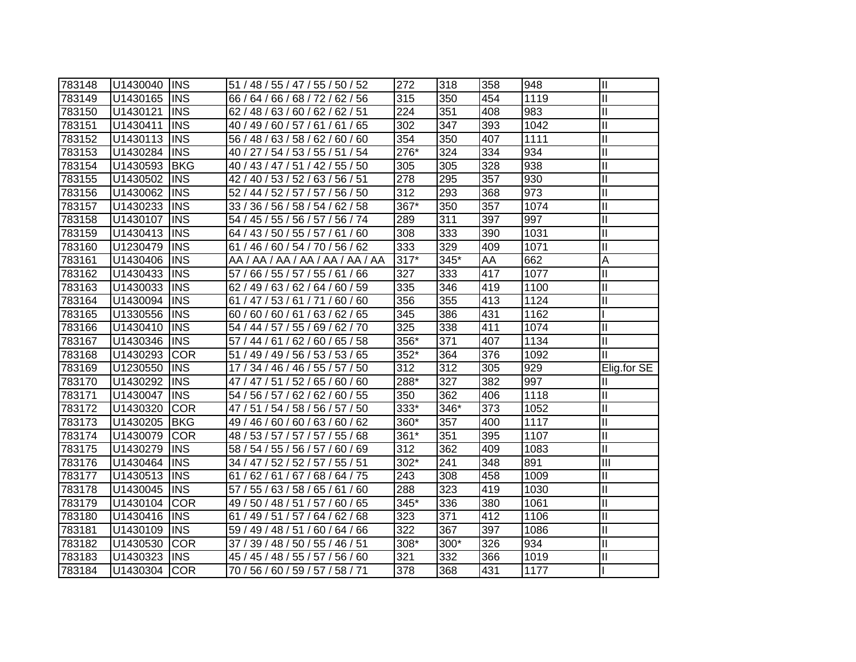| 783148 | U1430040 | <b>INS</b> | 51 / 48 / 55 / 47 / 55 / 50 / 52    | 272              | 318              | 358 | 948  | $\mathbf{  }$              |
|--------|----------|------------|-------------------------------------|------------------|------------------|-----|------|----------------------------|
| 783149 | U1430165 | <b>INS</b> | 66 / 64 / 66 / 68 / 72 / 62 / 56    | 315              | 350              | 454 | 1119 | $\mathbf{I}$               |
| 783150 | U1430121 | <b>INS</b> | 62 / 48 / 63 / 60 / 62 / 62 / 51    | 224              | 351              | 408 | 983  | $\mathbf{I}$               |
| 783151 | U1430411 | <b>INS</b> | 40 / 49 / 60 / 57 / 61 / 61 / 65    | 302              | 347              | 393 | 1042 | $\mathbf{I}$               |
| 783152 | U1430113 | <b>INS</b> | 56 / 48 / 63 / 58 / 62 / 60 / 60    | 354              | 350              | 407 | 1111 | $\mathbf{I}$               |
| 783153 | U1430284 | <b>INS</b> | 40 / 27 / 54 / 53 / 55 / 51 / 54    | 276*             | 324              | 334 | 934  | $\mathbf{I}$               |
| 783154 | U1430593 | <b>BKG</b> | 40 / 43 / 47 / 51 / 42 / 55 / 50    | 305              | 305              | 328 | 938  | $\mathbf{I}$               |
| 783155 | U1430502 | <b>INS</b> | 42 / 40 / 53 / 52 / 63 / 56 / 51    | 278              | 295              | 357 | 930  | $\overline{\mathbb{I}}$    |
| 783156 | U1430062 | <b>INS</b> | 52 / 44 / 52 / 57 / 57 / 56 / 50    | $\overline{312}$ | 293              | 368 | 973  | $\mathbf{I}$               |
| 783157 | U1430233 | <b>INS</b> | 33 / 36 / 56 / 58 / 54 / 62 / 58    | $367*$           | 350              | 357 | 1074 | $\mathbf{I}$               |
| 783158 | U1430107 | <b>INS</b> | 54 / 45 / 55 / 56 / 57 / 56 / 74    | 289              | $\overline{311}$ | 397 | 997  | $\mathbf{I}$               |
| 783159 | U1430413 | <b>INS</b> | 64 / 43 / 50 / 55 / 57 / 61 / 60    | 308              | 333              | 390 | 1031 | $\mathbf{I}$               |
| 783160 | U1230479 | <b>INS</b> | 61 / 46 / 60 / 54 / 70 / 56 / 62    | 333              | 329              | 409 | 1071 | $\mathbf{I}$               |
| 783161 | U1430406 | <b>INS</b> | AA / AA / AA / AA / AA / AA / AA    | $317*$           | 345*             | AA  | 662  | A                          |
| 783162 | U1430433 | <b>INS</b> | 57 / 66 / 55 / 57 / 55 / 61 / 66    | 327              | 333              | 417 | 1077 | Ш                          |
| 783163 | U1430033 | <b>INS</b> | 62 / 49 / 63 / 62 / 64 / 60 / 59    | 335              | 346              | 419 | 1100 | $\mathbf{I}$               |
| 783164 | U1430094 | <b>INS</b> | 61 / 47 / 53 / 61 / 71 / 60 / 60    | 356              | 355              | 413 | 1124 | $\mathbf{I}$               |
| 783165 | U1330556 | <b>INS</b> | 60/60/60/61/<br>63/62/65            | 345              | 386              | 431 | 1162 |                            |
| 783166 | U1430410 | <b>INS</b> | 54 / 44 / 57 / 55 / 69 / 62 / 70    | 325              | 338              | 411 | 1074 | Ш                          |
| 783167 | U1430346 | <b>INS</b> | 57 / 44 / 61 / 62 / 60 / 65 / 58    | $356*$           | 371              | 407 | 1134 | II                         |
| 783168 | U1430293 | <b>COR</b> | 51 / 49 / 49 / 56 / 53 / 53 / 65    | $352*$           | 364              | 376 | 1092 | Ш                          |
| 783169 | U1230550 | <b>INS</b> | 17 / 34 / 46 / 46 / 55 / 57 / 50    | 312              | 312              | 305 | 929  | Elig.for SE                |
| 783170 | U1430292 | <b>INS</b> | 47 / 47 / 51 / 52 / 65 / 60 / 60    | 288*             | 327              | 382 | 997  |                            |
| 783171 | U1430047 | <b>INS</b> | 54 / 56 / 57 / 62 / 62 / 60 / 55    | 350              | 362              | 406 | 1118 | $\mathbf{I}$               |
| 783172 | U1430320 | <b>COR</b> | 47 / 51 / 54 / 58 / 56 / 57 / 50    | 333*             | 346*             | 373 | 1052 | $\mathbf{I}$               |
| 783173 | U1430205 | <b>BKG</b> | 49 / 46 / 60 / 60 / 63 / 60 / 62    | 360*             | 357              | 400 | 1117 | $\mathbf{I}$               |
| 783174 | U1430079 | <b>COR</b> | 48 / 53 / 57 / 57 / 57 / 55 / 68    | 361*             | 351              | 395 | 1107 | $\mathop{\rm II}\nolimits$ |
| 783175 | U1430279 | <b>INS</b> | 58 / 54 / 55 / 56 / 57 / 60 / 69    | 312              | 362              | 409 | 1083 | Ш                          |
| 783176 | U1430464 | <b>INS</b> | 34 / 47 / 52 / 52 / 57 / 55 / 51    | 302*             | 241              | 348 | 891  | $\mathbf{III}$             |
| 783177 | U1430513 | <b>INS</b> | 61 / 62 / 61 / 67 / 68 / 64 / 75    | 243              | 308              | 458 | 1009 | $\mathbf{I}$               |
| 783178 | U1430045 | <b>INS</b> | 57 / 55 / 63 / 58 / 65 / 61 / 60    | 288              | 323              | 419 | 1030 | $\mathbf{I}$               |
| 783179 | U1430104 | <b>COR</b> | 49 / 50 / 48 / 51 / 57 / 60 / 65    | $345*$           | 336              | 380 | 1061 | $\mathbf{I}$               |
| 783180 | U1430416 | <b>INS</b> | 61 / 49 / 51 / 57 / 64 / 62 / 68    | 323              | 371              | 412 | 1106 | $\mathbf{I}$               |
| 783181 | U1430109 | <b>INS</b> | 59 / 49 / 48 / 51 /<br>60 / 64 / 66 | 322              | 367              | 397 | 1086 | $\mathbf{I}$               |
| 783182 | U1430530 | <b>COR</b> | 39 / 48 / 50 / 55 / 46 / 51<br>37/  | 308*             | 300*             | 326 | 934  | Ш                          |
| 783183 | U1430323 | <b>INS</b> | 45 / 45 / 48 / 55 / 57 / 56 / 60    | 321              | 332              | 366 | 1019 | $\mathbf{I}$               |
| 783184 | U1430304 | <b>COR</b> | 70 / 56 / 60 / 59 / 57 / 58 / 71    | 378              | 368              | 431 | 1177 |                            |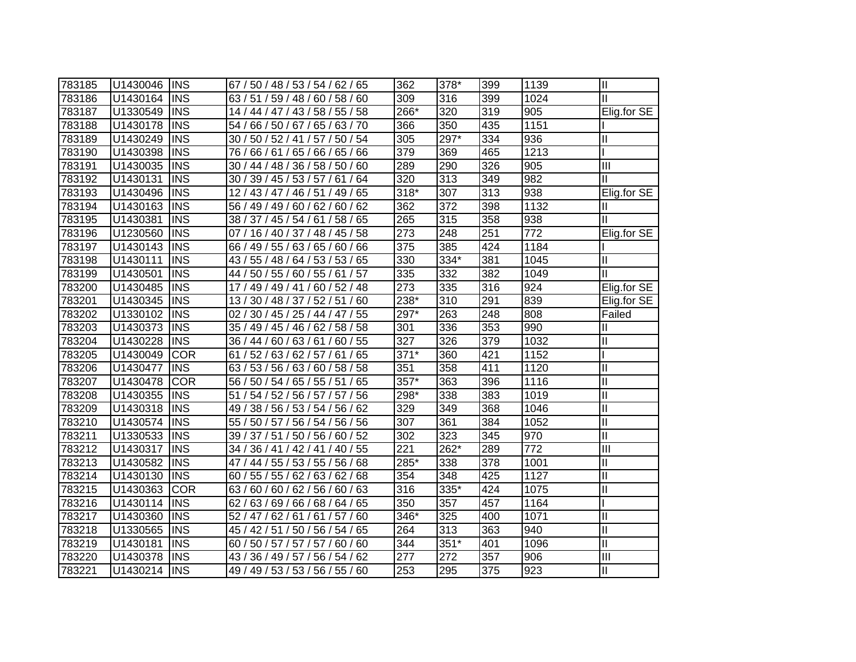| 783185 | U1430046 | <b>INS</b> | 67 / 50 / 48 / 53 / 54 / 62 / 65                 | 362    | 378*   | 399 | 1139 | $\mathbf{  }$  |
|--------|----------|------------|--------------------------------------------------|--------|--------|-----|------|----------------|
| 783186 | U1430164 | <b>INS</b> | 63/51/59/48/60/58/60                             | 309    | 316    | 399 | 1024 | Ш              |
| 783187 | U1330549 | <b>INS</b> | 14 / 44 / 47 / 43 / 58 / 55 / 58                 | 266*   | 320    | 319 | 905  | Elig.for SE    |
| 783188 | U1430178 | <b>INS</b> | 54 / 66 / 50 / 67 / 65 / 63 / 70                 | 366    | 350    | 435 | 1151 |                |
| 783189 | U1430249 | <b>INS</b> | / 50 / 52 / 41 / 57 / 50 / 54<br>30 <sub>1</sub> | 305    | 297*   | 334 | 936  | Ш              |
| 783190 | U1430398 | <b>INS</b> | 66 / 61 / 65 / 66 / 65 / 66<br>76/               | 379    | 369    | 465 | 1213 |                |
| 783191 | U1430035 | <b>INS</b> | 48 / 36 / 58 / 50 / 60<br>30/<br>44/             | 289    | 290    | 326 | 905  | $\mathbf{III}$ |
| 783192 | U1430131 | <b>INS</b> | 30 / 39 / 45 / 53 / 57 / 61 / 64                 | 320    | 313    | 349 | 982  | Ш              |
| 783193 | U1430496 | <b>INS</b> | 43 / 47 / 46 / 51 / 49 / 65<br>127               | 318*   | 307    | 313 | 938  | Elig.for SE    |
| 783194 | U1430163 | <b>INS</b> | 56 / 49 / 49 / 60 / 62 / 60 / 62                 | 362    | 372    | 398 | 1132 | Ш              |
| 783195 | U1430381 | <b>INS</b> | 38 / 37 / 45 / 54 / 61 / 58 / 65                 | 265    | 315    | 358 | 938  | Ш              |
| 783196 | U1230560 | <b>INS</b> | 07 / 16 / 40 / 37 / 48 / 45 / 58                 | 273    | 248    | 251 | 772  | Elig.for SE    |
| 783197 | U1430143 | <b>INS</b> | 66 / 49 / 55 / 63 / 65 / 60 / 66                 | 375    | 385    | 424 | 1184 |                |
| 783198 | U1430111 | <b>INS</b> | 43 / 55 / 48 / 64 / 53 / 53 / 65                 | 330    | 334*   | 381 | 1045 | Ш              |
| 783199 | U1430501 | <b>INS</b> | 44 / 50 / 55 / 60 / 55 / 61 / 57                 | 335    | 332    | 382 | 1049 | Ш              |
| 783200 | U1430485 | <b>INS</b> | 49 / 49 / 41 / 60 / 52 / 48<br>17/               | 273    | 335    | 316 | 924  | Elig.for SE    |
| 783201 | U1430345 | <b>INS</b> | 13 / 30 / 48 / 37 / 52 / 51 / 60                 | 238*   | 310    | 291 | 839  | Elig.for SE    |
| 783202 | U1330102 | <b>INS</b> | 30 / 45 / 25 / 44 / 47 / 55<br>02/               | 297*   | 263    | 248 | 808  | Failed         |
| 783203 | U1430373 | <b>INS</b> | 35 / 49 / 45 / 46 / 62 / 58 / 58                 | 301    | 336    | 353 | 990  | Ш              |
| 783204 | U1430228 | <b>INS</b> | 36 / 44 / 60 / 63 / 61 / 60 / 55                 | 327    | 326    | 379 | 1032 | Ш              |
| 783205 | U1430049 | <b>COR</b> | 61 / 52 / 63 / 62 / 57 / 61 / 65                 | $371*$ | 360    | 421 | 1152 |                |
| 783206 | U1430477 | <b>INS</b> | 63 / 53 / 56 / 63 / 60 / 58 / 58                 | 351    | 358    | 411 | 1120 | $\mathbf{  }$  |
| 783207 | U1430478 | <b>COR</b> | 56 / 50 / 54 / 65 / 55 / 51<br>/65               | $357*$ | 363    | 396 | 1116 | $\mathbf{  }$  |
| 783208 | U1430355 | <b>INS</b> | / 54 / 52 / 56 / 57 / 57 / 56<br>51              | 298*   | 338    | 383 | 1019 | $\mathbf{  }$  |
| 783209 | U1430318 | <b>INS</b> | 49 / 38 / 56 / 53 / 54 / 56 / 62                 | 329    | 349    | 368 | 1046 | $\mathbf{II}$  |
| 783210 | U1430574 | <b>INS</b> | 55 / 50 / 57 / 56 / 54 / 56 / 56                 | 307    | 361    | 384 | 1052 | $\mathbf{II}$  |
| 783211 | U1330533 | <b>INS</b> | 39 / 37 / 51 / 50 / 56 / 60 / 52                 | 302    | 323    | 345 | 970  | Ш              |
| 783212 | U1430317 | <b>INS</b> | 34 / 36 / 41 / 42 / 41 / 40 / 55                 | 221    | 262*   | 289 | 772  | Ш              |
| 783213 | U1430582 | <b>INS</b> | 47 / 44 / 55 / 53 / 55 / 56 / 68                 | 285*   | 338    | 378 | 1001 | $\mathbf{I}$   |
| 783214 | U1430130 | <b>INS</b> | 60 / 55 / 55 / 62 / 63 / 62 / 68                 | 354    | 348    | 425 | 1127 | $\mathbf{I}$   |
| 783215 | U1430363 | <b>COR</b> | 63 / 60 / 60 / 62 / 56 / 60 / 63                 | 316    | 335*   | 424 | 1075 | II             |
| 783216 | U1430114 | <b>INS</b> | 62/<br>63 / 69 / 66 / 68 / 64 / 65               | 350    | 357    | 457 | 1164 |                |
| 783217 | U1430360 | <b>INS</b> | 52 / 47 / 62 / 61 / 61 / 57 / 60                 | 346*   | 325    | 400 | 1071 | Ш              |
| 783218 | U1330565 | <b>INS</b> | 45 / 42 / 51 / 50 / 56 / 54 / 65                 | 264    | 313    | 363 | 940  | $\mathbf{I}$   |
| 783219 | U1430181 | <b>INS</b> | 50 / 57 / 57 / 57 / 60 / 60<br>60                | 344    | $351*$ | 401 | 1096 | Ш              |
| 783220 | U1430378 | <b>INS</b> | 36/49/57/<br>56/54/62<br>43/                     | 277    | 272    | 357 | 906  | III            |
| 783221 | U1430214 | <b>INS</b> | 49 / 49 / 53 / 53 / 56 / 55 / 60                 | 253    | 295    | 375 | 923  | $\mathbf{I}$   |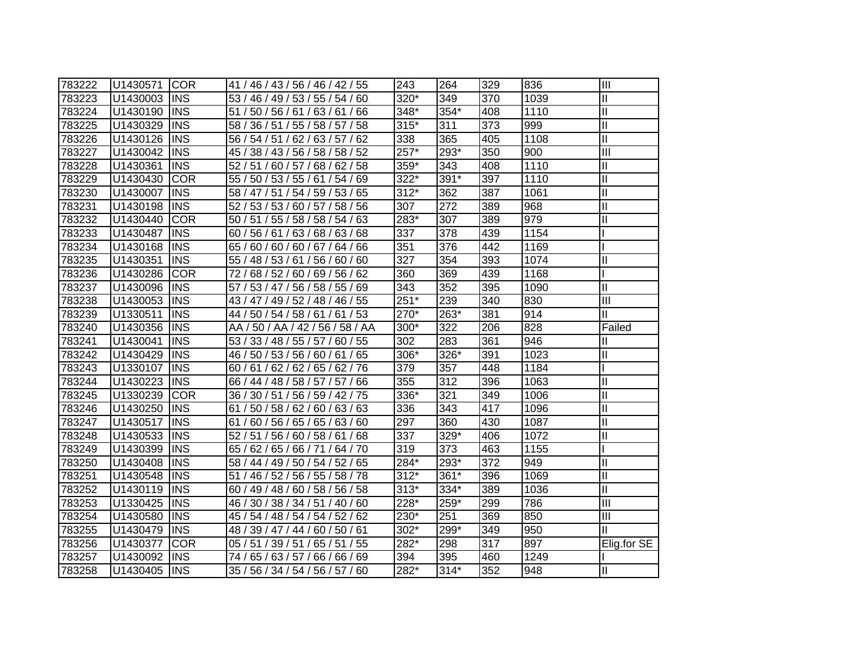| 783222 | U1430571 | <b>ICOR</b> | 41 / 46 / 43 / 56 / 46 / 42 / 55       | 243    | 264    | 329 | 836  | Ш                         |
|--------|----------|-------------|----------------------------------------|--------|--------|-----|------|---------------------------|
| 783223 | U1430003 | <b>INS</b>  | 53 / 46 / 49 / 53 / 55 / 54 / 60       | 320*   | 349    | 370 | 1039 | $\mathbf{I}$              |
| 783224 | U1430190 | <b>INS</b>  | 51 / 50 / 56 / 61 / 63 / 61 / 66       | 348*   | 354*   | 408 | 1110 | $\mathbf{I}$              |
| 783225 | U1430329 | <b>INS</b>  | 58 / 36 / 51 / 55 / 58 / 57 / 58       | $315*$ | 311    | 373 | 999  | $\mathbf{I}$              |
| 783226 | U1430126 | <b>INS</b>  | 56 / 54 / 51 / 62 / 63 / 57 / 62       | 338    | 365    | 405 | 1108 | $\mathbf{I}$              |
| 783227 | U1430042 | <b>INS</b>  | 45 / 38 / 43 / 56 / 58 / 58 / 52       | $257*$ | 293*   | 350 | 900  | $\overline{III}$          |
| 783228 | U1430361 | <b>INS</b>  | 52 / 51 / 60 / 57 / 68 / 62 / 58       | 359*   | 343    | 408 | 1110 | $\mathbf{I}$              |
| 783229 | U1430430 | <b>COR</b>  | 55 / 50 / 53 / 55 / 61 / 54 / 69       | $322*$ | $391*$ | 397 | 1110 | $\mathbf{I}$              |
| 783230 | U1430007 | <b>INS</b>  | 58 / 47 / 51 / 54 / 59 / 53 / 65       | $312*$ | 362    | 387 | 1061 | $\mathbf{I}$              |
| 783231 | U1430198 | <b>INS</b>  | 52 / 53 / 53 / 60 / 57 / 58 / 56       | 307    | 272    | 389 | 968  | $\mathbf{I}$              |
| 783232 | U1430440 | <b>COR</b>  | 50 / 51 / 55 / 58 / 58 / 54 / 63       | 283*   | 307    | 389 | 979  | $\overline{\mathsf{I}}$   |
| 783233 | U1430487 | <b>INS</b>  | 63/<br>68/63/68<br>60/<br>156/61/      | 337    | 378    | 439 | 1154 |                           |
| 783234 | U1430168 | <b>INS</b>  | 60/60/60/<br>67/64/66<br>65/           | 351    | 376    | 442 | 1169 |                           |
| 783235 | U1430351 | <b>INS</b>  | 55 / 48 / 53 / 61 /<br>56 / 60 / 60    | 327    | 354    | 393 | 1074 | $\mathbf{I}$              |
| 783236 | U1430286 | <b>COR</b>  | 72 / 68 / 52 / 60 / 69 / 56 / 62       | 360    | 369    | 439 | 1168 |                           |
| 783237 | U1430096 | <b>INS</b>  | 57 / 53 / 47 / 56 / 58 / 55 / 69       | 343    | 352    | 395 | 1090 | $\mathbf{I}$              |
| 783238 | U1430053 | <b>INS</b>  | 43 / 47 / 49 / 52 / 48 / 46 / 55       | $251*$ | 239    | 340 | 830  | $\overline{\mathbf{III}}$ |
| 783239 | U1330511 | <b>INS</b>  | 44 / 50 / 54 / 58 / 61 / 61 / 53       | 270*   | 263*   | 381 | 914  | Ш                         |
| 783240 | U1430356 | <b>INS</b>  | / 50 / AA / 42 / 56 / 58 / AA<br>AA    | 300*   | 322    | 206 | 828  | Failed                    |
| 783241 | U1430041 | <b>INS</b>  | 53 / 33 / 48 / 55 / 57 / 60 / 55       | 302    | 283    | 361 | 946  | Ш                         |
| 783242 | U1430429 | <b>INS</b>  | 46 / 50 / 53 / 56 / 60 / 61 / 65       | 306*   | 326*   | 391 | 1023 | $\mathbf{I}$              |
| 783243 | U1330107 | <b>INS</b>  | 60 / 61 / 62 / 62 / 65 / 62 / 76       | 379    | 357    | 448 | 1184 |                           |
| 783244 | U1430223 | <b>INS</b>  | 66 / 44 / 48 / 58 / 57 / 57 / 66       | 355    | 312    | 396 | 1063 | $\mathbf{I}$              |
| 783245 | U1330239 | <b>COR</b>  | 36 / 30 / 51 / 56 / 59 / 42 / 75       | 336*   | 321    | 349 | 1006 | $\mathbf{I}$              |
| 783246 | U1430250 | <b>INS</b>  | 61 / 50 / 58 / 62 / 60 / 63 / 63       | 336    | 343    | 417 | 1096 | $\mathbf{I}$              |
| 783247 | U1430517 | <b>INS</b>  | 61/<br>60 / 56 / 65 / 65 / 63 / 60     | 297    | 360    | 430 | 1087 | $\mathbf{I}$              |
| 783248 | U1430533 | <b>INS</b>  | 52 / 51 / 56 / 60 / 58 / 61 / 68       | 337    | 329*   | 406 | 1072 | $\mathbf{I}$              |
| 783249 | U1430399 | <b>INS</b>  | 65 / 62 / 65 / 66 / 71 / 64 / 70       | 319    | 373    | 463 | 1155 |                           |
| 783250 | U1430408 | <b>INS</b>  | 58 / 44 / 49 / 50 / 54 / 52 / 65       | 284*   | 293*   | 372 | 949  | $\mathbf{I}$              |
| 783251 | U1430548 | <b>INS</b>  | $\overline{51/46/52/56/55/58/78}$      | $312*$ | 361*   | 396 | 1069 | $\mathbf{I}$              |
| 783252 | U1430119 | <b>INS</b>  | 60 / 49 / 48 / 60 / 58 / 56 / 58       | $313*$ | 334*   | 389 | 1036 | $\mathbf{I}$              |
| 783253 | U1330425 | <b>INS</b>  | 46 / 30 / 38 / 34 / 51 / 40 / 60       | 228*   | 259*   | 299 | 786  | Ш                         |
| 783254 | U1430580 | <b>INS</b>  | 45 / 54 / 48 / 54 / 54 / 52 / 62       | 230*   | 251    | 369 | 850  | Ш                         |
| 783255 | U1430479 | <b>INS</b>  | 39 / 47 / 44 / 60 / 50 / 61<br>48/     | 302*   | 299*   | 349 | 950  |                           |
| 783256 | U1430377 | <b>COR</b>  | 05 / 51 / 39 / 51 /<br>65 / 51 / 55    | 282*   | 298    | 317 | 897  | Elig.for SE               |
| 783257 | U1430092 | <b>INS</b>  | 65 / 63 / 57 /<br>66 / 66 / 69<br>74 / | 394    | 395    | 460 | 1249 |                           |
| 783258 | U1430405 | <b>INS</b>  | 35 / 56 / 34 / 54 / 56 / 57 / 60       | $282*$ | $314*$ | 352 | 948  | Ш                         |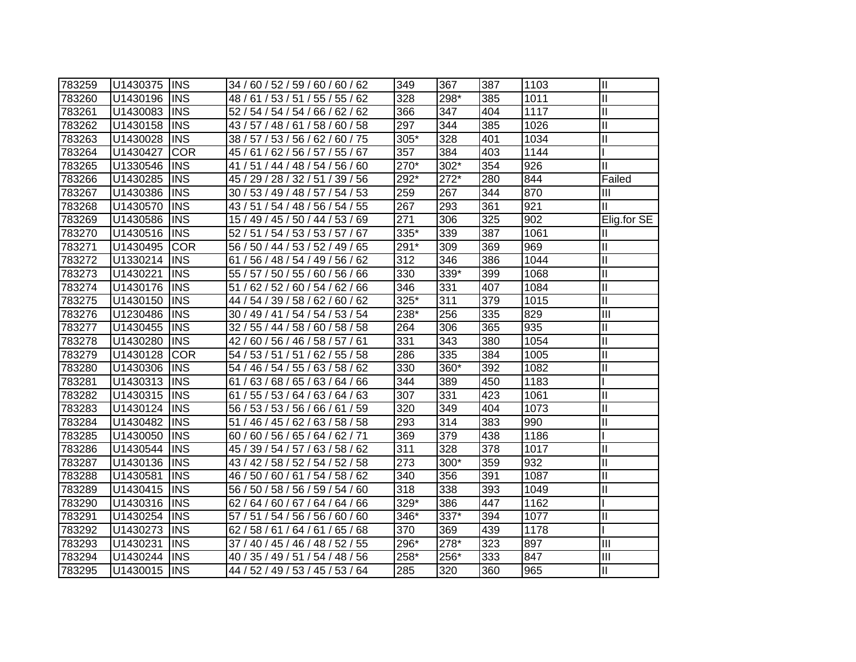| 783259 | U1430375 | <b>INS</b> | 34 / 60 / 52 / 59 / 60 / 60 / 62    | 349  | 367    | 387 | 1103 | $\mathbf{I}$  |
|--------|----------|------------|-------------------------------------|------|--------|-----|------|---------------|
| 783260 | U1430196 | <b>INS</b> | 48 / 61 / 53 / 51 / 55 / 55 / 62    | 328  | 298*   | 385 | 1011 | $\mathbf{I}$  |
| 783261 | U1430083 | <b>INS</b> | 52 / 54 / 54 / 54 / 66 / 62 / 62    | 366  | 347    | 404 | 1117 | $\mathbf{I}$  |
| 783262 | U1430158 | <b>INS</b> | 43 / 57 / 48 / 61 / 58 / 60 / 58    | 297  | 344    | 385 | 1026 | $\mathbf{I}$  |
| 783263 | U1430028 | <b>INS</b> | 38 / 57 / 53 / 56 / 62 / 60 / 75    | 305* | 328    | 401 | 1034 | $\mathbf{I}$  |
| 783264 | U1430427 | <b>COR</b> | 45 / 61 / 62 / 56 / 57 / 55 / 67    | 357  | 384    | 403 | 1144 |               |
| 783265 | U1330546 | <b>INS</b> | 41 / 51 / 44 / 48 / 54 / 56 / 60    | 270* | 302*   | 354 | 926  | $\mathbf{I}$  |
| 783266 | U1430285 | <b>INS</b> | 45 / 29 / 28 / 32 / 51 / 39 / 56    | 292* | $272*$ | 280 | 844  | Failed        |
| 783267 | U1430386 | <b>INS</b> | 30 / 53 / 49 / 48 / 57 / 54 / 53    | 259  | 267    | 344 | 870  | Ш             |
| 783268 | U1430570 | <b>INS</b> | 43 / 51 / 54 / 48 / 56 / 54 / 55    | 267  | 293    | 361 | 921  | Ш             |
| 783269 | U1430586 | <b>INS</b> | 15 / 49 / 45 / 50 / 44 / 53 / 69    | 271  | 306    | 325 | 902  | Elig.for SE   |
| 783270 | U1430516 | <b>INS</b> | 51 / 54 / 53 / 53 / 57 / 67<br>52 / | 335* | 339    | 387 | 1061 |               |
| 783271 | U1430495 | <b>COR</b> | 56 / 50 / 44 / 53 / 52 / 49 / 65    | 291* | 309    | 369 | 969  | Ш             |
| 783272 | U1330214 | <b>INS</b> | 61 / 56 / 48 / 54 / 49 / 56 / 62    | 312  | 346    | 386 | 1044 | $\mathbf{I}$  |
| 783273 | U1430221 | <b>INS</b> | 55 / 57 / 50 / 55 / 60 / 56 / 66    | 330  | 339*   | 399 | 1068 | $\mathbf{I}$  |
| 783274 | U1430176 | <b>INS</b> | 51/<br>62 / 52 / 60 / 54 / 62 / 66  | 346  | 331    | 407 | 1084 | $\mathbf{I}$  |
| 783275 | U1430150 | <b>INS</b> | 44 / 54 / 39 / 58 / 62 / 60 / 62    | 325* | 311    | 379 | 1015 | $\mathbf{I}$  |
| 783276 | U1230486 | <b>INS</b> | 30 / 49 / 41 / 54 / 54 / 53 / 54    | 238* | 256    | 335 | 829  | III           |
| 783277 | U1430455 | <b>INS</b> | 32 / 55 / 44 / 58 / 60 / 58 / 58    | 264  | 306    | 365 | 935  | Ш             |
| 783278 | U1430280 | <b>INS</b> | 42 / 60 / 56 / 46 / 58 / 57 / 61    | 331  | 343    | 380 | 1054 | $\mathbf{I}$  |
| 783279 | U1430128 | <b>COR</b> | 54 / 53 / 51 / 51 / 62 / 55 / 58    | 286  | 335    | 384 | 1005 | $\mathbf{I}$  |
| 783280 | U1430306 | <b>INS</b> | 54 / 46 / 54 / 55 / 63 / 58 / 62    | 330  | 360*   | 392 | 1082 | $\mathbf{I}$  |
| 783281 | U1430313 | <b>INS</b> | 61 / 63 / 68 / 65 / 63 / 64 / 66    | 344  | 389    | 450 | 1183 |               |
| 783282 | U1430315 | <b>INS</b> | 61 / 55 / 53 / 64 / 63 / 64 / 63    | 307  | 331    | 423 | 1061 | $\mathbf{I}$  |
| 783283 | U1430124 | <b>INS</b> | 56 / 53 / 53 / 56 / 66 / 61 / 59    | 320  | 349    | 404 | 1073 | $\mathbf{I}$  |
| 783284 | U1430482 | <b>INS</b> | 51 / 46 / 45 / 62 / 63 / 58 / 58    | 293  | 314    | 383 | 990  | $\mathbf{I}$  |
| 783285 | U1430050 | <b>INS</b> | 60 / 60 / 56 / 65 / 64 / 62 / 71    | 369  | 379    | 438 | 1186 |               |
| 783286 | U1430544 | <b>INS</b> | 45 / 39 / 54 / 57 / 63 / 58 / 62    | 311  | 328    | 378 | 1017 | $\mathbf{I}$  |
| 783287 | U1430136 | <b>INS</b> | 43 / 42 / 58 / 52 / 54 / 52 / 58    | 273  | 300*   | 359 | 932  | $\mathbf{I}$  |
| 783288 | U1430581 | <b>INS</b> | 46 / 50 / 60 / 61 / 54 / 58 / 62    | 340  | 356    | 391 | 1087 | $\mathbf{I}$  |
| 783289 | U1430415 | <b>INS</b> | 56 / 50 / 58 / 56 / 59 / 54 / 60    | 318  | 338    | 393 | 1049 | $\mathbf{I}$  |
| 783290 | U1430316 | <b>INS</b> | 62 / 64 / 60 / 67 / 64 / 64 / 66    | 329* | 386    | 447 | 1162 |               |
| 783291 | U1430254 | <b>INS</b> | 57 / 51 / 54 / 56 / 56 / 60 / 60    | 346* | 337*   | 394 | 1077 | $\mathbf{I}$  |
| 783292 | U1430273 | <b>INS</b> | 62 / 58 / 61 / 64 / 61 / 65 / 68    | 370  | 369    | 439 | 1178 |               |
| 783293 | U1430231 | <b>INS</b> | 37 / 40 / 45 / 46 / 48 / 52 / 55    | 296* | 278*   | 323 | 897  | III           |
| 783294 | U1430244 | <b>INS</b> | 40 / 35 / 49 / 51 / 54 / 48 / 56    | 258* | 256*   | 333 | 847  | Ш             |
| 783295 | U1430015 | <b>INS</b> | 44 / 52 / 49 / 53 / 45 / 53 / 64    | 285  | 320    | 360 | 965  | $\mathbf{II}$ |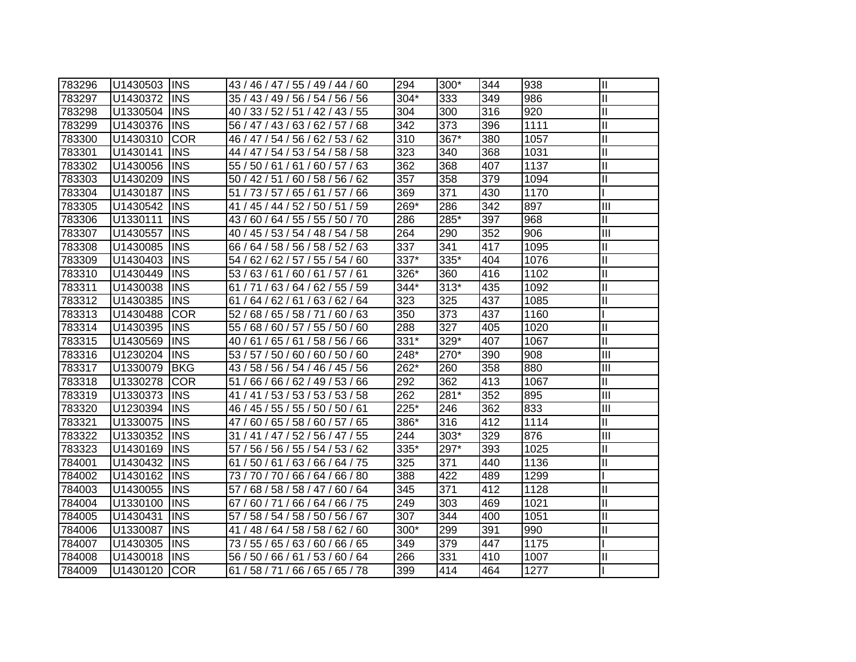| 783296 | U1430503 | <b>INS</b>  | 43 / 46 / 47 / 55 / 49 / 44 / 60      | 294    | $300*$ | 344 | 938  | $\mathbf{I}$   |
|--------|----------|-------------|---------------------------------------|--------|--------|-----|------|----------------|
| 783297 | U1430372 | <b>INS</b>  | 35 / 43 / 49 / 56 / 54 / 56 / 56      | 304*   | 333    | 349 | 986  | $\mathbf{I}$   |
| 783298 | U1330504 | <b>INS</b>  | 40 / 33 / 52 / 51 / 42 / 43 / 55      | 304    | 300    | 316 | 920  | $\mathbf{I}$   |
| 783299 | U1430376 | <b>INS</b>  | 56 / 47 / 43 / 63 / 62 / 57 / 68      | 342    | 373    | 396 | 1111 | $\mathbf{I}$   |
| 783300 | U1430310 | <b>COR</b>  | 46 / 47 / 54 / 56 / 62 / 53 / 62      | 310    | 367*   | 380 | 1057 | $\mathbf{I}$   |
| 783301 | U1430141 | <b>INS</b>  | 44 / 47 / 54 / 53 / 54 / 58 / 58      | 323    | 340    | 368 | 1031 | $\mathbf{I}$   |
| 783302 | U1430056 | <b>INS</b>  | 55 / 50 / 61 / 61 / 60 / 57 / 63      | 362    | 368    | 407 | 1137 | $\mathbf{I}$   |
| 783303 | U1430209 | <b>INS</b>  | 50 / 42 / 51 / 60 / 58 / 56 / 62      | 357    | 358    | 379 | 1094 | $\mathbf{I}$   |
| 783304 | U1430187 | <b>INS</b>  | 51 / 73 / 57 / 65 / 61 / 57 / 66      | 369    | 371    | 430 | 1170 |                |
| 783305 | U1430542 | <b>INS</b>  | 41 / 45 / 44 / 52 / 50 / 51 / 59      | 269*   | 286    | 342 | 897  | Ш              |
| 783306 | U1330111 | <b>INS</b>  | 60 / 64 / 55 / 55 / 50 / 70<br>43/    | 286    | 285*   | 397 | 968  | $\mathbf{I}$   |
| 783307 | U1430557 | <b>INS</b>  | 40 / 45 / 53 / 54 / 48 / 54 / 58      | 264    | 290    | 352 | 906  | Ш              |
| 783308 | U1430085 | <b>INS</b>  | 66 / 64 / 58 / 56 / 58 / 52 / 63      | 337    | 341    | 417 | 1095 | $\mathbf{I}$   |
| 783309 | U1430403 | <b>INS</b>  | 54 / 62 / 62 / 57 / 55 / 54 / 60      | 337*   | 335*   | 404 | 1076 | Ш              |
| 783310 | U1430449 | <b>INS</b>  | 53/63/61/60/61/57/61                  | $326*$ | 360    | 416 | 1102 | $\mathbf{I}$   |
| 783311 | U1430038 | <b>INS</b>  | 61 / 71 / 63 / 64 / 62 / 55 / 59      | $344*$ | $313*$ | 435 | 1092 | $\mathbf{I}$   |
| 783312 | U1430385 | <b>INS</b>  | 61 / 64 / 62 / 61 / 63 / 62 / 64      | 323    | 325    | 437 | 1085 | Ш              |
| 783313 | U1430488 | <b>COR</b>  | 52 / 68 / 65 / 58 / 71 / 60 / 63      | 350    | 373    | 437 | 1160 |                |
| 783314 | U1430395 | <b>IINS</b> | 55 / 68 / 60 / 57 / 55 / 50 / 60      | 288    | 327    | 405 | 1020 | Ш              |
| 783315 | U1430569 | <b>IINS</b> | 40 / 61 / 65 / 61 / 58 / 56 / 66      | 331*   | 329*   | 407 | 1067 | Ш              |
| 783316 | U1230204 | <b>IINS</b> | 53 / 57 / 50 / 60 / 60 / 50 / 60      | 248*   | 270*   | 390 | 908  | $\mathbf{III}$ |
| 783317 | U1330079 | <b>BKG</b>  | 43 / 58 / 56 / 54 / 46 / 45 / 56      | 262*   | 260    | 358 | 880  | Ш              |
| 783318 | U1330278 | <b>COR</b>  | 51 / 66 / 66 / 62 / 49 / 53 / 66      | 292    | 362    | 413 | 1067 | Ш              |
| 783319 | U1330373 | <b>INS</b>  | 41 / 41 / 53 / 53 / 53 / 53 / 58      | 262    | 281*   | 352 | 895  | Ш              |
| 783320 | U1230394 | <b>INS</b>  | 46 / 45 / 55 / 55 / 50 / 50 / 61      | 225*   | 246    | 362 | 833  | $\mathbf{III}$ |
| 783321 | U1330075 | <b>INS</b>  | 60 / 65 / 58 / 60 / 57 / 65 /<br>47 / | 386*   | 316    | 412 | 1114 | Ш              |
| 783322 | U1330352 | <b>INS</b>  | 31 / 41 / 47 / 52 / 56 / 47 / 55      | 244    | $303*$ | 329 | 876  | Ш              |
| 783323 | U1430169 | <b>INS</b>  | 57 / 56 / 56 / 55 / 54 / 53 / 62      | 335*   | 297*   | 393 | 1025 | Ш              |
| 784001 | U1430432 | <b>INS</b>  | 61 / 50 / 61 / 63 / 66 / 64 / 75      | 325    | 371    | 440 | 1136 | $\mathbf{I}$   |
| 784002 | U1430162 | <b>INS</b>  | 73 / 70 / 70 / 66 / 64 / 66 / 80      | 388    | 422    | 489 | 1299 |                |
| 784003 | U1430055 | <b>INS</b>  | 57 / 68 / 58 / 58 / 47 / 60 / 64      | 345    | 371    | 412 | 1128 | $\mathbf{I}$   |
| 784004 | U1330100 | <b>INS</b>  | 67 / 60 / 71 / 66 / 64 / 66 / 75      | 249    | 303    | 469 | 1021 | $\mathbf{I}$   |
| 784005 | U1430431 | <b>INS</b>  | 57 / 58 / 54 / 58 / 50 / 56 / 67      | 307    | 344    | 400 | 1051 | Ш              |
| 784006 | U1330087 | <b>INS</b>  | 41 / 48 / 64 / 58 / 58 / 62 / 60      | 300*   | 299    | 391 | 990  | Ш              |
| 784007 | U1430305 | <b>INS</b>  | 73 / 55 / 65 / 63 / 60 / 66 / 65      | 349    | 379    | 447 | 1175 |                |
| 784008 | U1430018 | <b>INS</b>  | 56 / 50 / 66 / 61 / 53 / 60 / 64      | 266    | 331    | 410 | 1007 | $\mathbf{I}$   |
| 784009 | U1430120 | <b>COR</b>  | 61 / 58 / 71 / 66 / 65 / 65 / 78      | 399    | 414    | 464 | 1277 |                |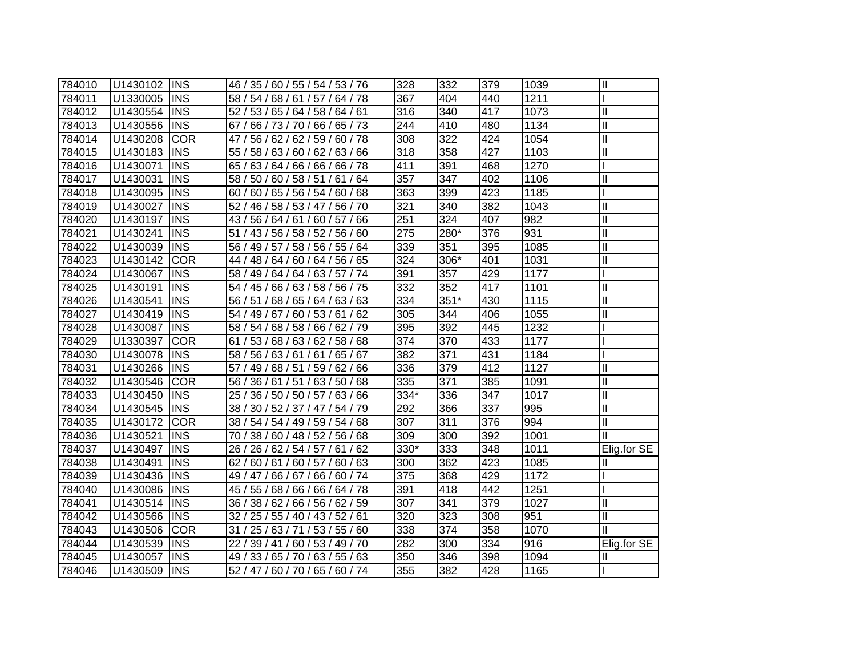| 784010 | U1430102 | <b>INS</b> | 46 / 35 / 60 / 55 / 54 / 53 / 76   | 328  | 332    | 379 | 1039 | $\mathbf{I}$ |
|--------|----------|------------|------------------------------------|------|--------|-----|------|--------------|
| 784011 | U1330005 | <b>INS</b> | 58 / 54 / 68 / 61 / 57 / 64 / 78   | 367  | 404    | 440 | 1211 |              |
| 784012 | U1430554 | <b>INS</b> | 52 / 53 / 65 / 64 / 58 / 64 / 61   | 316  | 340    | 417 | 1073 | Ш            |
| 784013 | U1430556 | <b>INS</b> | 67 / 66 / 73 / 70 / 66 / 65 / 73   | 244  | 410    | 480 | 1134 | $\mathbf{I}$ |
| 784014 | U1430208 | <b>COR</b> | 47 / 56 / 62 / 62 / 59 / 60 / 78   | 308  | 322    | 424 | 1054 | $\mathbf{I}$ |
| 784015 | U1430183 | <b>INS</b> | 55 / 58 / 63 / 60 / 62 / 63 / 66   | 318  | 358    | 427 | 1103 | Ш            |
| 784016 | U1430071 | <b>INS</b> | 65 / 63 / 64 / 66 / 66 / 66 / 78   | 411  | 391    | 468 | 1270 |              |
| 784017 | U1430031 | <b>INS</b> | 58 / 50 / 60 / 58 / 51 / 61 / 64   | 357  | 347    | 402 | 1106 | $\mathbf{I}$ |
| 784018 | U1430095 | <b>INS</b> | 60 / 65 / 56 / 54 / 60 / 68<br>60/ | 363  | 399    | 423 | 1185 |              |
| 784019 | U1430027 | <b>INS</b> | 52 / 46 / 58 / 53 / 47 / 56 / 70   | 321  | 340    | 382 | 1043 | $\mathbf{I}$ |
| 784020 | U1430197 | <b>INS</b> | 43/56/64/61/60/57/66               | 251  | 324    | 407 | 982  | $\mathbf{I}$ |
| 784021 | U1430241 | <b>INS</b> | 43 / 56 / 58 / 52 / 56 / 60<br>51/ | 275  | 280*   | 376 | 931  | $\mathbf{I}$ |
| 784022 | U1430039 | <b>INS</b> | 56 / 49 / 57 / 58 / 56 / 55 / 64   | 339  | 351    | 395 | 1085 | $\mathbf{I}$ |
| 784023 | U1430142 | <b>COR</b> | 44 / 48 / 64 / 60 / 64 / 56 / 65   | 324  | 306*   | 401 | 1031 | $\mathbf{I}$ |
| 784024 | U1430067 | <b>INS</b> | 58 / 49 / 64 / 64 / 63 / 57 / 74   | 391  | 357    | 429 | 1177 |              |
| 784025 | U1430191 | <b>INS</b> | 54 / 45 / 66 / 63 / 58 / 56 / 75   | 332  | 352    | 417 | 1101 | Ш            |
| 784026 | U1430541 | <b>INS</b> | 56 / 51 / 68 / 65 / 64 / 63 / 63   | 334  | $351*$ | 430 | 1115 | $\mathbf{I}$ |
| 784027 | U1430419 | <b>INS</b> | 54 / 49 / 67 / 60 / 53 / 61 / 62   | 305  | 344    | 406 | 1055 | Ш            |
| 784028 | U1430087 | <b>INS</b> | 58 / 54 / 68 / 58 / 66 / 62 / 79   | 395  | 392    | 445 | 1232 |              |
| 784029 | U1330397 | <b>COR</b> | 53 / 68 / 63 / 62 / 58 / 68<br>61/ | 374  | 370    | 433 | 1177 |              |
| 784030 | U1430078 | <b>INS</b> | 58 / 56 / 63 / 61 / 61 / 65 / 67   | 382  | 371    | 431 | 1184 |              |
| 784031 | U1430266 | <b>INS</b> | 57 / 49 / 68 / 51 / 59 / 62 / 66   | 336  | 379    | 412 | 1127 | Ш            |
| 784032 | U1430546 | <b>COR</b> | 56 / 36 / 61 / 51 / 63 / 50 / 68   | 335  | 371    | 385 | 1091 | $\mathbf{I}$ |
| 784033 | U1430450 | <b>INS</b> | 25 / 36 / 50 / 50 / 57 / 63 / 66   | 334* | 336    | 347 | 1017 | $\mathbf{I}$ |
| 784034 | U1430545 | <b>INS</b> | 38 / 30 / 52 / 37 / 47 / 54 / 79   | 292  | 366    | 337 | 995  | $\mathbf{I}$ |
| 784035 | U1430172 | <b>COR</b> | 38 / 54 / 54 / 49 / 59 / 54 / 68   | 307  | 311    | 376 | 994  | Ш            |
| 784036 | U1430521 | <b>INS</b> | 70 / 38 / 60 / 48 / 52 / 56 / 68   | 309  | 300    | 392 | 1001 | Ш            |
| 784037 | U1430497 | <b>INS</b> | 26 / 26 / 62 / 54 / 57 / 61 / 62   | 330* | 333    | 348 | 1011 | Elig.for SE  |
| 784038 | U1430491 | <b>INS</b> | 62 / 60 / 61 / 60 / 57 / 60 / 63   | 300  | 362    | 423 | 1085 | Ш            |
| 784039 | U1430436 | <b>INS</b> | 49 / 47 / 66 / 67 / 66 / 60 / 74   | 375  | 368    | 429 | 1172 |              |
| 784040 | U1430086 | <b>INS</b> | 45 / 55 / 68 / 66 / 66 / 64 / 78   | 391  | 418    | 442 | 1251 |              |
| 784041 | U1430514 | <b>INS</b> | 36 / 38 / 62 / 66 / 56 / 62 / 59   | 307  | 341    | 379 | 1027 | Ш            |
| 784042 | U1430566 | <b>INS</b> | 32 / 25 / 55 / 40 / 43 / 52 / 61   | 320  | 323    | 308 | 951  | Ш            |
| 784043 | U1430506 | <b>COR</b> | 31 / 25 / 63 / 71 / 53 / 55 / 60   | 338  | 374    | 358 | 1070 | Ш            |
| 784044 | U1430539 | <b>INS</b> | 22 / 39 / 41 / 60 / 53 / 49 / 70   | 282  | 300    | 334 | 916  | Elig.for SE  |
| 784045 | U1430057 | <b>INS</b> | 49 / 33 / 65 / 70 / 63 / 55 / 63   | 350  | 346    | 398 | 1094 | Ш            |
| 784046 | U1430509 | <b>INS</b> | 52 / 47 / 60 / 70 / 65 / 60 / 74   | 355  | 382    | 428 | 1165 |              |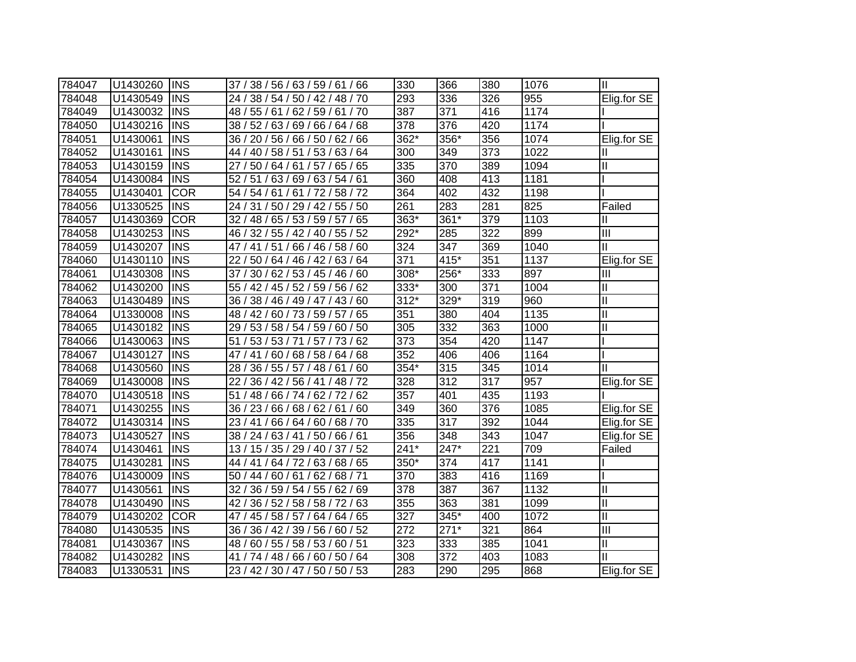| 784047 | U1430260 | <b>INS</b> | 37 / 38 / 56 / 63 / 59 / 61 / 66     | 330    | 366    | 380 | 1076             | $\mathbf{I}$               |
|--------|----------|------------|--------------------------------------|--------|--------|-----|------------------|----------------------------|
| 784048 | U1430549 | <b>INS</b> | 24 / 38 / 54 / 50 / 42 / 48 / 70     | 293    | 336    | 326 | 955              | Elig.for SE                |
| 784049 | U1430032 | <b>INS</b> | 48 / 55 / 61 / 62 / 59 / 61 / 70     | 387    | 371    | 416 | 1174             |                            |
| 784050 | U1430216 | <b>INS</b> | 38 / 52 / 63 / 69 / 66 / 64 / 68     | 378    | 376    | 420 | 1174             |                            |
| 784051 | U1430061 | <b>INS</b> | 36 / 20 / 56 / 66 / 50 / 62 / 66     | $362*$ | 356*   | 356 | 1074             | Elig.for SE                |
| 784052 | U1430161 | <b>INS</b> | 44 / 40 / 58 / 51 / 53 / 63 / 64     | 300    | 349    | 373 | 1022             | Ш                          |
| 784053 | U1430159 | <b>INS</b> | 27/<br>50 / 64 / 61 / 57 / 65 / 65   | 335    | 370    | 389 | 1094             | Ш                          |
| 784054 | U1430084 | <b>INS</b> | 52/<br>51 / 63 / 69 / 63 / 54 / 61   | 360    | 408    | 413 | 1181             |                            |
| 784055 | U1430401 | <b>COR</b> | 54 / 54 / 61 / 61 / 72 / 58 / 72     | 364    | 402    | 432 | 1198             |                            |
| 784056 | U1330525 | <b>INS</b> | 24 / 31 / 50 / 29 / 42 / 55 / 50     | 261    | 283    | 281 | 825              | Failed                     |
| 784057 | U1430369 | <b>COR</b> | 48 / 65 / 53 / 59 / 57 / 65<br>32/   | $363*$ | 361*   | 379 | 1103             | Ш                          |
| 784058 | U1430253 | <b>INS</b> | 46 / 32 / 55 / 42 / 40 / 55 / 52     | 292*   | 285    | 322 | 899              | $\overline{\mathbf{III}}$  |
| 784059 | U1430207 | <b>INS</b> | 41 / 51 / 66 / 46 / 58 / 60<br>47 /  | 324    | 347    | 369 | 1040             | Ш                          |
| 784060 | U1430110 | <b>INS</b> | 22/<br>50 / 64 / 46 / 42 / 63 / 64   | 371    | 415*   | 351 | 1137             | Elig.for SE                |
| 784061 | U1430308 | <b>INS</b> | 37 / 30 / 62 / 53 / 45 / 46 / 60     | 308*   | 256*   | 333 | 897              | Ш                          |
| 784062 | U1430200 | <b>INS</b> | 55 / 42 / 45 / 52 / 59 / 56 / 62     | 333*   | 300    | 371 | 1004             | Ш                          |
| 784063 | U1430489 | <b>INS</b> | 36 / 38 / 46 / 49 / 47 / 43 / 60     | $312*$ | 329*   | 319 | 960              | Ш                          |
| 784064 | U1330008 | <b>INS</b> | 48 / 42 / 60 / 73 / 59 / 57 / 65     | 351    | 380    | 404 | 1135             | Ш                          |
| 784065 | U1430182 | <b>INS</b> | 29 / 53 / 58 / 54 / 59 / 60 / 50     | 305    | 332    | 363 | 1000             | Ш                          |
| 784066 | U1430063 | <b>INS</b> | 53 / 53 / 71 / 57 / 73 / 62<br>51    | 373    | 354    | 420 | 1147             |                            |
| 784067 | U1430127 | IINS       | 41 / 60 / 68 / 58 / 64 / 68<br>47 /  | 352    | 406    | 406 | 1164             |                            |
| 784068 | U1430560 | <b>INS</b> | 28/<br>36 / 55 / 57 / 48 / 61<br>/60 | $354*$ | 315    | 345 | 1014             | Ш                          |
| 784069 | U1430008 | <b>INS</b> | 22/<br>36 / 42 / 56 / 41 / 48 / 72   | 328    | 312    | 317 | 957              | Elig.for SE                |
| 784070 | U1430518 | <b>INS</b> | 51<br>/ 48 / 66 / 74 / 62 / 72 / 62  | 357    | 401    | 435 | 1193             |                            |
| 784071 | U1430255 | <b>INS</b> | 36 / 23 / 66 / 68 / 62 / 61 / 60     | 349    | 360    | 376 | 1085             | Elig.for SE                |
| 784072 | U1430314 | <b>INS</b> | 23/41/66/64/60/68/70                 | 335    | 317    | 392 | 1044             | Elig.for SE                |
| 784073 | U1430527 | <b>INS</b> | 38 / 24 / 63 / 41 / 50 / 66 / 61     | 356    | 348    | 343 | $\frac{1}{1047}$ | Elig.for SE                |
| 784074 | U1430461 | <b>INS</b> | 13 / 15 / 35 / 29 / 40 / 37 / 52     | $241*$ | 247*   | 221 | 709              | Failed                     |
| 784075 | U1430281 | <b>INS</b> | 44 / 41 / 64 / 72 / 63 / 68 / 65     | 350*   | 374    | 417 | 1141             |                            |
| 784076 | U1430009 | <b>INS</b> | 50 / 44 / 60 / 61 / 62 / 68 / 71     | 370    | 383    | 416 | 1169             |                            |
| 784077 | U1430561 | <b>INS</b> | 32 / 36 / 59 / 54 / 55 / 62 / 69     | 378    | 387    | 367 | 1132             | Ш                          |
| 784078 | U1430490 | <b>INS</b> | 42/<br>36 / 52 / 58 / 58 / 72 / 63   | 355    | 363    | 381 | 1099             | $\mathbf{I}$               |
| 784079 | U1430202 | <b>COR</b> | 47 / 45 / 58 / 57 / 64 / 64 / 65     | 327    | 345*   | 400 | 1072             | $\mathbf{I}$               |
| 784080 | U1430535 | <b>INS</b> | 36 / 36 / 42 / 39 / 56 / 60 / 52     | 272    | $271*$ | 321 | 864              | Ш                          |
| 784081 | U1430367 | <b>INS</b> | 48 / 60 / 55 / 58 / 53 / 60 / 51     | 323    | 333    | 385 | 1041             | $\mathop{\rm II}\nolimits$ |
| 784082 | U1430282 | <b>INS</b> | /74/48/66/60/50/64<br>41             | 308    | 372    | 403 | 1083             |                            |
| 784083 | U1330531 | <b>INS</b> | 23 / 42 / 30 / 47 / 50 / 50 / 53     | 283    | 290    | 295 | 868              | Elig.for SE                |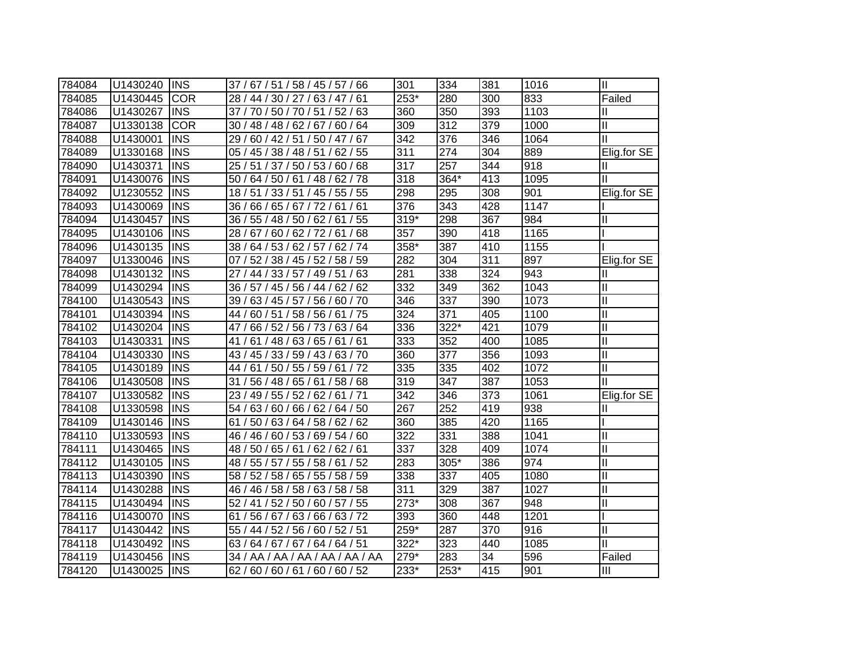| 784084 | U1430240             | <b>INS</b> | 37 / 67 / 51 / 58 / 45 / 57 / 66                 | 301              | 334              | 381 | 1016 | Ш            |
|--------|----------------------|------------|--------------------------------------------------|------------------|------------------|-----|------|--------------|
| 784085 | U1430445             | <b>COR</b> | 28 / 44 / 30 / 27 / 63 / 47 / 61                 | $253*$           | 280              | 300 | 833  | Failed       |
| 784086 | U1430267             | <b>INS</b> | 37 / 70 / 50 / 70 / 51 / 52 / 63                 | 360              | 350              | 393 | 1103 | Ш            |
| 784087 | U1330138             | <b>COR</b> | 30 / 48 / 48 / 62 / 67 / 60 / 64                 | 309              | 312              | 379 | 1000 | Ш            |
| 784088 | U1430001             | <b>INS</b> | 29 / 60 / 42 / 51 / 50 / 47 / 67                 | 342              | 376              | 346 | 1064 | Ш            |
| 784089 | U1330168             | <b>INS</b> | 05 / 45 / 38 / 48 / 51 / 62 / 55                 | 311              | 274              | 304 | 889  | Elig.for SE  |
| 784090 | U1430371             | <b>INS</b> | 25 / 51 / 37 / 50 / 53 / 60 / 68                 | 317              | 257              | 344 | 918  | Ш            |
| 784091 | U1430076             | <b>INS</b> | 64 / 50 / 61 / 48 / 62 / 78<br>50/               | $\overline{318}$ | 364*             | 413 | 1095 | Ш            |
| 784092 | U1230552             | <b>INS</b> | 18 / 51 / 33 / 51 / 45 / 55 / 55                 | 298              | 295              | 308 | 901  | Elig.for SE  |
| 784093 | U1430069             | <b>INS</b> | 66 / 65 / 67 / 72 / 61 / 61<br>36/               | 376              | 343              | 428 | 1147 |              |
| 784094 | U1430457             | <b>INS</b> | 55 / 48 / 50 / 62 / 61 / 55<br>36/               | $319*$           | 298              | 367 | 984  | Ш            |
| 784095 | U1430106             | <b>INS</b> | 67/<br>60 / 62 / 72 / 61 / 68<br>28 <sub>1</sub> | 357              | 390              | 418 | 1165 |              |
| 784096 | U1430135             | <b>INS</b> | 64 / 53 / 62 / 57 / 62 / 74<br>38/               | $358*$           | 387              | 410 | 1155 |              |
| 784097 | U1330046             | <b>INS</b> | 52 / 38 / 45 / 52 / 58 / 59<br>07/               | 282              | 304              | 311 | 897  | Elig.for SE  |
| 784098 | U1430132             | <b>INS</b> | 44 / 33 / 57 / 49 / 51 / 63<br>27 /              | 281              | 338              | 324 | 943  | Ш            |
| 784099 | U1430294             | <b>INS</b> | 36 / 57 / 45 / 56 / 44 / 62 / 62                 | 332              | 349              | 362 | 1043 | Ш            |
| 784100 | U1430543             | <b>INS</b> | 39 / 63 / 45 / 57 / 56 / 60 / 70                 | 346              | 337              | 390 | 1073 | $\mathbf{I}$ |
| 784101 | U1430394             | <b>INS</b> | 60 / 51 / 58 / 56 / 61<br>44 /<br>/75            | $\overline{324}$ | $\overline{371}$ | 405 | 1100 | $\mathbf{I}$ |
| 784102 | U1430204             | <b>INS</b> | 66 / 52 / 56 / 73 / 63 / 64<br>47                | 336              | $322*$           | 421 | 1079 | $\mathbf{I}$ |
| 784103 | U1430331             | <b>INS</b> | 61 / 48 / 63 / 65 / 61 / 61<br>41                | 333              | 352              | 400 | 1085 | $\mathbf{I}$ |
| 784104 | U1430330             | <b>INS</b> | 43 / 45 / 33 / 59 / 43 / 63 / 70                 | 360              | 377              | 356 | 1093 | $\mathbf{I}$ |
| 784105 | U1430189             | <b>INS</b> | 44 / 61 / 50 / 55 / 59 / 61 / 72                 | 335              | 335              | 402 | 1072 | Ш            |
| 784106 | U1430508             | <b>INS</b> | 56 / 48 / 65 / 61 / 58 / 68<br>31                | 319              | 347              | 387 | 1053 | Ш            |
| 784107 | U1330582             | <b>INS</b> | 23 / 49 / 55 / 52 / 62 / 61 / 71                 | 342              | 346              | 373 | 1061 | Elig.for SE  |
| 784108 | U1330598             | <b>INS</b> | 54 / 63 / 60 / 66 / 62 / 64 / 50                 | 267              | 252              | 419 | 938  | Ш            |
| 784109 | U1430146             | <b>INS</b> | 61<br>50 / 63 / 64 / 58 / 62 / 62                | 360              | 385              | 420 | 1165 |              |
| 784110 | U1330593             | <b>INS</b> | 46 / 46 / 60 / 53 / 69 / 54 / 60                 | 322              | 331              | 388 | 1041 | $\mathbf{I}$ |
| 784111 | U1430465             | <b>INS</b> | 48 / 50 / 65 / 61 / 62 / 62 / 61                 | 337              | 328              | 409 | 1074 | $\mathbf{I}$ |
| 784112 | U1430105             | <b>INS</b> | 48 / 55 / 57 / 55 / 58 / 61 / 52                 | 283              | 305*             | 386 | 974  | Ш            |
| 784113 | U1430390             | <b>INS</b> | 58 / 52 / 58 / 65 / 55 / 58 / 59                 | 338              | 337              | 405 | 1080 | $\mathbf{I}$ |
| 784114 | U1430288             | <b>INS</b> | 46 / 46 / 58 / 58 / 63 / 58 / 58                 | 311              | 329              | 387 | 1027 | Ш            |
| 784115 | U1430494             | <b>INS</b> | 52 / 41 / 52 / 50 / 60 / 57 / 55                 | $273*$           | 308              | 367 | 948  | $\mathbf{I}$ |
| 784116 | U <sub>1430070</sub> | <b>INS</b> | 56 / 67 / 63 / 66 / 63 / 72<br>61                | 393              | 360              | 448 | 1201 |              |
| 784117 | U1430442             | <b>INS</b> | 55 / 44 / 52 / 56 / 60 / 52 / 51                 | $259*$           | 287              | 370 | 916  | Ш            |
| 784118 | U1430492             | <b>INS</b> | 63 / 64 / 67 / 67 / 64 / 64 / 51                 | $322*$           | 323              | 440 | 1085 | Ш            |
| 784119 | U1430456             | <b>INS</b> | 34 / AA / AA / AA / AA / AA / AA                 | 279*             | 283              | 34  | 596  | Failed       |
| 784120 | U1430025             | <b>INS</b> | 62/60/60/61/60/60/52                             | $233*$           | 253*             | 415 | 901  | III          |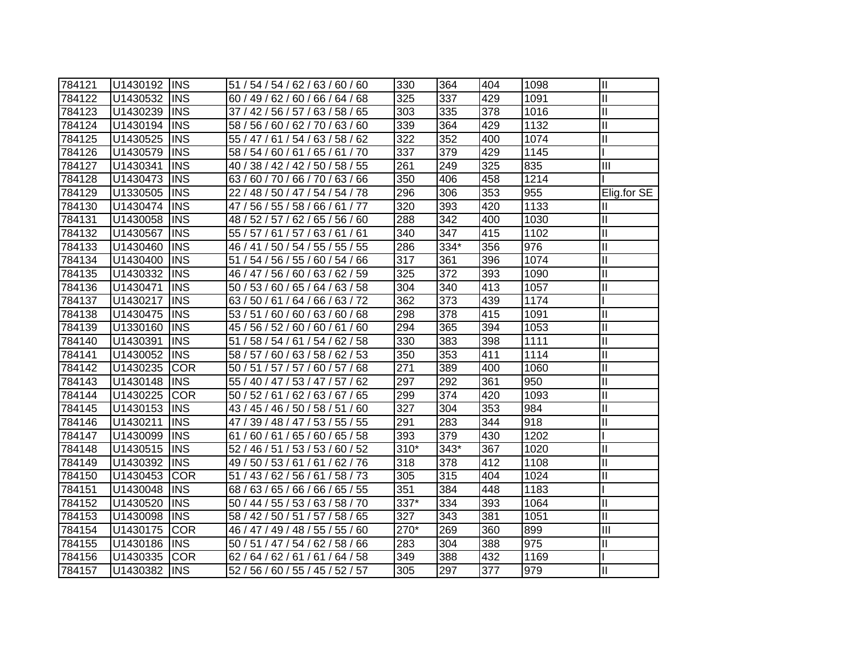| 784121 | U1430192 | <b>INS</b>  | 51 / 54 / 54 / 62 / 63 / 60 / 60    | 330    | 364  | 404 | 1098 | $\mathbf{II}$ |
|--------|----------|-------------|-------------------------------------|--------|------|-----|------|---------------|
| 784122 | U1430532 | <b>INS</b>  | 60 / 49 / 62 / 60 / 66 / 64 / 68    | 325    | 337  | 429 | 1091 | $\mathbf{I}$  |
| 784123 | U1430239 | <b>INS</b>  | 37 / 42 / 56 / 57 / 63 / 58 / 65    | 303    | 335  | 378 | 1016 | $\mathbf{I}$  |
| 784124 | U1430194 | <b>INS</b>  | 58 / 56 / 60 / 62 / 70 / 63 / 60    | 339    | 364  | 429 | 1132 | $\mathbf{I}$  |
| 784125 | U1430525 | <b>INS</b>  | 55 / 47 / 61 / 54 / 63 / 58 / 62    | 322    | 352  | 400 | 1074 | $\mathbf{I}$  |
| 784126 | U1430579 | <b>INS</b>  | 58 / 54 / 60 / 61 / 65 / 61 / 70    | 337    | 379  | 429 | 1145 |               |
| 784127 | U1430341 | <b>INS</b>  | 40 / 38 / 42 / 42 / 50 / 58 / 55    | 261    | 249  | 325 | 835  | III           |
| 784128 | U1430473 | <b>INS</b>  | 63/60/70/66/70/63/66                | 350    | 406  | 458 | 1214 |               |
| 784129 | U1330505 | <b>INS</b>  | 22 / 48 / 50 / 47 / 54 / 54 / 78    | 296    | 306  | 353 | 955  | Elig.for SE   |
| 784130 | U1430474 | <b>INS</b>  | 47 / 56 / 55 / 58 / 66 / 61 / 77    | 320    | 393  | 420 | 1133 | Ш             |
| 784131 | U1430058 | <b>INS</b>  | 48 / 52 / 57 / 62 / 65 / 56 / 60    | 288    | 342  | 400 | 1030 | Ш             |
| 784132 | U1430567 | <b>INS</b>  | 63/61/61<br>55 / 57 / 61 / 57 /     | 340    | 347  | 415 | 1102 | $\mathbf{I}$  |
| 784133 | U1430460 | <b>INS</b>  | 46 / 41 / 50 / 54 / 55 / 55 / 55    | 286    | 334* | 356 | 976  | $\mathbf{I}$  |
| 784134 | U1430400 | <b>INS</b>  | 51 / 54 / 56 / 55 / 60 / 54 / 66    | 317    | 361  | 396 | 1074 | $\mathbf{I}$  |
| 784135 | U1430332 | <b>INS</b>  | 46 / 47 / 56 / 60 / 63 / 62 / 59    | 325    | 372  | 393 | 1090 | $\mathbf{I}$  |
| 784136 | U1430471 | <b>INS</b>  | 50 / 53 / 60 / 65 / 64 / 63 / 58    | 304    | 340  | 413 | 1057 | $\mathbf{I}$  |
| 784137 | U1430217 | <b>INS</b>  | 63/50/61/64/66/63/72                | 362    | 373  | 439 | 1174 |               |
| 784138 | U1430475 | <b>INS</b>  | 53 / 51 / 60 / 60 / 63 / 60 / 68    | 298    | 378  | 415 | 1091 | Ш             |
| 784139 | U1330160 | <b>IINS</b> | 45 / 56 / 52 / 60 / 60 / 61 / 60    | 294    | 365  | 394 | 1053 | $\mathbf{I}$  |
| 784140 | U1430391 | <b>INS</b>  | 51 / 58 / 54 / 61 / 54 / 62 / 58    | 330    | 383  | 398 | 1111 | $\mathbf{I}$  |
| 784141 | U1430052 | <b>IINS</b> | 58 / 57 / 60 / 63 / 58 / 62 / 53    | 350    | 353  | 411 | 1114 | $\mathbf{I}$  |
| 784142 | U1430235 | <b>COR</b>  | 60 / 57 / 68<br>50 / 51 / 57 / 57 / | 271    | 389  | 400 | 1060 | $\mathbf{I}$  |
| 784143 | U1430148 | <b>INS</b>  | 55 / 40 / 47 / 53 / 47 / 57 / 62    | 297    | 292  | 361 | 950  | $\mathbf{I}$  |
| 784144 | U1430225 | <b>COR</b>  | 50 / 52 / 61 / 62 / 63 / 67 / 65    | 299    | 374  | 420 | 1093 | $\mathbf{I}$  |
| 784145 | U1430153 | <b>INS</b>  | 43 / 45 / 46 / 50 / 58 / 51 / 60    | 327    | 304  | 353 | 984  | $\mathbf{I}$  |
| 784146 | U1430211 | <b>INS</b>  | 47 / 39 / 48 / 47 / 53 / 55 / 55    | 291    | 283  | 344 | 918  | $\mathbf{I}$  |
| 784147 | U1430099 | <b>INS</b>  | 61 / 60 / 61 / 65 / 60 / 65 / 58    | 393    | 379  | 430 | 1202 |               |
| 784148 | U1430515 | <b>INS</b>  | 52 / 46 / 51 / 53 / 53 / 60 / 52    | $310*$ | 343* | 367 | 1020 | $\mathbf{I}$  |
| 784149 | U1430392 | <b>INS</b>  | 49 / 50 / 53 / 61 / 61 / 62 / 76    | 318    | 378  | 412 | 1108 | $\mathbf{I}$  |
| 784150 | U1430453 | <b>COR</b>  | 51 / 43 / 62 / 56 / 61 / 58 / 73    | 305    | 315  | 404 | 1024 | $\mathbf{I}$  |
| 784151 | U1430048 | <b>INS</b>  | 68 / 63 / 65 / 66 / 66 / 65 / 55    | 351    | 384  | 448 | 1183 |               |
| 784152 | U1430520 | <b>INS</b>  | 50 / 44 / 55 / 53 / 63 / 58 / 70    | 337*   | 334  | 393 | 1064 | $\mathbf{I}$  |
| 784153 | U1430098 | <b>INS</b>  | 58 / 42 / 50 / 51 / 57 / 58 / 65    | 327    | 343  | 381 | 1051 | $\mathbf{I}$  |
| 784154 | U1430175 | <b>COR</b>  | 46 / 47 / 49 / 48 / 55 / 55 / 60    | 270*   | 269  | 360 | 899  | Ш             |
| 784155 | U1430186 | <b>INS</b>  | 50 / 51 / 47 / 54 / 62 / 58 / 66    | 283    | 304  | 388 | 975  | $\mathbf{I}$  |
| 784156 | U1430335 | <b>COR</b>  | 62 / 64 / 62 / 61 / 61 / 64 / 58    | 349    | 388  | 432 | 1169 |               |
| 784157 | U1430382 | <b>INS</b>  | 52 / 56 / 60 / 55 / 45 / 52 / 57    | 305    | 297  | 377 | 979  | Ш             |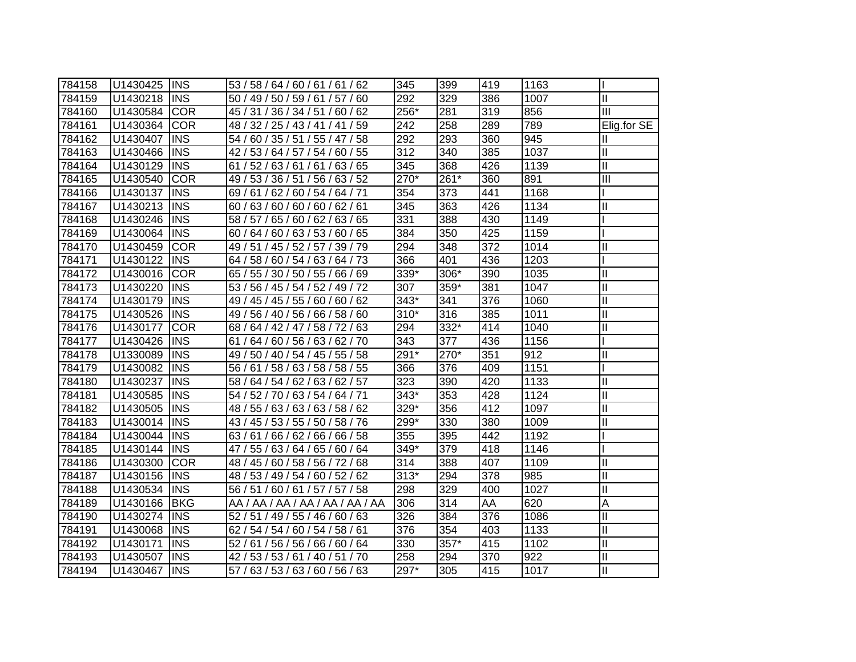| 784158 | U1430425 | <b>INS</b> | 53 / 58 / 64 / 60 / 61 / 61 / 62    | 345                | 399  | 419 | 1163             |                  |
|--------|----------|------------|-------------------------------------|--------------------|------|-----|------------------|------------------|
| 784159 | U1430218 | <b>INS</b> | 50 / 49 / 50 / 59 / 61 / 57 / 60    | 292                | 329  | 386 | 1007             | $\mathbf{II}$    |
| 784160 | U1430584 | <b>COR</b> | 45 / 31 / 36 / 34 / 51 / 60 / 62    | 256*               | 281  | 319 | 856              | III              |
| 784161 | U1430364 | <b>COR</b> | 48 / 32 / 25 / 43 / 41 / 41 / 59    | 242                | 258  | 289 | 789              | Elig.for SE      |
| 784162 | U1430407 | <b>INS</b> | 54 / 60 / 35 / 51 / 55 / 47 / 58    | 292                | 293  | 360 | 945              | Ш                |
| 784163 | U1430466 | <b>INS</b> | 42 / 53 / 64 / 57 / 54 / 60 / 55    | 312                | 340  | 385 | 1037             | Ш                |
| 784164 | U1430129 | <b>INS</b> | 61 / 52 / 63 / 61 / 61 / 63 / 65    | 345                | 368  | 426 | 1139             | Ш                |
| 784165 | U1430540 | <b>COR</b> | 49 / 53 / 36 / 51 / 56 / 63 / 52    | $\overline{270^*}$ | 261* | 360 | 891              | $\overline{III}$ |
| 784166 | U1430137 | <b>INS</b> | 69/61/62/60/54/64/71                | 354                | 373  | 441 | 1168             |                  |
| 784167 | U1430213 | <b>INS</b> | 60 / 63 / 60 / 60 / 60 / 62 / 61    | $\overline{345}$   | 363  | 426 | 1134             | $\mathbf{I}$     |
| 784168 | U1430246 | <b>INS</b> | 58 / 57 / 65 / 60 / 62 / 63 / 65    | 331                | 388  | 430 | 1149             |                  |
| 784169 | U1430064 | <b>INS</b> | 64 / 60 / 63 / 53 / 60 / 65<br>60/  | 384                | 350  | 425 | 1159             |                  |
| 784170 | U1430459 | <b>COR</b> | 49 / 51 / 45 / 52 / 57 / 39 / 79    | 294                | 348  | 372 | 1014             | Ш                |
| 784171 | U1430122 | <b>INS</b> | 64 / 58 / 60 / 54 / 63 / 64 / 73    | 366                | 401  | 436 | 1203             |                  |
| 784172 | U1430016 | <b>COR</b> | 65 / 55 / 30 / 50 / 55 / 66 / 69    | 339*               | 306* | 390 | 1035             | $\mathbf{I}$     |
| 784173 | U1430220 | <b>INS</b> | 53 / 56 / 45 / 54 / 52 / 49 / 72    | 307                | 359* | 381 | 1047             | $\mathbf{I}$     |
| 784174 | U1430179 | <b>INS</b> | 49 / 45 / 45 / 55 / 60 / 60 / 62    | 343*               | 341  | 376 | 1060             | $\mathbf{I}$     |
| 784175 | U1430526 | <b>INS</b> | 49 / 56 / 40 / 56 / 66 / 58 / 60    | 310*               | 316  | 385 | 1011             | $\mathbf{I}$     |
| 784176 | U1430177 | <b>COR</b> | 68 / 64 / 42 / 47 /<br>58 / 72 / 63 | 294                | 332* | 414 | 1040             | $\mathbf{I}$     |
| 784177 | U1430426 | <b>INS</b> | 64 / 60 / 56 / 63 / 62 / 70<br>61/  | 343                | 377  | 436 | 1156             |                  |
| 784178 | U1330089 | <b>INS</b> | 49 / 50 / 40 / 54 / 45 / 55 / 58    | 291*               | 270* | 351 | 912              | $\mathbf{I}$     |
| 784179 | U1430082 | <b>INS</b> | 56 / 61 / 58 / 63 / 58 / 58 / 55    | 366                | 376  | 409 | 1151             |                  |
| 784180 | U1430237 | <b>INS</b> | 58 / 64 / 54 / 62 / 63 / 62 / 57    | 323                | 390  | 420 | 1133             | $\mathbf{I}$     |
| 784181 | U1430585 | <b>INS</b> | 54 / 52 / 70 / 63 / 54 / 64 / 71    | 343*               | 353  | 428 | 1124             | $\mathbf{I}$     |
| 784182 | U1430505 | <b>INS</b> | 48 / 55 / 63 / 63 / 63 / 58 / 62    | 329*               | 356  | 412 | 1097             | Ш                |
| 784183 | U1430014 | <b>INS</b> | 43 / 45 / 53 / 55 / 50 / 58 / 76    | 299*               | 330  | 380 | 1009             | Ш                |
| 784184 | U1430044 | <b>INS</b> | 63/61/66/62/66/66/58                | 355                | 395  | 442 | 1192             |                  |
| 784185 | U1430144 | <b>INS</b> | 47 / 55 / 63 / 64 / 65 / 60 / 64    | 349*               | 379  | 418 | 1146             |                  |
| 784186 | U1430300 | <b>COR</b> | 48 / 45 / 60 / 58 / 56 / 72 / 68    | 314                | 388  | 407 | 1109             | Ш                |
| 784187 | U1430156 | <b>INS</b> | 48 / 53 / 49 / 54 / 60 / 52 / 62    | $313*$             | 294  | 378 | 985              | $\mathbf{I}$     |
| 784188 | U1430534 | <b>INS</b> | 56 / 51 / 60 / 61 / 57 / 57 / 58    | 298                | 329  | 400 | 1027             | $\mathbf{I}$     |
| 784189 | U1430166 | <b>BKG</b> | AA / AA / AA / AA / AA / AA / AA    | 306                | 314  | AA  | 620              | A                |
| 784190 | U1430274 | <b>INS</b> | 52 / 51 / 49 / 55 / 46 / 60 / 63    | 326                | 384  | 376 | 1086             | $\mathbf{I}$     |
| 784191 | U1430068 | <b>INS</b> | 62 / 54 / 54 / 60 / 54 / 58 / 61    | 376                | 354  | 403 | 1133             | $\mathbf{I}$     |
| 784192 | U1430171 | <b>INS</b> | 52 / 61 / 56 / 56 / 66 / 60 / 64    | 330                | 357* | 415 | $\frac{1}{1102}$ | $\mathbf{I}$     |
| 784193 | U1430507 | <b>INS</b> | 42 / 53 / 53 / 61 / 40 / 51 / 70    | 258                | 294  | 370 | 922              | $\mathbf{I}$     |
| 784194 | U1430467 | <b>INS</b> | 57 / 63 / 53 / 63 / 60 / 56 / 63    | $297*$             | 305  | 415 | 1017             | Ш                |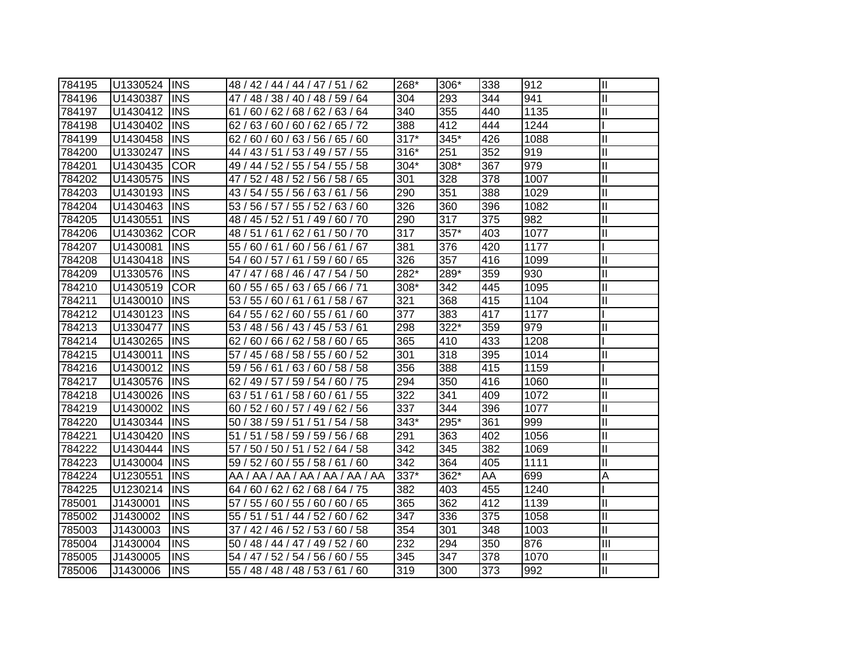| 784195 | U1330524 INS |             | 48 / 42 / 44 / 44 / 47 / 51 / 62 | 268*   | 306* | 338 | 912  | $\mathbf{  }$           |
|--------|--------------|-------------|----------------------------------|--------|------|-----|------|-------------------------|
| 784196 | U1430387     | <b>INS</b>  | 47 / 48 / 38 / 40 / 48 / 59 / 64 | 304    | 293  | 344 | 941  | $\mathbf{I}$            |
| 784197 | U1430412     | <b>INS</b>  | 61 / 60 / 62 / 68 / 62 / 63 / 64 | 340    | 355  | 440 | 1135 | $\mathbf{I}$            |
| 784198 | U1430402     | <b>INS</b>  | 62/63/60/60/62/65/72             | 388    | 412  | 444 | 1244 |                         |
| 784199 | U1430458     | <b>INS</b>  | 62/60/60/63/56/65/60             | $317*$ | 345* | 426 | 1088 | $\mathbf{I}$            |
| 784200 | U1330247     | <b>INS</b>  | 44 / 43 / 51 / 53 / 49 / 57 / 55 | 316*   | 251  | 352 | 919  | $\mathbf{I}$            |
| 784201 | U1430435     | <b>COR</b>  | 49 / 44 / 52 / 55 / 54 / 55 / 58 | 304*   | 308* | 367 | 979  | $\mathbf{I}$            |
| 784202 | U1430575     | <b>INS</b>  | 47 / 52 / 48 / 52 / 56 / 58 / 65 | 301    | 328  | 378 | 1007 | $\mathbf{I}$            |
| 784203 | U1430193     | <b>INS</b>  | 43 / 54 / 55 / 56 / 63 / 61 / 56 | 290    | 351  | 388 | 1029 | $\mathbf{I}$            |
| 784204 | U1430463     | <b>INS</b>  | 53 / 56 / 57 / 55 / 52 / 63 / 60 | 326    | 360  | 396 | 1082 | $\mathbf{I}$            |
| 784205 | U1430551     | <b>INS</b>  | 48 / 45 / 52 / 51 / 49 / 60 / 70 | 290    | 317  | 375 | 982  | $\mathbf{I}$            |
| 784206 | U1430362     | <b>COR</b>  | 48 / 51 / 61 / 62 / 61 / 50 / 70 | 317    | 357* | 403 | 1077 | $\overline{\mathsf{I}}$ |
| 784207 | U1430081     | <b>INS</b>  | 55 / 60 / 61 / 60 / 56 / 61 / 67 | 381    | 376  | 420 | 1177 |                         |
| 784208 | U1430418     | <b>INS</b>  | 54 / 60 / 57 / 61 / 59 / 60 / 65 | 326    | 357  | 416 | 1099 | $\mathbf{I}$            |
| 784209 | U1330576     | <b>INS</b>  | 47 / 47 / 68 / 46 / 47 / 54 / 50 | 282*   | 289* | 359 | 930  | $\mathbf{I}$            |
| 784210 | U1430519     | <b>COR</b>  | 60 / 55 / 65 / 63 / 65 / 66 / 71 | 308*   | 342  | 445 | 1095 | $\mathbf{I}$            |
| 784211 | U1430010     | <b>INS</b>  | 53 / 55 / 60 / 61 / 61 / 58 / 67 | 321    | 368  | 415 | 1104 | $\overline{\mathsf{I}}$ |
| 784212 | U1430123     | <b>INS</b>  | 64 / 55 / 62 / 60 / 55 / 61 / 60 | 377    | 383  | 417 | 1177 |                         |
| 784213 | U1330477     | <b>INS</b>  | 53 / 48 / 56 / 43 / 45 / 53 / 61 | 298    | 322* | 359 | 979  | $\mathbf{I}$            |
| 784214 | U1430265     | <b>INS</b>  | 62 / 60 / 66 / 62 / 58 / 60 / 65 | 365    | 410  | 433 | 1208 |                         |
| 784215 | U1430011     | <b>INS</b>  | 57 / 45 / 68 / 58 / 55 / 60 / 52 | 301    | 318  | 395 | 1014 | $\mathbf{I}$            |
| 784216 | U1430012     | <b>INS</b>  | 59 / 56 / 61 / 63 / 60 / 58 / 58 | 356    | 388  | 415 | 1159 |                         |
| 784217 | U1430576     | <b>INS</b>  | 62 / 49 / 57 / 59 / 54 / 60 / 75 | 294    | 350  | 416 | 1060 | $\mathbf{I}$            |
| 784218 | U1430026     | <b>INS</b>  | 63 / 51 / 61 / 58 / 60 / 61 / 55 | 322    | 341  | 409 | 1072 | $\mathbf{I}$            |
| 784219 | U1430002     | <b>INS</b>  | 60 / 52 / 60 / 57 / 49 / 62 / 56 | 337    | 344  | 396 | 1077 | $\mathbf{I}$            |
| 784220 | U1430344     | <b>INS</b>  | 50 / 38 / 59 / 51 / 51 / 54 / 58 | 343*   | 295* | 361 | 999  | $\mathbf{I}$            |
| 784221 | U1430420     | <b>INS</b>  | 51 / 51 / 58 / 59 / 59 / 56 / 68 | 291    | 363  | 402 | 1056 | $\mathbf{I}$            |
| 784222 | U1430444     | <b>INS</b>  | 57 / 50 / 50 / 51 / 52 / 64 / 58 | 342    | 345  | 382 | 1069 | $\mathbf{I}$            |
| 784223 | U1430004     | <b>INS</b>  | 59 / 52 / 60 / 55 / 58 / 61 / 60 | 342    | 364  | 405 | 1111 | $\mathbf{I}$            |
| 784224 | U1230551     | <b>INS</b>  | AA / AA / AA / AA / AA / AA / AA | 337*   | 362* | AA  | 699  | Α                       |
| 784225 | U1230214     | <b>INS</b>  | 64 / 60 / 62 / 62 / 68 / 64 / 75 | 382    | 403  | 455 | 1240 |                         |
| 785001 | J1430001     | <b>INS</b>  | 57 / 55 / 60 / 55 / 60 / 60 / 65 | 365    | 362  | 412 | 1139 | Ш                       |
| 785002 | J1430002     | <b>INS</b>  | 55 / 51 / 51 / 44 / 52 / 60 / 62 | 347    | 336  | 375 | 1058 | $\mathbf{I}$            |
| 785003 | J1430003     | <b>INS</b>  | 37 / 42 / 46 / 52 / 53 / 60 / 58 | 354    | 301  | 348 | 1003 | $\mathbf{I}$            |
| 785004 | J1430004     | <b>INS</b>  | 50 / 48 / 44 / 47 / 49 / 52 / 60 | 232    | 294  | 350 | 876  | Ш                       |
| 785005 | J1430005     | <b>INS</b>  | 54 / 47 / 52 / 54 / 56 / 60 / 55 | 345    | 347  | 378 | 1070 | $\mathbf{I}$            |
| 785006 | J1430006     | <b>IINS</b> | 55 / 48 / 48 / 48 / 53 / 61 / 60 | 319    | 300  | 373 | 992  | $\mathbf{I}$            |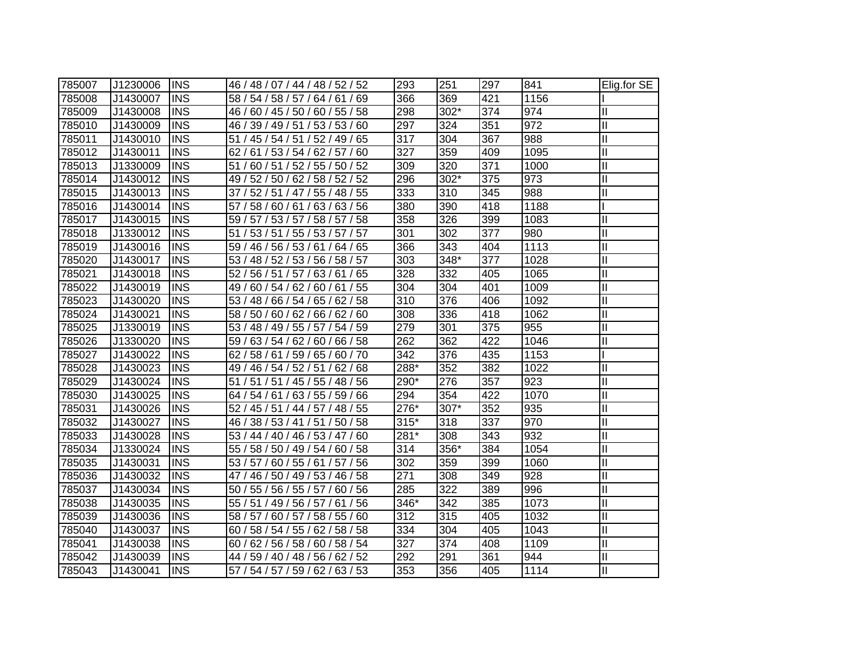| 785007 | J1230006 | <b>IINS</b> | 46 / 48 / 07 / 44 / 48 / 52 / 52    | 293    | 251  | 297 | 841  | Elig.for SE   |
|--------|----------|-------------|-------------------------------------|--------|------|-----|------|---------------|
| 785008 | J1430007 | <b>INS</b>  | 58 / 54 / 58 / 57 / 64 / 61 / 69    | 366    | 369  | 421 | 1156 |               |
| 785009 | J1430008 | <b>INS</b>  | 46 / 60 / 45 / 50 / 60 / 55 / 58    | 298    | 302* | 374 | 974  | $\mathbf{I}$  |
| 785010 | J1430009 | <b>INS</b>  | 46 / 39 / 49 / 51 / 53 / 53 / 60    | 297    | 324  | 351 | 972  | $\mathbf{I}$  |
| 785011 | J1430010 | <b>INS</b>  | 51 / 45 / 54 / 51 / 52 / 49 / 65    | 317    | 304  | 367 | 988  | $\mathbf{I}$  |
| 785012 | J1430011 | <b>INS</b>  | 62 / 61 / 53 / 54 / 62 / 57 / 60    | 327    | 359  | 409 | 1095 | $\mathbf{I}$  |
| 785013 | J1330009 | <b>INS</b>  | 60 / 51 / 52 / 55 / 50 / 52<br>51/  | 309    | 320  | 371 | 1000 | Ш             |
| 785014 | J1430012 | <b>INS</b>  | 49 / 52 / 50 / 62 / 58 / 52 / 52    | 296    | 302* | 375 | 973  | Ш             |
| 785015 | J1430013 | <b>INS</b>  | 52 / 51 / 47 / 55 / 48 / 55<br>37/  | 333    | 310  | 345 | 988  | $\mathbf{I}$  |
| 785016 | J1430014 | <b>INS</b>  | 58 / 60 / 61 / 63 / 63 / 56<br>57 / | 380    | 390  | 418 | 1188 |               |
| 785017 | J1430015 | <b>INS</b>  | 58 / 57 / 58<br>59 / 57 / 53 / 57 / | 358    | 326  | 399 | 1083 | $\mathbf{I}$  |
| 785018 | J1330012 | <b>INS</b>  | 55 / 53 / 57 / 57<br>51/<br>53/51   | 301    | 302  | 377 | 980  | $\mathbf{I}$  |
| 785019 | J1430016 | <b>INS</b>  | 46 / 56 / 53 / 61 / 64 / 65<br>59/  | 366    | 343  | 404 | 1113 | $\mathbf{I}$  |
| 785020 | J1430017 | <b>INS</b>  | 53 / 48 / 52 / 53 / 56 / 58 / 57    | 303    | 348* | 377 | 1028 | $\mathbf{I}$  |
| 785021 | J1430018 | <b>INS</b>  | 52 / 56 / 51 / 57 / 63 / 61 / 65    | 328    | 332  | 405 | 1065 | $\mathbf{I}$  |
| 785022 | J1430019 | <b>INS</b>  | 49 / 60 / 54 / 62 / 60 / 61 / 55    | 304    | 304  | 401 | 1009 | $\mathbf{I}$  |
| 785023 | J1430020 | <b>INS</b>  | 53 / 48 / 66 / 54 / 65 / 62 / 58    | 310    | 376  | 406 | 1092 | $\mathbf{I}$  |
| 785024 | J1430021 | <b>INS</b>  | 58 / 50 / 60 / 62 / 66 / 62 / 60    | 308    | 336  | 418 | 1062 | $\mathbf{I}$  |
| 785025 | J1330019 | <b>INS</b>  | 53 / 48 / 49 / 55 / 57 / 54 / 59    | 279    | 301  | 375 | 955  | $\mathbf{I}$  |
| 785026 | J1330020 | <b>INS</b>  | 59 / 63 / 54 / 62 / 60 / 66 / 58    | 262    | 362  | 422 | 1046 | $\mathbf{I}$  |
| 785027 | J1430022 | <b>INS</b>  | 62 / 58 / 61 / 59 / 65 / 60 / 70    | 342    | 376  | 435 | 1153 |               |
| 785028 | J1430023 | <b>INS</b>  | 49 / 46 / 54 / 52 / 51 / 62 / 68    | 288*   | 352  | 382 | 1022 | $\mathbf{  }$ |
| 785029 | J1430024 | <b>INS</b>  | 51 / 51 / 51 / 45 / 55 / 48 / 56    | 290*   | 276  | 357 | 923  | $\mathbf{II}$ |
| 785030 | J1430025 | <b>INS</b>  | 64 / 54 / 61 / 63 / 55 / 59 / 66    | 294    | 354  | 422 | 1070 | $\mathbf{II}$ |
| 785031 | J1430026 | <b>INS</b>  | 52 / 45 / 51 / 44 / 57 / 48 / 55    | 276*   | 307* | 352 | 935  | $\mathbf{I}$  |
| 785032 | J1430027 | <b>INS</b>  | 46 / 38 / 53 / 41 / 51 / 50 / 58    | $315*$ | 318  | 337 | 970  | $\mathbf{I}$  |
| 785033 | J1430028 | <b>INS</b>  | 53 / 44 / 40 / 46 / 53 / 47 / 60    | 281*   | 308  | 343 | 932  | $\mathbf{I}$  |
| 785034 | J1330024 | <b>INS</b>  | 55 / 58 / 50 / 49 / 54 / 60 / 58    | 314    | 356* | 384 | 1054 | $\mathbf{I}$  |
| 785035 | J1430031 | <b>INS</b>  | 53 / 57 / 60 / 55 / 61 / 57 / 56    | 302    | 359  | 399 | 1060 | $\mathbf{I}$  |
| 785036 | J1430032 | <b>INS</b>  | 47 / 46 / 50 / 49 / 53 / 46 / 58    | 271    | 308  | 349 | 928  | $\mathbf{I}$  |
| 785037 | J1430034 | <b>INS</b>  | 50 / 55 / 56 / 55 / 57 / 60 / 56    | 285    | 322  | 389 | 996  | $\mathbf{I}$  |
| 785038 | J1430035 | <b>INS</b>  | 55 / 51 / 49 / 56 / 57 / 61 / 56    | 346*   | 342  | 385 | 1073 | $\mathbf{I}$  |
| 785039 | J1430036 | <b>INS</b>  | 58 / 57 / 60 / 57 / 58 / 55 / 60    | 312    | 315  | 405 | 1032 | $\mathbf{I}$  |
| 785040 | J1430037 | <b>INS</b>  | 60 / 58 / 54 / 55 / 62 / 58 / 58    | 334    | 304  | 405 | 1043 | $\mathbf{I}$  |
| 785041 | J1430038 | <b>INS</b>  | 62 / 56 / 58 / 60 / 58 / 54<br>60/  | 327    | 374  | 408 | 1109 | $\mathbf{I}$  |
| 785042 | J1430039 | <b>INS</b>  | 44 / 59 / 40 / 48 / 56 / 62 / 52    | 292    | 291  | 361 | 944  | $\mathbf{I}$  |
| 785043 | J1430041 | <b>INS</b>  | 57 / 54 / 57 / 59 / 62 / 63 / 53    | 353    | 356  | 405 | 1114 | Ш             |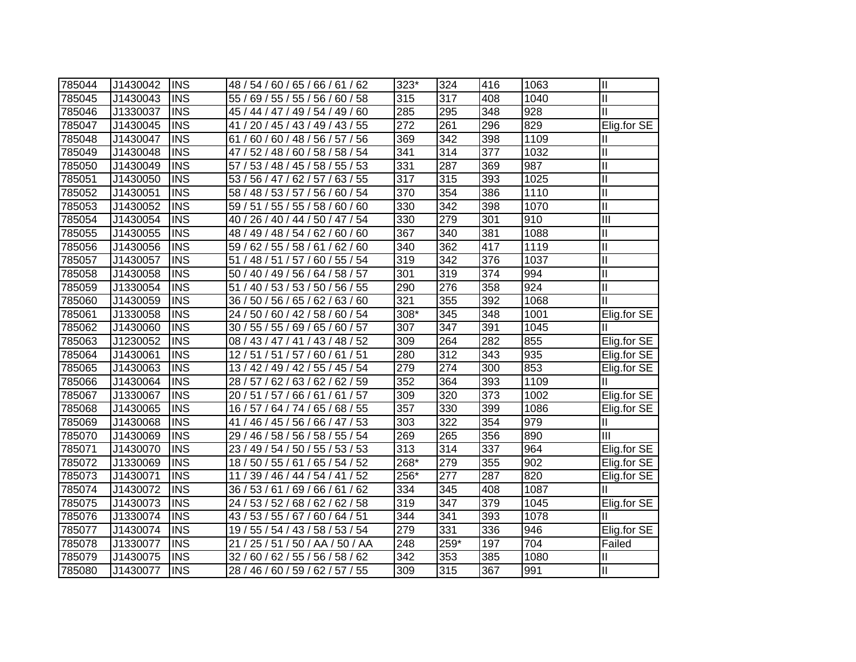| 785044 | J1430042 | <b>INS</b> | 48 / 54 / 60 / 65 / 66 / 61 / 62      | 323* | 324  | 416 | 1063 | $\mathbf{  }$              |
|--------|----------|------------|---------------------------------------|------|------|-----|------|----------------------------|
| 785045 | J1430043 | <b>INS</b> | 55 / 69 / 55 / 55 / 56 / 60 / 58      | 315  | 317  | 408 | 1040 | $\mathbf{I}$               |
| 785046 | J1330037 | <b>INS</b> | 45 / 44 / 47 / 49 / 54 / 49 / 60      | 285  | 295  | 348 | 928  | $\mathbf{I}$               |
| 785047 | J1430045 | <b>INS</b> | 41 / 20 / 45 / 43 / 49 / 43 / 55      | 272  | 261  | 296 | 829  | Elig.for SE                |
| 785048 | J1430047 | <b>INS</b> | 61 / 60 / 60 / 48 / 56 / 57 / 56      | 369  | 342  | 398 | 1109 | Ш                          |
| 785049 | J1430048 | <b>INS</b> | 47 / 52 / 48 / 60 / 58 / 58 / 54      | 341  | 314  | 377 | 1032 | Ш                          |
| 785050 | J1430049 | <b>INS</b> | 57 / 53 / 48 / 45 / 58 / 55 / 53      | 331  | 287  | 369 | 987  | $\mathbf{I}$               |
| 785051 | J1430050 | <b>INS</b> | 53 / 56 / 47 / 62 / 57 / 63 / 55      | 317  | 315  | 393 | 1025 | $\mathbf{I}$               |
| 785052 | J1430051 | <b>INS</b> | 58 / 48 / 53 / 57 / 56 / 60 / 54      | 370  | 354  | 386 | 1110 | $\mathbf{I}$               |
| 785053 | J1430052 | <b>INS</b> | 59 / 51 / 55 / 55 / 58 / 60 / 60      | 330  | 342  | 398 | 1070 | $\mathbf{I}$               |
| 785054 | J1430054 | <b>INS</b> | 40 / 26 / 40 / 44 / 50 / 47 / 54      | 330  | 279  | 301 | 910  | $\overline{III}$           |
| 785055 | J1430055 | <b>INS</b> | 49 / 48 / 54 / 62 / 60 / 60<br>48 /   | 367  | 340  | 381 | 1088 | $\mathop{\rm II}\nolimits$ |
| 785056 | J1430056 | <b>INS</b> | 62/55/<br>58 / 61 / 62 / 60<br>59/    | 340  | 362  | 417 | 1119 | $\mathbf{I}$               |
| 785057 | J1430057 | <b>INS</b> | 51/<br>48 / 51<br>/ 57 / 60 / 55 / 54 | 319  | 342  | 376 | 1037 | $\mathbf{I}$               |
| 785058 | J1430058 | <b>INS</b> | 50 / 40 / 49 / 56 / 64 / 58 / 57      | 301  | 319  | 374 | 994  | $\mathbf{I}$               |
| 785059 | J1330054 | <b>INS</b> | 51/<br>40 / 53 / 53 / 50 / 56 / 55    | 290  | 276  | 358 | 924  | $\mathbf{I}$               |
| 785060 | J1430059 | <b>INS</b> | 36 / 50 / 56 / 65 / 62 / 63 / 60      | 321  | 355  | 392 | 1068 | Ш                          |
| 785061 | J1330058 | <b>INS</b> | 24 / 50 / 60 / 42 / 58 / 60 / 54      | 308* | 345  | 348 | 1001 | Elig.for SE                |
| 785062 | J1430060 | <b>INS</b> | 30 / 55 / 55 / 69 / 65 / 60 / 57      | 307  | 347  | 391 | 1045 |                            |
| 785063 | J1230052 | <b>INS</b> | 08 / 43 / 47 / 41 / 43 / 48 / 52      | 309  | 264  | 282 | 855  | Elig.for SE                |
| 785064 | J1430061 | <b>INS</b> | 12 / 51 / 51 / 57 / 60 / 61 / 51      | 280  | 312  | 343 | 935  | Elig.for SE                |
| 785065 | J1430063 | <b>INS</b> | 13 / 42 / 49 / 42 / 55 / 45 / 54      | 279  | 274  | 300 | 853  | Elig.for SE                |
| 785066 | J1430064 | <b>INS</b> | 28 / 57 / 62 / 63 / 62 / 62 / 59      | 352  | 364  | 393 | 1109 |                            |
| 785067 | J1330067 | <b>INS</b> | 20 / 51 / 57 / 66 / 61 / 61 / 57      | 309  | 320  | 373 | 1002 | Elig.for SE                |
| 785068 | J1430065 | <b>INS</b> | 16 / 57 / 64 / 74 / 65 / 68 / 55      | 357  | 330  | 399 | 1086 | Elig.for SE                |
| 785069 | J1430068 | <b>INS</b> | 41/<br>46 / 45 / 56 / 66 / 47 / 53    | 303  | 322  | 354 | 979  | Ш                          |
| 785070 | J1430069 | <b>INS</b> | 29 / 46 / 58 / 56 / 58 / 55 / 54      | 269  | 265  | 356 | 890  | III                        |
| 785071 | J1430070 | <b>INS</b> | 23 / 49 / 54 / 50 / 55 / 53 / 53      | 313  | 314  | 337 | 964  | Elig.for SE                |
| 785072 | J1330069 | <b>INS</b> | 18 / 50 / 55 / 61 / 65 / 54 / 52      | 268* | 279  | 355 | 902  | Elig.for SE                |
| 785073 | J1430071 | <b>INS</b> | 11 / 39 / 46 / 44 / 54 / 41 / 52      | 256* | 277  | 287 | 820  | Elig.for SE                |
| 785074 | J1430072 | <b>INS</b> | 36 / 53 / 61 / 69 / 66 / 61 / 62      | 334  | 345  | 408 | 1087 |                            |
| 785075 | J1430073 | <b>INS</b> | 24 / 53 / 52 / 68 / 62 / 62 / 58      | 319  | 347  | 379 | 1045 | Elig.for SE                |
| 785076 | J1330074 | <b>INS</b> | 43 / 53 / 55 / 67 / 60 / 64 / 51      | 344  | 341  | 393 | 1078 |                            |
| 785077 | J1430074 | <b>INS</b> | 19 / 55 / 54 / 43 / 58 / 53 / 54      | 279  | 331  | 336 | 946  | Elig.for SE                |
| 785078 | J1330077 | <b>INS</b> | 21 / 25 / 51 / 50 / AA / 50 / AA      | 248  | 259* | 197 | 704  | Failed                     |
| 785079 | J1430075 | <b>INS</b> | 32/<br>60 / 62 / 55 / 56 / 58 / 62    | 342  | 353  | 385 | 1080 | Ш                          |
| 785080 | J1430077 | <b>INS</b> | 28 / 46 / 60 / 59 / 62 / 57 / 55      | 309  | 315  | 367 | 991  | $\mathbf{I}$               |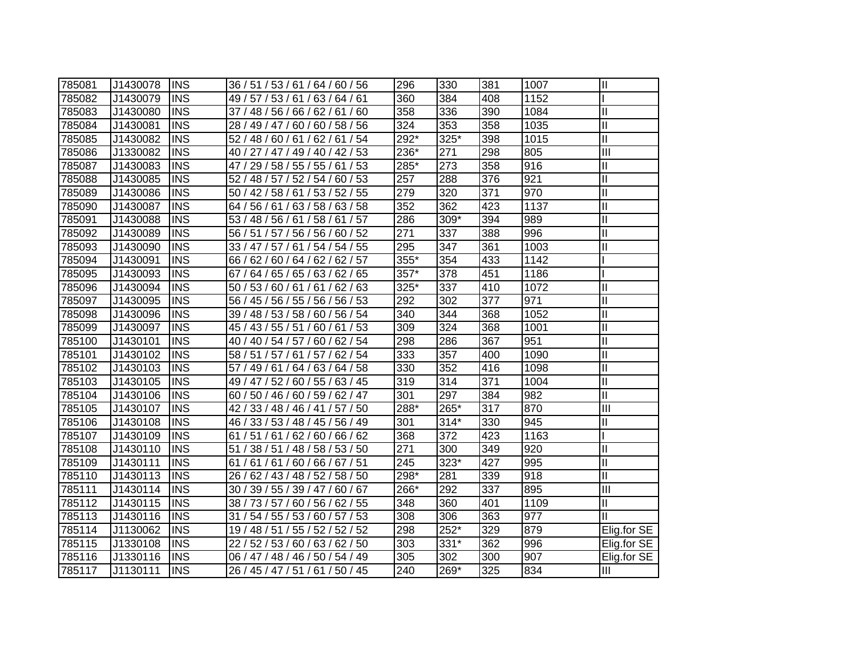| 785081 | J1430078 | <b>INS</b> | 36 / 51 / 53 / 61 / 64 / 60 / 56   | 296  | 330    | 381 | 1007 | $\mathbf{I}$              |
|--------|----------|------------|------------------------------------|------|--------|-----|------|---------------------------|
| 785082 | J1430079 | <b>INS</b> | 49 / 57 / 53 / 61 / 63 / 64 / 61   | 360  | 384    | 408 | 1152 |                           |
| 785083 | J1430080 | <b>INS</b> | 37 / 48 / 56 / 66 / 62 / 61 / 60   | 358  | 336    | 390 | 1084 | Ш                         |
| 785084 | J1430081 | <b>INS</b> | 28 / 49 / 47 / 60 / 60 / 58 / 56   | 324  | 353    | 358 | 1035 | $\mathbf{I}$              |
| 785085 | J1430082 | <b>INS</b> | 52 / 48 / 60 / 61 / 62 / 61 / 54   | 292* | 325*   | 398 | 1015 | $\overline{\mathbb{I}}$   |
| 785086 | J1330082 | <b>INS</b> | 40 / 27 / 47 / 49 / 40 / 42 / 53   | 236* | 271    | 298 | 805  | $\overline{\mathbf{III}}$ |
| 785087 | J1430083 | <b>INS</b> | 47 / 29 / 58 / 55 / 55 / 61 / 53   | 285* | 273    | 358 | 916  | Ш                         |
| 785088 | J1430085 | <b>INS</b> | 52 / 48 / 57 / 52 / 54 / 60 / 53   | 257  | 288    | 376 | 921  | Ш                         |
| 785089 | J1430086 | <b>INS</b> | 50 / 42 / 58 / 61 / 53 / 52 / 55   | 279  | 320    | 371 | 970  | $\mathbf{I}$              |
| 785090 | J1430087 | <b>INS</b> | 64 / 56 / 61 / 63 / 58 / 63 / 58   | 352  | 362    | 423 | 1137 | $\mathbf{I}$              |
| 785091 | J1430088 | <b>INS</b> | 53 / 48 / 56 / 61 / 58 / 61 / 57   | 286  | 309*   | 394 | 989  | $\mathbf{I}$              |
| 785092 | J1430089 | <b>INS</b> | 56 / 51 / 57 / 56 / 56 / 60 / 52   | 271  | 337    | 388 | 996  | $\mathbf{I}$              |
| 785093 | J1430090 | <b>INS</b> | 33 / 47 / 57 / 61 / 54 / 54 / 55   | 295  | 347    | 361 | 1003 | $\mathbf{I}$              |
| 785094 | J1430091 | <b>INS</b> | 66 / 62 / 60 / 64 / 62 / 62 / 57   | 355* | 354    | 433 | 1142 |                           |
| 785095 | J1430093 | <b>INS</b> | 64 / 65 / 65 / 63 / 62 / 65<br>67/ | 357* | 378    | 451 | 1186 |                           |
| 785096 | J1430094 | <b>INS</b> | 50 / 53 / 60 / 61 / 61 / 62 / 63   | 325* | 337    | 410 | 1072 | $\mathbf{I}$              |
| 785097 | J1430095 | <b>INS</b> | 56 / 45 / 56 / 55 / 56 / 56 / 53   | 292  | 302    | 377 | 971  | $\mathbf{I}$              |
| 785098 | J1430096 | <b>INS</b> | 39 / 48 / 53 / 58 / 60 / 56 / 54   | 340  | 344    | 368 | 1052 | Ш                         |
| 785099 | J1430097 | <b>INS</b> | 45 / 43 / 55 / 51 / 60 / 61 / 53   | 309  | 324    | 368 | 1001 | Ш                         |
| 785100 | J1430101 | <b>INS</b> | 40 / 40 / 54 / 57 / 60 / 62 / 54   | 298  | 286    | 367 | 951  | Ш                         |
| 785101 | J1430102 | <b>INS</b> | 58 / 51 / 57 / 61 / 57 / 62 / 54   | 333  | 357    | 400 | 1090 | $\mathbf{I}$              |
| 785102 | J1430103 | <b>INS</b> | 57 / 49 / 61 / 64 / 63 / 64 / 58   | 330  | 352    | 416 | 1098 | $\mathbf{I}$              |
| 785103 | J1430105 | <b>INS</b> | 49 / 47 / 52 / 60 / 55 / 63 / 45   | 319  | 314    | 371 | 1004 | $\mathbf{I}$              |
| 785104 | J1430106 | <b>INS</b> | 60 / 50 / 46 / 60 / 59 / 62 / 47   | 301  | 297    | 384 | 982  | Ш                         |
| 785105 | J1430107 | <b>INS</b> | 42 / 33 / 48 / 46 / 41 / 57 / 50   | 288* | 265*   | 317 | 870  | III                       |
| 785106 | J1430108 | <b>INS</b> | 46 / 33 / 53 / 48 / 45 / 56 / 49   | 301  | $314*$ | 330 | 945  | Ш                         |
| 785107 | J1430109 | <b>INS</b> | 61 / 51 / 61 / 62 / 60 / 66 / 62   | 368  | 372    | 423 | 1163 |                           |
| 785108 | J1430110 | <b>INS</b> | 51 / 38 / 51 / 48 / 58 / 53 / 50   | 271  | 300    | 349 | 920  | Ш                         |
| 785109 | J1430111 | <b>INS</b> | 61 / 61 / 61 / 60 / 66 / 67 / 51   | 245  | 323*   | 427 | 995  | Ш                         |
| 785110 | J1430113 | <b>INS</b> | 26 / 62 / 43 / 48 / 52 / 58 / 50   | 298* | 281    | 339 | 918  | Ш                         |
| 785111 | J1430114 | <b>INS</b> | 30 / 39 / 55 / 39 / 47 / 60 / 67   | 266* | 292    | 337 | 895  | III                       |
| 785112 | J1430115 | <b>INS</b> | 38 / 73 / 57 / 60 / 56 / 62 / 55   | 348  | 360    | 401 | 1109 | Ш                         |
| 785113 | J1430116 | <b>INS</b> | 31<br>54 / 55 / 53 / 60 / 57 / 53  | 308  | 306    | 363 | 977  | Ш                         |
| 785114 | J1130062 | <b>INS</b> | 19 / 48 / 51 / 55 / 52 / 52 / 52   | 298  | 252*   | 329 | 879  | Elig.for SE               |
| 785115 | J1330108 | <b>INS</b> | 22 / 52 / 53 / 60 / 63 / 62 / 50   | 303  | 331*   | 362 | 996  | Elig.for SE               |
| 785116 | J1330116 | <b>INS</b> | 06 / 47 / 48 / 46 / 50 / 54 / 49   | 305  | 302    | 300 | 907  | Elig.for SE               |
| 785117 | J1130111 | <b>INS</b> | 26 / 45 / 47 / 51 / 61 / 50 / 45   | 240  | 269*   | 325 | 834  | Ш                         |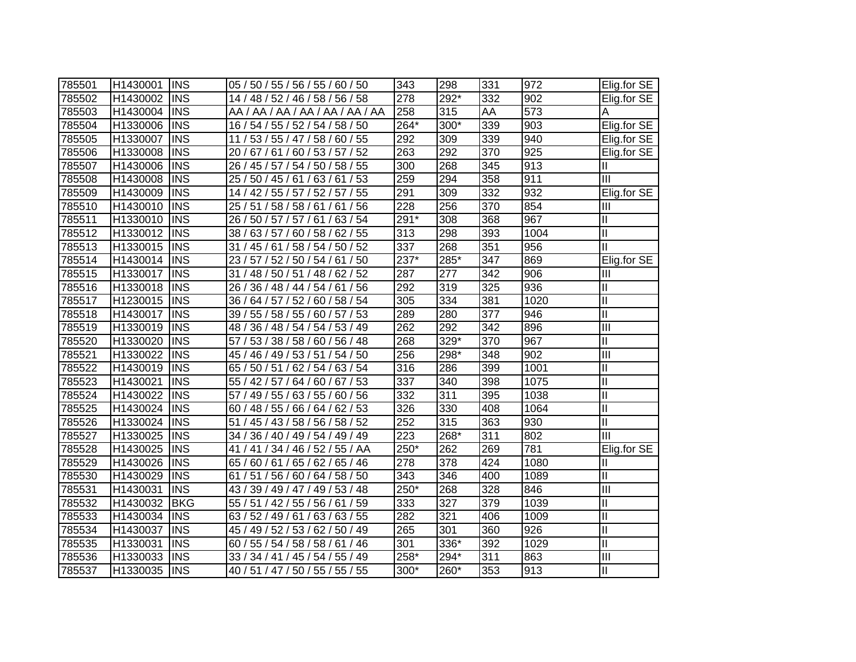| 785501 | H1430001 | <b>INS</b> | 05 / 50 / 55 / 56 / 55 / 60 / 50               | 343              | 298  | 331 | 972  | Elig.for SE             |
|--------|----------|------------|------------------------------------------------|------------------|------|-----|------|-------------------------|
| 785502 | H1430002 | <b>INS</b> | 14 / 48 / 52 / 46 / 58 / 56 / 58               | 278              | 292* | 332 | 902  | Elig.for SE             |
| 785503 | H1430004 | <b>INS</b> | AA / AA / AA / AA / AA / AA / AA               | 258              | 315  | AA  | 573  | Α                       |
| 785504 | H1330006 | <b>INS</b> | 16 / 54 / 55 / 52 / 54 / 58 / 50               | 264*             | 300* | 339 | 903  | Elig.for SE             |
| 785505 | H1330007 | <b>INS</b> | 11 / 53 / 55 / 47 / 58 / 60 / 55               | 292              | 309  | 339 | 940  | Elig.for SE             |
| 785506 | H1330008 | <b>INS</b> | 20 / 67 / 61 / 60 / 53 / 57 / 52               | 263              | 292  | 370 | 925  | Elig.for SE             |
| 785507 | H1430006 | <b>INS</b> | 26 / 45 / 57 / 54 / 50 / 58 / 55               | 300              | 268  | 345 | 913  | Ш                       |
| 785508 | H1430008 | <b>INS</b> | 25/<br>50 / 45 / 61 / 63 / 61 / 53             | 259              | 294  | 358 | 911  | $\overline{III}$        |
| 785509 | H1430009 | <b>INS</b> | 14 / 42 / 55 / 57 / 52 / 57 / 55               | 291              | 309  | 332 | 932  | Elig.for SE             |
| 785510 | H1430010 | <b>INS</b> | 25/<br>51 / 58 / 58 / 61 / 61 / 56             | 228              | 256  | 370 | 854  | III                     |
| 785511 | H1330010 | <b>INS</b> | 61/63/54<br>26/<br>50/57/<br>57/               | $291*$           | 308  | 368 | 967  | Ш                       |
| 785512 | H1330012 | <b>INS</b> | 60 / 58 / 62 / 55<br>63/57/<br>38/             | 313              | 298  | 393 | 1004 | $\mathsf{II}$           |
| 785513 | H1330015 | <b>INS</b> | 58 / 54 / 50 / 52<br>31 <sub>1</sub><br>45/61  | $\overline{337}$ | 268  | 351 | 956  | Ш                       |
| 785514 | H1430014 | <b>INS</b> | 57 / 52 / 50 / 54 / 61 / 50<br>23/             | 237*             | 285* | 347 | 869  | Elig.for SE             |
| 785515 | H1330017 | <b>INS</b> | 48 / 50 / 51 / 48 / 62 / 52<br>31/             | 287              | 277  | 342 | 906  | $\mathbf{III}$          |
| 785516 | H1330018 | <b>INS</b> | 26 / 36 / 48 / 44 / 54 / 61 / 56               | 292              | 319  | 325 | 936  | Ш                       |
| 785517 | H1230015 | <b>INS</b> | 36 / 64 / 57 / 52 / 60 / 58 / 54               | 305              | 334  | 381 | 1020 | $\mathsf{II}$           |
| 785518 | H1430017 | <b>INS</b> | 55 / 58 / 55 / 60 / 57 / 53<br>39/             | 289              | 280  | 377 | 946  | $\mathbf{I}$            |
| 785519 | H1330019 | <b>INS</b> | 36 / 48 / 54 / 54 / 53 / 49<br>48 /            | 262              | 292  | 342 | 896  | $\overline{\mathbb{I}}$ |
| 785520 | H1330020 | <b>INS</b> | 53 / 38 / 58 / 60 / 56 / 48<br>57 <sub>1</sub> | 268              | 329* | 370 | 967  | Ш                       |
| 785521 | H1330022 | <b>INS</b> | 45 / 46 / 49 / 53 / 51 / 54 / 50               | 256              | 298* | 348 | 902  | $\overline{\mathbb{I}}$ |
| 785522 | H1430019 | <b>INS</b> | 65 / 50 / 51 / 62 / 54 / 63 / 54               | 316              | 286  | 399 | 1001 | $\mathbf{I}$            |
| 785523 | H1430021 | <b>INS</b> | 55 / 42 / 57 / 64 / 60 / 67 / 53               | 337              | 340  | 398 | 1075 | $\mathbf{I}$            |
| 785524 | H1430022 | <b>INS</b> | 57 / 49 / 55 / 63 / 55 / 60 / 56               | 332              | 311  | 395 | 1038 | $\mathbf{II}$           |
| 785525 | H1430024 | <b>INS</b> | 60 / 48 / 55 / 66 / 64 / 62 / 53               | 326              | 330  | 408 | 1064 | $\mathbf{I}$            |
| 785526 | H1330024 | <b>INS</b> | 51<br>45 / 43 / 58 / 56 / 58 / 52              | 252              | 315  | 363 | 930  | $\mathbf{I}$            |
| 785527 | H1330025 | <b>INS</b> | 34 / 36 / 40 / 49 / 54 / 49 / 49               | 223              | 268* | 311 | 802  | Ш                       |
| 785528 | H1430025 | <b>INS</b> | 41<br>/ 41 / 34 / 46 / 52 / 55 / AA            | 250*             | 262  | 269 | 781  | Elig.for SE             |
| 785529 | H1430026 | <b>INS</b> | 65 / 60 / 61 / 65 / 62 / 65 / 46               | 278              | 378  | 424 | 1080 | II                      |
| 785530 | H1430029 | <b>INS</b> | 51 / 56 / 60 / 64 / 58 / 50<br>61              | 343              | 346  | 400 | 1089 | $\mathbf{I}$            |
| 785531 | H1430031 | <b>INS</b> | 43 / 39 / 49 / 47 / 49 / 53 / 48               | 250*             | 268  | 328 | 846  | Ш                       |
| 785532 | H1430032 | <b>BKG</b> | 55 / 51 / 42 / 55 / 56 / 61 / 59               | 333              | 327  | 379 | 1039 | Ш                       |
| 785533 | H1430034 | <b>INS</b> | 63/63/55<br>63/<br>52 / 49 / 61 /              | 282              | 321  | 406 | 1009 | $\mathbf{II}$           |
| 785534 | H1430037 | <b>INS</b> | 49 / 52 / 53 / 62 / 50 / 49<br>45/             | 265              | 301  | 360 | 926  | $\mathbf{II}$           |
| 785535 | H1330031 | <b>INS</b> | 55 / 54 / 58 / 58 / 61 / 46<br>60              | 301              | 336* | 392 | 1029 | $\mathbf{II}$           |
| 785536 | H1330033 | <b>INS</b> | 33/<br>34 / 41 / 45 / 54 / 55 / 49             | $258*$           | 294* | 311 | 863  | Ш                       |
| 785537 | H1330035 | <b>INS</b> | 40 / 51 / 47 / 50 / 55 / 55 / 55               | 300*             | 260* | 353 | 913  | $\mathbf{I}$            |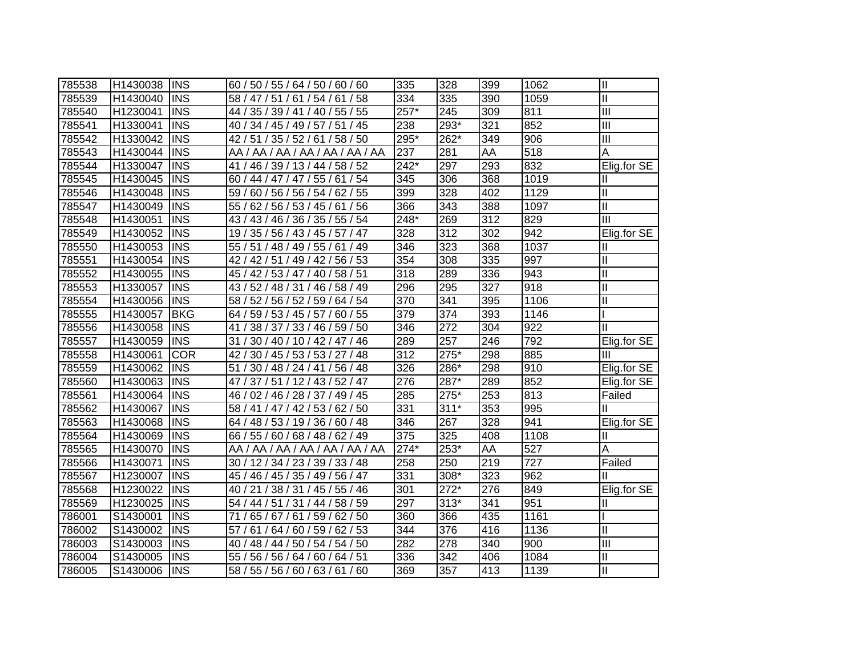| 785538 | H1430038 | <b>INS</b> | 60 / 50 / 55 / 64 / 50 / 60 / 60               | 335    | 328              | 399 | 1062 | $\mathbf{  }$           |
|--------|----------|------------|------------------------------------------------|--------|------------------|-----|------|-------------------------|
| 785539 | H1430040 | <b>INS</b> | 58 / 47 / 51 / 61 / 54 / 61 / 58               | 334    | 335              | 390 | 1059 | $\mathbf{I}$            |
| 785540 | H1230041 | <b>INS</b> | 44 / 35 / 39 / 41 / 40 / 55 / 55               | $257*$ | 245              | 309 | 811  | Ш                       |
| 785541 | H1330041 | <b>INS</b> | 40 / 34 / 45 / 49 / 57 / 51 / 45               | 238    | 293*             | 321 | 852  | Ш                       |
| 785542 | H1330042 | <b>INS</b> | 42 / 51 / 35 / 52 / 61 / 58 / 50               | 295*   | 262*             | 349 | 906  | $\overline{\mathbb{H}}$ |
| 785543 | H1430044 | <b>INS</b> | AA / AA / AA / AA / AA / AA / AA               | 237    | 281              | AA  | 518  | A                       |
| 785544 | H1330047 | <b>INS</b> | 41 / 46 / 39 / 13 / 44 / 58 / 52               | 242*   | 297              | 293 | 832  | Elig.for SE             |
| 785545 | H1430045 | <b>INS</b> | 60 / 44 / 47 / 47 / 55 / 61 / 54               | 345    | 306              | 368 | 1019 | Ш                       |
| 785546 | H1430048 | <b>INS</b> | 60 / 56 / 56 / 54 / 62 / 55<br>59/             | 399    | 328              | 402 | 1129 | Ш                       |
| 785547 | H1430049 | <b>INS</b> | 55/<br>62 / 56 / 53 / 45 / 61 / 56             | 366    | 343              | 388 | 1097 | Ш                       |
| 785548 | H1430051 | <b>INS</b> | 36 / 35 / 55 / 54<br>43/<br>43/46/             | 248*   | 269              | 312 | 829  | $\overline{\mathbb{I}}$ |
| 785549 | H1430052 | <b>INS</b> | 45 / 57 / 47<br>35 / 56 / 43 /<br>19/          | 328    | 312              | 302 | 942  | Elig.for SE             |
| 785550 | H1430053 | <b>INS</b> | 51 / 48 / 49 / 55 / 61 / 49<br>55/             | 346    | 323              | 368 | 1037 | Ш                       |
| 785551 | H1430054 | <b>INS</b> | 42 / 42 / 51 / 49 / 42 / 56 / 53               | 354    | 308              | 335 | 997  | Ш                       |
| 785552 | H1430055 | <b>INS</b> | 40 / 58 / 51<br>45 / 42 / 53 / 47 /            | 318    | 289              | 336 | 943  | $\mathbf{I}$            |
| 785553 | H1330057 | <b>INS</b> | 43 / 52 / 48 / 31 /<br>46 / 58 / 49            | 296    | 295              | 327 | 918  | $\mathbf{I}$            |
| 785554 | H1430056 | <b>INS</b> | 58 / 52 / 56 / 52 / 59 / 64 / 54               | 370    | 341              | 395 | 1106 | II                      |
| 785555 | H1430057 | <b>BKG</b> | 59 / 53 / 45 / 57 / 60 / 55<br>64 <sub>1</sub> | 379    | $\overline{374}$ | 393 | 1146 |                         |
| 785556 | H1430058 | <b>INS</b> | 38 / 37 / 33 / 46 / 59 / 50<br>41              | 346    | 272              | 304 | 922  | Ш                       |
| 785557 | H1430059 | <b>INS</b> | 30 / 40 / 10 / 42 / 47 / 46<br>31              | 289    | 257              | 246 | 792  | Elig.for SE             |
| 785558 | H1430061 | <b>COR</b> | 30 / 45 / 53 / 53 / 27 / 48<br>42/             | 312    | 275*             | 298 | 885  | Ш                       |
| 785559 | H1430062 | <b>INS</b> | / 30 / 48 / 24 / 41 / 56 / 48<br>51            | 326    | 286*             | 298 | 910  | Elig.for SE             |
| 785560 | H1430063 | <b>INS</b> | 47 / 37 / 51 / 12 / 43 / 52 / 47               | 276    | 287*             | 289 | 852  | Elig.for SE             |
| 785561 | H1430064 | <b>INS</b> | 46 / 02 / 46 / 28 / 37 / 49 / 45               | 285    | $275*$           | 253 | 813  | Failed                  |
| 785562 | H1430067 | <b>INS</b> | 58 / 41 / 47 / 42 / 53 / 62 / 50               | 331    | $311*$           | 353 | 995  |                         |
| 785563 | H1430068 | <b>INS</b> | 64 / 48 / 53 / 19 / 36 / 60 / 48               | 346    | 267              | 328 | 941  | Elig.for SE             |
| 785564 | H1430069 | <b>INS</b> | 66 / 55 / 60 / 68 / 48 / 62 / 49               | 375    | 325              | 408 | 1108 | Ш                       |
| 785565 | H1430070 | <b>INS</b> | AA / AA / AA / AA / AA / AA / AA               | $274*$ | $253*$           | AA  | 527  | А                       |
| 785566 | H1430071 | <b>INS</b> | 30 / 12 / 34 / 23 / 39 / 33 / 48               | 258    | 250              | 219 | 727  | Failed                  |
| 785567 | H1230007 | <b>INS</b> | 45 / 46 / 45 / 35 / 49 / 56 / 47               | 331    | 308*             | 323 | 962  |                         |
| 785568 | H1230022 | <b>INS</b> | 40 / 21 / 38 / 31 / 45 / 55 / 46               | 301    | $272*$           | 276 | 849  | Elig.for SE             |
| 785569 | H1230025 | <b>INS</b> | 54 / 44 / 51 / 31 / 44 / 58 / 59               | 297    | $313*$           | 341 | 951  | Ш                       |
| 786001 | S1430001 | <b>INS</b> | 65 / 67 / 61 / 59 / 62 / 50<br>71              | 360    | 366              | 435 | 1161 |                         |
| 786002 | S1430002 | <b>INS</b> | 64 / 60 / 59 / 62 / 53<br>57/<br>61/           | 344    | 376              | 416 | 1136 | Ш                       |
| 786003 | S1430003 | <b>INS</b> | 54/54/50<br>48 / 44 / 50 /<br>40               | 282    | 278              | 340 | 900  | Ш                       |
| 786004 | S1430005 | <b>INS</b> | 55<br>56/56/64/<br>60/64/51                    | 336    | 342              | 406 | 1084 | $\mathbf{I}$            |
| 786005 | S1430006 | <b>INS</b> | 58 / 55 / 56 / 60 / 63 / 61 / 60               | 369    | 357              | 413 | 1139 | $\mathbf{I}$            |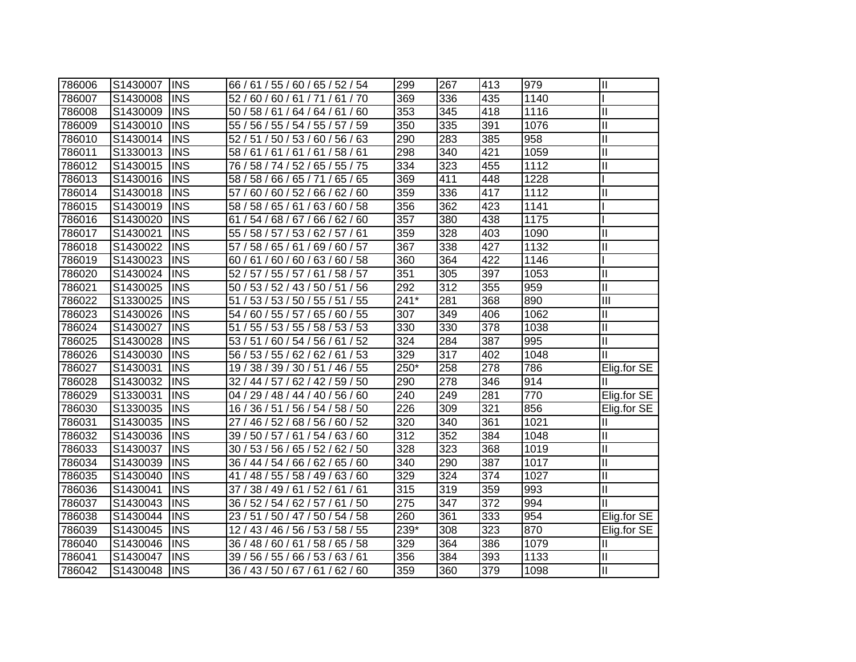| 786006 | S1430007 | <b>INS</b> | 66 / 61 / 55 / 60 / 65 / 52 / 54              | 299              | 267 | 413 | 979  | $\mathbf{I}$            |
|--------|----------|------------|-----------------------------------------------|------------------|-----|-----|------|-------------------------|
| 786007 | S1430008 | <b>INS</b> | 52/60/60/61/71/61/70                          | 369              | 336 | 435 | 1140 |                         |
| 786008 | S1430009 | <b>INS</b> | 50 / 58 / 61 / 64 / 64 / 61 / 60              | 353              | 345 | 418 | 1116 | Ш                       |
| 786009 | S1430010 | <b>INS</b> | 55 / 56 / 55 / 54 / 55 / 57 / 59              | $\overline{350}$ | 335 | 391 | 1076 | $\mathbf{I}$            |
| 786010 | S1430014 | <b>INS</b> | 52 / 51 / 50 / 53 / 60 / 56 / 63              | 290              | 283 | 385 | 958  | $\mathbf{I}$            |
| 786011 | S1330013 | <b>INS</b> | 58 / 61 / 61 / 61 / 61 / 58 / 61              | 298              | 340 | 421 | 1059 | $\mathbf{I}$            |
| 786012 | S1430015 | <b>INS</b> | 76 / 58 / 74 / 52 / 65 / 55 / 75              | 334              | 323 | 455 | 1112 | $\mathbf{I}$            |
| 786013 | S1430016 | <b>INS</b> | 58 / 58 / 66 / 65 / 71 / 65 / 65              | 369              | 411 | 448 | 1228 |                         |
| 786014 | S1430018 | <b>INS</b> | 60 / 60 / 52 / 66 / 62 / 60<br>57/            | 359              | 336 | 417 | 1112 | Ш                       |
| 786015 | S1430019 | <b>INS</b> | 58 / 58 / 65 / 61 / 63 / 60 / 58              | 356              | 362 | 423 | 1141 |                         |
| 786016 | S1430020 | <b>INS</b> | 54 / 68 / 67 /<br>66 / 62 / 60<br>61/         | $\overline{357}$ | 380 | 438 | 1175 |                         |
| 786017 | S1430021 | <b>INS</b> | 58 / 57 / 53 / 62 / 57 / 61<br>55/            | 359              | 328 | 403 | 1090 | Ш                       |
| 786018 | S1430022 | <b>INS</b> | 58 / 65 / 61 /<br>69/60/57<br>57 <sub>1</sub> | 367              | 338 | 427 | 1132 | $\mathbf{I}$            |
| 786019 | S1430023 | <b>INS</b> | 61/60/60/63/60/58<br>60/                      | 360              | 364 | 422 | 1146 |                         |
| 786020 | S1430024 | <b>INS</b> | 57 / 55 / 57 /<br>61/58/57<br>52/             | 351              | 305 | 397 | 1053 | $\mathbf{I}$            |
| 786021 | S1430025 | <b>INS</b> | 50 / 53 / 52 / 43 / 50 / 51 / 56              | 292              | 312 | 355 | 959  | $\mathbf{I}$            |
| 786022 | S1330025 | <b>INS</b> | 51 / 53 / 53 / 50 / 55 / 51 / 55              | $241*$           | 281 | 368 | 890  | $\overline{\mathbb{H}}$ |
| 786023 | S1430026 | <b>INS</b> | 54 / 60 / 55 / 57 / 65 / 60 / 55              | 307              | 349 | 406 | 1062 | $\mathbf{I}$            |
| 786024 | S1430027 | <b>INS</b> | 51/<br>55 / 53 / 55 / 58 / 53 / 53            | 330              | 330 | 378 | 1038 | $\mathbf{I}$            |
| 786025 | S1430028 | <b>INS</b> | 53 / 51 / 60 / 54 / 56 / 61 / 52              | 324              | 284 | 387 | 995  | $\mathbf{I}$            |
| 786026 | S1430030 | <b>INS</b> | 56 / 53 / 55 / 62 / 62 / 61 / 53              | 329              | 317 | 402 | 1048 | $\mathbf{I}$            |
| 786027 | S1430031 | <b>INS</b> | 38 / 39 / 30 / 51 / 46 / 55<br>19/            | $250*$           | 258 | 278 | 786  | Elig.for SE             |
| 786028 | S1430032 | <b>INS</b> | 32 / 44 / 57 / 62 / 42 / 59 / 50              | 290              | 278 | 346 | 914  |                         |
| 786029 | S1330031 | <b>INS</b> | 04 / 29 / 48 / 44 / 40 / 56 / 60              | 240              | 249 | 281 | 770  | Elig.for SE             |
| 786030 | S1330035 | <b>INS</b> | 16/36/51<br>/ 56 / 54 / 58 / 50               | 226              | 309 | 321 | 856  | Elig.for SE             |
| 786031 | S1430035 | <b>INS</b> | 27 / 46 / 52 / 68 / 56 / 60 / 52              | 320              | 340 | 361 | 1021 | Ш                       |
| 786032 | S1430036 | <b>INS</b> | 39 / 50 / 57 / 61 / 54 / 63 / 60              | $\overline{312}$ | 352 | 384 | 1048 | $\mathbf{I}$            |
| 786033 | S1430037 | <b>INS</b> | 30 / 53 / 56 / 65 / 52 / 62 / 50              | 328              | 323 | 368 | 1019 | $\mathbf{II}$           |
| 786034 | S1430039 | <b>INS</b> | 36 / 44 / 54 / 66 / 62 / 65 / 60              | 340              | 290 | 387 | 1017 | $\mathbf{I}$            |
| 786035 | S1430040 | <b>INS</b> | 41 / 48 / 55 / 58 / 49 / 63 / 60              | 329              | 324 | 374 | 1027 | $\mathbf{I}$            |
| 786036 | S1430041 | <b>INS</b> | 37 / 38 / 49 / 61 / 52 / 61 / 61              | 315              | 319 | 359 | 993  | $\mathbf{I}$            |
| 786037 | S1430043 | <b>INS</b> | 36 / 52 / 54 / 62 / 57 / 61<br>/50            | 275              | 347 | 372 | 994  | $\mathbf{I}$            |
| 786038 | S1430044 | <b>INS</b> | 23 / 51 / 50 / 47 / 50 / 54 / 58              | 260              | 361 | 333 | 954  | Elig.for SE             |
| 786039 | S1430045 | <b>INS</b> | 12 / 43 / 46 / 56 / 53 / 58 / 55              | $239*$           | 308 | 323 | 870  | Elig.for SE             |
| 786040 | S1430046 | <b>INS</b> | 36 / 48 / 60 / 61 / 58 / 65 / 58              | 329              | 364 | 386 | 1079 | Ш                       |
| 786041 | S1430047 | <b>INS</b> | 39 / 56 / 55 / 66 / 53 / 63 / 61              | 356              | 384 | 393 | 1133 | $\mathbf{I}$            |
| 786042 | S1430048 | <b>INS</b> | 36 / 43 / 50 / 67 / 61 / 62 / 60              | 359              | 360 | 379 | 1098 | $\overline{\mathsf{I}}$ |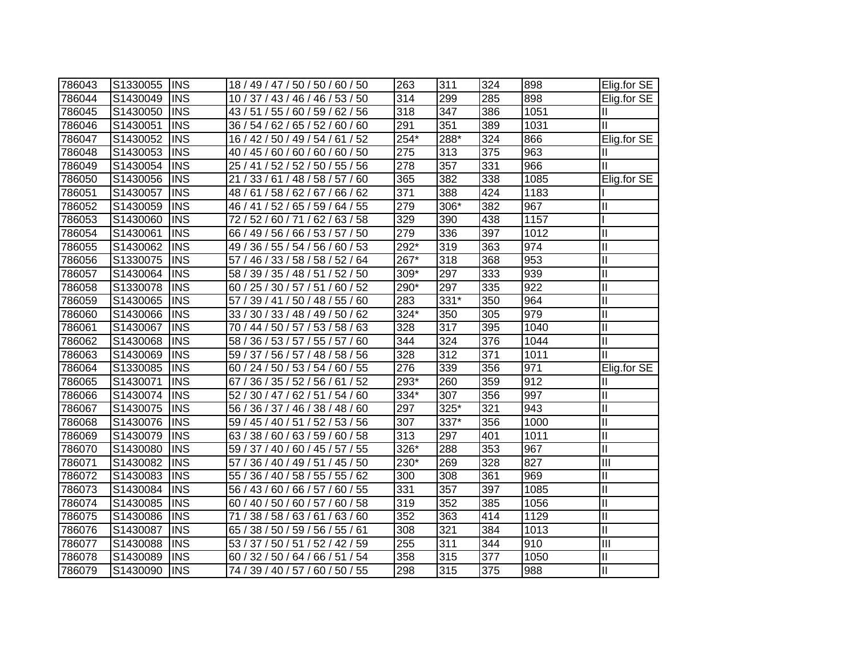| 786043 | S1330055 | <b>IINS</b>             | 18 / 49 / 47 / 50 / 50 / 60 / 50      | 263              | 311  | 324 | 898  | Elig.for SE    |
|--------|----------|-------------------------|---------------------------------------|------------------|------|-----|------|----------------|
| 786044 | S1430049 | <b>INS</b>              | 10 / 37 / 43 / 46 / 46 / 53 / 50      | 314              | 299  | 285 | 898  | Elig.for SE    |
| 786045 | S1430050 | <b>INS</b>              | 43 / 51 / 55 / 60 / 59 / 62 / 56      | 318              | 347  | 386 | 1051 | Ш              |
| 786046 | S1430051 | <b>INS</b>              | 36 / 54 / 62 / 65 / 52 / 60 / 60      | 291              | 351  | 389 | 1031 | Ш              |
| 786047 | S1430052 | $\overline{\text{INS}}$ | 16 / 42 / 50 / 49 / 54 / 61 / 52      | $254*$           | 288* | 324 | 866  | Elig.for SE    |
| 786048 | S1430053 | $\overline{\text{INS}}$ | 40 / 45 / 60 / 60 / 60 / 60 / 50      | $\overline{275}$ | 313  | 375 | 963  | Ш              |
| 786049 | S1430054 | <b>INS</b>              | 25 / 41 / 52 / 52 / 50 / 55 / 56      | 278              | 357  | 331 | 966  | Ш              |
| 786050 | S1430056 | <b>INS</b>              | 21 / 33 / 61 / 48 / 58 / 57 / 60      | 365              | 382  | 338 | 1085 | Elig.for SE    |
| 786051 | S1430057 | <b>INS</b>              | 48 / 61 / 58 / 62 / 67 / 66 / 62      | 371              | 388  | 424 | 1183 |                |
| 786052 | S1430059 | <b>INS</b>              | 46 / 41 / 52 / 65 / 59 / 64 / 55      | 279              | 306* | 382 | 967  | Ш              |
| 786053 | S1430060 | <b>INS</b>              | 52 / 60 / 71 / 62 / 63 / 58<br>72/    | 329              | 390  | 438 | 1157 |                |
| 786054 | S1430061 | <b>INS</b>              | 66 / 49 / 56 / 66 / 53 / 57 / 50      | 279              | 336  | 397 | 1012 | $\mathbf{I}$   |
| 786055 | S1430062 | <b>INS</b>              | 36 / 55 / 54 / 56 / 60 / 53<br>49 /   | $292*$           | 319  | 363 | 974  | $\mathbf{I}$   |
| 786056 | S1330075 | <b>INS</b>              | 57/<br>46 / 33 / 58 / 58 / 52 / 64    | 267*             | 318  | 368 | 953  | II             |
| 786057 | S1430064 | <b>INS</b>              | 58 / 39 / 35 / 48 / 51 / 52 / 50      | 309*             | 297  | 333 | 939  | $\mathbf{I}$   |
| 786058 | S1330078 | <b>INS</b>              | 60 / 25 / 30 / 57 / 51 / 60 / 52      | 290*             | 297  | 335 | 922  | $\mathbf{I}$   |
| 786059 | S1430065 | <b>INS</b>              | 57 / 39 / 41 / 50 / 48 / 55 / 60      | 283              | 331* | 350 | 964  | $\mathbf{I}$   |
| 786060 | S1430066 | <b>INS</b>              | 33 / 30 / 33 / 48 / 49 / 50 / 62      | 324*             | 350  | 305 | 979  | Ш              |
| 786061 | S1430067 | <b>INS</b>              | 70 / 44 / 50 / 57 / 53 / 58 / 63      | 328              | 317  | 395 | 1040 | Ш              |
| 786062 | S1430068 | INS                     | 58 / 36 / 53 / 57 / 55 / 57 / 60      | 344              | 324  | 376 | 1044 | Ш              |
| 786063 | S1430069 | <b>INS</b>              | 59 / 37 / 56 / 57 / 48 / 58 / 56      | 328              | 312  | 371 | 1011 | Ш              |
| 786064 | S1330085 | <b>INS</b>              | 60 / 24 / 50 / 53 / 54 / 60 / 55      | 276              | 339  | 356 | 971  | Elig.for SE    |
| 786065 | S1430071 | <b>INS</b>              | 36 / 35 / 52 / 56 / 61<br>/52<br>67 / | $293*$           | 260  | 359 | 912  | Ш              |
| 786066 | S1430074 | <b>INS</b>              | 52 / 30 / 47 / 62 / 51 / 54 / 60      | 334*             | 307  | 356 | 997  | $\mathbf{I}$   |
| 786067 | S1430075 | <b>INS</b>              | 56 / 36 / 37 / 46 / 38 / 48 / 60      | 297              | 325* | 321 | 943  | $\mathbf{I}$   |
| 786068 | S1430076 | <b>INS</b>              | 59 / 45 / 40 / 51 / 52 / 53 / 56      | 307              | 337* | 356 | 1000 | $\mathbf{I}$   |
| 786069 | S1430079 | <b>INS</b>              | 63 / 38 / 60 / 63 / 59 / 60 / 58      | 313              | 297  | 401 | 1011 | $\mathbf{I}$   |
| 786070 | S1430080 | <b>INS</b>              | 59 / 37 / 40 / 60 / 45 / 57 / 55      | 326*             | 288  | 353 | 967  | $\mathbf{I}$   |
| 786071 | S1430082 | <b>INS</b>              | 57 / 36 / 40 / 49 / 51 / 45 / 50      | 230*             | 269  | 328 | 827  | $\mathbf{III}$ |
| 786072 | S1430083 | <b>INS</b>              | 55 / 36 / 40 / 58 / 55 / 55 / 62      | 300              | 308  | 361 | 969  | $\mathbf{I}$   |
| 786073 | S1430084 | <b>INS</b>              | 56 / 43 / 60 / 66 / 57 / 60 / 55      | 331              | 357  | 397 | 1085 | $\mathbf{I}$   |
| 786074 | S1430085 | <b>INS</b>              | 60 / 40 / 50 / 60 / 57 / 60 / 58      | 319              | 352  | 385 | 1056 | Ш              |
| 786075 | S1430086 | <b>INS</b>              | 71<br>38 / 58 / 63 / 61 / 63 / 60     | 352              | 363  | 414 | 1129 | $\mathbf{I}$   |
| 786076 | S1430087 | <b>INS</b>              | 65 / 38 / 50 / 59 / 56 / 55 / 61      | 308              | 321  | 384 | 1013 | $\mathbf{I}$   |
| 786077 | S1430088 | <b>INS</b>              | 53 / 37 / 50 / 51 /<br>52 / 42 / 59   | 255              | 311  | 344 | 910  | Ш              |
| 786078 | S1430089 | <b>INS</b>              | / 32 / 50 / 64 /<br>66/51/54<br>60    | 358              | 315  | 377 | 1050 | $\mathbf{I}$   |
| 786079 | S1430090 | <b>INS</b>              | 74 / 39 / 40 / 57 / 60 / 50 / 55      | 298              | 315  | 375 | 988  | $\mathbf{I}$   |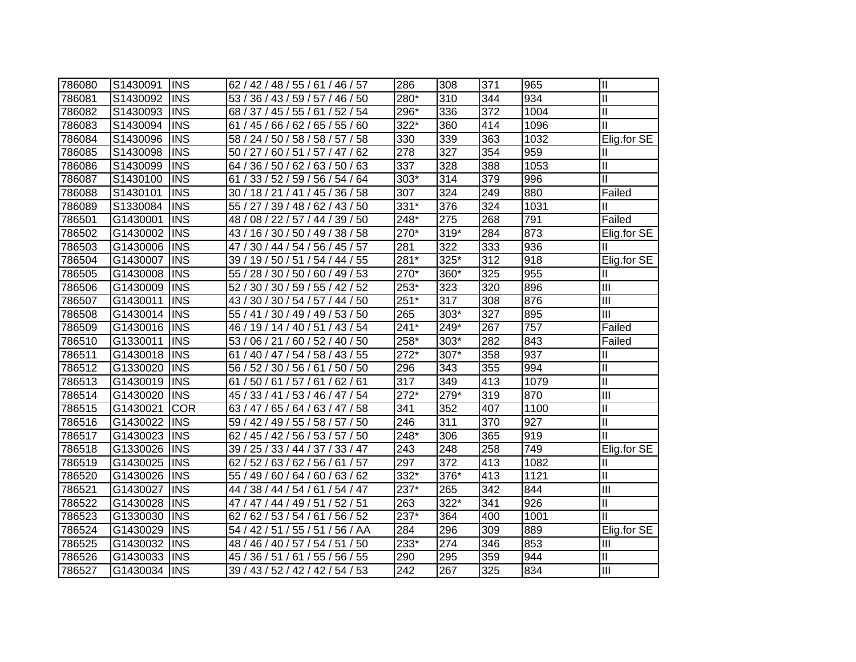| 786080 | S1430091 | <b>INS</b> | 62 / 42 / 48 / 55 / 61 / 46 / 57                | 286              | 308  | 371 | 965  | $\mathbf{II}$             |
|--------|----------|------------|-------------------------------------------------|------------------|------|-----|------|---------------------------|
| 786081 | S1430092 | <b>INS</b> | 53 / 36 / 43 / 59 / 57 / 46 / 50                | 280*             | 310  | 344 | 934  | Ш                         |
| 786082 | S1430093 | <b>INS</b> | 68 / 37 / 45 / 55 / 61 / 52 / 54                | 296*             | 336  | 372 | 1004 | Ш                         |
| 786083 | S1430094 | <b>INS</b> | 61 / 45 / 66 / 62 / 65 / 55 / 60                | 322*             | 360  | 414 | 1096 | Ш                         |
| 786084 | S1430096 | <b>INS</b> | 58 / 24 / 50 / 58 / 58 / 57 / 58                | 330              | 339  | 363 | 1032 | Elig.for SE               |
| 786085 | S1430098 | <b>INS</b> | 50 / 27 / 60 / 51 / 57 / 47 / 62                | 278              | 327  | 354 | 959  | Ш                         |
| 786086 | S1430099 | <b>INS</b> | 64 / 36 / 50 / 62 / 63 / 50 / 63                | 337              | 328  | 388 | 1053 | Ш                         |
| 786087 | S1430100 | <b>INS</b> | 33 / 52 / 59 / 56 / 54 / 64<br>61               | $303*$           | 314  | 379 | 996  | Ш                         |
| 786088 | S1430101 | <b>INS</b> | 30 / 18 / 21 / 41 / 45 / 36 / 58                | 307              | 324  | 249 | 880  | Failed                    |
| 786089 | S1330084 | <b>INS</b> | 55 / 27 / 39 / 48 / 62 / 43 / 50                | 331*             | 376  | 324 | 1031 | Ш                         |
| 786501 | G1430001 | <b>INS</b> | 08 / 22 / 57 / 44 / 39 / 50<br>48 /             | 248*             | 275  | 268 | 791  | Failed                    |
| 786502 | G1430002 | <b>INS</b> | 16 / 30 / 50 / 49 / 38 / 58<br>43/              | 270*             | 319* | 284 | 873  | Elig.for SE               |
| 786503 | G1430006 | <b>INS</b> | 30 / 44 / 54 / 56 / 45 / 57<br>47 /             | 281              | 322  | 333 | 936  |                           |
| 786504 | G1430007 | <b>INS</b> | 39 / 19 / 50 / 51 / 54 / 44 / 55                | 281*             | 325* | 312 | 918  | Elig.for SE               |
| 786505 | G1430008 | <b>INS</b> | 55 / 28 / 30 / 50 / 60 / 49 / 53                | 270*             | 360* | 325 | 955  | Ш                         |
| 786506 | G1430009 | <b>INS</b> | 52/<br>30 / 30 / 59 / 55 / 42 / 52              | 253*             | 323  | 320 | 896  | III                       |
| 786507 | G1430011 | <b>INS</b> | 43 / 30 / 30 / 54 / 57 / 44 / 50                | $251*$           | 317  | 308 | 876  | $\mathbf{III}$            |
| 786508 | G1430014 | <b>INS</b> | 55 / 41 / 30 / 49 / 49 / 53 / 50                | 265              | 303* | 327 | 895  | III                       |
| 786509 | G1430016 | <b>INS</b> | 19 / 14 / 40 / 51 / 43 / 54<br>46 /             | $241*$           | 249* | 267 | 757  | Failed                    |
| 786510 | G1330011 | <b>INS</b> | 53 <sub>1</sub><br>/ 60 / 52 / 40 / 50<br>06/21 | 258*             | 303* | 282 | 843  | Failed                    |
| 786511 | G1430018 | <b>INS</b> | 40 / 47 / 54 / 58 / 43 / 55<br>61               | $272*$           | 307* | 358 | 937  | Ш                         |
| 786512 | G1330020 | <b>INS</b> | 56 / 52 / 30 / 56 / 61 / 50 / 50                | 296              | 343  | 355 | 994  | $\mathbf{I}$              |
| 786513 | G1430019 | <b>INS</b> | 50 / 61 / 57 / 61 / 62 / 61<br>61               | 317              | 349  | 413 | 1079 | $\mathbf{I}$              |
| 786514 | G1430020 | <b>INS</b> | 33 / 41 / 53 / 46 / 47 / 54<br>45/              | $272*$           | 279* | 319 | 870  | Ш                         |
| 786515 | G1430021 | <b>COR</b> | 63 / 47 / 65 / 64 / 63 / 47 / 58                | 341              | 352  | 407 | 1100 | Ш                         |
| 786516 | G1430022 | <b>INS</b> | 59 / 42 / 49 / 55 / 58 / 57 / 50                | 246              | 311  | 370 | 927  | Ш                         |
| 786517 | G1430023 | <b>INS</b> | 62/<br>45 / 42 / 56 / 53 / 57 / 50              | 248*             | 306  | 365 | 919  | Ш                         |
| 786518 | G1330026 | <b>INS</b> | 39 / 25 / 33 / 44 / 37 / 33 / 47                | 243              | 248  | 258 | 749  | Elig.for SE               |
| 786519 | G1430025 | <b>INS</b> | 62 / 52 / 63 / 62 / 56 / 61<br>/57              | 297              | 372  | 413 | 1082 | Ш                         |
| 786520 | G1430026 | <b>INS</b> | 55 / 49 / 60 / 64 / 60 / 63 / 62                | 332*             | 376* | 413 | 1121 | $\mathbf{I}$              |
| 786521 | G1430027 | <b>INS</b> | 44 / 38 / 44 / 54 / 61 / 54 / 47                | 237*             | 265  | 342 | 844  | $\mathbf{III}$            |
| 786522 | G1430028 | <b>INS</b> | 47 / 47 / 44 / 49 / 51 / 52 / 51                | 263              | 322* | 341 | 926  | Ш                         |
| 786523 | G1330030 | <b>INS</b> | 62 / 53 / 54 / 61 / 56 / 52<br>62/              | $237*$           | 364  | 400 | 1001 | П                         |
| 786524 | G1430029 | <b>INS</b> | 54 / 42 / 51 / 55 / 51 / 56 / AA                | 284              | 296  | 309 | 889  | Elig.for SE               |
| 786525 | G1430032 | <b>INS</b> | 48 / 46 / 40 / 57 / 54 / 51 / 50                | 233*             | 274  | 346 | 853  | $\mathbf{III}$            |
| 786526 | G1430033 | <b>INS</b> | 36 / 51 / 61 / 55 / 56 / 55<br>45 /             | 290              | 295  | 359 | 944  | $\mathbf{I}$              |
| 786527 | G1430034 | <b>INS</b> | 39 / 43 / 52 / 42 / 42 / 54 / 53                | $\overline{242}$ | 267  | 325 | 834  | $\overline{\mathsf{III}}$ |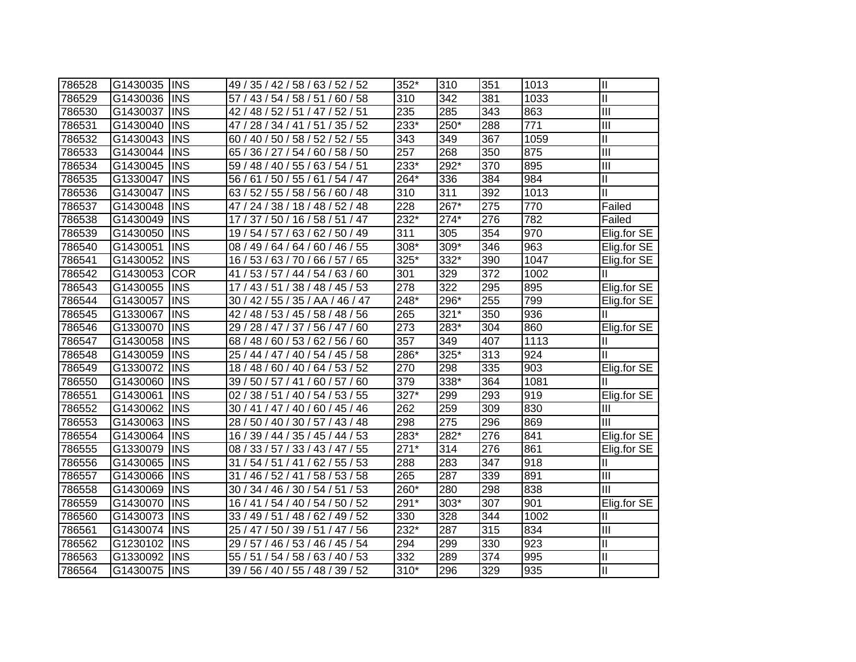| 786528 | G1430035 | <b>INS</b> | 49 / 35 / 42 / 58 / 63 / 52 / 52     | 352*               | 310    | 351 | 1013 | $\mathbf{I}$            |
|--------|----------|------------|--------------------------------------|--------------------|--------|-----|------|-------------------------|
| 786529 | G1430036 | <b>INS</b> | 57 / 43 / 54 / 58 / 51 / 60 / 58     | 310                | 342    | 381 | 1033 | $\overline{\mathbb{I}}$ |
| 786530 | G1430037 | <b>INS</b> | 42 / 48 / 52 / 51 / 47 / 52 / 51     | 235                | 285    | 343 | 863  | $\mathbf{III}$          |
| 786531 | G1430040 | <b>INS</b> | 47 / 28 / 34 / 41 / 51 / 35 / 52     | 233*               | 250*   | 288 | 771  | III                     |
| 786532 | G1430043 | <b>INS</b> | 60 / 40 / 50 / 58 / 52 / 52 / 55     | 343                | 349    | 367 | 1059 | $\overline{\mathbb{I}}$ |
| 786533 | G1430044 | <b>INS</b> | 65 / 36 / 27 / 54 / 60 / 58 / 50     | $\overline{257}$   | 268    | 350 | 875  | $\overline{III}$        |
| 786534 | G1430045 | <b>INS</b> | 59 / 48 / 40 / 55 / 63 / 54 / 51     | 233*               | 292*   | 370 | 895  | Ш                       |
| 786535 | G1330047 | <b>INS</b> | 61 / 50 / 55 / 61 / 54 / 47<br>56/   | $264*$             | 336    | 384 | 984  | Ш                       |
| 786536 | G1430047 | <b>INS</b> | 63 / 52 / 55 / 58 / 56 / 60 / 48     | 310                | 311    | 392 | 1013 | $\mathbf{I}$            |
| 786537 | G1430048 | <b>INS</b> | 24 / 38 / 18 / 48 / 52 / 48<br>47 /  | 228                | 267*   | 275 | 770  | Failed                  |
| 786538 | G1430049 | <b>INS</b> | 37 / 50 / 16 / 58 / 51 / 47<br>17/   | $232*$             | $274*$ | 276 | 782  | Failed                  |
| 786539 | G1430050 | <b>INS</b> | 54/57/<br>63/<br>62 / 50 / 49<br>19/ | 311                | 305    | 354 | 970  | Elig.for SE             |
| 786540 | G1430051 | <b>INS</b> | 60 / 46 / 55<br>08 / 49 / 64 / 64 /  | $308*$             | 309*   | 346 | 963  | Elig.for SE             |
| 786541 | G1430052 | <b>INS</b> | 16 / 53 / 63 / 70 / 66 / 57 / 65     | 325*               | 332*   | 390 | 1047 | Elig.for SE             |
| 786542 | G1430053 | <b>COR</b> | 53 / 57 / 44 / 54 / 63 / 60<br>41/   | 301                | 329    | 372 | 1002 | Ш                       |
| 786543 | G1430055 | <b>INS</b> | 43 / 51 / 38 / 48 / 45 / 53<br>17/   | $\overline{278}$   | 322    | 295 | 895  | Elig.for SE             |
| 786544 | G1430057 | <b>INS</b> | 30 / 42 / 55 / 35 / AA / 46 / 47     | $248*$             | 296*   | 255 | 799  | Elig.for SE             |
| 786545 | G1330067 | <b>INS</b> | 42 / 48 / 53 / 45 / 58 / 48 / 56     | 265                | $321*$ | 350 | 936  | Ш                       |
| 786546 | G1330070 | <b>INS</b> | 29/<br>28 / 47 / 37 / 56 / 47 / 60   | $\overline{273}$   | 283*   | 304 | 860  | Elig.for SE             |
| 786547 | G1430058 | <b>INS</b> | 68 / 48 / 60 / 53 / 62 / 56 / 60     | $\overline{357}$   | 349    | 407 | 1113 | Ш                       |
| 786548 | G1430059 | <b>INS</b> | 25 / 44 / 47 / 40 / 54 / 45 / 58     | $286*$             | $325*$ | 313 | 924  | Ш                       |
| 786549 | G1330072 | <b>INS</b> | 18 / 48 / 60 / 40 / 64 / 53 / 52     | 270                | 298    | 335 | 903  | Elig.for SE             |
| 786550 | G1430060 | <b>INS</b> | 39 / 50 / 57 / 41 / 60 / 57 / 60     | 379                | $338*$ | 364 | 1081 | Ш                       |
| 786551 | G1430061 | <b>INS</b> | 02 / 38 / 51 / 40 / 54 / 53 / 55     | $\overline{327}^*$ | 299    | 293 | 919  | Elig.for SE             |
| 786552 | G1430062 | <b>INS</b> | 30 / 41 / 47 / 40 / 60 / 45 / 46     | 262                | 259    | 309 | 830  | $\mathbf{III}$          |
| 786553 | G1430063 | <b>INS</b> | 28 / 50 / 40 / 30 / 57 / 43 / 48     | 298                | 275    | 296 | 869  | $\mathbf{III}$          |
| 786554 | G1430064 | <b>INS</b> | 16 / 39 / 44 / 35 / 45 / 44 / 53     | 283*               | 282*   | 276 | 841  | Elig.for SE             |
| 786555 | G1330079 | <b>INS</b> | 08 / 33 / 57 / 33 / 43 / 47 / 55     | $271*$             | 314    | 276 | 861  | Elig.for SE             |
| 786556 | G1430065 | <b>INS</b> | 31 / 54 / 51 / 41 / 62 / 55 / 53     | 288                | 283    | 347 | 918  | Ш                       |
| 786557 | G1430066 | <b>INS</b> | 31<br>46 / 52 / 41 / 58 / 53 / 58    | 265                | 287    | 339 | 891  | $\mathbf{III}$          |
| 786558 | G1430069 | <b>INS</b> | 30 / 34 / 46 / 30 / 54 / 51 / 53     | 260*               | 280    | 298 | 838  | Ш                       |
| 786559 | G1430070 | <b>INS</b> | 16 / 41 / 54 / 40 / 54 / 50 / 52     | 291*               | 303*   | 307 | 901  | Elig.for SE             |
| 786560 | G1430073 | <b>INS</b> | 33 / 49 / 51 / 48 / 62 / 49 / 52     | 330                | 328    | 344 | 1002 | Ш                       |
| 786561 | G1430074 | <b>INS</b> | 25 / 47 / 50 / 39 / 51 / 47 / 56     | $232*$             | 287    | 315 | 834  | III                     |
| 786562 | G1230102 | <b>INS</b> | 29<br>/ 57 / 46 / 53 / 46 / 45 / 54  | 294                | 299    | 330 | 923  | Ш                       |
| 786563 | G1330092 | <b>INS</b> | 54/58/<br>63/40/53<br>55/<br>51/     | 332                | 289    | 374 | 995  | $\mathbf{I}$            |
| 786564 | G1430075 | <b>INS</b> | 39 / 56 / 40 / 55 / 48 / 39 / 52     | 310*               | 296    | 329 | 935  | Ш                       |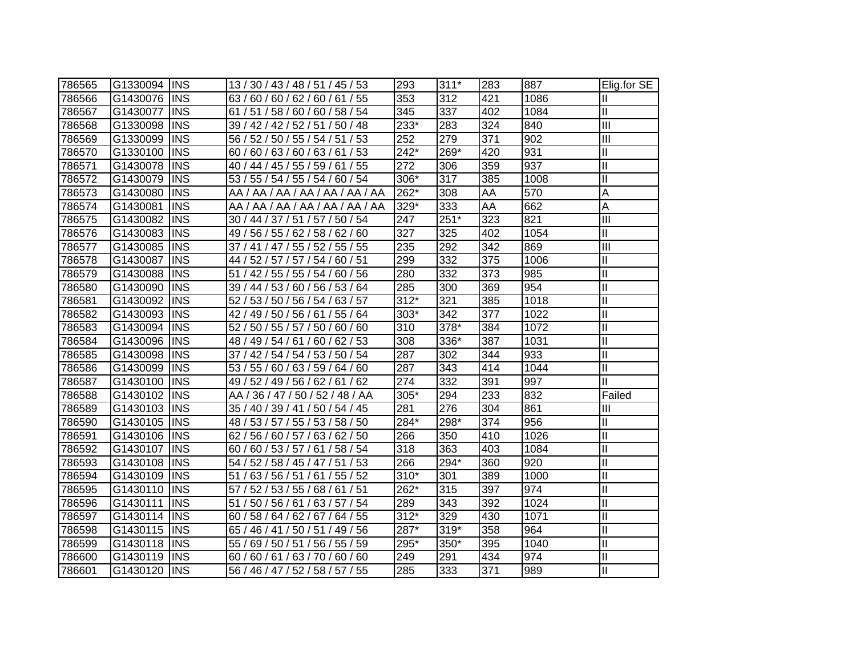| 786565 | G1330094  INS |             | 13 / 30 / 43 / 48 / 51 / 45 / 53 | 293                | $311*$ | 283 | 887  | Elig.for $SE$              |
|--------|---------------|-------------|----------------------------------|--------------------|--------|-----|------|----------------------------|
| 786566 | G1430076      | <b>IINS</b> | 63/60/60/62/60/61/55             | 353                | 312    | 421 | 1086 | Ш                          |
| 786567 | G1430077      | <b>INS</b>  | 61 / 51 / 58 / 60 / 60 / 58 / 54 | 345                | 337    | 402 | 1084 | $\ensuremath{\mathsf{II}}$ |
| 786568 | G1330098      | <b>INS</b>  | 39 / 42 / 42 / 52 / 51 / 50 / 48 | 233*               | 283    | 324 | 840  | III                        |
| 786569 | G1330099      | <b>INS</b>  | 56 / 52 / 50 / 55 / 54 / 51 / 53 | 252                | 279    | 371 | 902  | $\overline{\mathbb{H}}$    |
| 786570 | G1330100      | <b>INS</b>  | 60 / 60 / 63 / 60 / 63 / 61 / 53 | $\overline{242^*}$ | 269*   | 420 | 931  | $\mathbf{I}$               |
| 786571 | G1430078      | <b>INS</b>  | 40 / 44 / 45 / 55 / 59 / 61 / 55 | 272                | 306    | 359 | 937  | $\mathbf{I}$               |
| 786572 | G1430079      | <b>INS</b>  | 53 / 55 / 54 / 55 / 54 / 60 / 54 | 306*               | 317    | 385 | 1008 | $\mathbf{I}$               |
| 786573 | G1430080      | <b>INS</b>  | AA / AA / AA / AA / AA / AA / AA | 262*               | 308    | AA  | 570  | A                          |
| 786574 | G1430081      | <b>INS</b>  | AA / AA / AA / AA / AA / AA / AA | 329*               | 333    | AA  | 662  | A                          |
| 786575 | G1430082      | <b>INS</b>  | 30 / 44 / 37 / 51 / 57 / 50 / 54 | 247                | $251*$ | 323 | 821  | $\overline{III}$           |
| 786576 | G1430083      | <b>INS</b>  | 49 / 56 / 55 / 62 / 58 / 62 / 60 | 327                | 325    | 402 | 1054 | $\mathsf{II}$              |
| 786577 | G1430085      | <b>INS</b>  | 37 / 41 / 47 / 55 / 52 / 55 / 55 | 235                | 292    | 342 | 869  | $\overline{\mathbb{I}}$    |
| 786578 | G1430087      | <b>INS</b>  | 44 / 52 / 57 / 57 / 54 / 60 / 51 | 299                | 332    | 375 | 1006 | $\mathbf{I}$               |
| 786579 | G1430088      | <b>INS</b>  | 51 / 42 / 55 / 55 / 54 / 60 / 56 | 280                | 332    | 373 | 985  | $\mathbf{I}$               |
| 786580 | G1430090      | <b>INS</b>  | 39 / 44 / 53 / 60 / 56 / 53 / 64 | 285                | 300    | 369 | 954  | $\mathbf{I}$               |
| 786581 | G1430092      | <b>IINS</b> | 52 / 53 / 50 / 56 / 54 / 63 / 57 | $312*$             | 321    | 385 | 1018 | $\mathbf{I}$               |
| 786582 | G1430093      | <b>INS</b>  | 42 / 49 / 50 / 56 / 61 / 55 / 64 | 303*               | 342    | 377 | 1022 | Ш                          |
| 786583 | G1430094      | <b>IINS</b> | 52 / 50 / 55 / 57 / 50 / 60 / 60 | 310                | 378*   | 384 | 1072 | Ш                          |
| 786584 | G1430096      | <b>IINS</b> | 48 / 49 / 54 / 61 / 60 / 62 / 53 | 308                | 336*   | 387 | 1031 | Ш                          |
| 786585 | G1430098      | <b>IINS</b> | 37 / 42 / 54 / 54 / 53 / 50 / 54 | 287                | 302    | 344 | 933  | $\mathbf{I}$               |
| 786586 | G1430099      | <b>INS</b>  | 53 / 55 / 60 / 63 / 59 / 64 / 60 | 287                | 343    | 414 | 1044 | Ш                          |
| 786587 | G1430100      | <b>INS</b>  | 49 / 52 / 49 / 56 / 62 / 61 / 62 | 274                | 332    | 391 | 997  | $\mathbf{I}$               |
| 786588 | G1430102      | <b>INS</b>  | AA / 36 / 47 / 50 / 52 / 48 / AA | 305*               | 294    | 233 | 832  | Failed                     |
| 786589 | G1430103      | <b>INS</b>  | 35 / 40 / 39 / 41 / 50 / 54 / 45 | 281                | 276    | 304 | 861  | $\mathbf{III}$             |
| 786590 | G1430105      | <b>INS</b>  | 48 / 53 / 57 / 55 / 53 / 58 / 50 | 284*               | 298*   | 374 | 956  | $\mathbf{I}$               |
| 786591 | G1430106      | <b>INS</b>  | 62 / 56 / 60 / 57 / 63 / 62 / 50 | 266                | 350    | 410 | 1026 | $\mathbf{I}$               |
| 786592 | G1430107      | <b>INS</b>  | 60 / 60 / 53 / 57 / 61 / 58 / 54 | 318                | 363    | 403 | 1084 | $\mathbf{I}$               |
| 786593 | G1430108      | <b>INS</b>  | 54 / 52 / 58 / 45 / 47 / 51 / 53 | 266                | 294*   | 360 | 920  | $\mathbf{I}$               |
| 786594 | G1430109      | <b>INS</b>  | 51 / 63 / 56 / 51 / 61 / 55 / 52 | $310*$             | 301    | 389 | 1000 | $\mathbf{I}$               |
| 786595 | G1430110      | <b>INS</b>  | 57 / 52 / 53 / 55 / 68 / 61 / 51 | 262*               | 315    | 397 | 974  | $\mathbf{I}$               |
| 786596 | G1430111      | <b>INS</b>  | 51 / 50 / 56 / 61 / 63 / 57 / 54 | 289                | 343    | 392 | 1024 | Ш                          |
| 786597 | G1430114      | <b>INS</b>  | 60 / 58 / 64 / 62 / 67 / 64 / 55 | $312*$             | 329    | 430 | 1071 | $\mathbf{I}$               |
| 786598 | G1430115      | <b>INS</b>  | 65 / 46 / 41 / 50 / 51 / 49 / 56 | 287*               | $319*$ | 358 | 964  | $\mathbf{I}$               |
| 786599 | G1430118      | <b>INS</b>  | 55 / 69 / 50 / 51 / 56 / 55 / 59 | 295*               | 350*   | 395 | 1040 | Ш                          |
| 786600 | G1430119      | <b>INS</b>  | 60 / 60 / 61 / 63 / 70 / 60 / 60 | 249                | 291    | 434 | 974  | $\mathbf{I}$               |
| 786601 | G1430120      | <b>INS</b>  | 56 / 46 / 47 / 52 / 58 / 57 / 55 | 285                | 333    | 371 | 989  | Ш                          |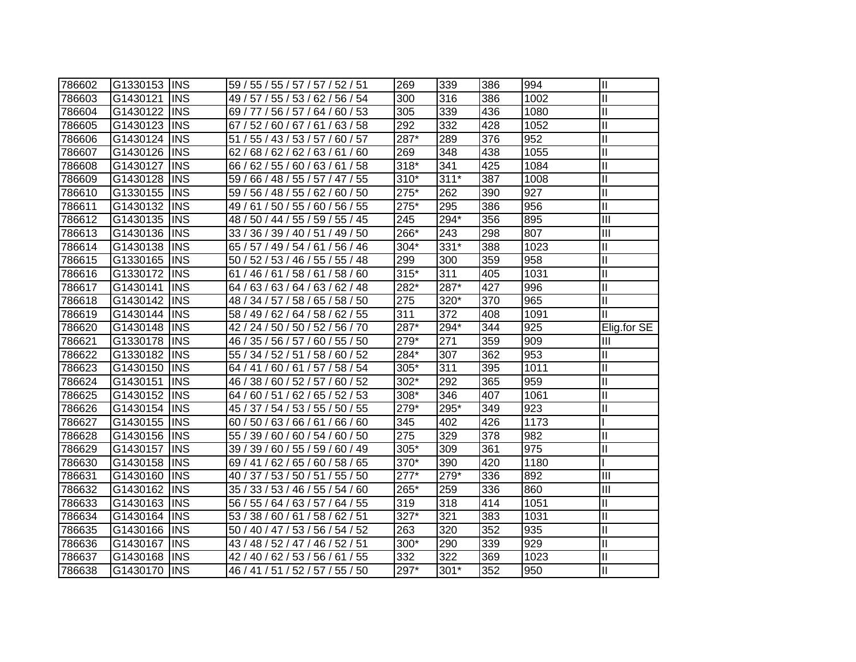| 786602 | G1330153 | <b>INS</b> | 59 / 55 / 55 / 57 / 57 / 52 / 51    | 269              | 339    | 386 | 994              | $\mathbf{I}$               |
|--------|----------|------------|-------------------------------------|------------------|--------|-----|------------------|----------------------------|
| 786603 | G1430121 | <b>INS</b> | 49 / 57 / 55 / 53 / 62 / 56 / 54    | 300              | 316    | 386 | 1002             | $\mathbf{I}$               |
| 786604 | G1430122 | <b>INS</b> | 69 / 77 / 56 / 57 / 64 / 60 / 53    | 305              | 339    | 436 | 1080             | $\mathbf{I}$               |
| 786605 | G1430123 | <b>INS</b> | 67 / 52 / 60 / 67 / 61 / 63 / 58    | 292              | 332    | 428 | 1052             | $\mathbf{I}$               |
| 786606 | G1430124 | <b>INS</b> | 51 / 55 / 43 / 53 / 57 / 60 / 57    | 287*             | 289    | 376 | 952              | $\mathbf{I}$               |
| 786607 | G1430126 | <b>INS</b> | 62 / 68 / 62 / 62 / 63 / 61 / 60    | 269              | 348    | 438 | 1055             | $\mathbf{I}$               |
| 786608 | G1430127 | <b>INS</b> | 66 / 62 / 55 / 60 / 63 / 61 / 58    | 318*             | 341    | 425 | 1084             | $\mathbf{I}$               |
| 786609 | G1430128 | <b>INS</b> | 59 / 66 / 48 / 55 / 57 / 47 / 55    | $310*$           | $311*$ | 387 | 1008             | $\overline{\mathbb{I}}$    |
| 786610 | G1330155 | <b>INS</b> | 59 / 56 / 48 / 55 / 62 / 60 / 50    | 275*             | 262    | 390 | 927              | $\mathbf{I}$               |
| 786611 | G1430132 | <b>INS</b> | 61 / 50 / 55 / 60 / 56 / 55<br>49 / | 275*             | 295    | 386 | $\overline{956}$ | $\overline{\mathbb{I}}$    |
| 786612 | G1430135 | <b>INS</b> | 50 / 44 / 55 / 59 / 55 / 45<br>48 / | 245              | 294*   | 356 | 895              | $\overline{III}$           |
| 786613 | G1430136 | <b>INS</b> | 36 / 39 / 40 / 51 / 49 / 50<br>33/  | 266*             | 243    | 298 | 807              | $\overline{\mathbb{I}}$    |
| 786614 | G1430138 | <b>INS</b> | 61 / 56 / 46<br>65 / 57 / 49 / 54 / | 304*             | 331*   | 388 | 1023             | $\mathbf{I}$               |
| 786615 | G1330165 | <b>INS</b> | 50 / 52 / 53 / 46 / 55 / 55 / 48    | 299              | 300    | 359 | 958              | $\mathbf{I}$               |
| 786616 | G1330172 | <b>INS</b> | 61 / 46 / 61 / 58 / 61 / 58 / 60    | $315*$           | 311    | 405 | 1031             | $\mathbf{I}$               |
| 786617 | G1430141 | <b>INS</b> | 64 / 63 / 63 / 64 / 63 / 62 / 48    | 282*             | 287*   | 427 | 996              | $\mathbf{I}$               |
| 786618 | G1430142 | <b>INS</b> | 48 / 34 / 57 / 58 / 65 / 58 / 50    | 275              | 320*   | 370 | 965              | $\mathbf{I}$               |
| 786619 | G1430144 | <b>INS</b> | 58 / 49 / 62 / 64 / 58 / 62 / 55    | $\overline{311}$ | 372    | 408 | 1091             | Ш                          |
| 786620 | G1430148 | <b>INS</b> | 42 / 24 / 50<br>/ 50 / 52 / 56 / 70 | 287*             | 294*   | 344 | 925              | Elig.for SE                |
| 786621 | G1330178 | <b>INS</b> | 46 / 35 / 56 / 57 /<br>60 / 55 / 50 | 279*             | 271    | 359 | 909              | Ш                          |
| 786622 | G1330182 | <b>INS</b> | 55 / 34 / 52 / 51 / 58 / 60 / 52    | 284*             | 307    | 362 | 953              | Ш                          |
| 786623 | G1430150 | <b>INS</b> | 64 / 41 / 60 / 61 / 57 / 58 / 54    | 305*             | 311    | 395 | 1011             | $\mathbf{I}$               |
| 786624 | G1430151 | <b>INS</b> | 46 / 38 / 60 / 52 / 57 / 60 / 52    | 302*             | 292    | 365 | 959              | $\mathbf{I}$               |
| 786625 | G1430152 | <b>INS</b> | 64 / 60 / 51 / 62 / 65 / 52 / 53    | 308*             | 346    | 407 | 1061             | $\mathbf{I}$               |
| 786626 | G1430154 | <b>INS</b> | 45 / 37 / 54 / 53 / 55 / 50 / 55    | 279*             | 295*   | 349 | 923              | $\mathbf{I}$               |
| 786627 | G1430155 | <b>INS</b> | 60 / 50 / 63 / 66 / 61 / 66 / 60    | 345              | 402    | 426 | 1173             |                            |
| 786628 | G1430156 | <b>INS</b> | 55 / 39 / 60 / 60 / 54 / 60 / 50    | 275              | 329    | 378 | 982              | $\mathbf{I}$               |
| 786629 | G1430157 | <b>INS</b> | 39 / 39 / 60 / 55 / 59 / 60 / 49    | 305*             | 309    | 361 | 975              | $\mathop{\rm II}\nolimits$ |
| 786630 | G1430158 | <b>INS</b> | 69 / 41 / 62 / 65 / 60 / 58 / 65    | 370*             | 390    | 420 | 1180             |                            |
| 786631 | G1430160 | <b>INS</b> | 40 / 37 / 53 / 50 / 51 / 55 / 50    | $277*$           | 279*   | 336 | 892              | Ш                          |
| 786632 | G1430162 | <b>INS</b> | 35 / 33 / 53 / 46 / 55 / 54 / 60    | 265*             | 259    | 336 | 860              | $\mathbf{III}$             |
| 786633 | G1430163 | <b>INS</b> | 56 / 55 / 64 / 63 / 57 / 64 / 55    | 319              | 318    | 414 | 1051             | $\mathbf{I}$               |
| 786634 | G1430164 | <b>INS</b> | 53 / 38 / 60 / 61 / 58 / 62 / 51    | $327*$           | 321    | 383 | 1031             | Ш                          |
| 786635 | G1430166 | <b>INS</b> | / 40 / 47 / 53 / 56 / 54 / 52<br>50 | 263              | 320    | 352 | 935              | Ш                          |
| 786636 | G1430167 | <b>INS</b> | 43 / 48 / 52 / 47 / 46 / 52 / 51    | 300*             | 290    | 339 | 929              | Ш                          |
| 786637 | G1430168 | <b>INS</b> | 42 / 40 / 62 / 53 / 56 / 61 / 55    | 332              | 322    | 369 | 1023             | $\mathbf{I}$               |
| 786638 | G1430170 | <b>INS</b> | 46 / 41 / 51 / 52 / 57 / 55 / 50    | $297*$           | $301*$ | 352 | 950              | $\mathbf{I}$               |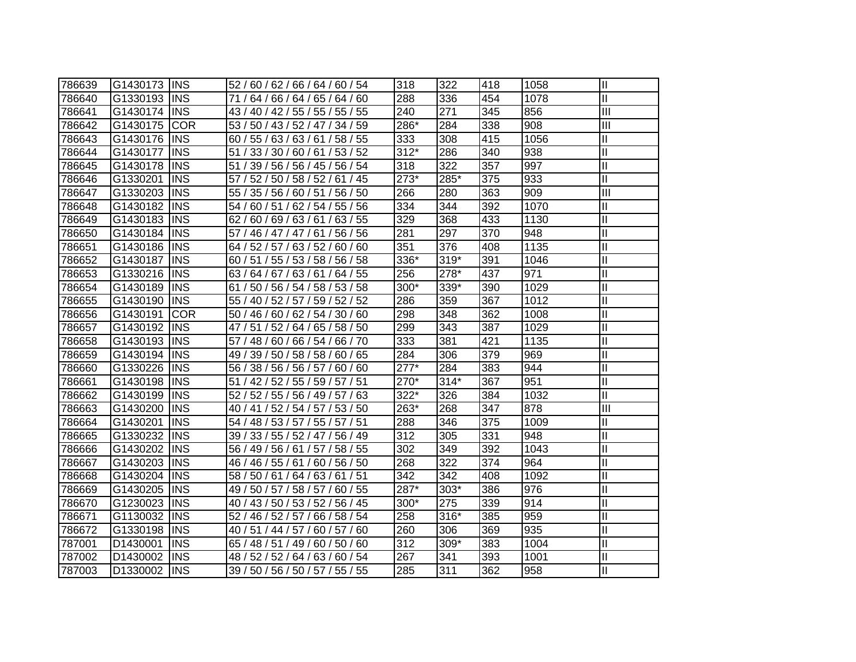| 786639 | G1430173 | <b>IINS</b> | 52 / 60 / 62 / 66 / 64 / 60 / 54    | 318    | 322    | 418 | 1058 | $\mathbf{  }$              |
|--------|----------|-------------|-------------------------------------|--------|--------|-----|------|----------------------------|
| 786640 | G1330193 | <b>INS</b>  | 71 / 64 / 66 / 64 / 65 / 64 / 60    | 288    | 336    | 454 | 1078 | Ш                          |
| 786641 | G1430174 | <b>INS</b>  | 43 / 40 / 42 / 55 / 55 / 55 / 55    | 240    | 271    | 345 | 856  | Ш                          |
| 786642 | G1430175 | <b>COR</b>  | 53 / 50 / 43 / 52 / 47 / 34 / 59    | 286*   | 284    | 338 | 908  | $\mathbf{III}$             |
| 786643 | G1430176 | <b>INS</b>  | 60 / 55 / 63 / 63 / 61 / 58 / 55    | 333    | 308    | 415 | 1056 | $\mathbf{I}$               |
| 786644 | G1430177 | <b>INS</b>  | 51 / 33 / 30 / 60 / 61 / 53 / 52    | $312*$ | 286    | 340 | 938  | $\mathbf{I}$               |
| 786645 | G1430178 | <b>INS</b>  | 51 / 39 / 56 / 56 / 45 / 56 / 54    | 318    | 322    | 357 | 997  | $\mathbf{I}$               |
| 786646 | G1330201 | <b>INS</b>  | 52 / 50 / 58 / 52 / 61 / 45<br>57 / | $273*$ | 285*   | 375 | 933  | $\overline{\mathbb{I}}$    |
| 786647 | G1330203 | <b>INS</b>  | 55 / 35 / 56 / 60 / 51 / 56 / 50    | 266    | 280    | 363 | 909  | $\overline{\mathbf{III}}$  |
| 786648 | G1430182 | <b>INS</b>  | 60 / 51 / 62 / 54 / 55 / 56<br>54 / | 334    | 344    | 392 | 1070 | $\mathbf{I}$               |
| 786649 | G1430183 | <b>INS</b>  | 60 / 69 / 63 / 61 / 63 / 55<br>62/  | 329    | 368    | 433 | 1130 | $\mathbf{I}$               |
| 786650 | G1430184 | <b>INS</b>  | 61/56/56<br>57/<br>46 / 47 / 47 /   | 281    | 297    | 370 | 948  | $\mathbf{I}$               |
| 786651 | G1430186 | <b>INS</b>  | 64 / 52 / 57 / 63 / 52 / 60 / 60    | 351    | 376    | 408 | 1135 | $\mathbf{I}$               |
| 786652 | G1430187 | <b>INS</b>  | 60 / 51 / 55 / 53 / 58 / 56 / 58    | 336*   | 319*   | 391 | 1046 | $\mathbf{I}$               |
| 786653 | G1330216 | <b>INS</b>  | 63 / 64 / 67 / 63 / 61 / 64 / 55    | 256    | 278*   | 437 | 971  | $\mathbf{I}$               |
| 786654 | G1430189 | <b>INS</b>  | 61 / 50 / 56 / 54 / 58 / 53 / 58    | 300*   | 339*   | 390 | 1029 | $\mathbf{I}$               |
| 786655 | G1430190 | <b>INS</b>  | 55 / 40 / 52 / 57 / 59 / 52 / 52    | 286    | 359    | 367 | 1012 | $\mathbf{I}$               |
| 786656 | G1430191 | <b>COR</b>  | 50 / 46 / 60 / 62 / 54 / 30 / 60    | 298    | 348    | 362 | 1008 | II                         |
| 786657 | G1430192 | <b>INS</b>  | 65 / 58 / 50<br>47/51/52/64/        | 299    | 343    | 387 | 1029 | $\mathsf{II}$              |
| 786658 | G1430193 | <b>INS</b>  | 57 / 48 / 60 / 66 / 54 / 66 / 70    | 333    | 381    | 421 | 1135 | $\mathsf{II}$              |
| 786659 | G1430194 | <b>INS</b>  | 49 / 39 / 50 / 58 / 58 / 60 / 65    | 284    | 306    | 379 | 969  | $\mathbf{I}$               |
| 786660 | G1330226 | <b>INS</b>  | 56 / 38 / 56 / 56 / 57 / 60 / 60    | $277*$ | 284    | 383 | 944  | $\mathbf{I}$               |
| 786661 | G1430198 | <b>INS</b>  | 51 / 42 / 52 / 55 / 59 / 57 / 51    | 270*   | $314*$ | 367 | 951  | $\mathbf{I}$               |
| 786662 | G1430199 | <b>INS</b>  | 52 / 52 / 55 / 56 / 49 / 57 / 63    | 322*   | 326    | 384 | 1032 | $\mathbf{I}$               |
| 786663 | G1430200 | <b>INS</b>  | 40 / 41 / 52 / 54 / 57 / 53 / 50    | 263*   | 268    | 347 | 878  | $\mathbf{III}$             |
| 786664 | G1430201 | <b>INS</b>  | 54 / 48 / 53 / 57 / 55 / 57 / 51    | 288    | 346    | 375 | 1009 | $\mathop{\rm II}\nolimits$ |
| 786665 | G1330232 | <b>INS</b>  | 39 / 33 / 55 / 52 / 47 / 56 / 49    | 312    | 305    | 331 | 948  | $\mathop{\rm II}\nolimits$ |
| 786666 | G1430202 | <b>INS</b>  | 56 / 49 / 56 / 61 / 57 / 58 / 55    | 302    | 349    | 392 | 1043 | $\mathop{\rm II}\nolimits$ |
| 786667 | G1430203 | <b>INS</b>  | 46 / 46 / 55 / 61 / 60 / 56 / 50    | 268    | 322    | 374 | 964  | $\mathbf{I}$               |
| 786668 | G1430204 | <b>INS</b>  | 58 / 50 / 61 / 64 / 63 / 61 / 51    | 342    | 342    | 408 | 1092 | $\mathbf{I}$               |
| 786669 | G1430205 | <b>INS</b>  | 49 / 50 / 57 / 58 / 57 / 60 / 55    | 287*   | $303*$ | 386 | 976  | $\mathbf{I}$               |
| 786670 | G1230023 | <b>INS</b>  | 40 / 43 / 50 / 53 / 52 / 56 / 45    | 300*   | 275    | 339 | 914  | Ш                          |
| 786671 | G1130032 | <b>INS</b>  | 52 / 46 / 52 / 57 / 66 / 58 / 54    | 258    | 316*   | 385 | 959  | Ш                          |
| 786672 | G1330198 | <b>INS</b>  | 40 / 51 / 44 / 57 /<br>60/57/60     | 260    | 306    | 369 | 935  | Ш                          |
| 787001 | D1430001 | <b>INS</b>  | 65 / 48 / 51 / 49 / 60 / 50 / 60    | 312    | 309*   | 383 | 1004 | Ш                          |
| 787002 | D1430002 | <b>INS</b>  | 48 / 52 / 52 / 64 / 63 / 60 / 54    | 267    | 341    | 393 | 1001 | $\mathbf{I}$               |
| 787003 | D1330002 | <b>INS</b>  | 39 / 50 / 56 / 50 / 57 / 55 / 55    | 285    | 311    | 362 | 958  | $\mathbf{I}$               |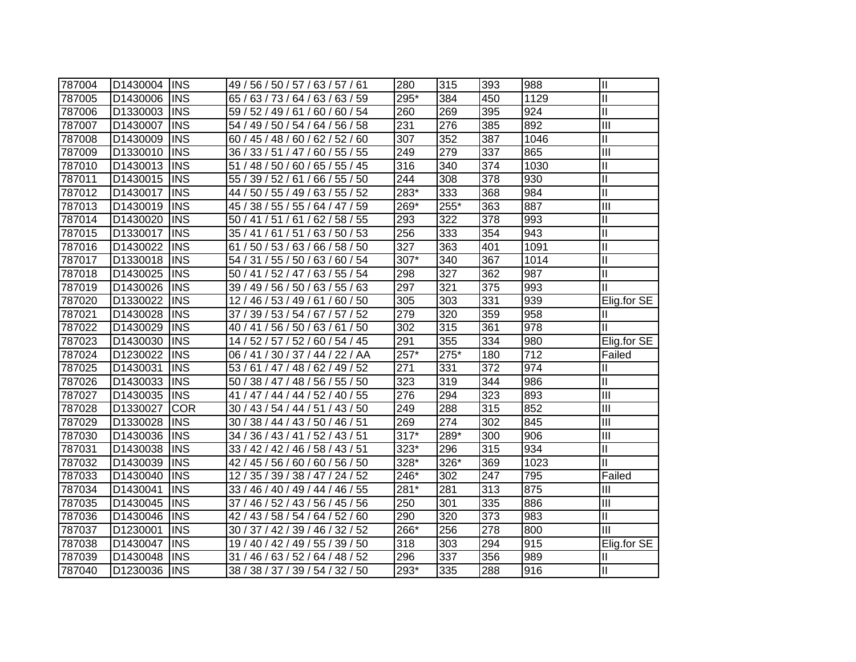| 787004 | D1430004 | <b>INS</b> | 49 / 56 / 50 / 57 / 63 / 57 / 61      | 280              | 315              | 393 | 988              | $\mathbf{I}$            |
|--------|----------|------------|---------------------------------------|------------------|------------------|-----|------------------|-------------------------|
| 787005 | D1430006 | <b>INS</b> | 65 / 63 / 73 / 64 / 63 / 63 / 59      | 295*             | 384              | 450 | 1129             | $\mathbf{I}$            |
| 787006 | D1330003 | <b>INS</b> | 59 / 52 / 49 / 61 / 60 / 60 / 54      | 260              | 269              | 395 | 924              | $\overline{\mathsf{I}}$ |
| 787007 | D1430007 | <b>INS</b> | 54 / 49 / 50 / 54 / 64 / 56 / 58      | 231              | 276              | 385 | 892              | Ш                       |
| 787008 | D1430009 | <b>INS</b> | 60 / 45 / 48 / 60 / 62 / 52 / 60      | 307              | 352              | 387 | 1046             | $\mathbf{II}$           |
| 787009 | D1330010 | <b>INS</b> | 36 / 33 / 51 / 47 / 60 / 55 / 55      | 249              | 279              | 337 | 865              | $\overline{III}$        |
| 787010 | D1430013 | <b>INS</b> | 51 / 48 / 50 / 60 / 65 / 55 / 45      | 316              | 340              | 374 | 1030             | Ш                       |
| 787011 | D1430015 | <b>INS</b> | 66 / 55 / 50<br>55 / 39 / 52 / 61 /   | 244              | 308              | 378 | 930              | $\overline{\mathsf{I}}$ |
| 787012 | D1430017 | <b>INS</b> | 50 / 55 / 49 / 63 / 55 / 52<br>44 /   | $283*$           | 333              | 368 | 984              | $\overline{\mathsf{I}}$ |
| 787013 | D1430019 | <b>INS</b> | 45 / 38 / 55 / 55 / 64 / 47 / 59      | $269*$           | 255*             | 363 | 887              | $\overline{\mathbf{m}}$ |
| 787014 | D1430020 | <b>INS</b> | 141/51/61/<br>62/58/55<br>50/         | 293              | 322              | 378 | 993              | Ш                       |
| 787015 | D1330017 | <b>INS</b> | 63/50/53<br>35 / 41 / 61 / 51 /       | 256              | 333              | 354 | 943              | $\overline{\mathsf{I}}$ |
| 787016 | D1430022 | <b>INS</b> | 66 / 58 / 50<br>50 / 53 / 63 /<br>61/ | $\overline{327}$ | 363              | 401 | 1091             | Ш                       |
| 787017 | D1330018 | <b>INS</b> | 54 / 31 / 55 / 50 / 63 / 60 / 54      | 307*             | 340              | 367 | 1014             | Ш                       |
| 787018 | D1430025 | <b>INS</b> | 50 / 41 / 52 / 47 / 63 / 55 / 54      | 298              | $\overline{327}$ | 362 | 987              | $\mathbf{I}$            |
| 787019 | D1430026 | <b>INS</b> | 39 / 49 / 56 / 50 / 63 / 55 / 63      | 297              | 321              | 375 | 993              | $\mathbf{I}$            |
| 787020 | D1330022 | <b>INS</b> | 12 / 46 / 53 / 49 / 61 / 60 / 50      | 305              | 303              | 331 | 939              | Elig.for SE             |
| 787021 | D1430028 | <b>INS</b> | 37 / 39 / 53 / 54 / 67 / 57 / 52      | 279              | 320              | 359 | 958              | Ш                       |
| 787022 | D1430029 | <b>INS</b> | 40 / 41 / 56 / 50 / 63 / 61<br>/50    | 302              | 315              | 361 | 978              | Ш                       |
| 787023 | D1430030 | <b>INS</b> | 14 / 52 / 57 / 52 / 60 / 54 / 45      | 291              | 355              | 334 | 980              | Elig.for SE             |
| 787024 | D1230022 | <b>INS</b> | 06 / 41 / 30 / 37 / 44 / 22 / AA      | $257*$           | $275*$           | 180 | $\overline{712}$ | Failed                  |
| 787025 | D1430031 | <b>INS</b> | 53 / 61 / 47 / 48 / 62 / 49 / 52      | 271              | 331              | 372 | 974              | $\mathbf{I}$            |
| 787026 | D1430033 | <b>INS</b> | 50 / 38 / 47 / 48 / 56 / 55 / 50      | 323              | 319              | 344 | 986              | Ш                       |
| 787027 | D1430035 | <b>INS</b> | 41 / 47 / 44 / 44 / 52 / 40 / 55      | 276              | 294              | 323 | 893              | $\overline{\mathbb{H}}$ |
| 787028 | D1330027 | <b>COR</b> | 30 / 43 / 54 / 44 / 51 / 43 / 50      | 249              | 288              | 315 | 852              | III                     |
| 787029 | D1330028 | <b>INS</b> | 30 / 38 / 44 / 43 / 50 / 46 / 51      | 269              | 274              | 302 | 845              | $\overline{III}$        |
| 787030 | D1430036 | <b>INS</b> | 34 / 36 / 43 / 41 / 52 / 43 / 51      | $317*$           | 289*             | 300 | 906              | III                     |
| 787031 | D1430038 | <b>INS</b> | 33 / 42 / 42 / 46 / 58 / 43 / 51      | 323*             | 296              | 315 | 934              | Ш                       |
| 787032 | D1430039 | <b>INS</b> | 42 / 45 / 56 / 60 / 60 / 56 / 50      | 328*             | 326*             | 369 | 1023             | $\mathbf{I}$            |
| 787033 | D1430040 | <b>INS</b> | 12 / 35 / 39 / 38 / 47 / 24 / 52      | 246*             | 302              | 247 | 795              | Failed                  |
| 787034 | D1430041 | <b>INS</b> | 33 / 46 / 40 / 49 / 44 / 46 / 55      | 281*             | 281              | 313 | 875              | Ш                       |
| 787035 | D1430045 | <b>INS</b> | 37 / 46 / 52 / 43 / 56 / 45 / 56      | 250              | 301              | 335 | 886              | Ш                       |
| 787036 | D1430046 | <b>INS</b> | 42 / 43 / 58 / 54 / 64 / 52 / 60      | 290              | 320              | 373 | 983              | Ш                       |
| 787037 | D1230001 | <b>INS</b> | 30 / 37 / 42 / 39 / 46 / 32 / 52      | $266*$           | 256              | 278 | 800              | Ш                       |
| 787038 | D1430047 | <b>INS</b> | 19 / 40 / 42 / 49 / 55 / 39 / 50      | 318              | 303              | 294 | 915              | Elig.for SE             |
| 787039 | D1430048 | <b>INS</b> | 46 / 63 / 52 / 64 / 48 / 52<br>31/    | 296              | 337              | 356 | 989              | Ш                       |
| 787040 | D1230036 | <b>INS</b> | 38 / 38 / 37 / 39 / 54 / 32 / 50      | $293*$           | 335              | 288 | 916              | Ш                       |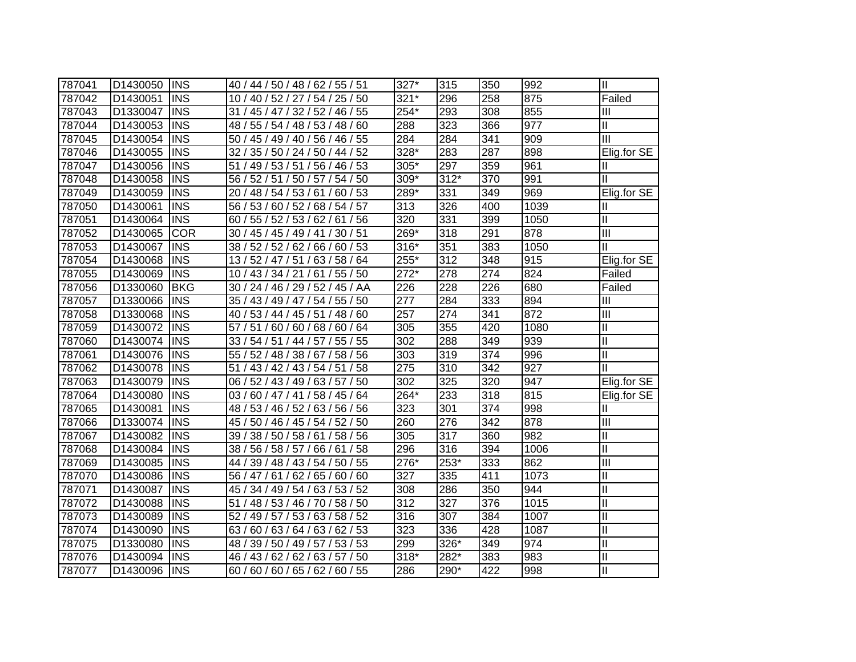| 787041 | D1430050 | <b>INS</b> | 40 / 44 / 50 / 48 / 62 / 55 / 51    | 327*               | 315  | 350              | 992  | Ш                          |
|--------|----------|------------|-------------------------------------|--------------------|------|------------------|------|----------------------------|
| 787042 | D1430051 | <b>INS</b> | 10 / 40 / 52 / 27 / 54 / 25 / 50    | $321*$             | 296  | 258              | 875  | Failed                     |
| 787043 | D1330047 | <b>INS</b> | 31 / 45 / 47 / 32 / 52 / 46 / 55    | $254*$             | 293  | 308              | 855  | Ш                          |
| 787044 | D1430053 | <b>INS</b> | 48 / 55 / 54 / 48 / 53 / 48 / 60    | 288                | 323  | 366              | 977  | Ш                          |
| 787045 | D1430054 | <b>INS</b> | 50 / 45 / 49 / 40 / 56 / 46 / 55    | 284                | 284  | 341              | 909  | $\overline{III}$           |
| 787046 | D1430055 | <b>INS</b> | 32 / 35 / 50 / 24 / 50 / 44 / 52    | 328*               | 283  | 287              | 898  | Elig.for SE                |
| 787047 | D1430056 | <b>INS</b> | 51 / 49 / 53 / 51 / 56 / 46 / 53    | $305*$             | 297  | 359              | 961  | Ш                          |
| 787048 | D1430058 | <b>INS</b> | 56 / 52 / 51 / 50 / 57 / 54 / 50    | $309*$             | 312* | 370              | 991  | $\mathbf{  }$              |
| 787049 | D1430059 | <b>INS</b> | 20<br>48 / 54 / 53 / 61 / 60 / 53   | 289*               | 331  | 349              | 969  | Elig.for SE                |
| 787050 | D1430061 | <b>INS</b> | 56 / 53 / 60 / 52 /<br>68 / 54 / 57 | 313                | 326  | 400              | 1039 | Ш                          |
| 787051 | D1430064 | <b>INS</b> | 55/52/53/<br>62/61/56<br>60         | $\overline{320}$   | 331  | 399              | 1050 | $\mathop{\rm II}\nolimits$ |
| 787052 | D1430065 | <b>COR</b> | 45 / 45 / 49 / 41 / 30 / 51<br>30   | $269*$             | 318  | 291              | 878  | $\overline{III}$           |
| 787053 | D1430067 | <b>INS</b> | 52 / 52 / 62 /<br>66/60/53<br>38/   | $316*$             | 351  | 383              | 1050 | $\mathbf{I}$               |
| 787054 | D1430068 | <b>INS</b> | 13 / 52 / 47 / 51 / 63 / 58 / 64    | 255*               | 312  | 348              | 915  | Elig.for SE                |
| 787055 | D1430069 | <b>INS</b> | 10 / 43 / 34 / 21 / 61 / 55 / 50    | $\overline{272}^*$ | 278  | $\overline{274}$ | 824  | Failed                     |
| 787056 | D1330060 | <b>BKG</b> | 30 / 24 / 46 / 29 / 52 / 45 / AA    | 226                | 228  | 226              | 680  | Failed                     |
| 787057 | D1330066 | <b>INS</b> | 35 / 43 / 49 / 47 / 54 / 55 / 50    | $\overline{277}$   | 284  | 333              | 894  | Ш                          |
| 787058 | D1330068 | <b>INS</b> | 40 / 53 / 44 / 45 / 51 / 48 / 60    | 257                | 274  | 341              | 872  | $\overline{\mathbf{III}}$  |
| 787059 | D1430072 | <b>INS</b> | 57/<br>51/60/60/68/60/64            | 305                | 355  | 420              | 1080 | Ш                          |
| 787060 | D1430074 | <b>INS</b> | 33 / 54 / 51 / 44 / 57 / 55 / 55    | 302                | 288  | 349              | 939  | $\mathbf{I}$               |
| 787061 | D1430076 | <b>INS</b> | 55 / 52 / 48 / 38 / 67 / 58 / 56    | 303                | 319  | 374              | 996  | $\mathbf{I}$               |
| 787062 | D1430078 | <b>INS</b> | 51 / 43 / 42 / 43 / 54 / 51<br>/58  | $\overline{275}$   | 310  | 342              | 927  | $\mathbf{II}$              |
| 787063 | D1430079 | <b>INS</b> | 06 / 52 / 43 / 49 / 63 / 57 / 50    | 302                | 325  | 320              | 947  | Elig.for SE                |
| 787064 | D1430080 | <b>INS</b> | 03 / 60 / 47 / 41 / 58 / 45 / 64    | $264*$             | 233  | 318              | 815  | Elig.for SE                |
| 787065 | D1430081 | <b>INS</b> | 48 / 53 / 46 / 52 / 63 / 56 / 56    | 323                | 301  | 374              | 998  | Ш                          |
| 787066 | D1330074 | <b>INS</b> | 45 / 50 / 46 / 45 / 54 / 52 / 50    | 260                | 276  | 342              | 878  | $\overline{\mathbb{H}}$    |
| 787067 | D1430082 | <b>INS</b> | 39 / 38 / 50 / 58 / 61 / 58 / 56    | 305                | 317  | 360              | 982  | $\mathbf{II}$              |
| 787068 | D1430084 | <b>INS</b> | 38 / 56 / 58 / 57 / 66 / 61<br>/58  | 296                | 316  | 394              | 1006 | $\mathbf{II}$              |
| 787069 | D1430085 | <b>INS</b> | 44 / 39 / 48 / 43 / 54 / 50 / 55    | 276*               | 253* | 333              | 862  | $\overline{\mathsf{III}}$  |
| 787070 | D1430086 | <b>INS</b> | 56 / 47 / 61 / 62 / 65 / 60 / 60    | 327                | 335  | 411              | 1073 | $\mathbf{II}$              |
| 787071 | D1430087 | <b>INS</b> | 45 / 34 / 49 / 54 / 63 / 53 / 52    | 308                | 286  | 350              | 944  | $\mathbf{II}$              |
| 787072 | D1430088 | <b>INS</b> | 51 / 48 / 53 / 46 / 70 / 58 / 50    | 312                | 327  | 376              | 1015 | $\mathbf{II}$              |
| 787073 | D1430089 | <b>INS</b> | 52 / 49 / 57 / 53 / 63 / 58 / 52    | 316                | 307  | 384              | 1007 | $\mathbf{II}$              |
| 787074 | D1430090 | <b>INS</b> | 60 / 63 / 64 / 63 / 62 / 53<br>63/  | 323                | 336  | 428              | 1087 | $\mathbf{II}$              |
| 787075 | D1330080 | <b>INS</b> | 39 / 50 / 49 / 57 / 53 / 53<br>48   | 299                | 326* | 349              | 974  | $\mathbf{II}$              |
| 787076 | D1430094 | <b>INS</b> | 143/62/62/<br>63 / 57 / 50<br>46 /  | $318*$             | 282* | 383              | 983  | $\mathbf{II}$              |
| 787077 | D1430096 | <b>INS</b> | 60 / 60 / 60 / 65 / 62 / 60 / 55    | 286                | 290* | 422              | 998  | $\mathbf{II}$              |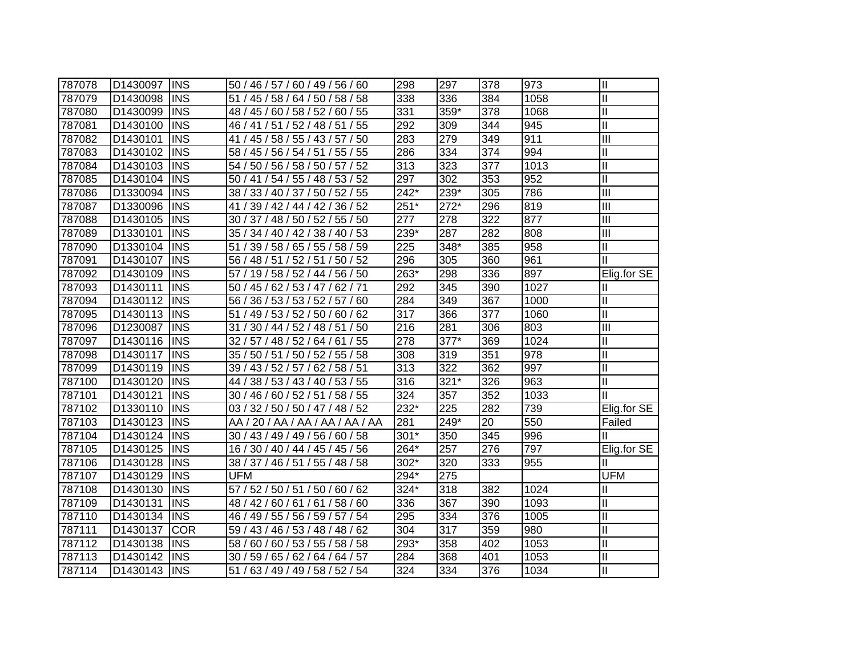| 787078 | D1430097 | <b>INS</b> | 50 / 46 / 57 / 60 / 49 / 56 / 60     | 298                | 297              | 378 | 973  | $\mathbf{I}$            |
|--------|----------|------------|--------------------------------------|--------------------|------------------|-----|------|-------------------------|
| 787079 | D1430098 | <b>INS</b> | 51 / 45 / 58 / 64 / 50 / 58 / 58     | 338                | 336              | 384 | 1058 | $\mathbf{I}$            |
| 787080 | D1430099 | <b>INS</b> | 48 / 45 / 60 / 58 / 52 / 60 / 55     | 331                | 359*             | 378 | 1068 | $\overline{\mathsf{I}}$ |
| 787081 | D1430100 | <b>INS</b> | 46 / 41 / 51 / 52 / 48 / 51 / 55     | 292                | 309              | 344 | 945  | $\mathbf{I}$            |
| 787082 | D1430101 | <b>INS</b> | 41 / 45 / 58 / 55 / 43 / 57 / 50     | 283                | 279              | 349 | 911  | Ш                       |
| 787083 | D1430102 | <b>INS</b> | 58 / 45 / 56 / 54 / 51 / 55 / 55     | 286                | 334              | 374 | 994  | $\mathbf{I}$            |
| 787084 | D1430103 | <b>INS</b> | 54 / 50 / 56 / 58 / 50 / 57 / 52     | 313                | 323              | 377 | 1013 | Ш                       |
| 787085 | D1430104 | <b>INS</b> | 50 / 41 / 54 / 55 / 48 / 53 / 52     | 297                | $\overline{302}$ | 353 | 952  | $\overline{\mathsf{I}}$ |
| 787086 | D1330094 | <b>INS</b> | 38 / 33 / 40 / 37 / 50 / 52 / 55     | $\overline{242^*}$ | $239*$           | 305 | 786  | $\overline{\mathbf{m}}$ |
| 787087 | D1330096 | <b>INS</b> | 39 / 42 / 44 / 42 / 36 / 52<br>41 /  | $251*$             | $272*$           | 296 | 819  | $\overline{III}$        |
| 787088 | D1430105 | <b>INS</b> | 37 / 48 / 50 / 52 / 55 / 50<br>30/   | $\overline{277}$   | 278              | 322 | 877  | $\overline{III}$        |
| 787089 | D1330101 | <b>INS</b> | 34 / 40 / 42 / 38 / 40 / 53<br>35/   | $239*$             | 287              | 282 | 808  | $\overline{III}$        |
| 787090 | D1330104 | <b>INS</b> | 39 / 58 / 65 / 55 / 58 / 59<br>51/   | 225                | 348*             | 385 | 958  | Ш                       |
| 787091 | D1430107 | <b>INS</b> | 56 / 48 / 51 / 52 / 51 / 50 / 52     | 296                | 305              | 360 | 961  | $\mathbf{I}$            |
| 787092 | D1430109 | <b>INS</b> | 57 / 19 / 58 / 52 / 44 / 56 / 50     | $263*$             | 298              | 336 | 897  | Elig.for SE             |
| 787093 | D1430111 | <b>INS</b> | 50 / 45 / 62 / 53 / 47 / 62 / 71     | 292                | 345              | 390 | 1027 | Ш                       |
| 787094 | D1430112 | <b>INS</b> | 56 / 36 / 53 / 53 / 52 / 57 / 60     | 284                | 349              | 367 | 1000 | $\mathbf{I}$            |
| 787095 | D1430113 | <b>INS</b> | 51 / 49 / 53 / 52 / 50 / 60 / 62     | $\overline{317}$   | 366              | 377 | 1060 | $\mathbf{I}$            |
| 787096 | D1230087 | <b>INS</b> | 31/<br>30 / 44 / 52 / 48 / 51<br>/50 | 216                | 281              | 306 | 803  | $\overline{III}$        |
| 787097 | D1430116 | <b>INS</b> | 32 / 57 / 48 / 52 / 64 / 61<br>/55   | 278                | $377*$           | 369 | 1024 | $\mathbf{I}$            |
| 787098 | D1430117 | <b>INS</b> | 35 / 50 / 51 / 50 / 52 / 55 / 58     | 308                | 319              | 351 | 978  | Ш                       |
| 787099 | D1430119 | <b>INS</b> | 39 / 43 / 52 / 57 / 62 / 58 / 51     | 313                | 322              | 362 | 997  | Ш                       |
| 787100 | D1430120 | <b>INS</b> | 44 / 38 / 53 / 43 / 40 / 53 / 55     | 316                | $321*$           | 326 | 963  | Ш                       |
| 787101 | D1430121 | <b>INS</b> | 30 / 46 / 60 / 52 / 51 / 58 / 55     | 324                | 357              | 352 | 1033 | Ш                       |
| 787102 | D1330110 | <b>INS</b> | 03 / 32 / 50 / 50 / 47 / 48 / 52     | 232*               | 225              | 282 | 739  | Elig.for SE             |
| 787103 | D1430123 | <b>INS</b> | AA / 20 / AA / AA / AA / AA / AA     | 281                | 249*             | 20  | 550  | Failed                  |
| 787104 | D1430124 | <b>INS</b> | 30 / 43 / 49 / 49 / 56 / 60 / 58     | 301*               | 350              | 345 | 996  | Ш                       |
| 787105 | D1430125 | <b>INS</b> | 16 / 30 / 40 / 44 / 45 / 45 / 56     | 264*               | 257              | 276 | 797  | Elig.for SE             |
| 787106 | D1430128 | <b>INS</b> | 38 / 37 / 46 / 51 / 55 / 48 / 58     | 302*               | 320              | 333 | 955  | Ш                       |
| 787107 | D1430129 | <b>INS</b> | <b>UFM</b>                           | $294*$             | 275              |     |      | <b>UFM</b>              |
| 787108 | D1430130 | <b>INS</b> | 57 / 52 / 50 / 51 / 50 / 60 / 62     | $324*$             | 318              | 382 | 1024 | Ш                       |
| 787109 | D1430131 | <b>INS</b> | 48 / 42 / 60 / 61 / 61 / 58 / 60     | 336                | 367              | 390 | 1093 | Ш                       |
| 787110 | D1430134 | <b>INS</b> | 46 / 49 / 55 / 56 / 59 / 57 / 54     | 295                | 334              | 376 | 1005 | $\mathbf{I}$            |
| 787111 | D1430137 | <b>COR</b> | 59 / 43 / 46 / 53 / 48 / 48 / 62     | 304                | 317              | 359 | 980  | $\mathbf{I}$            |
| 787112 | D1430138 | <b>INS</b> | 58 / 60 / 60 / 53 / 55 / 58 / 58     | $293*$             | 358              | 402 | 1053 | $\mathbf{I}$            |
| 787113 | D1430142 | <b>INS</b> | 30 / 59 / 65 / 62 / 64 / 64 / 57     | 284                | 368              | 401 | 1053 | $\mathbf{I}$            |
| 787114 | D1430143 | <b>INS</b> | 51 / 63 / 49 / 49 / 58 / 52 / 54     | 324                | 334              | 376 | 1034 | Ш                       |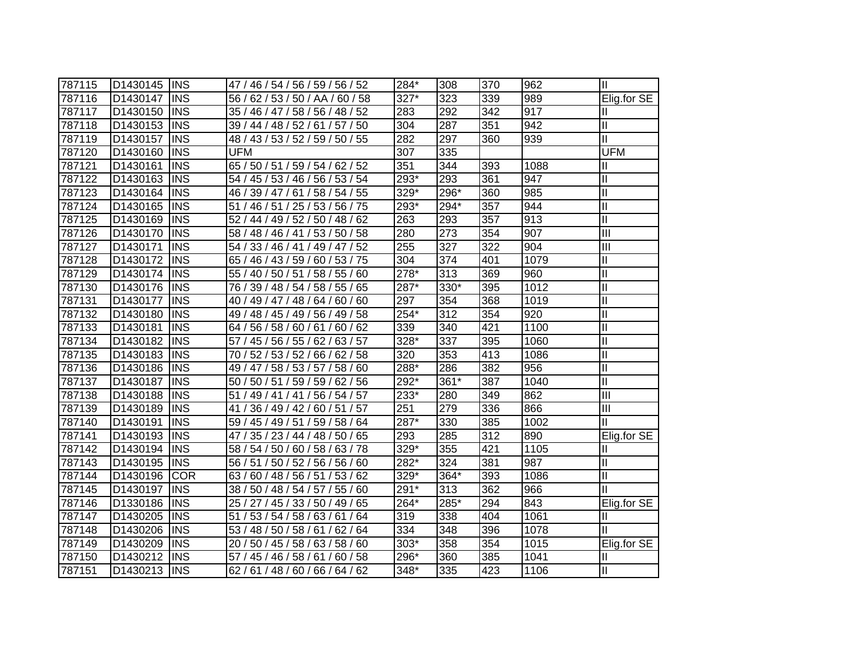| 787115 | D1430145 | <b>INS</b> | 47 / 46 / 54 / 56 / 59 / 56 / 52    | 284*             | 308  | 370 | 962  | Ш                          |
|--------|----------|------------|-------------------------------------|------------------|------|-----|------|----------------------------|
| 787116 | D1430147 | <b>INS</b> | 56 / 62 / 53 / 50 / AA / 60 / 58    | 327*             | 323  | 339 | 989  | Elig.for SE                |
| 787117 | D1430150 | <b>INS</b> | 35 / 46 / 47 / 58 / 56 / 48 / 52    | 283              | 292  | 342 | 917  | Ш                          |
| 787118 | D1430153 | <b>INS</b> | 39 / 44 / 48 / 52 / 61 / 57 / 50    | 304              | 287  | 351 | 942  | $\mathbf{I}$               |
| 787119 | D1430157 | <b>INS</b> | 48 / 43 / 53 / 52 / 59 / 50 / 55    | 282              | 297  | 360 | 939  | $\mathbf{I}$               |
| 787120 | D1430160 | <b>INS</b> | <b>UFM</b>                          | $\overline{307}$ | 335  |     |      | <b>UFM</b>                 |
| 787121 | D1430161 | <b>INS</b> | 65 / 50 / 51 / 59 / 54 / 62 / 52    | 351              | 344  | 393 | 1088 | Ш                          |
| 787122 | D1430163 | <b>INS</b> | 54 / 45 / 53 / 46 / 56 / 53 / 54    | $293*$           | 293  | 361 | 947  | $\mathbf{I}$               |
| 787123 | D1430164 | <b>INS</b> | 46 / 39 / 47 / 61 / 58 / 54 / 55    | 329*             | 296* | 360 | 985  | $\mathbf{I}$               |
| 787124 | D1430165 | <b>INS</b> | 51 / 46 / 51 / 25 / 53 / 56 / 75    | 293*             | 294* | 357 | 944  | $\mathop{\rm II}\nolimits$ |
| 787125 | D1430169 | <b>INS</b> | 52 / 44 / 49 / 52 / 50 / 48 / 62    | 263              | 293  | 357 | 913  | $\mathbf{I}$               |
| 787126 | D1430170 | <b>INS</b> | 58 / 48 / 46 / 41 / 53 / 50 / 58    | 280              | 273  | 354 | 907  | $\overline{III}$           |
| 787127 | D1430171 | <b>INS</b> | 49 / 47 / 52<br>54/33/<br>46/41/    | 255              | 327  | 322 | 904  | $\overline{\mathbb{I}}$    |
| 787128 | D1430172 | <b>INS</b> | 60 / 53 / 75<br>65 / 46 / 43 / 59 / | 304              | 374  | 401 | 1079 | $\mathbf{I}$               |
| 787129 | D1430174 | <b>INS</b> | 58 / 55 / 60<br>55 / 40 / 50 / 51 / | 278*             | 313  | 369 | 960  | $\mathbf{I}$               |
| 787130 | D1430176 | <b>INS</b> | 76 / 39 / 48 / 54 / 58 / 55 / 65    | 287*             | 330* | 395 | 1012 | $\mathbf{I}$               |
| 787131 | D1430177 | <b>INS</b> | 40 / 49 / 47 / 48 / 64 / 60 / 60    | 297              | 354  | 368 | 1019 | $\mathbf{I}$               |
| 787132 | D1430180 | <b>INS</b> | 49 / 48 / 45 / 49 / 56 / 49 / 58    | 254*             | 312  | 354 | 920  | Ш                          |
| 787133 | D1430181 | <b>INS</b> | 64 / 56 / 58 / 60 / 61 / 60 / 62    | 339              | 340  | 421 | 1100 | Ш                          |
| 787134 | D1430182 | <b>INS</b> | 57 / 45 / 56 / 55 / 62 / 63 / 57    | 328*             | 337  | 395 | 1060 | Ш                          |
| 787135 | D1430183 | <b>INS</b> | 70 / 52 / 53 / 52 / 66 / 62 / 58    | 320              | 353  | 413 | 1086 | $\mathbf{I}$               |
| 787136 | D1430186 | <b>INS</b> | 49 / 47 / 58 / 53 / 57 / 58 / 60    | 288*             | 286  | 382 | 956  | $\mathbf{II}$              |
| 787137 | D1430187 | <b>INS</b> | 50 / 50 / 51 / 59 / 59 / 62 / 56    | $292*$           | 361* | 387 | 1040 | $\overline{\mathbb{I}}$    |
| 787138 | D1430188 | <b>INS</b> | 51 / 49 / 41 / 41 / 56 / 54 / 57    | $233*$           | 280  | 349 | 862  | $\overline{\mathbb{I}}$    |
| 787139 | D1430189 | <b>INS</b> | 36 / 49 / 42 / 60 / 51 / 57<br>41/  | 251              | 279  | 336 | 866  | III                        |
| 787140 | D1430191 | <b>INS</b> | 59 / 45 / 49 / 51 / 59 / 58 / 64    | 287*             | 330  | 385 | 1002 | П                          |
| 787141 | D1430193 | <b>INS</b> | 47 / 35 / 23 / 44 / 48 / 50 / 65    | 293              | 285  | 312 | 890  | Elig.for SE                |
| 787142 | D1430194 | <b>INS</b> | 58 / 54 / 50 / 60 / 58 / 63 / 78    | $329*$           | 355  | 421 | 1105 | Ш                          |
| 787143 | D1430195 | <b>INS</b> | 56 / 51 / 50 / 52 / 56 / 56 / 60    | $282*$           | 324  | 381 | 987  | $\mathbf{I}$               |
| 787144 | D1430196 | <b>COR</b> | 63 / 60 / 48 / 56 / 51 / 53 / 62    | 329*             | 364* | 393 | 1086 | $\mathbf{I}$               |
| 787145 | D1430197 | <b>INS</b> | 38 / 50 / 48 / 54 / 57 / 55 / 60    | $291*$           | 313  | 362 | 966  | Ш                          |
| 787146 | D1330186 | <b>INS</b> | 25 / 27 / 45 / 33 / 50 / 49 / 65    | 264*             | 285* | 294 | 843  | Elig.for SE                |
| 787147 | D1430205 | <b>INS</b> | 53 / 54 / 58 / 63 / 61 / 64<br>51   | 319              | 338  | 404 | 1061 | Ш                          |
| 787148 | D1430206 | <b>INS</b> | 53 / 48 / 50 / 58 / 61 / 62 / 64    | 334              | 348  | 396 | 1078 |                            |
| 787149 | D1430209 | <b>INS</b> | 50 / 45 / 58 / 63 / 58 / 60<br>20   | $303*$           | 358  | 354 | 1015 | Elig.for SE                |
| 787150 | D1430212 | <b>INS</b> | 45 / 46 / 58 / 61 / 60 / 58<br>57/  | 296*             | 360  | 385 | 1041 | Ш                          |
| 787151 | D1430213 | <b>INS</b> | 62 / 61 / 48 / 60 / 66 / 64 / 62    | $348*$           | 335  | 423 | 1106 | $\mathbf{I}$               |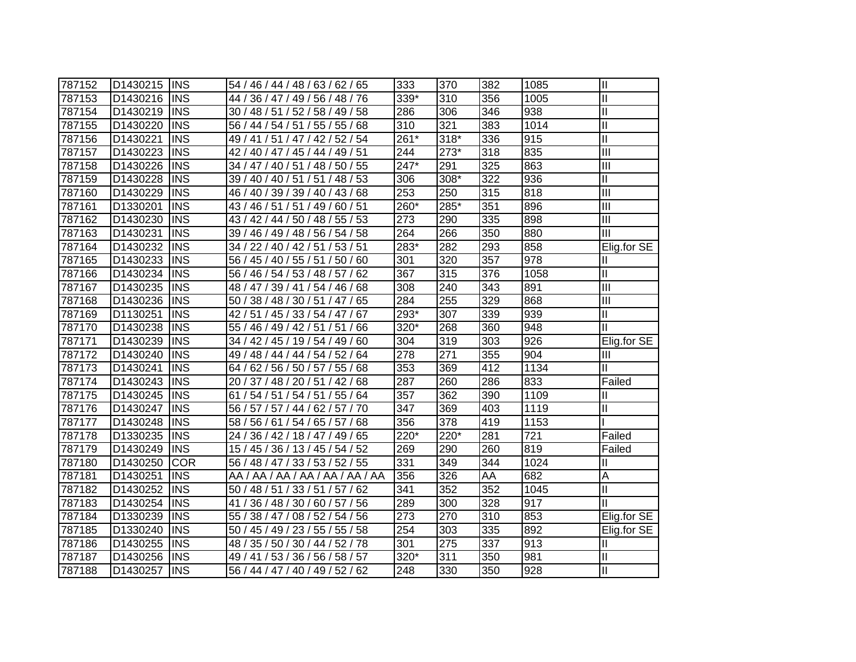| 787152 | D1430215             | <b>INS</b> | 54 / 46 / 44 / 48 / 63 / 62 / 65    | 333  | 370    | 382 | 1085 | $\mathbf{I}$            |
|--------|----------------------|------------|-------------------------------------|------|--------|-----|------|-------------------------|
| 787153 | D1430216             | <b>INS</b> | 44 / 36 / 47 / 49 / 56 / 48 / 76    | 339* | 310    | 356 | 1005 | $\mathbf{I}$            |
| 787154 | D1430219             | <b>INS</b> | 30 / 48 / 51 / 52 / 58 / 49 / 58    | 286  | 306    | 346 | 938  | $\overline{\mathbb{I}}$ |
| 787155 | D1430220             | <b>INS</b> | 56 / 44 / 54 / 51 / 55 / 55 / 68    | 310  | 321    | 383 | 1014 | $\mathbf{I}$            |
| 787156 | D1430221             | <b>INS</b> | 49 / 41 / 51 / 47 / 42 / 52 / 54    | 261* | $318*$ | 336 | 915  | $\overline{\mathbb{I}}$ |
| 787157 | D1430223             | <b>INS</b> | 42 / 40 / 47 / 45 / 44 / 49 / 51    | 244  | 273*   | 318 | 835  | $\overline{\mathbb{H}}$ |
| 787158 | D1430226             | <b>INS</b> | 34 / 47 / 40 / 51 / 48 / 50 / 55    | 247* | 291    | 325 | 863  | III                     |
| 787159 | D1430228             | <b>INS</b> | 39 / 40 / 40 / 51 / 51 / 48 / 53    | 306  | 308*   | 322 | 936  | $\overline{\mathbb{I}}$ |
| 787160 | D1430229             | <b>INS</b> | 46 / 40 / 39 / 39 / 40 / 43 / 68    | 253  | 250    | 315 | 818  | $\overline{\mathbb{H}}$ |
| 787161 | D1330201             | <b>INS</b> | 43 / 46 / 51 / 51 / 49 / 60 / 51    | 260* | 285*   | 351 | 896  | III                     |
| 787162 | D1430230             | <b>INS</b> | 43 / 42 / 44 / 50 / 48 / 55 / 53    | 273  | 290    | 335 | 898  | $\overline{\mathbf{m}}$ |
| 787163 | D1430231             | <b>INS</b> | 39 / 46 / 49 / 48 / 56 / 54 / 58    | 264  | 266    | 350 | 880  | III                     |
| 787164 | D1430232             | <b>INS</b> | 34 / 22 / 40 / 42 / 51 / 53 / 51    | 283* | 282    | 293 | 858  | Elig.for SE             |
| 787165 | D1430233             | <b>INS</b> | 56 / 45 / 40 / 55 / 51 / 50 / 60    | 301  | 320    | 357 | 978  | Ш                       |
| 787166 | D1430234             | <b>INS</b> | 56 / 46 / 54 / 53 / 48 / 57 / 62    | 367  | 315    | 376 | 1058 | Ш                       |
| 787167 | D1430235             | <b>INS</b> | 48 / 47 / 39 / 41 / 54 / 46 / 68    | 308  | 240    | 343 | 891  | Ш                       |
| 787168 | D1430236             | <b>INS</b> | 50 / 38 / 48 / 30 / 51 / 47 / 65    | 284  | 255    | 329 | 868  | III                     |
| 787169 | D1130251             | <b>INS</b> | 42 / 51 / 45 / 33 / 54 / 47 / 67    | 293* | 307    | 339 | 939  | Ш                       |
| 787170 | D1430238             | <b>INS</b> | 55 / 46 / 49 / 42 / 51 / 51 / 66    | 320* | 268    | 360 | 948  | Ш                       |
| 787171 | D1430239             | <b>INS</b> | 34 / 42 / 45 / 19 / 54 / 49 / 60    | 304  | 319    | 303 | 926  | Elig.for SE             |
| 787172 | D1430240             | <b>INS</b> | 49 / 48 / 44 / 44 / 54 / 52 / 64    | 278  | 271    | 355 | 904  | Ш                       |
| 787173 | D1430241             | <b>INS</b> | 64 / 62 / 56 / 50 / 57 / 55 / 68    | 353  | 369    | 412 | 1134 | Ш                       |
| 787174 | D1430243             | <b>INS</b> | 20 / 37 / 48 / 20 / 51 / 42 / 68    | 287  | 260    | 286 | 833  | Failed                  |
| 787175 | D1430245             | <b>INS</b> | / 54 / 51 / 54 / 51 / 55 / 64<br>61 | 357  | 362    | 390 | 1109 | Ш                       |
| 787176 | D1430247             | <b>INS</b> | 56 / 57 / 57 / 44 / 62 / 57 / 70    | 347  | 369    | 403 | 1119 | $\mathbf{I}$            |
| 787177 | D1430248             | <b>INS</b> | 58 / 56 / 61 / 54 / 65 / 57 / 68    | 356  | 378    | 419 | 1153 |                         |
| 787178 | D1330235             | <b>INS</b> | 24 / 36 / 42 / 18 / 47 / 49 / 65    | 220* | 220*   | 281 | 721  | Failed                  |
| 787179 | D1430249             | <b>INS</b> | 15 / 45 / 36 / 13 / 45 / 54 / 52    | 269  | 290    | 260 | 819  | Failed                  |
| 787180 | D1430250             | <b>COR</b> | 56 / 48 / 47 / 33 / 53 / 52 / 55    | 331  | 349    | 344 | 1024 | Ш                       |
| 787181 | D1430251             | <b>INS</b> | AA / AA / AA / AA / AA / AA / AA    | 356  | 326    | AA  | 682  | Α                       |
| 787182 | D1430252             | <b>INS</b> | 50 / 48 / 51 / 33 / 51 / 57 / 62    | 341  | 352    | 352 | 1045 | Ш                       |
| 787183 | D1430254             | <b>INS</b> | 36 / 48 / 30 / 60 / 57 / 56<br>41 / | 289  | 300    | 328 | 917  | Ш                       |
| 787184 | D <sub>1330239</sub> | <b>INS</b> | 55 / 38 / 47 / 08 / 52 / 54 / 56    | 273  | 270    | 310 | 853  | Elig.for SE             |
| 787185 | D1330240             | <b>INS</b> | 50 / 45 / 49 / 23 / 55 / 55 / 58    | 254  | 303    | 335 | 892  | Elig.for SE             |
| 787186 | D1430255             | <b>INS</b> | 48 / 35 / 50 / 30 / 44 / 52 / 78    | 301  | 275    | 337 | 913  | Ш                       |
| 787187 | D1430256             | <b>INS</b> | 49 / 41 / 53 / 36 / 56 / 58 / 57    | 320* | 311    | 350 | 981  | Ш                       |
| 787188 | D1430257             | <b>INS</b> | 56 / 44 / 47 / 40 / 49 / 52 / 62    | 248  | 330    | 350 | 928  | Ш                       |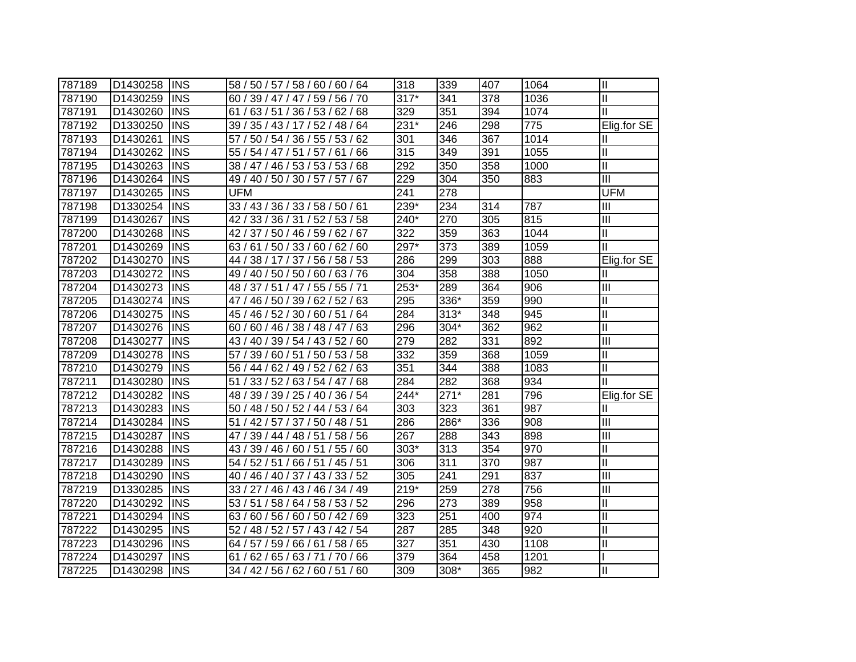| 787189 | D1430258 | <b>INS</b> | 58 / 50 / 57 / 58 / 60 / 60 / 64 | 318    | 339    | 407 | 1064 | IШ                        |
|--------|----------|------------|----------------------------------|--------|--------|-----|------|---------------------------|
| 787190 | D1430259 | <b>INS</b> | 60 / 39 / 47 / 47 / 59 / 56 / 70 | $317*$ | 341    | 378 | 1036 | $\mathbf{II}$             |
| 787191 | D1430260 | <b>INS</b> | 61 / 63 / 51 / 36 / 53 / 62 / 68 | 329    | 351    | 394 | 1074 | Ш                         |
| 787192 | D1330250 | <b>INS</b> | 39 / 35 / 43 / 17 / 52 / 48 / 64 | 231*   | 246    | 298 | 775  | Elig.for SE               |
| 787193 | D1430261 | <b>INS</b> | 57 / 50 / 54 / 36 / 55 / 53 / 62 | 301    | 346    | 367 | 1014 | Ш                         |
| 787194 | D1430262 | <b>INS</b> | 55 / 54 / 47 / 51 / 57 / 61 / 66 | 315    | 349    | 391 | 1055 | Ш                         |
| 787195 | D1430263 | <b>INS</b> | 38 / 47 / 46 / 53 / 53 / 53 / 68 | 292    | 350    | 358 | 1000 | Ш                         |
| 787196 | D1430264 | <b>INS</b> | 49 / 40 / 50 / 30 / 57 / 57 / 67 | 229    | 304    | 350 | 883  | $\overline{\mathsf{III}}$ |
| 787197 | D1430265 | <b>INS</b> | <b>UFM</b>                       | 241    | 278    |     |      | <b>UFM</b>                |
| 787198 | D1330254 | <b>INS</b> | 33 / 43 / 36 / 33 / 58 / 50 / 61 | 239*   | 234    | 314 | 787  | III                       |
| 787199 | D1430267 | <b>INS</b> | 42 / 33 / 36 / 31 / 52 / 53 / 58 | 240*   | 270    | 305 | 815  | Ш                         |
| 787200 | D1430268 | <b>INS</b> | 42 / 37 / 50 / 46 / 59 / 62 / 67 | 322    | 359    | 363 | 1044 | Ш                         |
| 787201 | D1430269 | <b>INS</b> | 63 / 61 / 50 / 33 / 60 / 62 / 60 | 297*   | 373    | 389 | 1059 | $\mathbf{I}$              |
| 787202 | D1430270 | <b>INS</b> | 44 / 38 / 17 / 37 / 56 / 58 / 53 | 286    | 299    | 303 | 888  | Elig.for SE               |
| 787203 | D1430272 | <b>INS</b> | 49 / 40 / 50 / 50 / 60 / 63 / 76 | 304    | 358    | 388 | 1050 | Ш                         |
| 787204 | D1430273 | <b>INS</b> | 48 / 37 / 51 / 47 / 55 / 55 / 71 | 253*   | 289    | 364 | 906  | Ш                         |
| 787205 | D1430274 | <b>INS</b> | 47 / 46 / 50 / 39 / 62 / 52 / 63 | 295    | 336*   | 359 | 990  | $\mathbf{I}$              |
| 787206 | D1430275 | <b>INS</b> | 45 / 46 / 52 / 30 / 60 / 51 / 64 | 284    | $313*$ | 348 | 945  | $\mathbf{I}$              |
| 787207 | D1430276 | <b>INS</b> | 60 / 60 / 46 / 38 / 48 / 47 / 63 | 296    | 304*   | 362 | 962  | $\mathbf{I}$              |
| 787208 | D1430277 | IINS       | 43 / 40 / 39 / 54 / 43 / 52 / 60 | 279    | 282    | 331 | 892  | III                       |
| 787209 | D1430278 | <b>INS</b> | 57 / 39 / 60 / 51 / 50 / 53 / 58 | 332    | 359    | 368 | 1059 | $\mathbf{I}$              |
| 787210 | D1430279 | <b>INS</b> | 56 / 44 / 62 / 49 / 52 / 62 / 63 | 351    | 344    | 388 | 1083 | Ш                         |
| 787211 | D1430280 | <b>INS</b> | 51 / 33 / 52 / 63 / 54 / 47 / 68 | 284    | 282    | 368 | 934  | $\mathbf{I}$              |
| 787212 | D1430282 | <b>INS</b> | 48 / 39 / 39 / 25 / 40 / 36 / 54 | 244*   | $271*$ | 281 | 796  | Elig.for SE               |
| 787213 | D1430283 | <b>INS</b> | 50 / 48 / 50 / 52 / 44 / 53 / 64 | 303    | 323    | 361 | 987  | Ш                         |
| 787214 | D1430284 | <b>INS</b> | 51 / 42 / 57 / 37 / 50 / 48 / 51 | 286    | 286*   | 336 | 908  | Ш                         |
| 787215 | D1430287 | <b>INS</b> | 47 / 39 / 44 / 48 / 51 / 58 / 56 | 267    | 288    | 343 | 898  | Ш                         |
| 787216 | D1430288 | <b>INS</b> | 43 / 39 / 46 / 60 / 51 / 55 / 60 | $303*$ | 313    | 354 | 970  | Ш                         |
| 787217 | D1430289 | <b>INS</b> | 54 / 52 / 51 / 66 / 51 / 45 / 51 | 306    | 311    | 370 | 987  | $\mathbf{II}$             |
| 787218 | D1430290 | <b>INS</b> | 40 / 46 / 40 / 37 / 43 / 33 / 52 | 305    | 241    | 291 | 837  | Ш                         |
| 787219 | D1330285 | <b>INS</b> | 33 / 27 / 46 / 43 / 46 / 34 / 49 | $219*$ | 259    | 278 | 756  | Ш                         |
| 787220 | D1430292 | <b>INS</b> | 53 / 51 / 58 / 64 / 58 / 53 / 52 | 296    | 273    | 389 | 958  | $\mathbf{II}$             |
| 787221 | D1430294 | <b>INS</b> | 63 / 60 / 56 / 60 / 50 / 42 / 69 | 323    | 251    | 400 | 974  | $\mathbf{II}$             |
| 787222 | D1430295 | <b>INS</b> | 52 / 48 / 52 / 57 / 43 / 42 / 54 | 287    | 285    | 348 | 920  | $\mathbf{II}$             |
| 787223 | D1430296 | <b>INS</b> | 64 / 57 / 59 / 66 / 61 / 58 / 65 | 327    | 351    | 430 | 1108 | $\mathbf{  }$             |
| 787224 | D1430297 | <b>INS</b> | 61 / 62 / 65 / 63 / 71 / 70 / 66 | 379    | 364    | 458 | 1201 |                           |
| 787225 | D1430298 | <b>INS</b> | 34 / 42 / 56 / 62 / 60 / 51 / 60 | 309    | 308*   | 365 | 982  | Ш                         |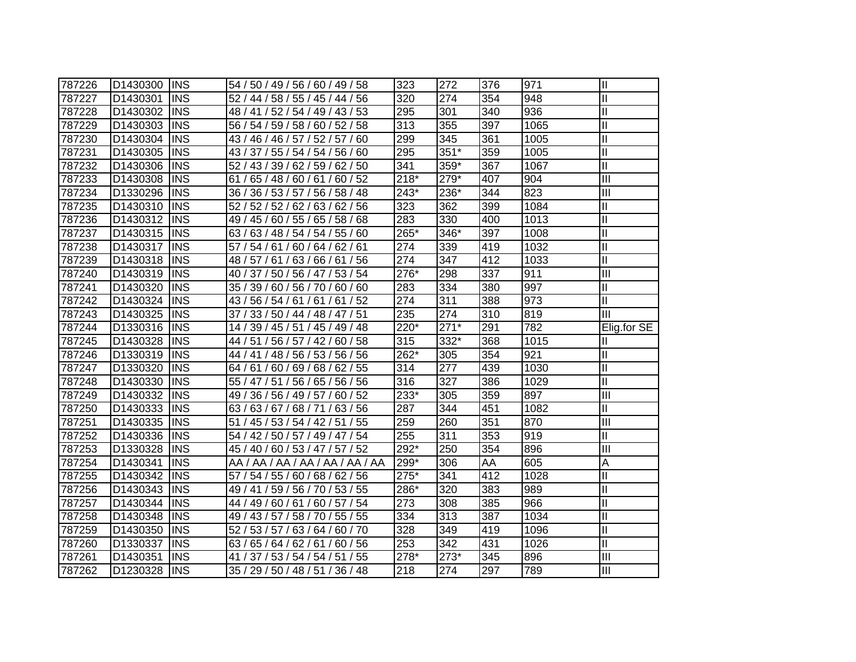| 787226 | D1430300 | <b>INS</b> | 54 / 50 / 49 / 56 / 60 / 49 / 58    | 323    | 272    | 376 | 971  | $\mathbf{I}$               |
|--------|----------|------------|-------------------------------------|--------|--------|-----|------|----------------------------|
| 787227 | D1430301 | <b>INS</b> | 52 / 44 / 58 / 55 / 45 / 44 / 56    | 320    | 274    | 354 | 948  | $\mathbf{I}$               |
| 787228 | D1430302 | <b>INS</b> | 48 / 41 / 52 / 54 / 49 / 43 / 53    | 295    | 301    | 340 | 936  | $\mathbf{I}$               |
| 787229 | D1430303 | <b>INS</b> | 56 / 54 / 59 / 58 / 60 / 52 / 58    | 313    | 355    | 397 | 1065 | $\mathbf{I}$               |
| 787230 | D1430304 | INS        | 43 / 46 / 46 / 57 / 52 / 57 / 60    | 299    | 345    | 361 | 1005 | $\mathbf{I}$               |
| 787231 | D1430305 | <b>INS</b> | 43 / 37 / 55 / 54 / 54 / 56 / 60    | 295    | $351*$ | 359 | 1005 | $\mathbf{I}$               |
| 787232 | D1430306 | <b>INS</b> | 52 / 43 / 39 / 62 / 59 / 62 / 50    | 341    | 359*   | 367 | 1067 | $\mathbf{I}$               |
| 787233 | D1430308 | <b>INS</b> | 61 / 65 / 48 / 60 / 61 / 60 / 52    | $218*$ | 279*   | 407 | 904  | $\overline{\mathbb{H}}$    |
| 787234 | D1330296 | <b>INS</b> | 36 / 36 / 53 / 57 / 56 / 58 / 48    | 243*   | 236*   | 344 | 823  | $\overline{III}$           |
| 787235 | D1430310 | <b>INS</b> | 52 / 52 / 62 / 63 / 62 / 56<br>52 / | 323    | 362    | 399 | 1084 | $\mathbf{I}$               |
| 787236 | D1430312 | <b>INS</b> | 49 / 45 / 60 / 55 / 65 / 58 / 68    | 283    | 330    | 400 | 1013 | $\mathbf{I}$               |
| 787237 | D1430315 | <b>INS</b> | 63 / 48 / 54 / 54 / 55 / 60<br>63/  | 265*   | 346*   | 397 | 1008 | $\mathbf{I}$               |
| 787238 | D1430317 | <b>INS</b> | 54 / 61 / 60 / 64 / 62 / 61<br>57/  | 274    | 339    | 419 | 1032 | $\mathbf{I}$               |
| 787239 | D1430318 | <b>INS</b> | 48 / 57 / 61 / 63 / 66 / 61 / 56    | 274    | 347    | 412 | 1033 | $\mathbf{I}$               |
| 787240 | D1430319 | <b>INS</b> | 40 / 37 / 50 / 56 / 47 / 53 / 54    | 276*   | 298    | 337 | 911  | $\overline{\mathbb{H}}$    |
| 787241 | D1430320 | <b>INS</b> | 35 / 39 / 60 / 56 / 70 / 60 / 60    | 283    | 334    | 380 | 997  | $\mathbf{I}$               |
| 787242 | D1430324 | <b>INS</b> | 43 / 56 / 54 / 61 / 61 / 61 / 52    | 274    | 311    | 388 | 973  | $\mathbf{I}$               |
| 787243 | D1430325 | <b>INS</b> | 37 / 33 / 50 / 44 / 48 / 47 / 51    | 235    | 274    | 310 | 819  | III                        |
| 787244 | D1330316 | <b>INS</b> | 14 / 39 / 45 / 51 / 45 / 49 / 48    | 220*   | $271*$ | 291 | 782  | Elig.for SE                |
| 787245 | D1430328 | <b>INS</b> | 44 / 51 / 56 / 57 / 42 / 60 / 58    | 315    | 332*   | 368 | 1015 | Ш                          |
| 787246 | D1330319 | <b>INS</b> | 44 / 41 / 48 / 56 / 53 / 56 / 56    | 262*   | 305    | 354 | 921  | $\mathbf{I}$               |
| 787247 | D1330320 | <b>INS</b> | 64 / 61 / 60 / 69 / 68 / 62 / 55    | 314    | 277    | 439 | 1030 | $\mathbf{I}$               |
| 787248 | D1430330 | <b>INS</b> | 55 / 47 / 51 / 56 / 65 / 56 / 56    | 316    | 327    | 386 | 1029 | $\mathbf{I}$               |
| 787249 | D1430332 | <b>INS</b> | 49 / 36 / 56 / 49 / 57 / 60 / 52    | 233*   | 305    | 359 | 897  | $\overline{III}$           |
| 787250 | D1430333 | <b>INS</b> | 63 / 63 / 67 / 68 / 71 / 63 / 56    | 287    | 344    | 451 | 1082 | $\mathsf{II}$              |
| 787251 | D1430335 | <b>INS</b> | 51 / 45 / 53 / 54 / 42 / 51 / 55    | 259    | 260    | 351 | 870  | $\overline{III}$           |
| 787252 | D1430336 | <b>INS</b> | 54 / 42 / 50 / 57 / 49 / 47 / 54    | 255    | 311    | 353 | 919  | $\mathop{\rm II}\nolimits$ |
| 787253 | D1330328 | <b>INS</b> | 45 / 40 / 60 / 53 / 47 / 57 / 52    | 292*   | 250    | 354 | 896  | III                        |
| 787254 | D1430341 | <b>INS</b> | AA / AA / AA / AA / AA / AA / AA    | 299*   | 306    | AA  | 605  | A                          |
| 787255 | D1430342 | <b>INS</b> | 57 / 54 / 55 / 60 / 68 / 62 / 56    | 275*   | 341    | 412 | 1028 | $\mathbf{I}$               |
| 787256 | D1430343 | <b>INS</b> | 49 / 41 / 59 / 56 / 70 / 53 / 55    | 286*   | 320    | 383 | 989  | $\mathbf{I}$               |
| 787257 | D1430344 | <b>INS</b> | 44 / 49 / 60 / 61 / 60 / 57 / 54    | 273    | 308    | 385 | 966  | $\mathbf{I}$               |
| 787258 | D1430348 | <b>INS</b> | 49 / 43 / 57 / 58 / 70 / 55 / 55    | 334    | 313    | 387 | 1034 | $\mathbf{I}$               |
| 787259 | D1430350 | <b>INS</b> | 52 / 53 / 57 / 63 / 64 / 60 / 70    | 328    | 349    | 419 | 1096 | $\mathbf{I}$               |
| 787260 | D1330337 | <b>INS</b> | 63 / 65 / 64 / 62 / 61 / 60 / 56    | 253    | 342    | 431 | 1026 | $\mathbf{I}$               |
| 787261 | D1430351 | <b>INS</b> | 37 / 53 / 54 / 54 / 51 / 55<br>41/  | 278*   | $273*$ | 345 | 896  | Ш                          |
| 787262 | D1230328 | <b>INS</b> | 35 / 29 / 50 / 48 / 51 / 36 / 48    | 218    | 274    | 297 | 789  | $\overline{III}$           |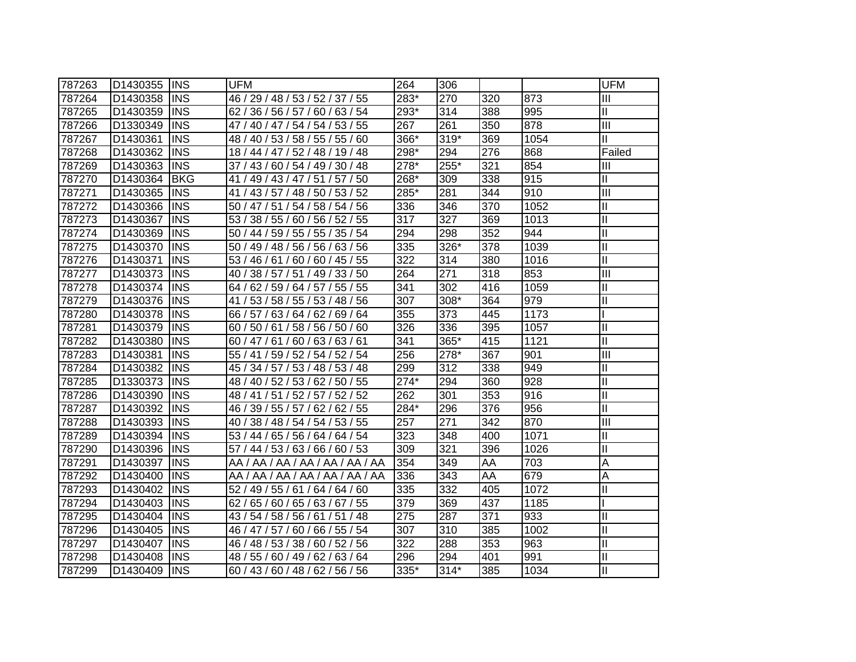| 787263 | D1430355 | <b>INS</b>  | <b>UFM</b>                       | 264    | 306    |     |      | <b>UFM</b>    |
|--------|----------|-------------|----------------------------------|--------|--------|-----|------|---------------|
| 787264 | D1430358 | <b>INS</b>  | 46 / 29 / 48 / 53 / 52 / 37 / 55 | 283*   | 270    | 320 | 873  | Ш             |
| 787265 | D1430359 | <b>INS</b>  | 62 / 36 / 56 / 57 / 60 / 63 / 54 | 293*   | 314    | 388 | 995  | $\mathbf{II}$ |
| 787266 | D1330349 | <b>INS</b>  | 47 / 40 / 47 / 54 / 54 / 53 / 55 | 267    | 261    | 350 | 878  | III           |
| 787267 | D1430361 | <b>INS</b>  | 48 / 40 / 53 / 58 / 55 / 55 / 60 | 366*   | 319*   | 369 | 1054 | $\mathbf{II}$ |
| 787268 | D1430362 | <b>INS</b>  | 18 / 44 / 47 / 52 / 48 / 19 / 48 | 298*   | 294    | 276 | 868  | Failed        |
| 787269 | D1430363 | <b>INS</b>  | 37 / 43 / 60 / 54 / 49 / 30 / 48 | 278*   | 255*   | 321 | 854  | Ш             |
| 787270 | D1430364 | <b>BKG</b>  | 41 / 49 / 43 / 47 / 51 / 57 / 50 | 268*   | 309    | 338 | 915  | Ш             |
| 787271 | D1430365 | <b>INS</b>  | 41 / 43 / 57 / 48 / 50 / 53 / 52 | 285*   | 281    | 344 | 910  | III           |
| 787272 | D1430366 | <b>INS</b>  | 50 / 47 / 51 / 54 / 58 / 54 / 56 | 336    | 346    | 370 | 1052 | Ш             |
| 787273 | D1430367 | <b>INS</b>  | 53 / 38 / 55 / 60 / 56 / 52 / 55 | 317    | 327    | 369 | 1013 | $\mathbf{I}$  |
| 787274 | D1430369 | <b>INS</b>  | 50 / 44 / 59 / 55 / 55 / 35 / 54 | 294    | 298    | 352 | 944  | $\mathbf{I}$  |
| 787275 | D1430370 | <b>INS</b>  | 50 / 49 / 48 / 56 / 56 / 63 / 56 | 335    | 326*   | 378 | 1039 | Ш             |
| 787276 | D1430371 | <b>INS</b>  | 53 / 46 / 61 / 60 / 60 / 45 / 55 | 322    | 314    | 380 | 1016 | $\mathbf{I}$  |
| 787277 | D1430373 | IINS        | 40 / 38 / 57 / 51 / 49 / 33 / 50 | 264    | 271    | 318 | 853  | III           |
| 787278 | D1430374 | <b>IINS</b> | 64 / 62 / 59 / 64 / 57 / 55 / 55 | 341    | 302    | 416 | 1059 | Ш             |
| 787279 | D1430376 | <b>IINS</b> | 41 / 53 / 58 / 55 / 53 / 48 / 56 | 307    | 308*   | 364 | 979  | $\mathbf{I}$  |
| 787280 | D1430378 | <b>INS</b>  | 66 / 57 / 63 / 64 / 62 / 69 / 64 | 355    | 373    | 445 | 1173 |               |
| 787281 | D1430379 | <b>INS</b>  | 60 / 50 / 61 / 58 / 56 / 50 / 60 | 326    | 336    | 395 | 1057 | $\mathbf{I}$  |
| 787282 | D1430380 | <b>INS</b>  | 60 / 47 / 61 / 60 / 63 / 63 / 61 | 341    | 365*   | 415 | 1121 | $\mathbf{I}$  |
| 787283 | D1430381 | <b>IINS</b> | 55 / 41 / 59 / 52 / 54 / 52 / 54 | 256    | 278*   | 367 | 901  | III           |
| 787284 | D1430382 | <b>INS</b>  | 45 / 34 / 57 / 53 / 48 / 53 / 48 | 299    | 312    | 338 | 949  | $\mathbf{I}$  |
| 787285 | D1330373 | <b>INS</b>  | 48 / 40 / 52 / 53 / 62 / 50 / 55 | $274*$ | 294    | 360 | 928  | Ш             |
| 787286 | D1430390 | <b>INS</b>  | 48 / 41 / 51 / 52 / 57 / 52 / 52 | 262    | 301    | 353 | 916  | Ш             |
| 787287 | D1430392 | <b>INS</b>  | 46 / 39 / 55 / 57 / 62 / 62 / 55 | 284*   | 296    | 376 | 956  | $\mathbf{I}$  |
| 787288 | D1430393 | <b>INS</b>  | 40 / 38 / 48 / 54 / 54 / 53 / 55 | 257    | 271    | 342 | 870  | III           |
| 787289 | D1430394 | <b>INS</b>  | 53 / 44 / 65 / 56 / 64 / 64 / 54 | 323    | 348    | 400 | 1071 | Ш             |
| 787290 | D1430396 | <b>INS</b>  | 57 / 44 / 53 / 63 / 66 / 60 / 53 | 309    | 321    | 396 | 1026 | $\mathbf{I}$  |
| 787291 | D1430397 | <b>INS</b>  | AA / AA / AA / AA / AA / AA / AA | 354    | 349    | AA  | 703  | A             |
| 787292 | D1430400 | <b>INS</b>  | AA / AA / AA / AA / AA / AA / AA | 336    | 343    | AA  | 679  | A             |
| 787293 | D1430402 | <b>INS</b>  | 52 / 49 / 55 / 61 / 64 / 64 / 60 | 335    | 332    | 405 | 1072 | Ш             |
| 787294 | D1430403 | <b>INS</b>  | 62 / 65 / 60 / 65 / 63 / 67 / 55 | 379    | 369    | 437 | 1185 |               |
| 787295 | D1430404 | <b>INS</b>  | 43 / 54 / 58 / 56 / 61 / 51 / 48 | 275    | 287    | 371 | 933  | $\mathsf{I}$  |
| 787296 | D1430405 | <b>INS</b>  | 46 / 47 / 57 / 60 / 66 / 55 / 54 | 307    | 310    | 385 | 1002 | $\mathbf{I}$  |
| 787297 | D1430407 | <b>INS</b>  | 46 / 48 / 53 / 38 / 60 / 52 / 56 | 322    | 288    | 353 | 963  | Ш             |
| 787298 | D1430408 | <b>INS</b>  | 48 / 55 / 60 / 49 / 62 / 63 / 64 | 296    | 294    | 401 | 991  | Ш             |
| 787299 | D1430409 | <b>INS</b>  | 60 / 43 / 60 / 48 / 62 / 56 / 56 | 335*   | $314*$ | 385 | 1034 | Ш             |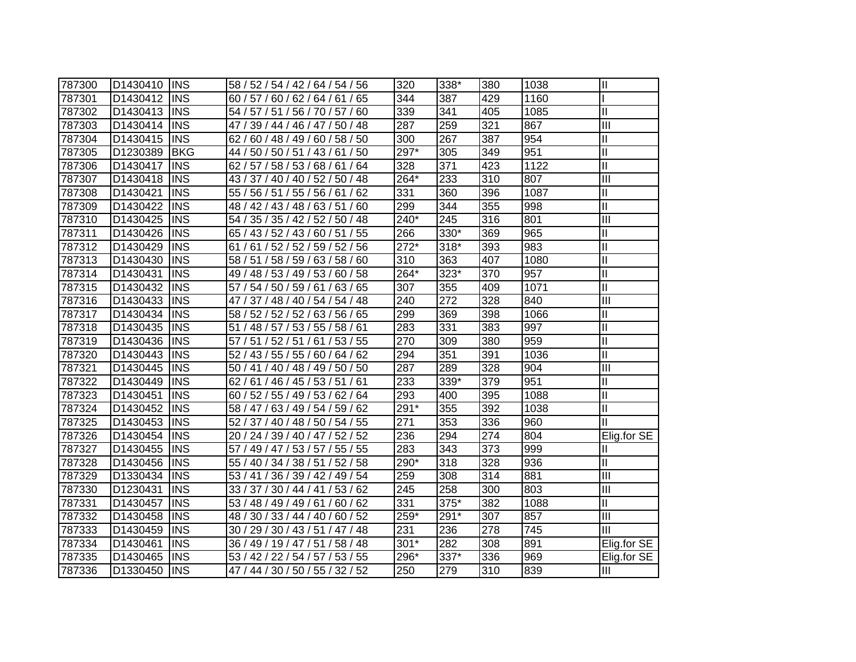| 787300 | D1430410 | <b>INS</b> | 58 / 52 / 54 / 42 / 64 / 54 / 56    | 320    | 338*   | 380 | 1038 | $\mathbf{I}$              |
|--------|----------|------------|-------------------------------------|--------|--------|-----|------|---------------------------|
| 787301 | D1430412 | <b>INS</b> | 60 / 57 / 60 / 62 / 64 / 61 / 65    | 344    | 387    | 429 | 1160 |                           |
| 787302 | D1430413 | <b>INS</b> | 54 / 57 / 51 / 56 / 70 / 57 / 60    | 339    | 341    | 405 | 1085 | Ш                         |
| 787303 | D1430414 | <b>INS</b> | 47 / 39 / 44 / 46 / 47 / 50 / 48    | 287    | 259    | 321 | 867  | III                       |
| 787304 | D1430415 | <b>INS</b> | 62 / 60 / 48 / 49 / 60 / 58 / 50    | 300    | 267    | 387 | 954  | Ш                         |
| 787305 | D1230389 | <b>BKG</b> | 44 / 50 / 50 / 51 / 43 / 61 / 50    | 297*   | 305    | 349 | 951  | $\mathbf{I}$              |
| 787306 | D1430417 | <b>INS</b> | 62 / 57 / 58 / 53 / 68 / 61 / 64    | 328    | 371    | 423 | 1122 | Ш                         |
| 787307 | D1430418 | <b>INS</b> | 43 / 37 / 40 / 40 / 52 / 50 / 48    | $264*$ | 233    | 310 | 807  | $\overline{\mathbb{H}}$   |
| 787308 | D1430421 | <b>INS</b> | 55 / 56 / 51 / 55 / 56 / 61 / 62    | 331    | 360    | 396 | 1087 | Ш                         |
| 787309 | D1430422 | <b>INS</b> | 48 / 42 / 43 / 48 / 63 / 51 / 60    | 299    | 344    | 355 | 998  | $\overline{\mathsf{I}}$   |
| 787310 | D1430425 | <b>INS</b> | 54 / 35 / 35 / 42 / 52 / 50 / 48    | 240*   | 245    | 316 | 801  | $\overline{\mathbb{H}}$   |
| 787311 | D1430426 | <b>INS</b> | 65 / 43 / 52 / 43 / 60 / 51 / 55    | 266    | 330*   | 369 | 965  | Ш                         |
| 787312 | D1430429 | <b>INS</b> | 61 / 52 / 52 / 59 / 52 / 56<br>61/  | $272*$ | $318*$ | 393 | 983  | Ш                         |
| 787313 | D1430430 | <b>INS</b> | 58 / 51 / 58 / 59 / 63 / 58 / 60    | 310    | 363    | 407 | 1080 | $\mathbf{I}$              |
| 787314 | D1430431 | <b>INS</b> | 49 / 48 / 53 / 49 / 53 / 60 / 58    | $264*$ | $323*$ | 370 | 957  | $\mathbf{I}$              |
| 787315 | D1430432 | <b>INS</b> | 57 / 54 / 50 / 59 / 61 / 63 / 65    | 307    | 355    | 409 | 1071 | Ш                         |
| 787316 | D1430433 | <b>INS</b> | 47 / 37 / 48 / 40 / 54 / 54 / 48    | 240    | 272    | 328 | 840  | $\overline{\mathbb{H}}$   |
| 787317 | D1430434 | <b>INS</b> | 58 / 52 / 52 / 52 / 63 / 56 / 65    | 299    | 369    | 398 | 1066 | Ш                         |
| 787318 | D1430435 | <b>INS</b> | / 48 / 57 / 53 / 55 / 58 / 61<br>51 | 283    | 331    | 383 | 997  | $\mathbf{I}$              |
| 787319 | D1430436 | <b>INS</b> | 57 / 51 / 52 / 51 / 61 / 53 / 55    | 270    | 309    | 380 | 959  | $\mathbf{I}$              |
| 787320 | D1430443 | <b>INS</b> | 52 / 43 / 55 / 55 / 60 / 64 / 62    | 294    | 351    | 391 | 1036 | Ш                         |
| 787321 | D1430445 | <b>INS</b> | 50 / 41 / 40 / 48 / 49 / 50 / 50    | 287    | 289    | 328 | 904  | $\overline{\mathbb{H}}$   |
| 787322 | D1430449 | <b>INS</b> | 62 / 61 / 46 / 45 / 53 / 51 / 61    | 233    | 339*   | 379 | 951  | Ш                         |
| 787323 | D1430451 | <b>INS</b> | 60 / 52 / 55 / 49 / 53 / 62 / 64    | 293    | 400    | 395 | 1088 | Ш                         |
| 787324 | D1430452 | <b>INS</b> | 58 / 47 / 63 / 49 / 54 / 59 / 62    | 291*   | 355    | 392 | 1038 | Ш                         |
| 787325 | D1430453 | <b>INS</b> | 52 / 37 / 40 / 48 / 50 / 54 / 55    | 271    | 353    | 336 | 960  | Ш                         |
| 787326 | D1430454 | <b>INS</b> | 20 / 24 / 39 / 40 / 47 / 52 / 52    | 236    | 294    | 274 | 804  | Elig.for SE               |
| 787327 | D1430455 | <b>INS</b> | 57 / 49 / 47 / 53 / 57 / 55 / 55    | 283    | 343    | 373 | 999  | Ш                         |
| 787328 | D1430456 | <b>INS</b> | 55 / 40 / 34 / 38 / 51 / 52 / 58    | 290*   | 318    | 328 | 936  | Ш                         |
| 787329 | D1330434 | <b>INS</b> | 53 / 41 / 36 / 39 / 42 / 49 / 54    | 259    | 308    | 314 | 881  | $\overline{\mathbf{III}}$ |
| 787330 | D1230431 | <b>INS</b> | 33 / 37 / 30 / 44 / 41 / 53 / 62    | 245    | 258    | 300 | 803  | $\overline{\mathbf{III}}$ |
| 787331 | D1430457 | <b>INS</b> | 53 / 48 / 49 / 49 / 61 / 60 / 62    | 331    | 375*   | 382 | 1088 | Ш                         |
| 787332 | D1430458 | <b>INS</b> | 48 / 30 / 33 / 44 / 40 / 60 / 52    | $259*$ | 291*   | 307 | 857  | III                       |
| 787333 | D1430459 | <b>INS</b> | / 29 / 30 / 43 / 51 / 47 / 48<br>30 | 231    | 236    | 278 | 745  | Ш                         |
| 787334 | D1430461 | <b>INS</b> | 36 / 49 / 19 / 47 / 51 / 58 / 48    | $301*$ | 282    | 308 | 891  | Elig.for SE               |
| 787335 | D1430465 | <b>INS</b> | 53 / 42 / 22 / 54 / 57 / 53 / 55    | 296*   | 337*   | 336 | 969  | Elig.for SE               |
| 787336 | D1330450 | <b>INS</b> | 47 / 44 / 30 / 50 / 55 / 32 / 52    | 250    | 279    | 310 | 839  | Ш                         |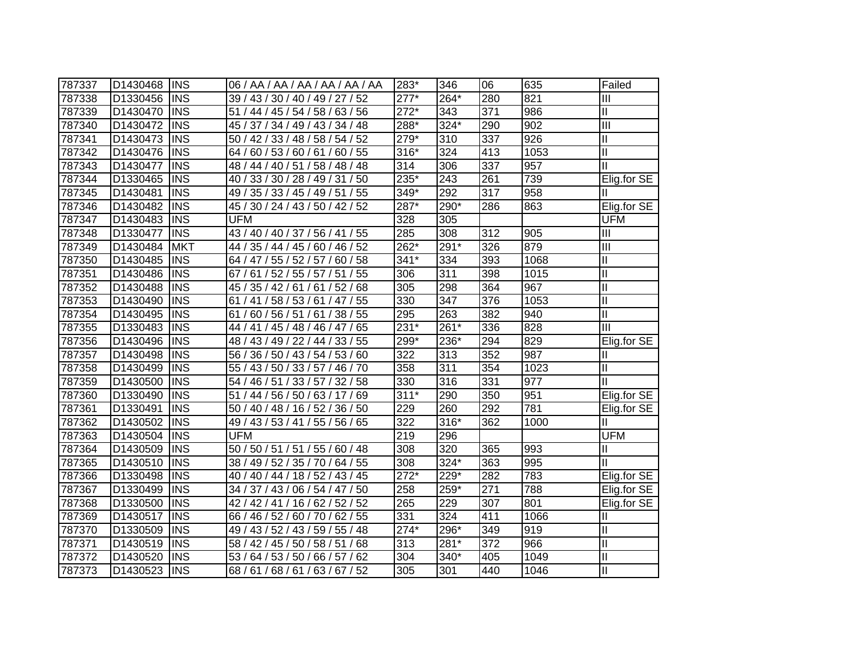| 787337 | D1430468             | <b>INS</b> | 06 / AA / AA / AA / AA / AA / AA     | 283*               | 346    | 06  | 635  | Failed         |
|--------|----------------------|------------|--------------------------------------|--------------------|--------|-----|------|----------------|
| 787338 | D1330456             | <b>INS</b> | 39 / 43 / 30 / 40 / 49 / 27 / 52     | $277*$             | 264*   | 280 | 821  | $\mathbf{III}$ |
| 787339 | D1430470             | <b>INS</b> | 51 / 44 / 45 / 54 / 58 / 63 / 56     | $272*$             | 343    | 371 | 986  | $\mathbf{II}$  |
| 787340 | D1430472             | <b>INS</b> | 45 / 37 / 34 / 49 / 43 / 34 / 48     | 288*               | 324*   | 290 | 902  | Ш              |
| 787341 | D1430473             | <b>INS</b> | 50 / 42 / 33 / 48 / 58 / 54 / 52     | $279*$             | 310    | 337 | 926  | Ξ              |
| 787342 | D1430476             | <b>INS</b> | 64 / 60 / 53 / 60 / 61 / 60 / 55     | $316*$             | 324    | 413 | 1053 | $\mathsf{II}$  |
| 787343 | D1430477             | <b>INS</b> | 48 / 44 / 40 / 51 / 58 / 48 / 48     | 314                | 306    | 337 | 957  | $\mathbf{I}$   |
| 787344 | D1330465             | <b>INS</b> | 40 / 33 / 30 / 28 / 49 / 31 / 50     | $235*$             | 243    | 261 | 739  | Elig.for SE    |
| 787345 | D1430481             | <b>INS</b> | 49 / 35 / 33 / 45 / 49 / 51 / 55     | 349*               | 292    | 317 | 958  | Ш              |
| 787346 | D1430482             | <b>INS</b> | 45 / 30 / 24 / 43 / 50 / 42 / 52     | $\overline{287}^*$ | 290*   | 286 | 863  | Elig.for SE    |
| 787347 | D1430483             | <b>INS</b> | <b>UFM</b>                           | 328                | 305    |     |      | <b>UFM</b>     |
| 787348 | D <sub>1330477</sub> | <b>INS</b> | 43 / 40 / 40 / 37 / 56 / 41 / 55     | 285                | 308    | 312 | 905  | Ш              |
| 787349 | D1430484             | <b>MKT</b> | 44 / 35 / 44 / 45 / 60 / 46 / 52     | $262*$             | 291*   | 326 | 879  | Е              |
| 787350 | D1430485             | <b>INS</b> | 64 / 47 / 55 / 52 / 57 / 60 / 58     | $341*$             | 334    | 393 | 1068 | $\mathsf{II}$  |
| 787351 | D1430486             | <b>INS</b> | /55<br>67/<br>61 / 52 / 55 / 57 / 51 | 306                | 311    | 398 | 1015 | $\mathsf{II}$  |
| 787352 | D1430488             | <b>INS</b> | 45 / 35 / 42 / 61 / 61 / 52 / 68     | 305                | 298    | 364 | 967  | $\mathbf{I}$   |
| 787353 | D1430490             | <b>INS</b> | 61 / 41 / 58 / 53 / 61 / 47 / 55     | 330                | 347    | 376 | 1053 | $\mathbf{I}$   |
| 787354 | D1430495             | <b>INS</b> | 60 / 56 / 51 / 61 / 38 / 55<br>61 /  | 295                | 263    | 382 | 940  | $\mathbf{I}$   |
| 787355 | D1330483             | <b>INS</b> | 44 / 41 / 45 / 48 / 46 / 47 / 65     | 231*               | $261*$ | 336 | 828  | Ш              |
| 787356 | D1430496             | IINS       | 48 / 43 / 49 / 22 / 44 / 33 / 55     | 299*               | 236*   | 294 | 829  | Elig.for SE    |
| 787357 | D1430498             | <b>INS</b> | 56 / 36 / 50 / 43 / 54 / 53 / 60     | 322                | 313    | 352 | 987  | Ш              |
| 787358 | D1430499             | <b>INS</b> | 55 / 43 / 50 / 33 / 57 / 46 / 70     | 358                | 311    | 354 | 1023 | $\mathbf{II}$  |
| 787359 | D1430500             | <b>INS</b> | 54 / 46 / 51 / 33 / 57 / 32 / 58     | 330                | 316    | 331 | 977  | $\mathbf{II}$  |
| 787360 | D1330490             | <b>INS</b> | 51 / 44 / 56 / 50 / 63 / 17 / 69     | $311*$             | 290    | 350 | 951  | Elig.for SE    |
| 787361 | D1330491             | <b>INS</b> | 50 / 40 / 48 / 16 / 52 / 36 / 50     | 229                | 260    | 292 | 781  | Elig.for SE    |
| 787362 | D1430502             | <b>INS</b> | 49 / 43 / 53 / 41 / 55 / 56 / 65     | 322                | 316*   | 362 | 1000 |                |
| 787363 | D1430504             | <b>INS</b> | <b>UFM</b>                           | 219                | 296    |     |      | <b>UFM</b>     |
| 787364 | D1430509             | <b>INS</b> | 50 / 50 / 51 / 51 / 55 / 60 / 48     | 308                | 320    | 365 | 993  | Ш              |
| 787365 | D1430510             | <b>INS</b> | 38 / 49 / 52 / 35 / 70 / 64 / 55     | 308                | 324*   | 363 | 995  | Ш              |
| 787366 | D1330498             | <b>INS</b> | 40 / 40 / 44 / 18 / 52 / 43 / 45     | $\overline{272}^*$ | 229*   | 282 | 783  | Elig.for SE    |
| 787367 | D1330499             | <b>INS</b> | 34 / 37 / 43 / 06 / 54 / 47 / 50     | 258                | 259*   | 271 | 788  | Elig.for SE    |
| 787368 | D1330500             | <b>INS</b> | 42 / 42 / 41 / 16 / 62 / 52 / 52     | 265                | 229    | 307 | 801  | Elig.for SE    |
| 787369 | D1430517             | <b>INS</b> | 66 / 46 / 52 / 60 / 70 / 62 / 55     | 331                | 324    | 411 | 1066 | Π              |
| 787370 | D1330509             | <b>INS</b> | 49 / 43 / 52 / 43 / 59 / 55 / 48     | $\overline{274*}$  | 296*   | 349 | 919  | $\mathbf{II}$  |
| 787371 | D1430519             | <b>INS</b> | 58 / 42 / 45 / 50 / 58 / 51 / 68     | 313                | 281*   | 372 | 966  | $\mathbf{II}$  |
| 787372 | D1430520             | <b>INS</b> | 53/<br>64/53/50/<br>66 / 57 / 62     | 304                | 340*   | 405 | 1049 | $\mathbf{II}$  |
| 787373 | D1430523             | <b>INS</b> | 68/61/68/61/63/67/52                 | 305                | 301    | 440 | 1046 | II             |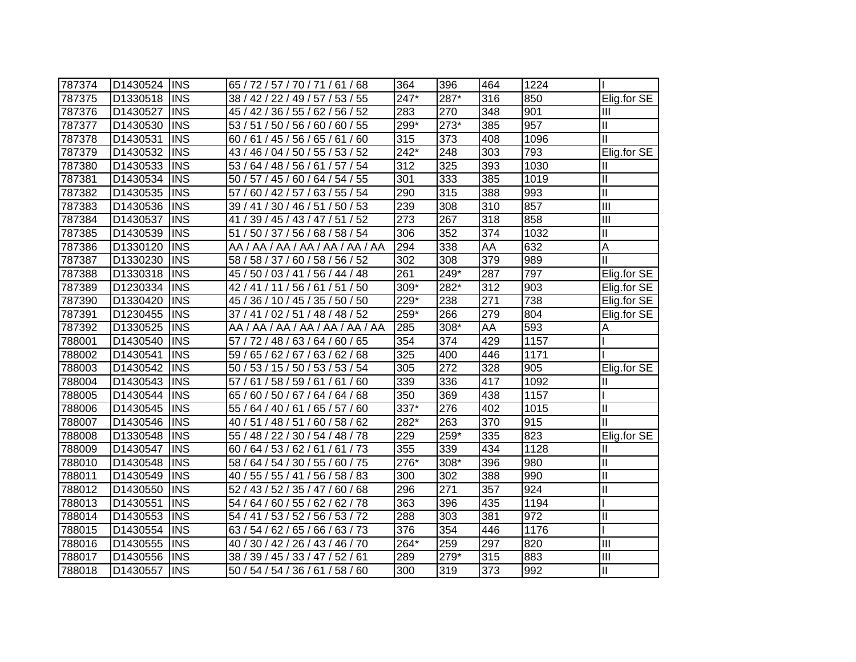| 787374 | D1430524 | <b>INS</b> | 65 / 72 / 57 / 70 / 71 / 61 / 68     | 364  | 396  | 464 | 1224 |                            |
|--------|----------|------------|--------------------------------------|------|------|-----|------|----------------------------|
| 787375 | D1330518 | <b>INS</b> | 38 / 42 / 22 / 49 / 57 / 53 / 55     | 247* | 287* | 316 | 850  | Elig.for SE                |
| 787376 | D1430527 | <b>INS</b> | 45 / 42 / 36 / 55 / 62 / 56 / 52     | 283  | 270  | 348 | 901  | Ш                          |
| 787377 | D1430530 | <b>INS</b> | 53 / 51 / 50 / 56 / 60 / 60 / 55     | 299* | 273* | 385 | 957  | Ш                          |
| 787378 | D1430531 | <b>INS</b> | 60 / 61 / 45 / 56 / 65 / 61 / 60     | 315  | 373  | 408 | 1096 | Ш                          |
| 787379 | D1430532 | <b>INS</b> | 43 / 46 / 04 / 50 / 55 / 53 / 52     | 242* | 248  | 303 | 793  | Elig.for SE                |
| 787380 | D1430533 | <b>INS</b> | 53 / 64 / 48 / 56 / 61 / 57 / 54     | 312  | 325  | 393 | 1030 | Ш                          |
| 787381 | D1430534 | <b>INS</b> | 50 / 57 / 45 / 60 / 64 / 54 / 55     | 301  | 333  | 385 | 1019 | $\mathbf{I}$               |
| 787382 | D1430535 | <b>INS</b> | 60 / 42 / 57 / 63 / 55 / 54<br>57/   | 290  | 315  | 388 | 993  | $\mathop{\rm II}\nolimits$ |
| 787383 | D1430536 | <b>INS</b> | 39 / 41 / 30 / 46 / 51 / 50 / 53     | 239  | 308  | 310 | 857  | $\overline{\mathbb{H}}$    |
| 787384 | D1430537 | <b>INS</b> | 39 / 45 / 43 / 47 / 51 / 52<br>41 /  | 273  | 267  | 318 | 858  | Ш                          |
| 787385 | D1430539 | <b>INS</b> | 50 / 37 / 56 / 68 / 58 / 54<br>51/   | 306  | 352  | 374 | 1032 | $\mathop{\rm II}\nolimits$ |
| 787386 | D1330120 | <b>INS</b> | AA / AA / AA / AA / AA / AA / AA     | 294  | 338  | AA  | 632  | A                          |
| 787387 | D1330230 | <b>INS</b> | 58 / 58 / 37 / 60 / 58 / 56 / 52     | 302  | 308  | 379 | 989  | Ш                          |
| 787388 | D1330318 | <b>INS</b> | 45 / 50 / 03 / 41 / 56 / 44 / 48     | 261  | 249* | 287 | 797  | Elig.for SE                |
| 787389 | D1230334 | <b>INS</b> | 42 / 41 / 11 / 56 / 61 / 51<br>/50   | 309* | 282* | 312 | 903  | Elig.for SE                |
| 787390 | D1330420 | <b>INS</b> | 45 / 36 / 10 / 45 / 35 / 50 / 50     | 229* | 238  | 271 | 738  | Elig.for SE                |
| 787391 | D1230455 | <b>INS</b> | 37 / 41 / 02 / 51 / 48 / 48 / 52     | 259* | 266  | 279 | 804  | Elig.for SE                |
| 787392 | D1330525 | <b>INS</b> | AA / AA / AA / AA / AA / AA / AA     | 285  | 308* | AA  | 593  | Α                          |
| 788001 | D1430540 | <b>INS</b> | 57 / 72 / 48 / 63 / 64 / 60 / 65     | 354  | 374  | 429 | 1157 |                            |
| 788002 | D1430541 | <b>INS</b> | 59 / 65 / 62 / 67 / 63 / 62 / 68     | 325  | 400  | 446 | 1171 |                            |
| 788003 | D1430542 | <b>INS</b> | 50 / 53 / 15 / 50 / 53 / 53 / 54     | 305  | 272  | 328 | 905  | Elig.for SE                |
| 788004 | D1430543 | <b>INS</b> | 57/<br>61 / 58 / 59 / 61 / 61<br>/60 | 339  | 336  | 417 | 1092 | Ш                          |
| 788005 | D1430544 | <b>INS</b> | 60 / 50 / 67 / 64 / 64 / 68<br>65/   | 350  | 369  | 438 | 1157 |                            |
| 788006 | D1430545 | <b>INS</b> | 55 / 64 / 40 / 61 / 65 / 57 / 60     | 337* | 276  | 402 | 1015 | $\mathbf{I}$               |
| 788007 | D1430546 | <b>INS</b> | 40 / 51 / 48 / 51 / 60 / 58 / 62     | 282* | 263  | 370 | 915  | Ш                          |
| 788008 | D1330548 | <b>INS</b> | 55 / 48 / 22 / 30 / 54 / 48 / 78     | 229  | 259* | 335 | 823  | Elig.for SE                |
| 788009 | D1430547 | <b>INS</b> | 60 / 64 / 53 / 62 / 61 / 61 / 73     | 355  | 339  | 434 | 1128 | Ш                          |
| 788010 | D1430548 | <b>INS</b> | 58 / 64 / 54 / 30 / 55 / 60 / 75     | 276* | 308* | 396 | 980  | $\mathbf{I}$               |
| 788011 | D1430549 | <b>INS</b> | 40 / 55 / 55 / 41 / 56 / 58 / 83     | 300  | 302  | 388 | 990  | $\mathbf{I}$               |
| 788012 | D1430550 | <b>INS</b> | 52 / 43 / 52 / 35 / 47 / 60 / 68     | 296  | 271  | 357 | 924  | Ш                          |
| 788013 | D1430551 | <b>INS</b> | 54 / 64 / 60 / 55 / 62 / 62 / 78     | 363  | 396  | 435 | 1194 |                            |
| 788014 | D1430553 | <b>INS</b> | 54 / 41 / 53 / 52 / 56 / 53 / 72     | 288  | 303  | 381 | 972  | Ш                          |
| 788015 | D1430554 | <b>INS</b> | 63 / 54 / 62 / 65 / 66 / 63 / 73     | 376  | 354  | 446 | 1176 |                            |
| 788016 | D1430555 | <b>INS</b> | 40 / 30 / 42 / 26 / 43 / 46 / 70     | 264* | 259  | 297 | 820  | III                        |
| 788017 | D1430556 | <b>INS</b> | 38 / 39 / 45 / 33 / 47 / 52 / 61     | 289  | 279* | 315 | 883  | Ш                          |
| 788018 | D1430557 | <b>INS</b> | 50 / 54 / 54 / 36 / 61 / 58 / 60     | 300  | 319  | 373 | 992  | $\mathbf{I}$               |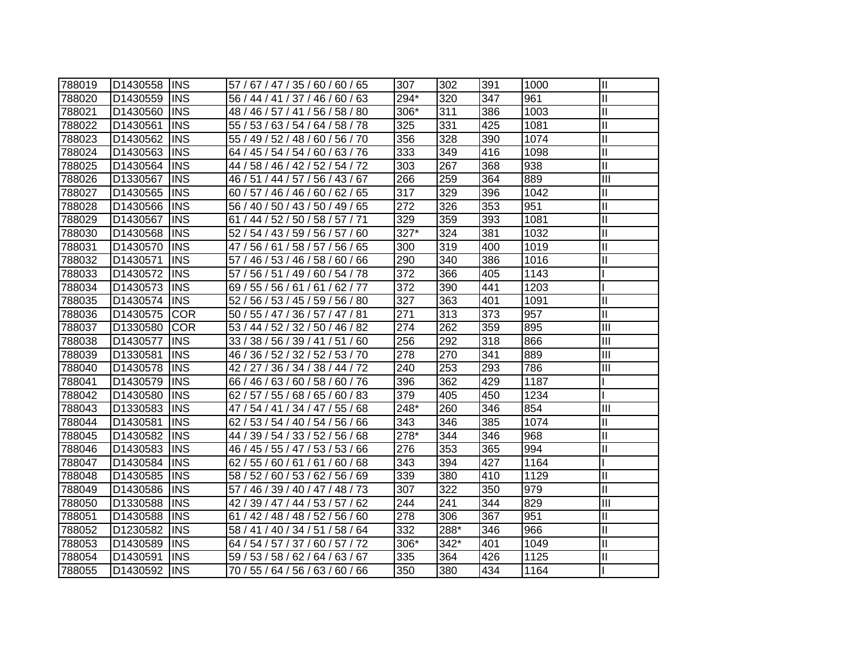| 788019 | D1430558 INS |             | 57 / 67 / 47 / 35 / 60 / 60 / 65    | 307  | 302  | 391 | 1000 | $\mathbf{I}$              |
|--------|--------------|-------------|-------------------------------------|------|------|-----|------|---------------------------|
| 788020 | D1430559     | <b>INS</b>  | 56 / 44 / 41 / 37 / 46 / 60 / 63    | 294* | 320  | 347 | 961  | Ш                         |
| 788021 | D1430560     | <b>INS</b>  | 48 / 46 / 57 / 41 / 56 / 58 / 80    | 306* | 311  | 386 | 1003 | $\mathbf{I}$              |
| 788022 | D1430561     | <b>INS</b>  | 55 / 53 / 63 / 54 / 64 / 58 / 78    | 325  | 331  | 425 | 1081 | $\mathbf{I}$              |
| 788023 | D1430562     | <b>INS</b>  | 55 / 49 / 52 / 48 / 60 / 56 / 70    | 356  | 328  | 390 | 1074 | $\mathbf{I}$              |
| 788024 | D1430563     | <b>INS</b>  | 64 / 45 / 54 / 54 / 60 / 63 / 76    | 333  | 349  | 416 | 1098 | $\mathbf{I}$              |
| 788025 | D1430564     | <b>INS</b>  | 44 / 58 / 46 / 42 / 52 / 54 / 72    | 303  | 267  | 368 | 938  | $\mathbf{I}$              |
| 788026 | D1330567     | <b>INS</b>  | 46 / 51 / 44 / 57 / 56 / 43 / 67    | 266  | 259  | 364 | 889  | $\overline{\mathbf{III}}$ |
| 788027 | D1430565     | <b>INS</b>  | 60 / 57 / 46 / 46 / 60 / 62 / 65    | 317  | 329  | 396 | 1042 | Ш                         |
| 788028 | D1430566     | <b>INS</b>  | 56 / 40 / 50 / 43 / 50 / 49 / 65    | 272  | 326  | 353 | 951  | $\mathbf{I}$              |
| 788029 | D1430567     | <b>INS</b>  | 61 / 44 / 52 / 50 / 58 / 57 / 71    | 329  | 359  | 393 | 1081 | $\mathbf{I}$              |
| 788030 | D1430568     | <b>INS</b>  | 52 / 54 / 43 / 59 / 56 / 57 / 60    | 327* | 324  | 381 | 1032 | $\mathbf{I}$              |
| 788031 | D1430570     | <b>INS</b>  | 56 / 61 / 58 / 57 / 56 / 65<br>47 / | 300  | 319  | 400 | 1019 | $\mathbf{I}$              |
| 788032 | D1430571     | <b>INS</b>  | 57 / 46 / 53 / 46 / 58 / 60 / 66    | 290  | 340  | 386 | 1016 | Ш                         |
| 788033 | D1430572     | <b>INS</b>  | 57 / 56 / 51 / 49 / 60 / 54 / 78    | 372  | 366  | 405 | 1143 |                           |
| 788034 | D1430573     | <b>INS</b>  | 69/55/56/61/61/62/77                | 372  | 390  | 441 | 1203 |                           |
| 788035 | D1430574     | <b>INS</b>  | 52 / 56 / 53 / 45 / 59 / 56 / 80    | 327  | 363  | 401 | 1091 | $\mathbf{I}$              |
| 788036 | D1430575     | <b>COR</b>  | 50 / 55 / 47 / 36 / 57 / 47 / 81    | 271  | 313  | 373 | 957  | Ш                         |
| 788037 | D1330580     | <b>COR</b>  | 53 / 44 / 52 / 32 / 50 / 46 / 82    | 274  | 262  | 359 | 895  | III                       |
| 788038 | D1430577     | IINS        | 33 / 38 / 56 / 39 / 41 / 51 / 60    | 256  | 292  | 318 | 866  | III                       |
| 788039 | D1330581     | IINS        | 46 / 36 / 52 / 32 / 52 / 53 / 70    | 278  | 270  | 341 | 889  | III                       |
| 788040 | D1430578     | <b>INS</b>  | 42 / 27 / 36 / 34 / 38 / 44 / 72    | 240  | 253  | 293 | 786  | III                       |
| 788041 | D1430579     | <b>INS</b>  | 66 / 46 / 63 / 60 / 58 / 60 / 76    | 396  | 362  | 429 | 1187 |                           |
| 788042 | D1430580     | <b>IINS</b> | 62 / 57 / 55 / 68 / 65 / 60 / 83    | 379  | 405  | 450 | 1234 |                           |
| 788043 | D1330583     | <b>INS</b>  | 47 / 54 / 41 / 34 / 47 / 55 / 68    | 248* | 260  | 346 | 854  | III                       |
| 788044 | D1430581     | <b>INS</b>  | 62 / 53 / 54 / 40 / 54 / 56 / 66    | 343  | 346  | 385 | 1074 | Ш                         |
| 788045 | D1430582     | <b>IINS</b> | 44 / 39 / 54 / 33 / 52 / 56 / 68    | 278* | 344  | 346 | 968  | Ш                         |
| 788046 | D1430583     | <b>IINS</b> | 46 / 45 / 55 / 47 / 53 / 53 / 66    | 276  | 353  | 365 | 994  | Ш                         |
| 788047 | D1430584     | <b>INS</b>  | 62 / 55 / 60 / 61 / 61 / 60 / 68    | 343  | 394  | 427 | 1164 |                           |
| 788048 | D1430585     | <b>INS</b>  | 58 / 52 / 60 / 53 / 62 / 56 / 69    | 339  | 380  | 410 | 1129 | $\mathbf{I}$              |
| 788049 | D1430586     | <b>IINS</b> | 57 / 46 / 39 / 40 / 47 / 48 / 73    | 307  | 322  | 350 | 979  | Ш                         |
| 788050 | D1330588     | <b>INS</b>  | 42 / 39 / 47 / 44 / 53 / 57 / 62    | 244  | 241  | 344 | 829  | III                       |
| 788051 | D1430588     | <b>INS</b>  | 61 / 42 / 48 / 48 / 52 / 56 / 60    | 278  | 306  | 367 | 951  | Ш                         |
| 788052 | D1230582     | <b>INS</b>  | 58 / 41 / 40 / 34 / 51 / 58 / 64    | 332  | 288* | 346 | 966  | Ш                         |
| 788053 | D1430589     | <b>INS</b>  | 64 / 54 / 57 / 37 / 60 / 57 / 72    | 306* | 342* | 401 | 1049 | $\mathbf{I}$              |
| 788054 | D1430591     | <b>INS</b>  | 59 / 53 / 58 / 62 / 64 / 63 / 67    | 335  | 364  | 426 | 1125 | $\mathbf{I}$              |
| 788055 | D1430592     | <b>INS</b>  | 70 / 55 / 64 / 56 / 63 / 60 / 66    | 350  | 380  | 434 | 1164 |                           |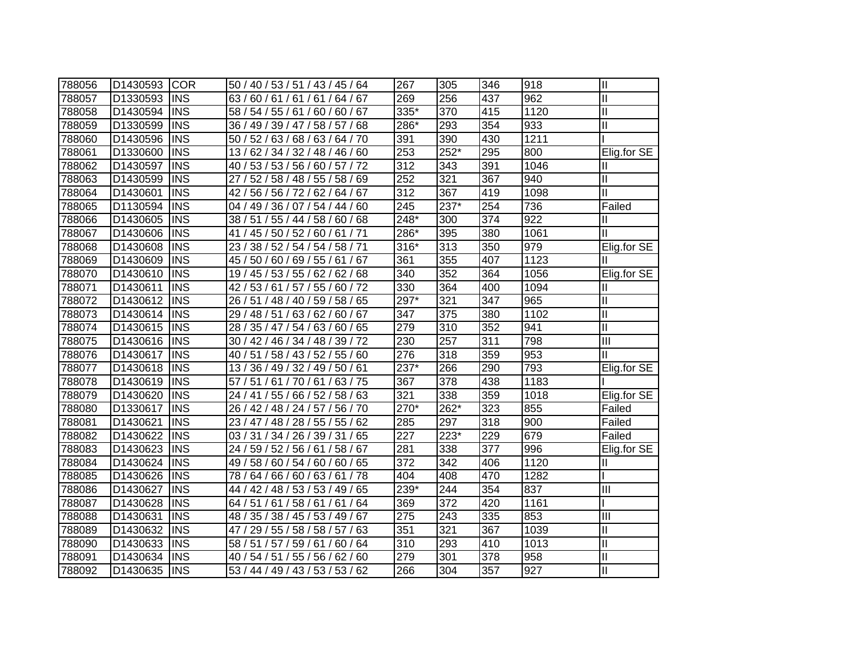| 788056 | D1430593 | <b>COR</b> | 50 / 40 / 53 / 51 / 43 / 45 / 64               | 267              | 305              | 346 | 918  | $\mathbf{I}$              |
|--------|----------|------------|------------------------------------------------|------------------|------------------|-----|------|---------------------------|
| 788057 | D1330593 | <b>INS</b> | 63/60/61/61/61/64/67                           | 269              | 256              | 437 | 962  | Ш                         |
| 788058 | D1430594 | <b>INS</b> | 58 / 54 / 55 / 61 / 60 / 60 / 67               | 335*             | 370              | 415 | 1120 | Ш                         |
| 788059 | D1330599 | <b>INS</b> | 36 / 49 / 39 / 47 / 58 / 57 / 68               | 286*             | 293              | 354 | 933  | Ш                         |
| 788060 | D1430596 | <b>INS</b> | 50 / 52 / 63 / 68 / 63 / 64 / 70               | 391              | 390              | 430 | 1211 |                           |
| 788061 | D1330600 | <b>INS</b> | 13/62/34/32/48/46/60                           | 253              | $252*$           | 295 | 800  | Elig.for SE               |
| 788062 | D1430597 | <b>INS</b> | 40 / 53 / 53 / 56 / 60 / 57 / 72               | 312              | 343              | 391 | 1046 | Ш                         |
| 788063 | D1430599 | <b>INS</b> | 27 <sub>l</sub><br>52 / 58 / 48 / 55 / 58 / 69 | 252              | 321              | 367 | 940  | Ш                         |
| 788064 | D1430601 | <b>INS</b> | 56 / 56 / 72 / 62 / 64 / 67<br>42 .            | $\overline{312}$ | 367              | 419 | 1098 | Ш                         |
| 788065 | D1130594 | <b>INS</b> | 04 / 49 / 36 / 07 / 54 / 44 / 60               | $\overline{245}$ | 237*             | 254 | 736  | Failed                    |
| 788066 | D1430605 | <b>INS</b> | 38 / 51 / 55 / 44 / 58 / 60 / 68               | $248*$           | 300              | 374 | 922  | Ш                         |
| 788067 | D1430606 | <b>INS</b> | 45 / 50 / 52 /<br>60/61/71<br>41/              | 286*             | 395              | 380 | 1061 | Ш                         |
| 788068 | D1430608 | <b>INS</b> | 38 / 52 / 54 / 54 / 58 / 71<br>23/             | $316*$           | 313              | 350 | 979  | Elig.for SE               |
| 788069 | D1430609 | <b>INS</b> | 50 / 60 / 69 / 55 / 61 / 67<br>45 /            | 361              | 355              | 407 | 1123 | Ш                         |
| 788070 | D1430610 | <b>INS</b> | 19 / 45 / 53 / 55 / 62 / 62 / 68               | 340              | 352              | 364 | 1056 | Elig.for SE               |
| 788071 | D1430611 | <b>INS</b> | 42 / 53 / 61 / 57 / 55 / 60 / 72               | 330              | 364              | 400 | 1094 | Ш                         |
| 788072 | D1430612 | <b>INS</b> | 26 / 51 / 48 / 40 / 59 / 58 / 65               | $297*$           | 321              | 347 | 965  | $\mathbf{I}$              |
| 788073 | D1430614 | <b>INS</b> | 29 / 48 / 51 / 63 / 62 / 60 / 67               | 347              | $\overline{375}$ | 380 | 1102 | Ш                         |
| 788074 | D1430615 | <b>INS</b> | 28/<br>35 / 47 / 54 / 63 / 60 / 65             | 279              | 310              | 352 | 941  | $\mathbf{I}$              |
| 788075 | D1430616 | <b>INS</b> | 30 / 42 / 46 / 34 / 48 / 39 / 72               | 230              | 257              | 311 | 798  | $\overline{\mathbf{III}}$ |
| 788076 | D1430617 | <b>INS</b> | 40 / 51 / 58 / 43 / 52 / 55 / 60               | $\overline{276}$ | 318              | 359 | 953  | Ш                         |
| 788077 | D1430618 | <b>INS</b> | 13 / 36 / 49 / 32 / 49 / 50 / 61               | $237*$           | 266              | 290 | 793  | Elig.for SE               |
| 788078 | D1430619 | <b>INS</b> | 57 / 51 / 61 / 70 / 61 / 63 / 75               | 367              | 378              | 438 | 1183 |                           |
| 788079 | D1430620 | <b>INS</b> | 24 / 41 / 55 / 66 / 52 / 58 / 63               | 321              | 338              | 359 | 1018 | Elig.for SE               |
| 788080 | D1330617 | <b>INS</b> | 26 / 42 / 48 / 24 / 57 / 56 / 70               | 270*             | 262*             | 323 | 855  | Failed                    |
| 788081 | D1430621 | <b>INS</b> | 23 / 47 / 48 / 28 / 55 / 55 / 62               | 285              | 297              | 318 | 900  | Failed                    |
| 788082 | D1430622 | <b>INS</b> | 03 / 31 / 34 / 26 / 39 / 31<br>/65             | 227              | $223*$           | 229 | 679  | Failed                    |
| 788083 | D1430623 | <b>INS</b> | 24 / 59 / 52 / 56 / 61 / 58 / 67               | 281              | 338              | 377 | 996  | Elig.for SE               |
| 788084 | D1430624 | <b>INS</b> | 49 / 58 / 60 / 54 / 60 / 60 / 65               | 372              | 342              | 406 | 1120 | Ш                         |
| 788085 | D1430626 | <b>INS</b> | 78/<br>64 / 66 / 60 / 63 / 61<br>/78           | 404              | 408              | 470 | 1282 |                           |
| 788086 | D1430627 | <b>INS</b> | 44 / 42 / 48 / 53 / 53 / 49 / 65               | $239*$           | 244              | 354 | 837  | Ш                         |
| 788087 | D1430628 | <b>INS</b> | 64 / 51 / 61 / 58 / 61 / 61 / 64               | 369              | 372              | 420 | 1161 |                           |
| 788088 | D1430631 | <b>INS</b> | 48 / 35 / 38 / 45 / 53 / 49 / 67               | 275              | 243              | 335 | 853  | III                       |
| 788089 | D1430632 | <b>INS</b> | 29 / 55 / 58 / 58 / 57 / 63<br>47 /            | 351              | 321              | 367 | 1039 | $\mathbf{I}$              |
| 788090 | D1430633 | <b>INS</b> | 58 / 51 / 57 / 59 / 61 / 60 / 64               | 310              | 293              | 410 | 1013 | $\mathbf{I}$              |
| 788091 | D1430634 | <b>INS</b> | 54 / 51 / 55 / 56 / 62 / 60<br>40              | 279              | 301              | 378 | 958  | $\mathbf{I}$              |
| 788092 | D1430635 | <b>INS</b> | 53 / 44 / 49 / 43 / 53 / 53 / 62               | 266              | 304              | 357 | 927  | Ш                         |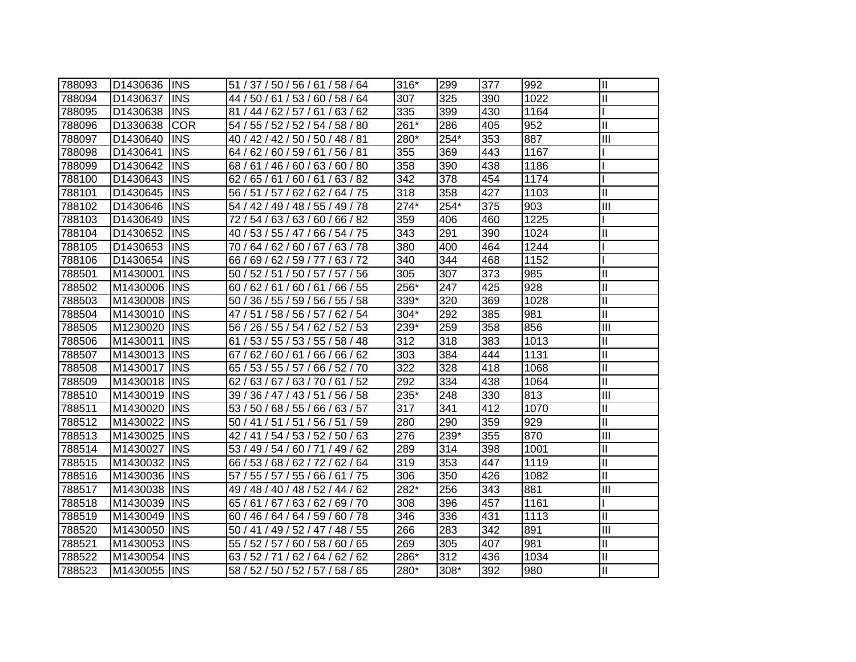| 788093 | D1430636 INS |             | 51 / 37 / 50 / 56 / 61 / 58 / 64 | $316*$ | 299  | 377 | 992  | $\mathbf{  }$  |
|--------|--------------|-------------|----------------------------------|--------|------|-----|------|----------------|
| 788094 | D1430637     | <b>INS</b>  | 44 / 50 / 61 / 53 / 60 / 58 / 64 | 307    | 325  | 390 | 1022 | $\mathbf{I}$   |
| 788095 | D1430638     | <b>INS</b>  | 81 / 44 / 62 / 57 / 61 / 63 / 62 | 335    | 399  | 430 | 1164 |                |
| 788096 | D1330638     | <b>COR</b>  | 54 / 55 / 52 / 52 / 54 / 58 / 80 | 261*   | 286  | 405 | 952  | Ш              |
| 788097 | D1430640     | <b>INS</b>  | 40 / 42 / 42 / 50 / 50 / 48 / 81 | 280*   | 254* | 353 | 887  | III            |
| 788098 | D1430641     | <b>INS</b>  | 64 / 62 / 60 / 59 / 61 / 56 / 81 | 355    | 369  | 443 | 1167 |                |
| 788099 | D1430642     | <b>INS</b>  | 68/61/46/60/63/60/80             | 358    | 390  | 438 | 1186 |                |
| 788100 | D1430643     | <b>INS</b>  | 62 / 65 / 61 / 60 / 61 / 63 / 82 | 342    | 378  | 454 | 1174 |                |
| 788101 | D1430645     | <b>INS</b>  | 56 / 51 / 57 / 62 / 62 / 64 / 75 | 318    | 358  | 427 | 1103 | $\mathbf{I}$   |
| 788102 | D1430646     | <b>INS</b>  | 54 / 42 / 49 / 48 / 55 / 49 / 78 | $274*$ | 254* | 375 | 903  | III            |
| 788103 | D1430649     | <b>INS</b>  | 72 / 54 / 63 / 63 / 60 / 66 / 82 | 359    | 406  | 460 | 1225 |                |
| 788104 | D1430652     | <b>INS</b>  | 40 / 53 / 55 / 47 / 66 / 54 / 75 | 343    | 291  | 390 | 1024 | Ш              |
| 788105 | D1430653     | <b>INS</b>  | 70 / 64 / 62 / 60 / 67 / 63 / 78 | 380    | 400  | 464 | 1244 |                |
| 788106 | D1430654     | <b>INS</b>  | 66 / 69 / 62 / 59 / 77 / 63 / 72 | 340    | 344  | 468 | 1152 |                |
| 788501 | M1430001     | <b>INS</b>  | 50 / 52 / 51 / 50 / 57 / 57 / 56 | 305    | 307  | 373 | 985  | Ш              |
| 788502 | M1430006     | <b>INS</b>  | 60/62/61/60/61/66/55             | 256*   | 247  | 425 | 928  | $\mathbf{I}$   |
| 788503 | M1430008     | <b>INS</b>  | 50 / 36 / 55 / 59 / 56 / 55 / 58 | 339*   | 320  | 369 | 1028 | $\mathbf{I}$   |
| 788504 | M1430010     | <b>INS</b>  | 47 / 51 / 58 / 56 / 57 / 62 / 54 | 304*   | 292  | 385 | 981  | $\mathbf{I}$   |
| 788505 | M1230020 INS |             | 56 / 26 / 55 / 54 / 62 / 52 / 53 | 239*   | 259  | 358 | 856  | $\mathbf{III}$ |
| 788506 | M1430011     | <b>IINS</b> | 61 / 53 / 55 / 53 / 55 / 58 / 48 | 312    | 318  | 383 | 1013 | Ш              |
| 788507 | M1430013 INS |             | 67 / 62 / 60 / 61 / 66 / 66 / 62 | 303    | 384  | 444 | 1131 | $\mathbf{I}$   |
| 788508 | M1430017     | <b>INS</b>  | 65 / 53 / 55 / 57 / 66 / 52 / 70 | 322    | 328  | 418 | 1068 | $\mathbf{II}$  |
| 788509 | M1430018 INS |             | 62/63/67/63/70/61/52             | 292    | 334  | 438 | 1064 | $\mathbf{I}$   |
| 788510 | M1430019 INS |             | 39 / 36 / 47 / 43 / 51 / 56 / 58 | 235*   | 248  | 330 | 813  | Ш              |
| 788511 | M1430020 INS |             | 53 / 50 / 68 / 55 / 66 / 63 / 57 | 317    | 341  | 412 | 1070 | $\mathbf{I}$   |
| 788512 | M1430022     | <b>INS</b>  | 50 / 41 / 51 / 51 / 56 / 51 / 59 | 280    | 290  | 359 | 929  | $\mathbf{I}$   |
| 788513 | M1430025 INS |             | 42 / 41 / 54 / 53 / 52 / 50 / 63 | 276    | 239* | 355 | 870  | Ш              |
| 788514 | M1430027     | <b>INS</b>  | 53 / 49 / 54 / 60 / 71 / 49 / 62 | 289    | 314  | 398 | 1001 | Ш              |
| 788515 | M1430032     | <b>INS</b>  | 66 / 53 / 68 / 62 / 72 / 62 / 64 | 319    | 353  | 447 | 1119 | $\mathbf{II}$  |
| 788516 | M1430036 INS |             | 57 / 55 / 57 / 55 / 66 / 61 / 75 | 306    | 350  | 426 | 1082 | $\mathbf{I}$   |
| 788517 | M1430038 INS |             | 49 / 48 / 40 / 48 / 52 / 44 / 62 | 282*   | 256  | 343 | 881  | Ш              |
| 788518 | M1430039     | <b>INS</b>  | 65 / 61 / 67 / 63 / 62 / 69 / 70 | 308    | 396  | 457 | 1161 |                |
| 788519 | M1430049     | <b>INS</b>  | 60 / 46 / 64 / 64 / 59 / 60 / 78 | 346    | 336  | 431 | 1113 | $\mathbf{I}$   |
| 788520 | M1430050     | <b>INS</b>  | 50 / 41 / 49 / 52 / 47 / 48 / 55 | 266    | 283  | 342 | 891  | III            |
| 788521 | M1430053     | <b>INS</b>  | 55 / 52 / 57 / 60 / 58 / 60 / 65 | 269    | 305  | 407 | 981  | $\mathbf{I}$   |
| 788522 | M1430054     | <b>INS</b>  | 63 / 52 / 71 / 62 / 64 / 62 / 62 | 286*   | 312  | 436 | 1034 | $\mathbf{I}$   |
| 788523 | M1430055 INS |             | 58 / 52 / 50 / 52 / 57 / 58 / 65 | 280*   | 308* | 392 | 980  | Iш             |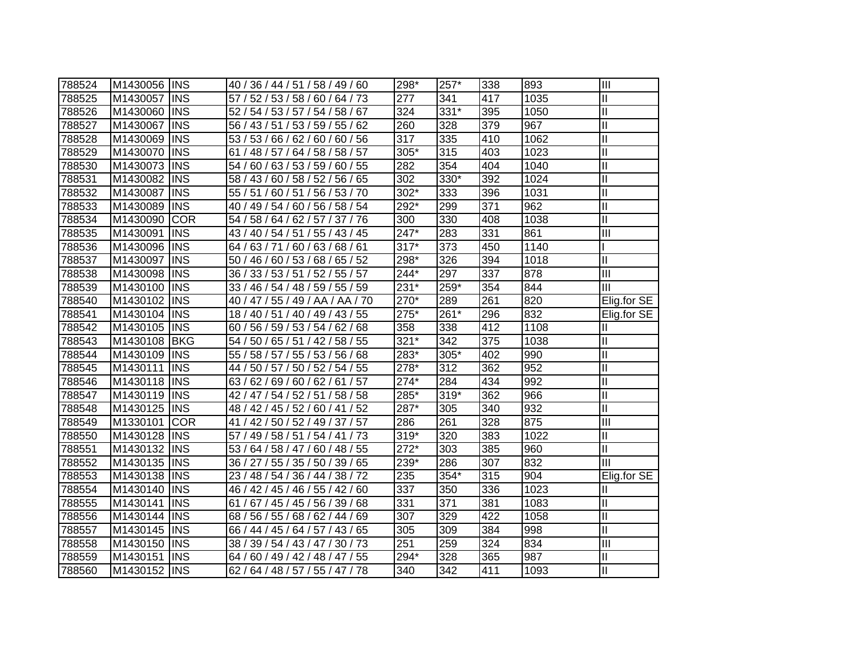| 788524 | M1430056 INS |             | 40 / 36 / 44 / 51 / 58 / 49 / 60    | 298*   | 257* | 338 | 893  | Ш                       |
|--------|--------------|-------------|-------------------------------------|--------|------|-----|------|-------------------------|
| 788525 | M1430057     | <b>INS</b>  | 57 / 52 / 53 / 58 / 60 / 64 / 73    | 277    | 341  | 417 | 1035 | $\mathbf{II}$           |
| 788526 | M1430060     | <b>INS</b>  | 52 / 54 / 53 / 57 / 54 / 58 / 67    | 324    | 331* | 395 | 1050 | $\overline{\mathbb{I}}$ |
| 788527 | M1430067     | <b>INS</b>  | 56 / 43 / 51 / 53 / 59 / 55 / 62    | 260    | 328  | 379 | 967  | $\mathbf{I}$            |
| 788528 | M1430069     | <b>INS</b>  | 53 / 53 / 66 / 62 / 60 / 60 / 56    | 317    | 335  | 410 | 1062 | $\mathbf{I}$            |
| 788529 | M1430070     | <b>INS</b>  | 61 / 48 / 57 / 64 / 58 / 58 / 57    | 305*   | 315  | 403 | 1023 | $\mathbf{I}$            |
| 788530 | M1430073     | <b>INS</b>  | 54 / 60 / 63 / 53 / 59 / 60 / 55    | 282    | 354  | 404 | 1040 | $\mathbf{I}$            |
| 788531 | M1430082     | <b>INS</b>  | 58 / 43 / 60 / 58 / 52 / 56 / 65    | 302    | 330* | 392 | 1024 | $\mathbf{I}$            |
| 788532 | M1430087     | <b>INS</b>  | 55 / 51 / 60 / 51 / 56 / 53 / 70    | 302*   | 333  | 396 | 1031 | $\mathbf{I}$            |
| 788533 | M1430089     | <b>INS</b>  | 40 / 49 / 54 / 60 / 56 / 58 / 54    | 292*   | 299  | 371 | 962  | $\mathbf{I}$            |
| 788534 | M1430090     | <b>COR</b>  | 54 / 58 / 64 / 62 / 57 / 37 / 76    | 300    | 330  | 408 | 1038 | Ш                       |
| 788535 | M1430091     | <b>INS</b>  | 43 / 40 / 54 / 51 / 55 / 43 / 45    | 247*   | 283  | 331 | 861  | III                     |
| 788536 | M1430096     | <b>INS</b>  | 63/71/60/63/68/61<br>64 /           | $317*$ | 373  | 450 | 1140 |                         |
| 788537 | M1430097     | <b>INS</b>  | 50 / 46 / 60 / 53 / 68 / 65 / 52    | 298*   | 326  | 394 | 1018 | $\mathbf{I}$            |
| 788538 | M1430098     | <b>INS</b>  | 36 / 33 / 53 / 51 / 52 / 55 / 57    | 244*   | 297  | 337 | 878  | III                     |
| 788539 | M1430100     | <b>INS</b>  | 33 / 46 / 54 / 48 / 59 / 55 / 59    | 231*   | 259* | 354 | 844  | III                     |
| 788540 | M1430102     | <b>INS</b>  | 40 / 47 / 55 / 49 / AA / AA / 70    | 270*   | 289  | 261 | 820  | Elig.for SE             |
| 788541 | M1430104     | <b>INS</b>  | 18 / 40 / 51 / 40 / 49 / 43 / 55    | 275*   | 261* | 296 | 832  | Elig.for SE             |
| 788542 | M1430105     | <b>INS</b>  | 60 / 56 / 59 / 53 / 54 / 62 / 68    | 358    | 338  | 412 | 1108 | Ш                       |
| 788543 | M1430108     | <b>BKG</b>  | 54 / 50 / 65 / 51 / 42 / 58 / 55    | $321*$ | 342  | 375 | 1038 | Ш                       |
| 788544 | M1430109     | <b>IINS</b> | 55 / 58 / 57 / 55 / 53 / 56 / 68    | 283*   | 305* | 402 | 990  | $\mathbf{I}$            |
| 788545 | M1430111     | <b>INS</b>  | 50 / 57 / 50 / 52 / 54 / 55<br>44/  | 278*   | 312  | 362 | 952  | $\mathbf{I}$            |
| 788546 | M1430118 INS |             | 63 / 62 / 69 / 60 / 62 / 61 / 57    | $274*$ | 284  | 434 | 992  | $\mathbf{I}$            |
| 788547 | M1430119 INS |             | 42 / 47 / 54 / 52 / 51 / 58 / 58    | 285*   | 319* | 362 | 966  | $\mathbf{I}$            |
| 788548 | M1430125     | <b>INS</b>  | 48 / 42 / 45 / 52 / 60 / 41 / 52    | 287*   | 305  | 340 | 932  | $\mathbf{I}$            |
| 788549 | M1330101     | <b>COR</b>  | 41 / 42 / 50 / 52 / 49 / 37 / 57    | 286    | 261  | 328 | 875  | III                     |
| 788550 | M1430128     | <b>INS</b>  | 57 / 49 / 58 / 51 / 54 / 41 / 73    | 319*   | 320  | 383 | 1022 | Ш                       |
| 788551 | M1430132     | <b>INS</b>  | 53 / 64 / 58 / 47 / 60 / 48 / 55    | 272*   | 303  | 385 | 960  | Ш                       |
| 788552 | M1430135     | <b>INS</b>  | 36 / 27 / 55 / 35 / 50 / 39 / 65    | 239*   | 286  | 307 | 832  | III                     |
| 788553 | M1430138     | <b>INS</b>  | 23 / 48 / 54 / 36 / 44 / 38 / 72    | 235    | 354* | 315 | 904  | Elig.for SE             |
| 788554 | M1430140     | <b>INS</b>  | 46 / 42 / 45 / 46 / 55 / 42 / 60    | 337    | 350  | 336 | 1023 | Ш                       |
| 788555 | M1430141     | <b>INS</b>  | 61 / 67 / 45 / 45 / 56 / 39 / 68    | 331    | 371  | 381 | 1083 | Ш                       |
| 788556 | M1430144     | <b>INS</b>  | 68 / 56 / 55 / 68 / 62 / 44 / 69    | 307    | 329  | 422 | 1058 | Ш                       |
| 788557 | M1430145     | <b>INS</b>  | 66 / 44 / 45 / 64 / 57 / 43 / 65    | 305    | 309  | 384 | 998  | Ш                       |
| 788558 | M1430150     | <b>INS</b>  | 38 / 39 / 54 / 43 / 47 / 30 / 73    | 251    | 259  | 324 | 834  | III                     |
| 788559 | M1430151     | <b>INS</b>  | 60 / 49 / 42 / 48 / 47 / 55<br>64 / | 294*   | 328  | 365 | 987  | $\mathbf{I}$            |
| 788560 | M1430152     | <b>INS</b>  | 62 / 64 / 48 / 57 / 55 / 47 / 78    | 340    | 342  | 411 | 1093 | Ш                       |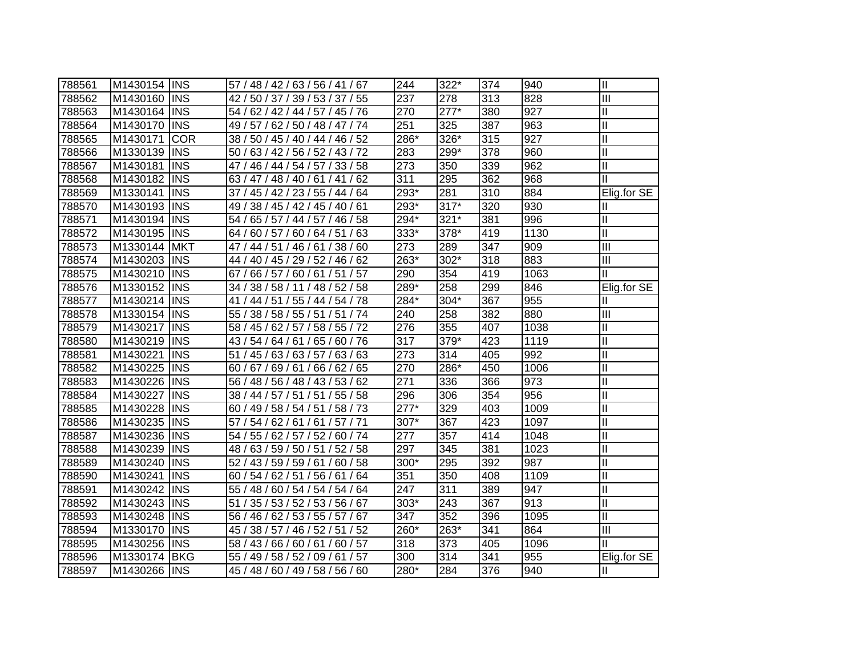| 788561 | M1430154 | <b>INS</b> | 57 / 48 / 42 / 63 / 56 / 41 / 67               | 244    | 322*   | 374 | 940  | $\mathbf{I}$            |
|--------|----------|------------|------------------------------------------------|--------|--------|-----|------|-------------------------|
| 788562 | M1430160 | <b>INS</b> | 42 / 50 / 37 / 39 / 53 / 37 / 55               | 237    | 278    | 313 | 828  | III                     |
| 788563 | M1430164 | <b>INS</b> | 54 / 62 / 42 / 44 / 57 / 45 / 76               | 270    | $277*$ | 380 | 927  | Ш                       |
| 788564 | M1430170 | <b>INS</b> | 49 / 57 / 62 / 50 / 48 / 47 / 74               | 251    | 325    | 387 | 963  | $\mathbf{I}$            |
| 788565 | M1430171 | <b>COR</b> | 38 / 50 / 45 / 40 / 44 / 46 / 52               | 286*   | 326*   | 315 | 927  | Ш                       |
| 788566 | M1330139 | <b>INS</b> | (63/42/56/52/43/72<br>50/                      | 283    | 299*   | 378 | 960  | Ш                       |
| 788567 | M1430181 | <b>INS</b> | 46 / 44 / 54 / 57 / 33 / 58<br>47 /            | 273    | 350    | 339 | 962  | $\mathbf{I}$            |
| 788568 | M1430182 | <b>INS</b> | 63 / 47 / 48 / 40 / 61 / 41 / 62               | 311    | 295    | 362 | 968  | Ш                       |
| 788569 | M1330141 | <b>INS</b> | 45 / 42 / 23 / 55 / 44 / 64<br>37/             | $293*$ | 281    | 310 | 884  | Elig.for SE             |
| 788570 | M1430193 | <b>INS</b> | 38 / 45 / 42 / 45 / 40 / 61<br>49 /            | $293*$ | $317*$ | 320 | 930  | Ш                       |
| 788571 | M1430194 | <b>INS</b> | 65 / 57 / 44 / 57 / 46 / 58<br>54 <sub>1</sub> | $294*$ | $321*$ | 381 | 996  | Ш                       |
| 788572 | M1430195 | <b>INS</b> | 60 / 57 / 60 / 64 / 51<br>/63<br>64/           | 333*   | 378*   | 419 | 1130 | Ш                       |
| 788573 | M1330144 | <b>MKT</b> | 44 / 51 / 46 / 61 / 38 / 60<br>47 /            | 273    | 289    | 347 | 909  | $\overline{\mathbb{H}}$ |
| 788574 | M1430203 | <b>INS</b> | 44 / 40 / 45 / 29 / 52 / 46 / 62               | 263*   | $302*$ | 318 | 883  | $\mathbf{III}$          |
| 788575 | M1430210 | <b>INS</b> | 66 / 57 / 60 / 61 / 51 / 57<br>67/             | 290    | 354    | 419 | 1063 | Ш                       |
| 788576 | M1330152 | <b>INS</b> | 34 / 38 / 58 / 11 / 48 / 52 / 58               | $289*$ | 258    | 299 | 846  | Elig.for SE             |
| 788577 | M1430214 | <b>INS</b> | 44 / 51 / 55 / 44 / 54 / 78<br>41/             | 284*   | 304*   | 367 | 955  | Ш                       |
| 788578 | M1330154 | <b>INS</b> | 38 / 58 / 55 / 51 / 51 / 74<br>55/             | 240    | 258    | 382 | 880  | Ш                       |
| 788579 | M1430217 | <b>INS</b> | 45 / 62 / 57 / 58 / 55 / 72<br>58/             | 276    | 355    | 407 | 1038 | Ш                       |
| 788580 | M1430219 | <b>INS</b> | 54 / 64 / 61 / 65 / 60 / 76<br>43/             | 317    | $379*$ | 423 | 1119 | $\mathbf{I}$            |
| 788581 | M1430221 | <b>INS</b> | 51 / 45 / 63 / 63 / 57 / 63 / 63               | 273    | 314    | 405 | 992  | $\mathbf{I}$            |
| 788582 | M1430225 | <b>INS</b> | 60 / 67 / 69 / 61 / 66 / 62 / 65               | 270    | 286*   | 450 | 1006 | Ш                       |
| 788583 | M1430226 | <b>INS</b> | 56 / 48 / 56 / 48 / 43 / 53 / 62               | 271    | 336    | 366 | 973  | $\mathbf{I}$            |
| 788584 | M1430227 | <b>INS</b> | 38 / 44 / 57 / 51 / 51 / 55 / 58               | 296    | 306    | 354 | 956  | Ш                       |
| 788585 | M1430228 | <b>INS</b> | 60 / 49 / 58 / 54 / 51 / 58 / 73               | $277*$ | 329    | 403 | 1009 | $\mathbf{I}$            |
| 788586 | M1430235 | <b>INS</b> | 57 / 54 / 62 / 61 / 61 / 57 / 71               | 307*   | 367    | 423 | 1097 | Ш                       |
| 788587 | M1430236 | <b>INS</b> | 54 / 55 / 62 / 57 / 52 / 60 / 74               | 277    | 357    | 414 | 1048 | Ш                       |
| 788588 | M1430239 | <b>INS</b> | 48 / 63 / 59 / 50 / 51 / 52 / 58               | 297    | 345    | 381 | 1023 | Ш                       |
| 788589 | M1430240 | <b>INS</b> | 52 / 43 / 59 / 59 / 61 / 60 / 58               | 300*   | 295    | 392 | 987  | Ш                       |
| 788590 | M1430241 | <b>INS</b> | 60 / 54 / 62 / 51 / 56 / 61 / 64               | 351    | 350    | 408 | 1109 | $\mathbf{I}$            |
| 788591 | M1430242 | <b>INS</b> | 55 / 48 / 60 / 54 / 54 / 54 / 64               | 247    | 311    | 389 | 947  | $\mathbf{I}$            |
| 788592 | M1430243 | <b>INS</b> | 35 / 53 / 52 / 53 / 56 / 67<br>51              | 303*   | 243    | 367 | 913  | Ш                       |
| 788593 | M1430248 | <b>INS</b> | 56 / 46 / 62 / 53 / 55 / 57 / 67               | 347    | 352    | 396 | 1095 | $\mathbf{I}$            |
| 788594 | M1330170 | <b>INS</b> | 38 / 57 / 46 / 52 / 51 / 52<br>45/             | 260*   | 263*   | 341 | 864  | III                     |
| 788595 | M1430256 | <b>INS</b> | 58 / 43 / 66 / 60 / 61 / 60 / 57               | 318    | 373    | 405 | 1096 | Ш                       |
| 788596 | M1330174 | <b>BKG</b> | 55 / 49 / 58 / 52 /<br>09/61/57                | 300    | 314    | 341 | 955  | Elig.for SE             |
| 788597 | M1430266 | <b>INS</b> | 45 / 48 / 60 / 49 / 58 / 56 / 60               | 280*   | 284    | 376 | 940  | Ш                       |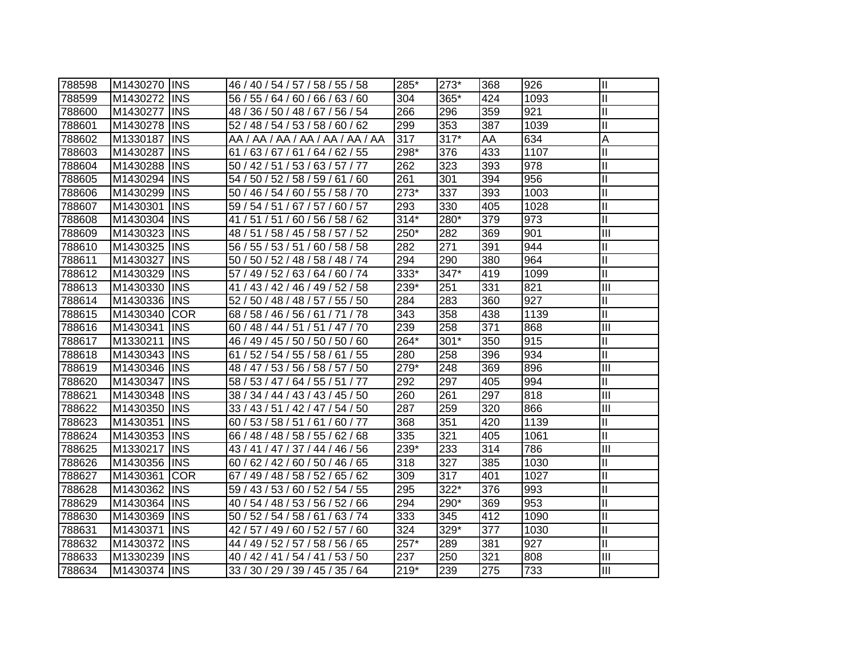| 788598 | M1430270 INS |             | 46 / 40 / 54 / 57 / 58 / 55 / 58    | 285*   | 273*   | 368 | 926  | $\mathbf{\mathsf{II}}$     |
|--------|--------------|-------------|-------------------------------------|--------|--------|-----|------|----------------------------|
| 788599 | M1430272     | <b>INS</b>  | 56 / 55 / 64 / 60 / 66 / 63 / 60    | 304    | 365*   | 424 | 1093 | $\mathbf{I}$               |
| 788600 | M1430277     | <b>INS</b>  | 48 / 36 / 50 / 48 / 67 / 56 / 54    | 266    | 296    | 359 | 921  | $\mathbf{I}$               |
| 788601 | M1430278     | <b>INS</b>  | 52 / 48 / 54 / 53 / 58 / 60 / 62    | 299    | 353    | 387 | 1039 | $\mathbf{I}$               |
| 788602 | M1330187     | <b>INS</b>  | AA / AA / AA / AA / AA / AA / AA    | 317    | $317*$ | AA  | 634  | A                          |
| 788603 | M1430287     | <b>INS</b>  | 61/63/67/61/64/62/55                | 298*   | 376    | 433 | 1107 | $\mathbf{I}$               |
| 788604 | M1430288     | <b>INS</b>  | 50 / 42 / 51 / 53 / 63 / 57 / 77    | 262    | 323    | 393 | 978  | $\mathbf{I}$               |
| 788605 | M1430294     | <b>INS</b>  | 54 / 50 / 52 / 58 / 59 / 61 / 60    | 261    | 301    | 394 | 956  | $\mathbf{I}$               |
| 788606 | M1430299     | <b>INS</b>  | 50 / 46 / 54 / 60 / 55 / 58 / 70    | $273*$ | 337    | 393 | 1003 | $\mathbf{I}$               |
| 788607 | M1430301     | <b>INS</b>  | 59 / 54 / 51 / 67 / 57 / 60 / 57    | 293    | 330    | 405 | 1028 | $\mathbf{I}$               |
| 788608 | M1430304     | <b>INS</b>  | 41 / 51 / 51 / 60 / 56 / 58 / 62    | $314*$ | 280*   | 379 | 973  | $\mathbf{I}$               |
| 788609 | M1430323     | <b>INS</b>  | 48 / 51 / 58 / 45 / 58 / 57 / 52    | 250*   | 282    | 369 | 901  | $\overline{\mathbb{I}}$    |
| 788610 | M1430325     | <b>INS</b>  | 56 / 55 / 53 / 51 /<br>60 / 58 / 58 | 282    | 271    | 391 | 944  | $\mathbf{I}$               |
| 788611 | M1430327     | <b>INS</b>  | 50 / 50 / 52 / 48 / 58 / 48 / 74    | 294    | 290    | 380 | 964  | $\mathbf{I}$               |
| 788612 | M1430329     | <b>INS</b>  | 57 / 49 / 52 / 63 / 64 / 60 / 74    | 333*   | 347*   | 419 | 1099 | $\mathbf{I}$               |
| 788613 | M1430330     | <b>INS</b>  | 41 / 43 / 42 / 46 / 49 / 52 / 58    | 239*   | 251    | 331 | 821  | $\overline{\mathbb{I}}$    |
| 788614 | M1430336     | <b>INS</b>  | 52 / 50 / 48 / 48 / 57 / 55 / 50    | 284    | 283    | 360 | 927  | $\mathbf{I}$               |
| 788615 | M1430340     | <b>COR</b>  | 68 / 58 / 46 / 56 / 61 / 71<br>/78  | 343    | 358    | 438 | 1139 | $\mathbf{I}$               |
| 788616 | M1430341     | <b>INS</b>  | 60 / 48 / 44 / 51 / 51 / 47 / 70    | 239    | 258    | 371 | 868  | $\overline{\mathbb{I}}$    |
| 788617 | M1330211     | <b>INS</b>  | 46 / 49 / 45 / 50 / 50 / 50 / 60    | 264*   | $301*$ | 350 | 915  | $\mathbf{I}$               |
| 788618 | M1430343 INS |             | 61 / 52 / 54 / 55 / 58 / 61 / 55    | 280    | 258    | 396 | 934  | $\mathbf{I}$               |
| 788619 | M1430346 INS |             | 48 / 47 / 53 / 56 / 58 / 57 / 50    | 279*   | 248    | 369 | 896  | $\overline{\mathsf{III}}$  |
| 788620 | M1430347     | <b>INS</b>  | 58 / 53 / 47 / 64 / 55 / 51 / 77    | 292    | 297    | 405 | 994  | Ш                          |
| 788621 | M1430348 INS |             | 38 / 34 / 44 / 43 / 43 / 45 / 50    | 260    | 261    | 297 | 818  | Ш                          |
| 788622 | M1430350     | <b>INS</b>  | 33 / 43 / 51 / 42 / 47 / 54 / 50    | 287    | 259    | 320 | 866  | III                        |
| 788623 | M1430351     | <b>INS</b>  | 60 / 53 / 58 / 51 / 61 / 60 / 77    | 368    | 351    | 420 | 1139 | $\mathop{\rm II}\nolimits$ |
| 788624 | M1430353 INS |             | 66 / 48 / 48 / 58 / 55 / 62 / 68    | 335    | 321    | 405 | 1061 | $\mathbf{I}$               |
| 788625 | M1330217     | <b>INS</b>  | 43 / 41 / 47 / 37 / 44 / 46 / 56    | 239*   | 233    | 314 | 786  | III                        |
| 788626 | M1430356     | <b>INS</b>  | 60 / 62 / 42 / 60 / 50 / 46 / 65    | 318    | 327    | 385 | 1030 | $\mathbf{I}$               |
| 788627 | M1430361     | <b>COR</b>  | 67 / 49 / 48 / 58 / 52 / 65 / 62    | 309    | 317    | 401 | 1027 | $\mathbf{I}$               |
| 788628 | M1430362     | <b>IINS</b> | 59 / 43 / 53 / 60 / 52 / 54 / 55    | 295    | 322*   | 376 | 993  | $\mathbf{I}$               |
| 788629 | M1430364     | <b>INS</b>  | 40 / 54 / 48 / 53 / 56 / 52 / 66    | 294    | 290*   | 369 | 953  | $\mathbf{I}$               |
| 788630 | M1430369     | <b>INS</b>  | 50 / 52 / 54 / 58 / 61 / 63 / 74    | 333    | 345    | 412 | 1090 | Ш                          |
| 788631 | M1430371     | <b>INS</b>  | 42 / 57 / 49 / 60 / 52 / 57 / 60    | 324    | 329*   | 377 | 1030 | $\mathbf{I}$               |
| 788632 | M1430372     | <b>INS</b>  | 44 / 49 / 52 / 57 / 58 / 56 / 65    | 257*   | 289    | 381 | 927  | $\mathbf{I}$               |
| 788633 | M1330239     | <b>INS</b>  | 40 / 42 / 41 / 54 / 41 / 53 / 50    | 237    | 250    | 321 | 808  | Ш                          |
| 788634 | M1430374 INS |             | 33 / 30 / 29 / 39 / 45 / 35 / 64    | $219*$ | 239    | 275 | 733  | Ш                          |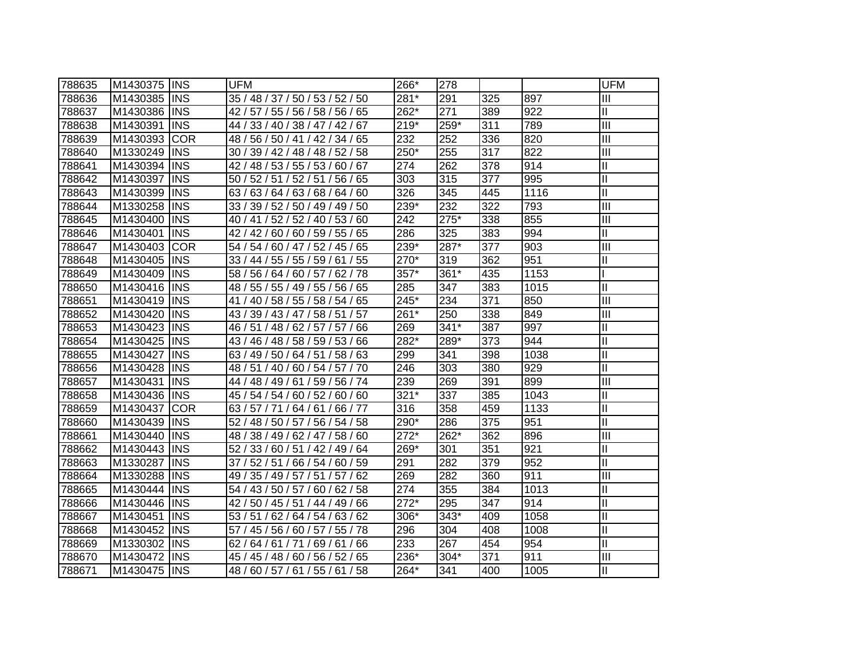| 788635 | M1430375 | <b>INS</b> | <b>UFM</b>                         | 266*   | 278    |     |      | <b>UFM</b>                |
|--------|----------|------------|------------------------------------|--------|--------|-----|------|---------------------------|
| 788636 | M1430385 | <b>INS</b> | 35 / 48 / 37 / 50 / 53 / 52 / 50   | 281*   | 291    | 325 | 897  | Ш                         |
| 788637 | M1430386 | <b>INS</b> | 42 / 57 / 55 / 56 / 58 / 56 / 65   | 262*   | 271    | 389 | 922  | $\mathbf{II}$             |
| 788638 | M1430391 | <b>INS</b> | 44 / 33 / 40 / 38 / 47 / 42 / 67   | $219*$ | 259*   | 311 | 789  | III                       |
| 788639 | M1430393 | <b>COR</b> | 48 / 56 / 50 / 41 / 42 / 34 / 65   | 232    | 252    | 336 | 820  | III                       |
| 788640 | M1330249 | <b>INS</b> | 30 / 39 / 42 / 48 / 48 / 52 / 58   | 250*   | 255    | 317 | 822  | Ш                         |
| 788641 | M1430394 | <b>INS</b> | 42 / 48 / 53 / 55 / 53 / 60 / 67   | 274    | 262    | 378 | 914  | Ш                         |
| 788642 | M1430397 | <b>INS</b> | 50 / 52 / 51 / 52 / 51 / 56 / 65   | 303    | 315    | 377 | 995  | $\overline{\mathsf{I}}$   |
| 788643 | M1430399 | <b>INS</b> | 63/63/64/63/68/64/60               | 326    | 345    | 445 | 1116 | $\overline{\mathsf{I}}$   |
| 788644 | M1330258 | <b>INS</b> | 33 / 39 / 52 / 50 / 49 / 49 / 50   | 239*   | 232    | 322 | 793  | $\overline{\mathbf{III}}$ |
| 788645 | M1430400 | <b>INS</b> | 141/52/52/<br>40/53/60<br>40 /     | 242    | 275*   | 338 | 855  | $\overline{\mathbb{H}}$   |
| 788646 | M1430401 | <b>INS</b> | 42 / 60 / 60 / 59 / 55 / 65<br>42/ | 286    | 325    | 383 | 994  | П                         |
| 788647 | M1430403 | <b>COR</b> | 54 / 54 / 60 / 47 / 52 / 45 / 65   | 239*   | 287*   | 377 | 903  | $\overline{\mathbb{I}}$   |
| 788648 | M1430405 | <b>INS</b> | 33 / 44 / 55 / 55 / 59 / 61 / 55   | 270*   | 319    | 362 | 951  | П                         |
| 788649 | M1430409 | <b>INS</b> | 58 / 56 / 64 / 60 / 57 / 62 / 78   | 357*   | 361*   | 435 | 1153 |                           |
| 788650 | M1430416 | <b>INS</b> | 48 / 55 / 55 / 49 / 55 / 56 / 65   | 285    | 347    | 383 | 1015 | $\mathbf{I}$              |
| 788651 | M1430419 | <b>INS</b> | 40 / 58 / 55 / 58 / 54 / 65<br>41/ | 245*   | 234    | 371 | 850  | III                       |
| 788652 | M1430420 | <b>INS</b> | 43 / 39 / 43 / 47 / 58 / 51 / 57   | 261*   | 250    | 338 | 849  | Ш                         |
| 788653 | M1430423 | <b>INS</b> | 46/51/<br>48 / 62 / 57 / 57 / 66   | 269    | $341*$ | 387 | 997  | Ш                         |
| 788654 | M1430425 | <b>INS</b> | 43 / 46 / 48 / 58 / 59 / 53 / 66   | 282*   | 289*   | 373 | 944  | $\mathbf{I}$              |
| 788655 | M1430427 | <b>INS</b> | 63 / 49 / 50 / 64 / 51 / 58 / 63   | 299    | 341    | 398 | 1038 | $\mathbf{I}$              |
| 788656 | M1430428 | <b>INS</b> | 48 / 51 / 40 / 60 / 54 / 57 / 70   | 246    | 303    | 380 | 929  | $\mathbf{I}$              |
| 788657 | M1430431 | <b>INS</b> | 44 / 48 / 49 / 61 / 59 / 56 / 74   | 239    | 269    | 391 | 899  | $\mathbf{III}$            |
| 788658 | M1430436 | <b>INS</b> | 45 / 54 / 54 / 60 / 52 / 60 / 60   | $321*$ | 337    | 385 | 1043 | Ш                         |
| 788659 | M1430437 | <b>COR</b> | 63/57/71<br>/64/61/66/77           | 316    | 358    | 459 | 1133 | $\mathbf{I}$              |
| 788660 | M1430439 | <b>INS</b> | 52 / 48 / 50 / 57 / 56 / 54 / 58   | 290*   | 286    | 375 | 951  | Ш                         |
| 788661 | M1430440 | <b>INS</b> | 48 / 38 / 49 / 62 / 47 / 58 / 60   | $272*$ | 262*   | 362 | 896  | $\mathbf{III}$            |
| 788662 | M1430443 | <b>INS</b> | 52 / 33 / 60 / 51 / 42 / 49 / 64   | 269*   | 301    | 351 | 921  | Ш                         |
| 788663 | M1330287 | <b>INS</b> | 37 / 52 / 51 / 66 / 54 / 60 / 59   | 291    | 282    | 379 | 952  | II                        |
| 788664 | M1330288 | <b>INS</b> | 49 / 35 / 49 / 57 / 51 / 57 / 62   | 269    | 282    | 360 | 911  | III                       |
| 788665 | M1430444 | <b>INS</b> | 54 / 43 / 50 / 57 / 60 / 62 / 58   | 274    | 355    | 384 | 1013 | Ш                         |
| 788666 | M1430446 | <b>INS</b> | 42 / 50 / 45 / 51 / 44 / 49 / 66   | $272*$ | 295    | 347 | 914  | $\mathbf{I}$              |
| 788667 | M1430451 | <b>INS</b> | 53 / 51 / 62 / 64 / 54 / 63 / 62   | 306*   | $343*$ | 409 | 1058 | $\mathsf{I}$              |
| 788668 | M1430452 | <b>INS</b> | 57 / 45 / 56 / 60 / 57 / 55 / 78   | 296    | 304    | 408 | 1008 | $\mathbf{I}$              |
| 788669 | M1330302 | <b>INS</b> | 62/<br>64/61/71/<br>69/61/66       | 233    | 267    | 454 | 954  | Ш                         |
| 788670 | M1430472 | <b>INS</b> | 45 / 45 / 48 / 60 / 56 / 52 / 65   | 236*   | $304*$ | 371 | 911  | $\mathbf{III}$            |
| 788671 | M1430475 | <b>INS</b> | 48 / 60 / 57 / 61 / 55 / 61 / 58   | 264*   | 341    | 400 | 1005 | Ш                         |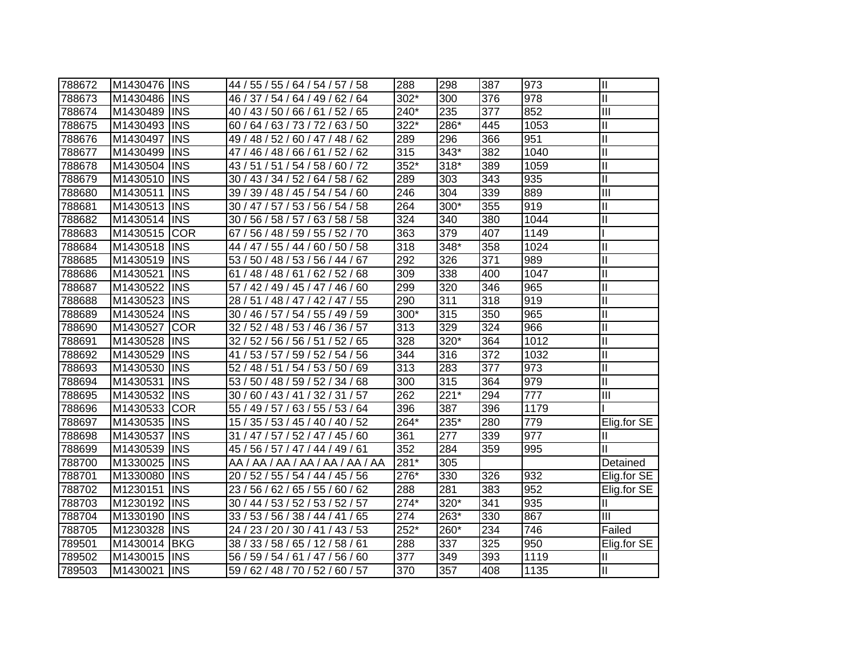| 788672 | M1430476 | <b>INS</b> | 44 / 55 / 55 / 64 / 54 / 57 / 58                  | 288              | 298    | 387 | 973  | $\mathbf{I}$            |
|--------|----------|------------|---------------------------------------------------|------------------|--------|-----|------|-------------------------|
| 788673 | M1430486 | <b>INS</b> | 46 / 37 / 54 / 64 / 49 / 62 / 64                  | 302*             | 300    | 376 | 978  | $\mathbf{I}$            |
| 788674 | M1430489 | <b>INS</b> | 40 / 43 / 50 / 66 / 61 / 52 / 65                  | 240*             | 235    | 377 | 852  | III                     |
| 788675 | M1430493 | <b>INS</b> | 60 / 64 / 63 / 73 / 72 / 63 / 50                  | 322*             | 286*   | 445 | 1053 | Ш                       |
| 788676 | M1430497 | <b>INS</b> | 49 / 48 / 52 / 60 / 47 / 48 / 62                  | 289              | 296    | 366 | 951  | $\mathbf{I}$            |
| 788677 | M1430499 | <b>INS</b> | 47 / 46 / 48 / 66 / 61 / 52 / 62                  | 315              | 343*   | 382 | 1040 | $\mathbf{I}$            |
| 788678 | M1430504 | <b>INS</b> | 43 / 51 / 51 / 54 / 58 / 60 / 72                  | 352*             | $318*$ | 389 | 1059 | $\mathbf{I}$            |
| 788679 | M1430510 | <b>INS</b> | 43 / 34 / 52 / 64 / 58 / 62<br>30/                | 289              | 303    | 343 | 935  | $\overline{\mathsf{I}}$ |
| 788680 | M1430511 | <b>INS</b> | 39 / 39 / 48 / 45 / 54 / 54 / 60                  | 246              | 304    | 339 | 889  | $\overline{\mathbb{H}}$ |
| 788681 | M1430513 | <b>INS</b> | 47 / 57 / 53 / 56 / 54 / 58<br>30/                | 264              | $300*$ | 355 | 919  | Ш                       |
| 788682 | M1430514 | <b>INS</b> | 56 / 58 / 57 /<br>63/58/58<br>30/                 | $\overline{324}$ | 340    | 380 | 1044 | $\mathbf{I}$            |
| 788683 | M1430515 | <b>COR</b> | 56 / 48 / 59 /<br>55 / 52 / 70<br>67 <sub>1</sub> | 363              | 379    | 407 | 1149 |                         |
| 788684 | M1430518 | <b>INS</b> | 55/44/<br>60 / 50 / 58<br>44 /<br>47/             | 318              | $348*$ | 358 | 1024 | $\mathbf{I}$            |
| 788685 | M1430519 | <b>INS</b> | 53 / 50 / 48 / 53 / 56 / 44 / 67                  | 292              | 326    | 371 | 989  | $\mathbf{I}$            |
| 788686 | M1430521 | <b>INS</b> | 61 / 48 / 48 / 61 / 62 / 52 / 68                  | 309              | 338    | 400 | 1047 | $\mathbf{I}$            |
| 788687 | M1430522 | <b>INS</b> | 57 / 42 / 49 / 45 / 47 / 46 / 60                  | 299              | 320    | 346 | 965  | $\mathbf{I}$            |
| 788688 | M1430523 | <b>INS</b> | 28 / 51 / 48 / 47 / 42 / 47 / 55                  | 290              | 311    | 318 | 919  | $\mathbf{I}$            |
| 788689 | M1430524 | <b>INS</b> | 30 / 46 / 57 / 54 / 55 / 49 / 59                  | 300*             | 315    | 350 | 965  | $\mathbf{I}$            |
| 788690 | M1430527 | <b>COR</b> | 32/<br>52 / 48 / 53 / 46 / 36 / 57                | 313              | 329    | 324 | 966  | $\mathbf{I}$            |
| 788691 | M1430528 | <b>INS</b> | 32 / 52 / 56 / 56 / 51 / 52 / 65                  | 328              | $320*$ | 364 | 1012 | $\mathbf{I}$            |
| 788692 | M1430529 | <b>INS</b> | 41 / 53 / 57 / 59 / 52 / 54 / 56                  | 344              | 316    | 372 | 1032 | $\mathbf{I}$            |
| 788693 | M1430530 | <b>INS</b> | 52 / 48 / 51 / 54 / 53 / 50 / 69                  | 313              | 283    | 377 | 973  | $\mathbf{I}$            |
| 788694 | M1430531 | <b>INS</b> | 53 / 50 / 48 / 59 / 52 / 34 / 68                  | 300              | 315    | 364 | 979  | Ш                       |
| 788695 | M1430532 | <b>INS</b> | 30 / 60 / 43 / 41 / 32 / 31 / 57                  | 262              | $221*$ | 294 | 777  | $\mathbf{III}$          |
| 788696 | M1430533 | <b>COR</b> | 55 / 49 / 57 / 63 / 55 / 53 / 64                  | 396              | 387    | 396 | 1179 |                         |
| 788697 | M1430535 | <b>INS</b> | 15 / 35 / 53 / 45 / 40 / 40 / 52                  | $264*$           | 235*   | 280 | 779  | Elig.for SE             |
| 788698 | M1430537 | <b>INS</b> | 31 / 47 / 57 / 52 / 47 / 45 / 60                  | 361              | 277    | 339 | 977  | Ш                       |
| 788699 | M1430539 | <b>INS</b> | 45 / 56 / 57 / 47 / 44 / 49 / 61                  | 352              | 284    | 359 | 995  | Ш                       |
| 788700 | M1330025 | <b>INS</b> | AA / AA / AA / AA / AA / AA / AA                  | $281*$           | 305    |     |      | Detained                |
| 788701 | M1330080 | <b>INS</b> | 20 / 52 / 55 / 54 / 44 / 45 / 56                  | 276*             | 330    | 326 | 932  | Elig.for SE             |
| 788702 | M1230151 | <b>INS</b> | 23 / 56 / 62 / 65 / 55 / 60 / 62                  | 288              | 281    | 383 | 952  | Elig.for SE             |
| 788703 | M1230192 | <b>INS</b> | 30 / 44 / 53 / 52 / 53 / 52 / 57                  | $274*$           | 320*   | 341 | 935  | Ш                       |
| 788704 | M1330190 | <b>INS</b> | 33 / 53 / 56 / 38 / 44 / 41 / 65                  | 274              | 263*   | 330 | 867  | Ш                       |
| 788705 | M1230328 | <b>INS</b> | 23 / 20 / 30 / 41 / 43 / 53<br>24/                | $252*$           | 260*   | 234 | 746  | Failed                  |
| 789501 | M1430014 | <b>BKG</b> | 38 / 33 / 58 / 65 / 12 / 58 / 61                  | 288              | 337    | 325 | 950  | Elig.for SE             |
| 789502 | M1430015 | <b>INS</b> | 56 / 59 / 54 / 61 / 47 / 56 / 60                  | 377              | 349    | 393 | 1119 | Ш                       |
| 789503 | M1430021 | <b>INS</b> | 59 / 62 / 48 / 70 / 52 / 60 / 57                  | 370              | 357    | 408 | 1135 | Ш                       |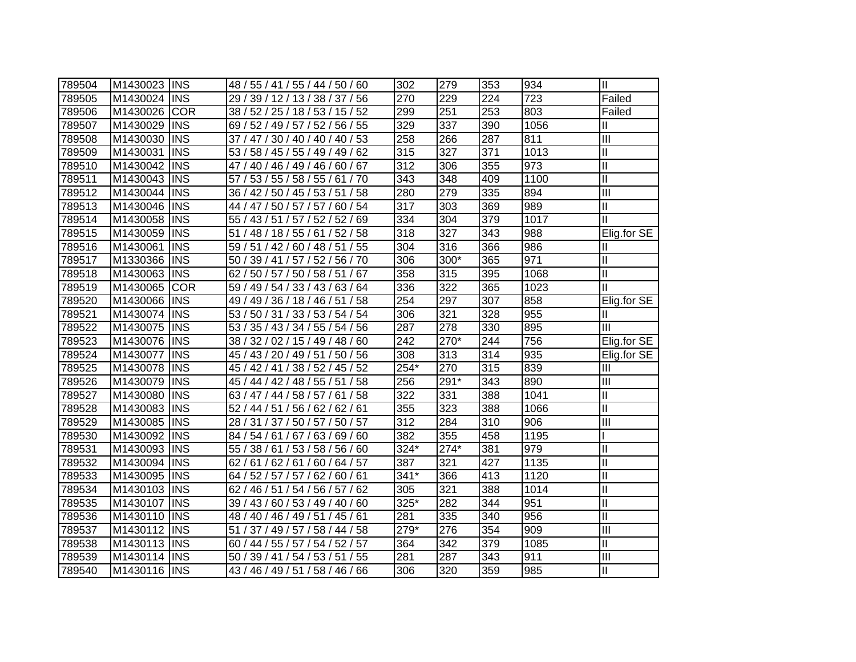| 789504 | M1430023 | <b>INS</b> | 48 / 55 / 41 / 55 / 44 / 50 / 60    | 302              | 279    | 353 | 934  | Ш                       |
|--------|----------|------------|-------------------------------------|------------------|--------|-----|------|-------------------------|
| 789505 | M1430024 | <b>INS</b> | 29 / 39 / 12 / 13 / 38 / 37 / 56    | 270              | 229    | 224 | 723  | Failed                  |
| 789506 | M1430026 | <b>COR</b> | 38 / 52 / 25 / 18 / 53 / 15 / 52    | 299              | 251    | 253 | 803  | Failed                  |
| 789507 | M1430029 | <b>INS</b> | 69 / 52 / 49 / 57 / 52 / 56 / 55    | 329              | 337    | 390 | 1056 | Ш                       |
| 789508 | M1430030 | <b>INS</b> | 37 / 47 / 30 / 40 / 40 / 40 / 53    | 258              | 266    | 287 | 811  | III                     |
| 789509 | M1430031 | <b>INS</b> | 53 / 58 / 45 / 55 / 49 / 49 / 62    | 315              | 327    | 371 | 1013 | Ш                       |
| 789510 | M1430042 | <b>INS</b> | 40 / 46 / 49 / 46 / 60 / 67<br>47 / | 312              | 306    | 355 | 973  | Ш                       |
| 789511 | M1430043 | <b>INS</b> | 53 / 55 / 58 / 55 / 61 / 70<br>57 / | $\overline{343}$ | 348    | 409 | 1100 | $\overline{\mathsf{I}}$ |
| 789512 | M1430044 | <b>INS</b> | 36 / 42 / 50 / 45 / 53 / 51 / 58    | 280              | 279    | 335 | 894  | $\overline{\mathbb{H}}$ |
| 789513 | M1430046 | <b>INS</b> | 47 / 50 / 57 / 57 / 60 / 54<br>44 / | $\overline{317}$ | 303    | 369 | 989  | Ш                       |
| 789514 | M1430058 | <b>INS</b> | 55 / 43 / 51 / 57 / 52 / 52 / 69    | 334              | 304    | 379 | 1017 | $\mathbf{I}$            |
| 789515 | M1430059 | <b>INS</b> | 48 / 18 / 55 / 61 / 52 / 58<br>51/  | 318              | 327    | 343 | 988  | Elig.for SE             |
| 789516 | M1430061 | <b>INS</b> | 59 / 51 / 42 / 60 / 48 / 51 / 55    | 304              | 316    | 366 | 986  | Ш                       |
| 789517 | M1330366 | <b>INS</b> | 50 / 39 / 41 / 57 / 52 / 56 / 70    | 306              | 300*   | 365 | 971  | Ш                       |
| 789518 | M1430063 | <b>INS</b> | 62 / 50 / 57 / 50 / 58 / 51 / 67    | 358              | 315    | 395 | 1068 | Ш                       |
| 789519 | M1430065 | <b>COR</b> | 59 / 49 / 54 / 33 / 43 / 63 / 64    | 336              | 322    | 365 | 1023 | Ш                       |
| 789520 | M1430066 | <b>INS</b> | 49 / 49 / 36 / 18 / 46 / 51 / 58    | 254              | 297    | 307 | 858  | Elig.for SE             |
| 789521 | M1430074 | <b>INS</b> | 53/<br>50 / 31 / 33 / 53 / 54 / 54  | 306              | 321    | 328 | 955  | Ш                       |
| 789522 | M1430075 | <b>INS</b> | 53/<br>35 / 43 / 34 / 55 / 54 / 56  | 287              | 278    | 330 | 895  | Ш                       |
| 789523 | M1430076 | <b>INS</b> | 38 / 32 / 02 / 15 / 49 / 48 / 60    | 242              | 270*   | 244 | 756  | Elig.for SE             |
| 789524 | M1430077 | <b>INS</b> | 45 / 43 / 20 / 49 / 51 / 50 / 56    | 308              | 313    | 314 | 935  | Elig.for SE             |
| 789525 | M1430078 | <b>INS</b> | 45 / 42 / 41 / 38 / 52 / 45 / 52    | $254*$           | 270    | 315 | 839  | $\mathbf{III}$          |
| 789526 | M1430079 | <b>INS</b> | 45 / 44 / 42 / 48 / 55 / 51 / 58    | 256              | $291*$ | 343 | 890  | $\mathbf{III}$          |
| 789527 | M1430080 | <b>INS</b> | 63 / 47 / 44 / 58 / 57 / 61 / 58    | 322              | 331    | 388 | 1041 | Ш                       |
| 789528 | M1430083 | <b>INS</b> | 52 / 44 / 51 / 56 / 62 / 62 / 61    | 355              | 323    | 388 | 1066 | Ш                       |
| 789529 | M1430085 | <b>INS</b> | 28 / 31 / 37 / 50 / 57 / 50 / 57    | 312              | 284    | 310 | 906  | $\overline{\mathbb{H}}$ |
| 789530 | M1430092 | <b>INS</b> | 84 / 54 / 61 / 67 / 63 / 69 / 60    | 382              | 355    | 458 | 1195 |                         |
| 789531 | M1430093 | <b>INS</b> | 55 / 38 / 61 / 53 / 58 / 56 / 60    | $324*$           | $274*$ | 381 | 979  | $\mathbf{I}$            |
| 789532 | M1430094 | <b>INS</b> | 62 / 61 / 62 / 61 / 60 / 64 / 57    | 387              | 321    | 427 | 1135 | Ш                       |
| 789533 | M1430095 | <b>INS</b> | 64 / 52 / 57 / 57 / 62 / 60 / 61    | $341*$           | 366    | 413 | 1120 | $\mathbf{I}$            |
| 789534 | M1430103 | <b>INS</b> | 62 / 46 / 51 / 54 / 56 / 57 / 62    | 305              | 321    | 388 | 1014 | $\mathbf{I}$            |
| 789535 | M1430107 | <b>INS</b> | 39 / 43 / 60 / 53 / 49 / 40 / 60    | 325*             | 282    | 344 | 951  | Ш                       |
| 789536 | M1430110 | <b>INS</b> | 48 / 40 / 46 / 49 / 51 / 45 / 61    | 281              | 335    | 340 | 956  | $\mathbf{I}$            |
| 789537 | M1430112 | <b>INS</b> | 37 / 49 / 57 / 58 / 44 / 58<br>51   | $279*$           | 276    | 354 | 909  | III                     |
| 789538 | M1430113 | <b>INS</b> | 60 / 44 / 55 / 57 / 54 / 52 / 57    | 364              | 342    | 379 | 1085 | Ш                       |
| 789539 | M1430114 | <b>INS</b> | 39 / 41 / 54 / 53 / 51 / 55<br>50/  | 281              | 287    | 343 | 911  | III                     |
| 789540 | M1430116 | <b>INS</b> | 43 / 46 / 49 / 51 / 58 / 46 / 66    | 306              | 320    | 359 | 985  | Ш                       |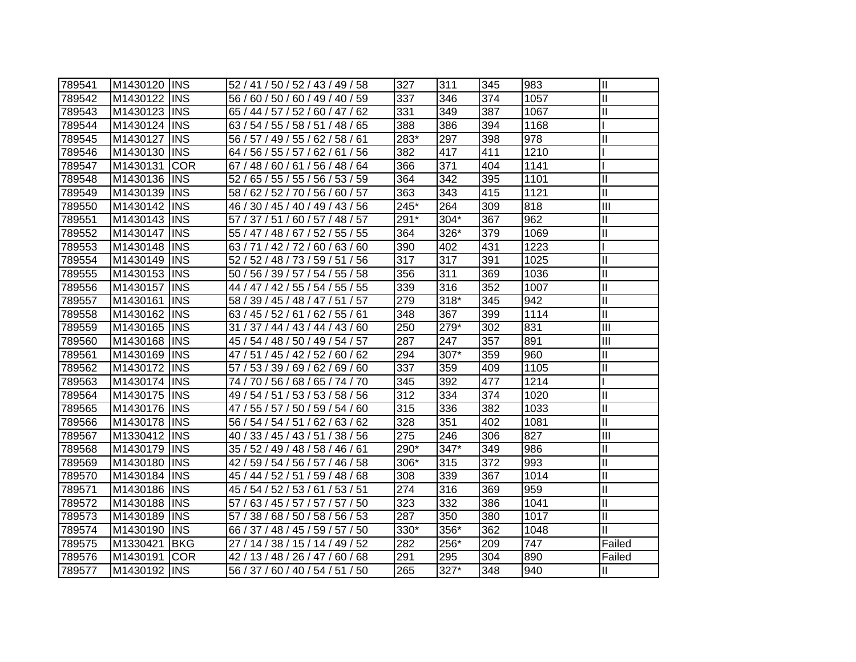| 789541 | M1430120 IINS |            | 52 / 41 / 50 / 52 / 43 / 49 / 58   | 327  | 311    | 345 | 983  | $\mathbf{I}$              |
|--------|---------------|------------|------------------------------------|------|--------|-----|------|---------------------------|
| 789542 | M1430122      | <b>INS</b> | 56 / 60 / 50 / 60 / 49 / 40 / 59   | 337  | 346    | 374 | 1057 | Ш                         |
| 789543 | M1430123      | <b>INS</b> | 65 / 44 / 57 / 52 / 60 / 47 / 62   | 331  | 349    | 387 | 1067 | Ш                         |
| 789544 | M1430124      | <b>INS</b> | 63 / 54 / 55 / 58 / 51 / 48 / 65   | 388  | 386    | 394 | 1168 |                           |
| 789545 | M1430127      | <b>INS</b> | 56 / 57 / 49 / 55 / 62 / 58 / 61   | 283* | 297    | 398 | 978  | II                        |
| 789546 | M1430130      | <b>INS</b> | 64 / 56 / 55 / 57 / 62 / 61 / 56   | 382  | 417    | 411 | 1210 |                           |
| 789547 | M1430131      | <b>COR</b> | 67 / 48 / 60 / 61 / 56 / 48 / 64   | 366  | 371    | 404 | 1141 |                           |
| 789548 | M1430136      | <b>INS</b> | 65 / 55 / 55 / 56 / 53 / 59<br>52/ | 364  | 342    | 395 | 1101 | $\mathbf{I}$              |
| 789549 | M1430139      | <b>INS</b> | 58 / 62 / 52 / 70 / 56 / 60 / 57   | 363  | 343    | 415 | 1121 | $\mathbf{I}$              |
| 789550 | M1430142      | <b>INS</b> | 46 / 30 / 45 / 40 / 49 / 43 / 56   | 245* | 264    | 309 | 818  | $\mathbf{III}$            |
| 789551 | M1430143      | <b>INS</b> | 57 / 37 / 51 / 60 / 57 / 48 / 57   | 291* | 304*   | 367 | 962  | Ш                         |
| 789552 | M1430147      | <b>INS</b> | 55 / 47 / 48 / 67 / 52 / 55 / 55   | 364  | 326*   | 379 | 1069 | Ш                         |
| 789553 | M1430148      | <b>INS</b> | 63 / 71 / 42 / 72 / 60 / 63 / 60   | 390  | 402    | 431 | 1223 |                           |
| 789554 | M1430149      | <b>INS</b> | 52 / 52 / 48 / 73 / 59 / 51 / 56   | 317  | 317    | 391 | 1025 | II                        |
| 789555 | M1430153      | <b>INS</b> | 50 / 56 / 39 / 57 / 54 / 55 / 58   | 356  | 311    | 369 | 1036 | Ш                         |
| 789556 | M1430157      | <b>INS</b> | 44 / 47 / 42 / 55 / 54 / 55 / 55   | 339  | 316    | 352 | 1007 | $\mathsf{I}$              |
| 789557 | M1430161      | <b>INS</b> | 58 / 39 / 45 / 48 / 47 / 51 / 57   | 279  | $318*$ | 345 | 942  | Ш                         |
| 789558 | M1430162      | <b>INS</b> | 63 / 45 / 52 / 61 / 62 / 55 / 61   | 348  | 367    | 399 | 1114 | $\mathbf{I}$              |
| 789559 | M1430165      | <b>INS</b> | 31 / 37 / 44 / 43 / 44 / 43 / 60   | 250  | 279*   | 302 | 831  | $\overline{\mathbb{I}}$   |
| 789560 | M1430168      | <b>INS</b> | 45 / 54 / 48 / 50 / 49 / 54 / 57   | 287  | 247    | 357 | 891  | $\mathbf{III}$            |
| 789561 | M1430169      | <b>INS</b> | 47 / 51 / 45 / 42 / 52 / 60 / 62   | 294  | 307*   | 359 | 960  | II                        |
| 789562 | M1430172      | <b>INS</b> | 57 / 53 / 39 / 69 / 62 / 69 / 60   | 337  | 359    | 409 | 1105 | $\mathsf{II}$             |
| 789563 | M1430174      | <b>INS</b> | 74 / 70 / 56 / 68 / 65 / 74 / 70   | 345  | 392    | 477 | 1214 |                           |
| 789564 | M1430175      | <b>INS</b> | 49 / 54 / 51 / 53 / 53 / 58 / 56   | 312  | 334    | 374 | 1020 | II                        |
| 789565 | M1430176      | <b>INS</b> | 47 / 55 / 57 / 50 / 59 / 54 / 60   | 315  | 336    | 382 | 1033 | $\mathbf{I}$              |
| 789566 | M1430178 INS  |            | 56 / 54 / 54 / 51 / 62 / 63 / 62   | 328  | 351    | 402 | 1081 | $\mathbf{I}$              |
| 789567 | M1330412 INS  |            | 40 / 33 / 45 / 43 / 51 / 38 / 56   | 275  | 246    | 306 | 827  | $\overline{\mathbf{III}}$ |
| 789568 | M1430179      | <b>INS</b> | 35 / 52 / 49 / 48 / 58 / 46 / 61   | 290* | 347*   | 349 | 986  | $\mathbf{I}$              |
| 789569 | M1430180      | <b>INS</b> | 42 / 59 / 54 / 56 / 57 / 46 / 58   | 306* | 315    | 372 | 993  | $\mathbf{I}$              |
| 789570 | M1430184      | <b>INS</b> | 45 / 44 / 52 / 51 / 59 / 48 / 68   | 308  | 339    | 367 | 1014 | Ш                         |
| 789571 | M1430186      | <b>INS</b> | 45 / 54 / 52 / 53 / 61 / 53 / 51   | 274  | 316    | 369 | 959  | $\mathbf{I}$              |
| 789572 | M1430188      | <b>INS</b> | 57 / 63 / 45 / 57 / 57 / 57 / 50   | 323  | 332    | 386 | 1041 | $\mathsf{II}$             |
| 789573 | M1430189      | <b>INS</b> | 57 / 38 / 68 / 50 / 58 / 56 / 53   | 287  | 350    | 380 | 1017 | $\mathbf{I}$              |
| 789574 | M1430190      | <b>INS</b> | 66 / 37 / 48 / 45 / 59 / 57 / 50   | 330* | 356*   | 362 | 1048 | Ш                         |
| 789575 | M1330421      | <b>BKG</b> | 27 / 14 / 38 / 15 / 14 / 49 / 52   | 282  | 256*   | 209 | 747  | Failed                    |
| 789576 | M1430191      | <b>COR</b> | 42 / 13 / 48 / 26 / 47 / 60 / 68   | 291  | 295    | 304 | 890  | Failed                    |
| 789577 | M1430192 INS  |            | 56 / 37 / 60 / 40 / 54 / 51 / 50   | 265  | 327*   | 348 | 940  | Ш                         |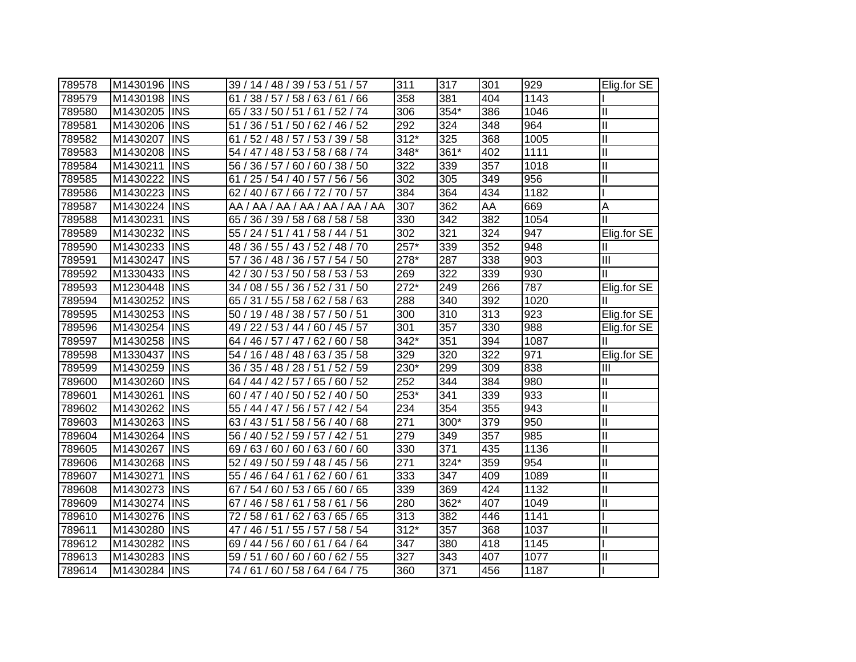| 789578 | M1430196     | <b>IINS</b> | 39 / 14 / 48 / 39 / 53 / 51 / 57    | 311    | 317  | 301 | 929  | Elig.for $SE$ |
|--------|--------------|-------------|-------------------------------------|--------|------|-----|------|---------------|
| 789579 | M1430198     | <b>INS</b>  | 61 / 38 / 57 / 58 / 63 / 61 / 66    | 358    | 381  | 404 | 1143 |               |
| 789580 | M1430205     | <b>INS</b>  | 65 / 33 / 50 / 51 / 61 / 52 / 74    | 306    | 354* | 386 | 1046 | $\mathbf{I}$  |
| 789581 | M1430206     | <b>INS</b>  | 51 / 36 / 51 / 50 / 62 / 46 / 52    | 292    | 324  | 348 | 964  | $\mathbf{I}$  |
| 789582 | M1430207     | <b>INS</b>  | 61 / 52 / 48 / 57 / 53 / 39 / 58    | $312*$ | 325  | 368 | 1005 | $\mathbf{I}$  |
| 789583 | M1430208     | <b>INS</b>  | 54 / 47 / 48 / 53 / 58 / 68 / 74    | 348*   | 361* | 402 | 1111 | $\mathbf{I}$  |
| 789584 | M1430211     | <b>INS</b>  | 56 / 36 / 57 / 60 / 60 / 38 / 50    | 322    | 339  | 357 | 1018 | $\mathbf{I}$  |
| 789585 | M1430222     | <b>INS</b>  | 25 / 54 / 40 / 57 / 56 / 56<br>61 / | 302    | 305  | 349 | 956  | $\mathbf{I}$  |
| 789586 | M1430223     | <b>INS</b>  | 62 / 40 / 67 / 66 / 72 / 70 / 57    | 384    | 364  | 434 | 1182 |               |
| 789587 | M1430224     | <b>INS</b>  | AA / AA / AA / AA / AA / AA / AA    | 307    | 362  | AA  | 669  | Α             |
| 789588 | M1430231     | <b>INS</b>  | 65 / 36 / 39 / 58 / 68 / 58 / 58    | 330    | 342  | 382 | 1054 | Ш             |
| 789589 | M1430232     | <b>INS</b>  | 55 / 24 / 51 / 41 / 58 / 44 / 51    | 302    | 321  | 324 | 947  | Elig.for SE   |
| 789590 | M1430233     | <b>INS</b>  | 48 / 36 / 55 / 43 / 52 / 48 / 70    | $257*$ | 339  | 352 | 948  | Ш             |
| 789591 | M1430247     | <b>INS</b>  | 36 / 48 / 36 / 57 / 54 / 50<br>57/  | 278*   | 287  | 338 | 903  | Ш             |
| 789592 | M1330433     | <b>INS</b>  | 30 / 53 / 50 / 58 / 53 / 53<br>42/  | 269    | 322  | 339 | 930  | Ш             |
| 789593 | M1230448     | <b>INS</b>  | 08 / 55 / 36 / 52 / 31 / 50<br>34/  | $272*$ | 249  | 266 | 787  | Elig.for SE   |
| 789594 | M1430252     | <b>INS</b>  | 65 / 31 / 55 / 58 / 62 / 58 / 63    | 288    | 340  | 392 | 1020 | Ш             |
| 789595 | M1430253     | <b>INS</b>  | 50 / 19 / 48 / 38 / 57 / 50 / 51    | 300    | 310  | 313 | 923  | Elig.for SE   |
| 789596 | M1430254     | <b>INS</b>  | 49 / 22 / 53 / 44 / 60 / 45 / 57    | 301    | 357  | 330 | 988  | Elig.for SE   |
| 789597 | M1430258     | IINS        | 64 / 46 / 57 / 47 / 62 / 60 / 58    | 342*   | 351  | 394 | 1087 | Ш             |
| 789598 | M1330437     | <b>INS</b>  | 54 / 16 / 48 / 48 / 63 / 35 / 58    | 329    | 320  | 322 | 971  | Elig.for SE   |
| 789599 | M1430259     | <b>INS</b>  | 36 / 35 / 48 / 28 / 51 / 52 / 59    | 230*   | 299  | 309 | 838  | III           |
| 789600 | M1430260     | <b>INS</b>  | 64 / 44 / 42 / 57 / 65 / 60 / 52    | 252    | 344  | 384 | 980  | Ш             |
| 789601 | M1430261     | <b>INS</b>  | 60 / 47 / 40 / 50 / 52 / 40 / 50    | 253*   | 341  | 339 | 933  | $\mathbf{I}$  |
| 789602 | M1430262     | <b>INS</b>  | 55 / 44 / 47 / 56 / 57 / 42 / 54    | 234    | 354  | 355 | 943  | $\mathbf{I}$  |
| 789603 | M1430263     | <b>INS</b>  | 63/43/51<br>/ 58 / 56 / 40 / 68     | 271    | 300* | 379 | 950  | $\mathbf{I}$  |
| 789604 | M1430264     | <b>INS</b>  | 56 / 40 / 52 / 59 / 57 / 42 / 51    | 279    | 349  | 357 | 985  | $\mathbf{  }$ |
| 789605 | M1430267     | <b>INS</b>  | 69 / 63 / 60 / 60 / 63 / 60 / 60    | 330    | 371  | 435 | 1136 | $\mathbf{II}$ |
| 789606 | M1430268     | <b>INS</b>  | 52 / 49 / 50 / 59 / 48 / 45 / 56    | 271    | 324* | 359 | 954  | $\mathbf{I}$  |
| 789607 | M1430271     | <b>INS</b>  | 55 / 46 / 64 / 61 / 62 / 60 / 61    | 333    | 347  | 409 | 1089 | $\mathbf{I}$  |
| 789608 | M1430273     | <b>INS</b>  | 67 / 54 / 60 / 53 / 65 / 60 / 65    | 339    | 369  | 424 | 1132 | $\mathbf{I}$  |
| 789609 | M1430274     | <b>INS</b>  | 67 / 46 / 58 / 61 / 58 / 61 / 56    | 280    | 362* | 407 | 1049 | $\mathbf{I}$  |
| 789610 | M1430276     | <b>INS</b>  | 72 / 58 / 61 / 62 / 63 / 65 / 65    | 313    | 382  | 446 | 1141 |               |
| 789611 | M1430280     | <b>INS</b>  | 47 / 46 / 51 / 55 / 57 / 58 / 54    | $312*$ | 357  | 368 | 1037 | Ш             |
| 789612 | M1430282     | <b>INS</b>  | 69 / 44 / 56 / 60 / 61 / 64 / 64    | 347    | 380  | 418 | 1145 |               |
| 789613 | M1430283     | <b>INS</b>  | 59 / 51 / 60 / 60 / 60 / 62 / 55    | 327    | 343  | 407 | 1077 | Ш             |
| 789614 | M1430284 INS |             | 74 / 61 / 60 / 58 / 64 / 64 / 75    | 360    | 371  | 456 | 1187 |               |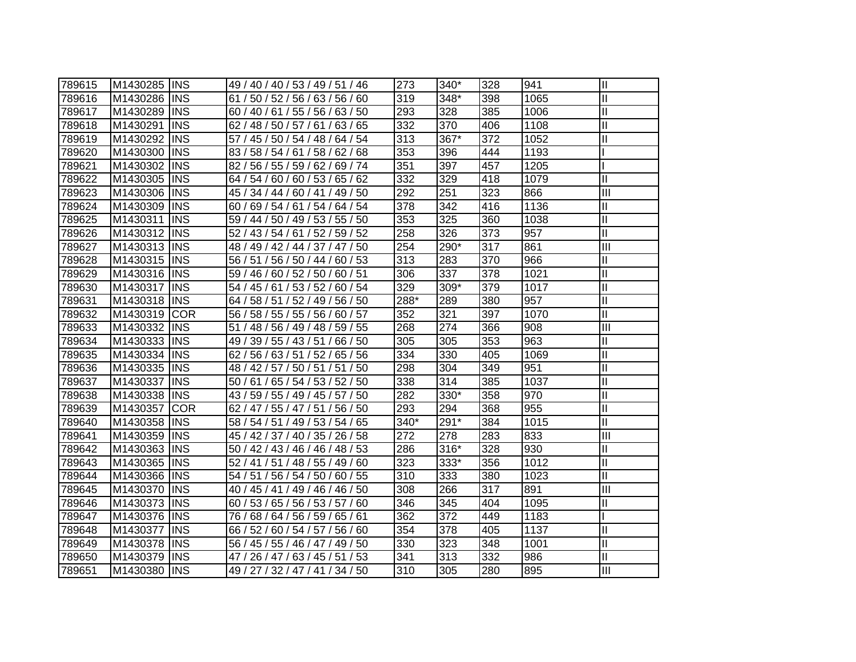| 789615 | M1430285 IINS |             | 49 / 40 / 40 / 53 / 49 / 51 / 46    | 273  | $340*$ | 328 | 941  | $\mathbf{II}$              |
|--------|---------------|-------------|-------------------------------------|------|--------|-----|------|----------------------------|
| 789616 | M1430286      | <b>INS</b>  | 61 / 50 / 52 / 56 / 63 / 56 / 60    | 319  | 348*   | 398 | 1065 | $\mathbf{I}$               |
| 789617 | M1430289      | <b>INS</b>  | 60 / 40 / 61 / 55 / 56 / 63 / 50    | 293  | 328    | 385 | 1006 | $\mathbf{I}$               |
| 789618 | M1430291      | <b>INS</b>  | 62 / 48 / 50 / 57 / 61 / 63 / 65    | 332  | 370    | 406 | 1108 | $\mathbf{I}$               |
| 789619 | M1430292      | <b>INS</b>  | 57 / 45 / 50 / 54 / 48 / 64 / 54    | 313  | 367*   | 372 | 1052 | Ш                          |
| 789620 | M1430300      | <b>INS</b>  | 83 / 58 / 54 / 61 / 58 / 62 / 68    | 353  | 396    | 444 | 1193 |                            |
| 789621 | M1430302      | <b>INS</b>  | 82/56/55/59/62/69/74                | 351  | 397    | 457 | 1205 |                            |
| 789622 | M1430305      | <b>INS</b>  | 64 / 54 / 60 / 60 / 53 / 65 / 62    | 332  | 329    | 418 | 1079 | Ш                          |
| 789623 | M1430306      | <b>INS</b>  | 45 / 34 / 44 / 60 / 41 / 49 / 50    | 292  | 251    | 323 | 866  | $\overline{\mathbf{III}}$  |
| 789624 | M1430309      | <b>INS</b>  | 60 / 69 / 54 / 61 / 54 / 64 / 54    | 378  | 342    | 416 | 1136 | $\mathbf{I}$               |
| 789625 | M1430311      | <b>INS</b>  | 59 / 44 / 50 / 49 / 53 / 55 / 50    | 353  | 325    | 360 | 1038 | $\mathbf{I}$               |
| 789626 | M1430312      | <b>INS</b>  | 52 / 59 / 52<br>52 / 43 / 54 / 61 / | 258  | 326    | 373 | 957  | $\mathbf{I}$               |
| 789627 | M1430313      | <b>INS</b>  | 48 / 49 / 42 / 44 / 37 / 47 / 50    | 254  | 290*   | 317 | 861  | $\overline{\mathbb{I}}$    |
| 789628 | M1430315      | <b>INS</b>  | 56 / 51 / 56 / 50 / 44 / 60 / 53    | 313  | 283    | 370 | 966  | $\mathbf{I}$               |
| 789629 | M1430316      | <b>INS</b>  | 59 / 46 / 60 / 52 / 50 / 60 / 51    | 306  | 337    | 378 | 1021 | $\mathbf{I}$               |
| 789630 | M1430317      | <b>INS</b>  | 54 / 45 / 61 / 53 / 52 / 60 / 54    | 329  | 309*   | 379 | 1017 | $\mathbf{I}$               |
| 789631 | M1430318      | <b>INS</b>  | 64 / 58 / 51 / 52 / 49 / 56 / 50    | 288* | 289    | 380 | 957  | $\mathbf{I}$               |
| 789632 | M1430319      | <b>COR</b>  | 56 / 58 / 55 / 55 / 56 / 60 / 57    | 352  | 321    | 397 | 1070 | $\mathsf{II}$              |
| 789633 | M1430332      | <b>INS</b>  | 51 / 48 / 56 / 49 / 48 / 59 / 55    | 268  | 274    | 366 | 908  | Ш                          |
| 789634 | M1430333      | <b>INS</b>  | 49 / 39 / 55 / 43 / 51 / 66 / 50    | 305  | 305    | 353 | 963  | II                         |
| 789635 | M1430334 INS  |             | 62 / 56 / 63 / 51 / 52 / 65 / 56    | 334  | 330    | 405 | 1069 | $\mathbf{I}$               |
| 789636 | M1430335 INS  |             | 48 / 42 / 57 / 50 / 51 / 51 / 50    | 298  | 304    | 349 | 951  | $\mathbf{I}$               |
| 789637 | M1430337      | <b>INS</b>  | 50 / 61 / 65 / 54 / 53 / 52 / 50    | 338  | 314    | 385 | 1037 | $\mathbf{I}$               |
| 789638 | M1430338 INS  |             | 43 / 59 / 55 / 49 / 45 / 57 / 50    | 282  | 330*   | 358 | 970  | $\mathbf{I}$               |
| 789639 | M1430357      | <b>COR</b>  | 62 / 47 / 55 / 47 / 51 / 56 / 50    | 293  | 294    | 368 | 955  | $\mathop{\rm II}\nolimits$ |
| 789640 | M1430358      | <b>INS</b>  | 58 / 54 / 51 / 49 / 53 / 54 / 65    | 340* | 291*   | 384 | 1015 | $\mathop{\rm II}\nolimits$ |
| 789641 | M1430359      | <b>INS</b>  | 45 / 42 / 37 / 40 / 35 / 26 / 58    | 272  | 278    | 283 | 833  | $\mathbf{III}$             |
| 789642 | M1430363      | <b>INS</b>  | 50 / 42 / 43 / 46 / 46 / 48 / 53    | 286  | 316*   | 328 | 930  | $\mathop{\rm II}\nolimits$ |
| 789643 | M1430365      | <b>INS</b>  | 52 / 41 / 51 / 48 / 55 / 49 / 60    | 323  | 333*   | 356 | 1012 | $\mathop{\rm II}\nolimits$ |
| 789644 | M1430366      | <b>IINS</b> | 54 / 51 / 56 / 54 / 50 / 60 / 55    | 310  | 333    | 380 | 1023 | $\mathbf{I}$               |
| 789645 | M1430370      | <b>IINS</b> | 40 / 45 / 41 / 49 / 46 / 46 / 50    | 308  | 266    | 317 | 891  | $\mathbf{III}$             |
| 789646 | M1430373      | <b>INS</b>  | 60 / 53 / 65 / 56 / 53 / 57 / 60    | 346  | 345    | 404 | 1095 | Ш                          |
| 789647 | M1430376      | <b>INS</b>  | 76 / 68 / 64 / 56 / 59 / 65 / 61    | 362  | 372    | 449 | 1183 |                            |
| 789648 | M1430377      | <b>INS</b>  | 66 / 52 / 60 / 54 / 57 / 56 / 60    | 354  | 378    | 405 | 1137 | $\mathbf{I}$               |
| 789649 | M1430378      | <b>INS</b>  | 56 / 45 / 55 / 46 / 47 / 49 / 50    | 330  | 323    | 348 | 1001 | Ш                          |
| 789650 | M1430379      | <b>INS</b>  | 47 / 26 / 47 / 63 / 45 / 51 / 53    | 341  | 313    | 332 | 986  | $\mathbf{I}$               |
| 789651 | M1430380 INS  |             | 49 / 27 / 32 / 47 / 41 / 34 / 50    | 310  | 305    | 280 | 895  | Ш                          |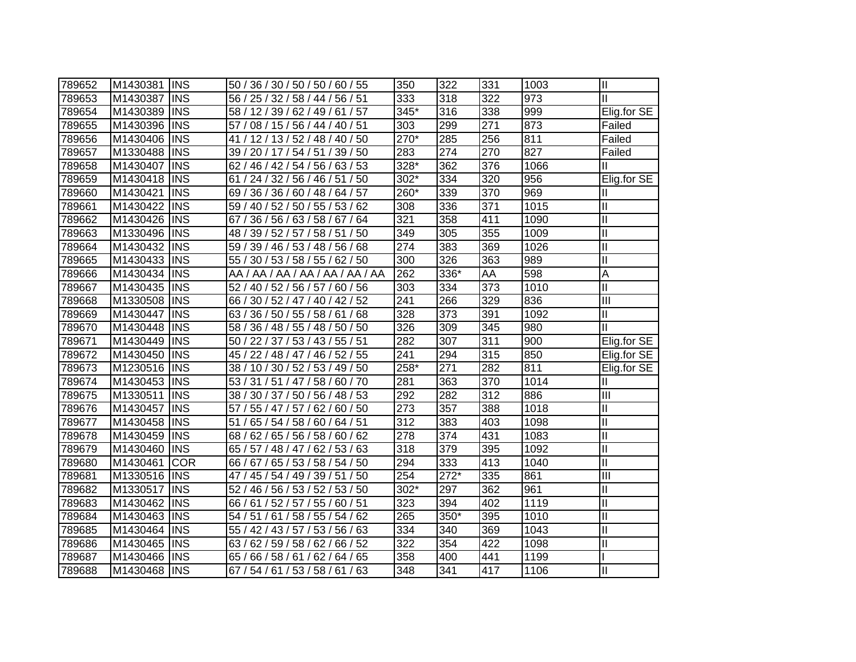| 789652 | M1430381 | <b>INS</b> | 50 / 36 / 30 / 50 / 50 / 60 / 55       | 350    | 322    | 331 | 1003 | $\mathbf{  }$              |
|--------|----------|------------|----------------------------------------|--------|--------|-----|------|----------------------------|
| 789653 | M1430387 | <b>INS</b> | 56 / 25 / 32 / 58 / 44 / 56 / 51       | 333    | 318    | 322 | 973  | Ш                          |
| 789654 | M1430389 | <b>INS</b> | 58 / 12 / 39 / 62 / 49 / 61 / 57       | 345*   | 316    | 338 | 999  | Elig.for SE                |
| 789655 | M1430396 | <b>INS</b> | 57 / 08 / 15 / 56 / 44 / 40 / 51       | 303    | 299    | 271 | 873  | Failed                     |
| 789656 | M1430406 | <b>INS</b> | 41 / 12 / 13 / 52 / 48 / 40 / 50       | 270*   | 285    | 256 | 811  | Failed                     |
| 789657 | M1330488 | <b>INS</b> | 39 / 20 / 17 / 54 / 51 / 39 / 50       | 283    | 274    | 270 | 827  | Failed                     |
| 789658 | M1430407 | <b>INS</b> | 62 / 46 / 42 / 54 / 56 / 63 / 53       | 328*   | 362    | 376 | 1066 |                            |
| 789659 | M1430418 | <b>INS</b> | 24 / 32 / 56 / 46 / 51 / 50<br>61 /    | $302*$ | 334    | 320 | 956  | Elig.for SE                |
| 789660 | M1430421 | <b>INS</b> | 36 / 36 / 60 / 48 / 64 / 57<br>69 /    | 260*   | 339    | 370 | 969  | Ш                          |
| 789661 | M1430422 | <b>INS</b> | 40 / 52 / 50 / 55 / 53 / 62<br>59/     | 308    | 336    | 371 | 1015 | $\mathop{\rm II}\nolimits$ |
| 789662 | M1430426 | <b>INS</b> | 36 / 56 / 63 / 58 / 67 / 64<br>67 ,    | 321    | 358    | 411 | 1090 | $\mathbf{I}$               |
| 789663 | M1330496 | <b>INS</b> | 58/51<br>39 / 52 / 57 /<br>/50<br>48 / | 349    | 305    | 355 | 1009 | $\mathbf{I}$               |
| 789664 | M1430432 | <b>INS</b> | 39 / 46 / 53 /<br>48 / 56 / 68<br>59/  | 274    | 383    | 369 | 1026 | $\mathbf{I}$               |
| 789665 | M1430433 | <b>INS</b> | 55 / 30 / 53 / 58 / 55 / 62 / 50       | 300    | 326    | 363 | 989  | $\mathbf{I}$               |
| 789666 | M1430434 | <b>INS</b> | AA / AA / AA / AA / AA / AA / AA       | 262    | 336*   | AA  | 598  | $\overline{A}$             |
| 789667 | M1430435 | <b>INS</b> | 52 / 40 / 52 / 56 / 57 / 60 / 56       | 303    | 334    | 373 | 1010 | $\mathbf{I}$               |
| 789668 | M1330508 | <b>INS</b> | 66 / 30 / 52 / 47 / 40 / 42 / 52       | 241    | 266    | 329 | 836  | $\overline{\mathbb{I}}$    |
| 789669 | M1430447 | <b>INS</b> | 36 / 50 / 55 / 58 / 61<br>/68<br>63/   | 328    | 373    | 391 | 1092 | $\mathbf{I}$               |
| 789670 | M1430448 | <b>INS</b> | 36 / 48 / 55 / 48 / 50<br>/50<br>58/   | 326    | 309    | 345 | 980  | Ш                          |
| 789671 | M1430449 | <b>INS</b> | 50 / 22 / 37 / 53 / 43 / 55 / 51       | 282    | 307    | 311 | 900  | Elig.for SE                |
| 789672 | M1430450 | <b>INS</b> | 45 / 22 / 48 / 47 / 46 / 52 / 55       | 241    | 294    | 315 | 850  | Elig.for SE                |
| 789673 | M1230516 | <b>INS</b> | 38 / 10 / 30 / 52 / 53 / 49 / 50       | 258*   | 271    | 282 | 811  | Elig.for SE                |
| 789674 | M1430453 | <b>INS</b> | 53 / 31 / 51 / 47 / 58 / 60 / 70       | 281    | 363    | 370 | 1014 | Ш                          |
| 789675 | M1330511 | <b>INS</b> | 38 / 30 / 37 / 50 / 56 / 48 / 53       | 292    | 282    | 312 | 886  | III                        |
| 789676 | M1430457 | <b>INS</b> | 57 / 55 / 47 / 57 / 62 / 60 / 50       | 273    | 357    | 388 | 1018 | $\mathbf{I}$               |
| 789677 | M1430458 | <b>INS</b> | 65 / 54 / 58 / 60 / 64 / 51<br>51/     | 312    | 383    | 403 | 1098 | $\mathbf{I}$               |
| 789678 | M1430459 | <b>INS</b> | 68 / 62 / 65 / 56 / 58 / 60 / 62       | 278    | 374    | 431 | 1083 | $\mathbf{I}$               |
| 789679 | M1430460 | <b>INS</b> | 65 / 57 / 48 / 47 / 62 / 53 / 63       | 318    | 379    | 395 | 1092 | $\mathbf{I}$               |
| 789680 | M1430461 | <b>COR</b> | 66 / 67 / 65 / 53 / 58 / 54 / 50       | 294    | 333    | 413 | 1040 | $\mathbf{I}$               |
| 789681 | M1330516 | <b>INS</b> | 47 / 45 / 54 / 49 / 39 / 51<br>/50     | 254    | $272*$ | 335 | 861  | $\mathbf{III}$             |
| 789682 | M1330517 | <b>INS</b> | 52 / 46 / 56 / 53 / 52 / 53 / 50       | 302*   | 297    | 362 | 961  | $\mathbf{I}$               |
| 789683 | M1430462 | <b>INS</b> | 66 / 61 / 52 / 57 / 55 / 60 / 51       | 323    | 394    | 402 | 1119 | Ш                          |
| 789684 | M1430463 | <b>INS</b> | 54 / 51 / 61 / 58 / 55 / 54 / 62       | 265    | 350*   | 395 | 1010 | $\mathbf{I}$               |
| 789685 | M1430464 | <b>INS</b> | 55 / 42 / 43 / 57 /<br>53 / 56 / 63    | 334    | 340    | 369 | 1043 | $\mathbf{I}$               |
| 789686 | M1430465 | <b>INS</b> | 62 / 59 / 58 / 62 / 66 / 52<br>63      | 322    | 354    | 422 | 1098 | Ш                          |
| 789687 | M1430466 | <b>INS</b> | 66 / 58 / 61 / 62 / 64 / 65<br>65/     | 358    | 400    | 441 | 1199 |                            |
| 789688 | M1430468 | <b>INS</b> | 67 / 54 / 61 / 53 / 58 / 61 / 63       | 348    | 341    | 417 | 1106 | Ш                          |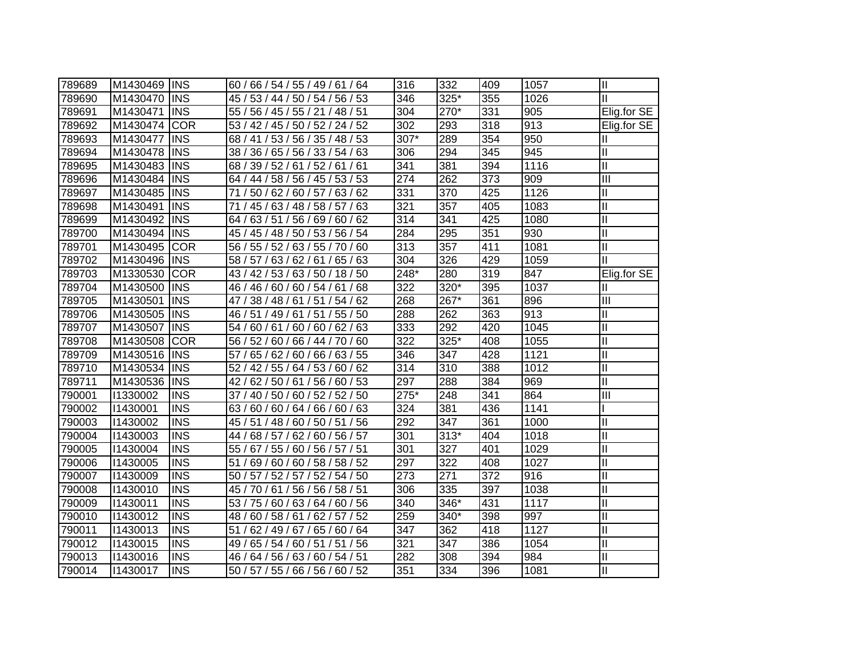| 789689 | M1430469 | <b>IINS</b> | 60 / 66 / 54 / 55 / 49 / 61 / 64     | 316  | 332    | 409 | 1057 | $\mathbf{  }$              |
|--------|----------|-------------|--------------------------------------|------|--------|-----|------|----------------------------|
| 789690 | M1430470 | <b>INS</b>  | 45 / 53 / 44 / 50 / 54 / 56 / 53     | 346  | 325*   | 355 | 1026 | Ш                          |
| 789691 | M1430471 | <b>INS</b>  | 55 / 56 / 45 / 55 / 21 / 48 / 51     | 304  | 270*   | 331 | 905  | Elig.for SE                |
| 789692 | M1430474 | <b>COR</b>  | 53 / 42 / 45 / 50 / 52 / 24 / 52     | 302  | 293    | 318 | 913  | Elig.for $SE$              |
| 789693 | M1430477 | <b>INS</b>  | 68 / 41 / 53 / 56 / 35 / 48 / 53     | 307* | 289    | 354 | 950  | Ш                          |
| 789694 | M1430478 | <b>INS</b>  | 38 / 36 / 65 / 56 / 33 / 54 / 63     | 306  | 294    | 345 | 945  | Ш                          |
| 789695 | M1430483 | <b>INS</b>  | 68 / 39 / 52 / 61 / 52 / 61 / 61     | 341  | 381    | 394 | 1116 | $\mathop{\rm II}\nolimits$ |
| 789696 | M1430484 | <b>INS</b>  | 64 / 44 / 58 / 56 / 45 / 53 / 53     | 274  | 262    | 373 | 909  | $\overline{\mathbb{H}}$    |
| 789697 | M1430485 | <b>INS</b>  | 50 / 62 / 60 / 57 / 63 / 62<br>71 /  | 331  | 370    | 425 | 1126 | Ξ                          |
| 789698 | M1430491 | <b>INS</b>  | 45 / 63 / 48 / 58 / 57 / 63<br>71.   | 321  | 357    | 405 | 1083 | $\mathsf{II}$              |
| 789699 | M1430492 | <b>INS</b>  | 63/51<br>56 / 69 / 60 / 62<br>64/    | 314  | 341    | 425 | 1080 | $\mathbf{I}$               |
| 789700 | M1430494 | <b>INS</b>  | 45 / 48 / 50 / 53 / 56 / 54<br>45/   | 284  | 295    | 351 | 930  | $\mathbf{I}$               |
| 789701 | M1430495 | <b>COR</b>  | 55 / 52 / 63 / 55 / 70 / 60<br>56/   | 313  | 357    | 411 | 1081 | $\mathbf{I}$               |
| 789702 | M1430496 | <b>INS</b>  | 58 / 57 / 63 / 62 / 61 / 65 / 63     | 304  | 326    | 429 | 1059 | $\mathbf{I}$               |
| 789703 | M1330530 | <b>COR</b>  | 43 / 42 / 53 / 63 / 50 / 18 / 50     | 248* | 280    | 319 | 847  | Elig.for SE                |
| 789704 | M1430500 | <b>INS</b>  | 46 / 46 / 60 / 60 / 54 / 61 / 68     | 322  | 320*   | 395 | 1037 | Ш                          |
| 789705 | M1430501 | <b>INS</b>  | 47 / 38 / 48 / 61 / 51 / 54 / 62     | 268  | 267*   | 361 | 896  | Ш                          |
| 789706 | M1430505 | <b>INS</b>  | 51/<br>49 / 61 / 51<br>/55/50<br>46/ | 288  | 262    | 363 | 913  | $\mathbf{I}$               |
| 789707 | M1430507 | <b>INS</b>  | 60/61<br>60 / 60 / 62 / 63<br>54/    | 333  | 292    | 420 | 1045 | $\mathbf{I}$               |
| 789708 | M1430508 | <b>COR</b>  | 56 / 52 / 60 / 66 / 44 / 70 / 60     | 322  | 325*   | 408 | 1055 | $\mathbf{I}$               |
| 789709 | M1430516 | <b>INS</b>  | 65 / 62 / 60 / 66 / 63 / 55<br>57/   | 346  | 347    | 428 | 1121 | $\mathbf{I}$               |
| 789710 | M1430534 | <b>INS</b>  | 52 / 42 / 55 / 64 / 53 / 60 / 62     | 314  | 310    | 388 | 1012 | $\mathbf{II}$              |
| 789711 | M1430536 | <b>INS</b>  | 42 / 62 / 50 / 61 / 56 / 60 / 53     | 297  | 288    | 384 | 969  | $\mathbf{II}$              |
| 790001 | 11330002 | <b>INS</b>  | 37 / 40 / 50 / 60 / 52 / 52 / 50     | 275* | 248    | 341 | 864  | $\overline{III}$           |
| 790002 | 11430001 | <b>INS</b>  | 63 / 60 / 60 / 64 / 66 / 60 / 63     | 324  | 381    | 436 | 1141 |                            |
| 790003 | 11430002 | <b>INS</b>  | 45 / 51 / 48 / 60 / 50 / 51<br>/56   | 292  | 347    | 361 | 1000 | $\mathbf{I}$               |
| 790004 | 11430003 | <b>INS</b>  | 44 / 68 / 57 / 62 / 60 / 56 / 57     | 301  | $313*$ | 404 | 1018 | $\mathbf{II}$              |
| 790005 | 11430004 | <b>INS</b>  | 55 / 67 / 55 / 60 / 56 / 57 / 51     | 301  | 327    | 401 | 1029 | $\mathbf{I}$               |
| 790006 | 11430005 | <b>INS</b>  | 51 / 69 / 60 / 60 / 58 / 58 / 52     | 297  | 322    | 408 | 1027 | $\mathbf{I}$               |
| 790007 | 11430009 | <b>INS</b>  | 50 / 57 / 52 / 57 / 52 / 54 / 50     | 273  | 271    | 372 | 916  | $\mathbf{I}$               |
| 790008 | 11430010 | <b>INS</b>  | 45 / 70 / 61<br>/ 56 / 56 / 58 / 51  | 306  | 335    | 397 | 1038 | $\mathbf{I}$               |
| 790009 | 11430011 | <b>INS</b>  | 53 / 75 / 60 / 63 / 64 / 60 / 56     | 340  | 346*   | 431 | 1117 | $\mathbf{I}$               |
| 790010 | 11430012 | <b>INS</b>  | 60 / 58 / 61 / 62 / 57 / 52<br>48 /  | 259  | 340*   | 398 | 997  | $\mathbf{I}$               |
| 790011 | 11430013 | <b>INS</b>  | 62 / 49 / 67 / 65 / 60 / 64<br>51    | 347  | 362    | 418 | 1127 | $\mathbf{I}$               |
| 790012 | 11430015 | <b>INS</b>  | 65 / 54 / 60 / 51 / 51 / 56<br>49/   | 321  | 347    | 386 | 1054 | $\mathbf{I}$               |
| 790013 | 11430016 | <b>INS</b>  | 64 / 56 / 63 / 60 / 54 / 51<br>46/   | 282  | 308    | 394 | 984  | $\mathbf{I}$               |
| 790014 | 11430017 | <b>INS</b>  | 50 / 57 / 55 / 66 / 56 / 60 / 52     | 351  | 334    | 396 | 1081 | $\mathbf{I}$               |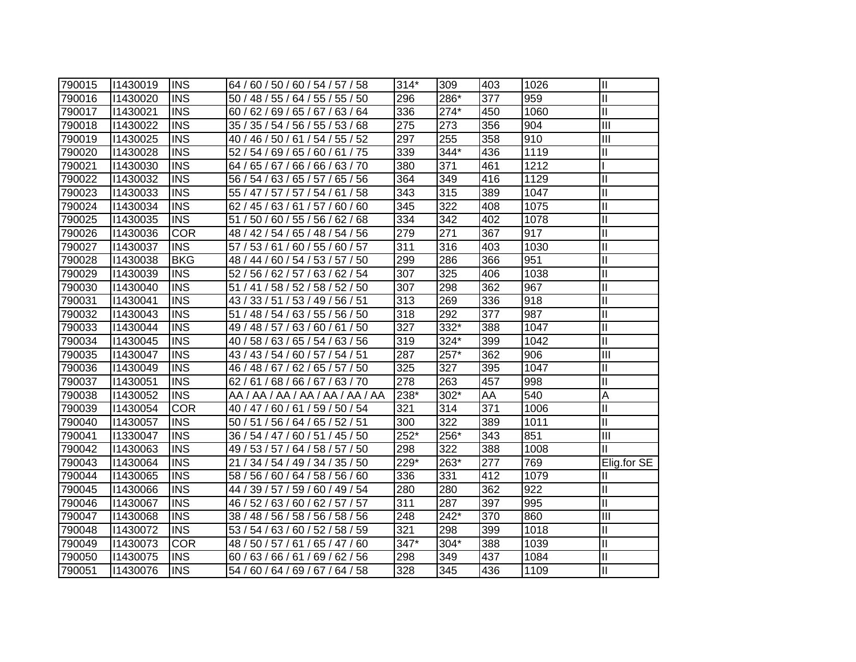| 790015 | 11430019 | <b>INS</b>              | 64 / 60 / 50 / 60 / 54 / 57 / 58    | $314*$           | 309    | 403 | 1026 | $\mathbf{I}$            |
|--------|----------|-------------------------|-------------------------------------|------------------|--------|-----|------|-------------------------|
| 790016 | 11430020 | <b>INS</b>              | 50 / 48 / 55 / 64 / 55 / 55 / 50    | 296              | 286*   | 377 | 959  | $\mathbf{I}$            |
| 790017 | 11430021 | <b>INS</b>              | 60 / 62 / 69 / 65 / 67 / 63 / 64    | 336              | $274*$ | 450 | 1060 | $\overline{\mathbb{I}}$ |
| 790018 | 11430022 | <b>INS</b>              | 35 / 35 / 54 / 56 / 55 / 53 / 68    | 275              | 273    | 356 | 904  | $\mathbf{III}$          |
| 790019 | 11430025 | <b>INS</b>              | 40 / 46 / 50 / 61 / 54 / 55 / 52    | 297              | 255    | 358 | 910  | $\mathbf{III}$          |
| 790020 | 11430028 | <b>INS</b>              | 52 / 54 / 69 / 65 / 60 / 61 / 75    | 339              | 344*   | 436 | 1119 | Ш                       |
| 790021 | 11430030 | <b>INS</b>              | 64 / 65 / 67 / 66 / 66 / 63 / 70    | 380              | 371    | 461 | 1212 |                         |
| 790022 | 11430032 | <b>INS</b>              | 56 / 54 / 63 / 65 / 57 / 65 / 56    | 364              | 349    | 416 | 1129 | $\mathbf{I}$            |
| 790023 | 11430033 | <b>INS</b>              | 55 / 47 / 57 / 57 / 54 / 61 / 58    | 343              | 315    | 389 | 1047 | $\mathbf{I}$            |
| 790024 | 11430034 | <b>INS</b>              | 62 / 45 / 63 / 61 / 57 / 60 / 60    | $\overline{345}$ | 322    | 408 | 1075 | $\mathbf{I}$            |
| 790025 | 11430035 | $\overline{\text{INS}}$ | 50 / 60 / 55 / 56 / 62 / 68<br>51/  | $\overline{334}$ | 342    | 402 | 1078 | $\mathbf{I}$            |
| 790026 | 11430036 | <b>COR</b>              | 48 / 42 / 54 / 65 / 48 / 54 / 56    | 279              | 271    | 367 | 917  | $\mathbf{I}$            |
| 790027 | 11430037 | <b>INS</b>              | 53 / 61 / 60 / 55 / 60 / 57<br>57/  | 311              | 316    | 403 | 1030 | $\mathbf{I}$            |
| 790028 | 11430038 | <b>BKG</b>              | 48 / 44 / 60 / 54 / 53 / 57 / 50    | 299              | 286    | 366 | 951  | $\mathbf{I}$            |
| 790029 | 11430039 | <b>INS</b>              | 52 / 56 / 62 / 57 / 63 / 62 / 54    | 307              | 325    | 406 | 1038 | $\mathbf{I}$            |
| 790030 | 11430040 | <b>INS</b>              | 51 / 41 / 58 / 52 / 58 / 52 / 50    | 307              | 298    | 362 | 967  | $\mathbf{I}$            |
| 790031 | 11430041 | <b>INS</b>              | 43 / 33 / 51 / 53 / 49 / 56 / 51    | 313              | 269    | 336 | 918  | $\mathsf{II}$           |
| 790032 | 11430043 | <b>INS</b>              | 51 / 48 / 54 / 63 / 55 / 56 / 50    | 318              | 292    | 377 | 987  | $\mathbf{I}$            |
| 790033 | 11430044 | <b>INS</b>              | 49 / 48 / 57 / 63 / 60 / 61<br>/50  | 327              | 332*   | 388 | 1047 | $\mathbf{I}$            |
| 790034 | 11430045 | <b>INS</b>              | 40 / 58 / 63 / 65 / 54 / 63 / 56    | 319              | 324*   | 399 | 1042 | $\mathbf{I}$            |
| 790035 | 11430047 | <b>INS</b>              | 43 / 43 / 54 / 60 / 57 / 54 / 51    | 287              | 257*   | 362 | 906  | $\overline{\mathbb{H}}$ |
| 790036 | 11430049 | <b>INS</b>              | 46 / 48 / 67 / 62 / 65 / 57 / 50    | 325              | 327    | 395 | 1047 | Ш                       |
| 790037 | 11430051 | <b>INS</b>              | 62 / 61 / 68 / 66 / 67 / 63 / 70    | 278              | 263    | 457 | 998  | $\mathbf{I}$            |
| 790038 | 11430052 | <b>INS</b>              | AA / AA / AA / AA / AA / AA / AA    | 238*             | 302*   | AA  | 540  | A                       |
| 790039 | 11430054 | <b>COR</b>              | 40 / 47 / 60 / 61 / 59 / 50 / 54    | 321              | 314    | 371 | 1006 | Ш                       |
| 790040 | 11430057 | <b>INS</b>              | 50 / 51 / 56 / 64 / 65 / 52 / 51    | 300              | 322    | 389 | 1011 | Ш                       |
| 790041 | 1330047  | <b>INS</b>              | 36 / 54 / 47 / 60 / 51 / 45 / 50    | 252*             | 256*   | 343 | 851  | Ш                       |
| 790042 | 11430063 | <b>INS</b>              | 49 / 53 / 57 / 64 / 58 / 57 / 50    | 298              | 322    | 388 | 1008 | Ш                       |
| 790043 | 11430064 | <b>INS</b>              | 21 / 34 / 54 / 49 / 34 / 35 / 50    | 229*             | 263*   | 277 | 769  | Elig.for SE             |
| 790044 | 11430065 | <b>INS</b>              | 58 / 56 / 60 / 64 / 58 / 56 / 60    | 336              | 331    | 412 | 1079 | Ш                       |
| 790045 | 11430066 | <b>INS</b>              | 44 / 39 / 57 / 59 / 60 / 49 / 54    | 280              | 280    | 362 | 922  | $\mathbf{I}$            |
| 790046 | 11430067 | <b>INS</b>              | 46 / 52 / 63 / 60 / 62 / 57 / 57    | 311              | 287    | 397 | 995  | Ш                       |
| 790047 | 11430068 | <b>INS</b>              | 38 / 48 / 56 / 58 / 56 / 58 / 56    | 248              | 242*   | 370 | 860  | III                     |
| 790048 | 11430072 | <b>INS</b>              | 53 / 54 / 63 / 60 / 52 / 58 / 59    | 321              | 298    | 399 | 1018 | $\mathbf{I}$            |
| 790049 | 11430073 | <b>COR</b>              | 48 / 50 / 57 / 61 /<br>65 / 47 / 60 | $347*$           | 304*   | 388 | 1039 | $\mathbf{I}$            |
| 790050 | 11430075 | <b>INS</b>              | 60/63/66/61/<br>69/62/56            | 298              | 349    | 437 | 1084 | $\mathbf{I}$            |
| 790051 | 11430076 | <b>INS</b>              | 54 / 60 / 64 / 69 / 67 / 64 / 58    | 328              | 345    | 436 | 1109 | Ш                       |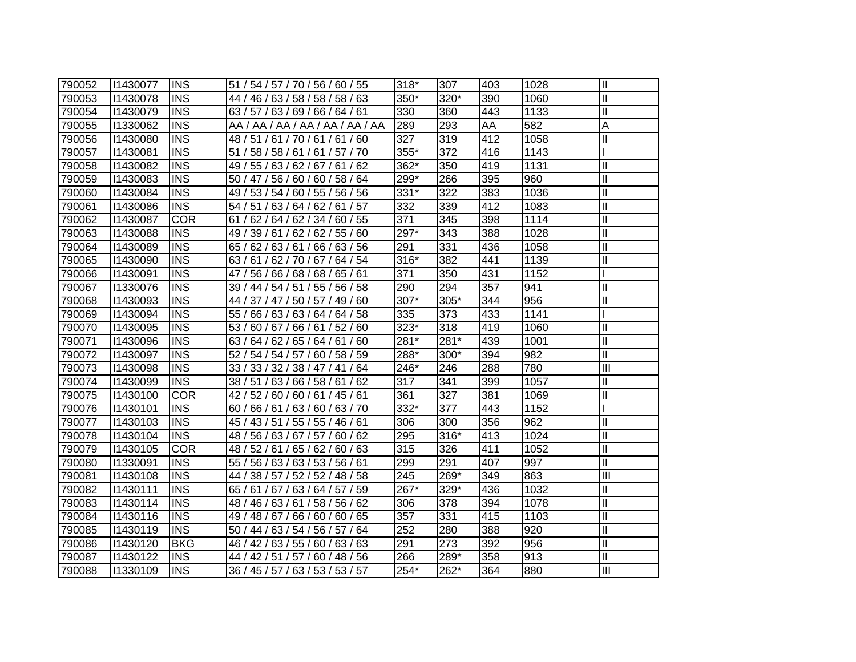| 790052 | 11430077 | <b>INS</b> | 51 / 54 / 57 / 70 / 56 / 60 / 55   | $318*$ | 307  | 403 | 1028 | $\mathbf{I}$ |
|--------|----------|------------|------------------------------------|--------|------|-----|------|--------------|
| 790053 | 11430078 | <b>INS</b> | 44 / 46 / 63 / 58 / 58 / 58 / 63   | 350*   | 320* | 390 | 1060 | Ш            |
| 790054 | 11430079 | <b>INS</b> | 63 / 57 / 63 / 69 / 66 / 64 / 61   | 330    | 360  | 443 | 1133 | Ш            |
| 790055 | 11330062 | <b>INS</b> | AA / AA / AA / AA / AA / AA / AA   | 289    | 293  | AA  | 582  | A            |
| 790056 | 11430080 | <b>INS</b> | 48/51/61/70/61/61/60               | 327    | 319  | 412 | 1058 | Ш            |
| 790057 | 11430081 | <b>INS</b> | 51 / 58 / 58 / 61 / 61 / 57 / 70   | 355*   | 372  | 416 | 1143 |              |
| 790058 | 11430082 | <b>INS</b> | 49 / 55 / 63 / 62 / 67 / 61 / 62   | 362*   | 350  | 419 | 1131 | $\mathbf{I}$ |
| 790059 | 11430083 | <b>INS</b> | 50 / 47 / 56 / 60 / 60 / 58 / 64   | 299*   | 266  | 395 | 960  | $\mathbf{I}$ |
| 790060 | 11430084 | <b>INS</b> | 49 / 53 / 54 / 60 / 55 / 56 / 56   | 331*   | 322  | 383 | 1036 | $\mathbf{I}$ |
| 790061 | 11430086 | <b>INS</b> | 54 / 51 / 63 / 64 / 62 / 61 / 57   | 332    | 339  | 412 | 1083 | $\mathbf{I}$ |
| 790062 | 11430087 | <b>COR</b> | 62 / 64 / 62 / 34 / 60 / 55<br>61/ | 371    | 345  | 398 | 1114 | $\mathbf{I}$ |
| 790063 | 11430088 | <b>INS</b> | 62/55/60<br>49 / 39 / 61 /<br>62/  | 297*   | 343  | 388 | 1028 | $\mathbf{I}$ |
| 790064 | 11430089 | <b>INS</b> | 66 / 63 / 56<br>65/<br>62/63/61/   | 291    | 331  | 436 | 1058 | $\mathbf{I}$ |
| 790065 | 11430090 | <b>INS</b> | 63/61/62/70/67/64/54               | 316*   | 382  | 441 | 1139 | $\mathbf{I}$ |
| 790066 | 11430091 | <b>INS</b> | 47 / 56 / 66 / 68 / 68 / 65 / 61   | 371    | 350  | 431 | 1152 |              |
| 790067 | 11330076 | <b>INS</b> | 39 / 44 / 54 / 51 / 55 / 56 / 58   | 290    | 294  | 357 | 941  | $\mathbf{I}$ |
| 790068 | 11430093 | <b>INS</b> | 44 / 37 / 47 / 50 / 57 / 49 / 60   | 307*   | 305* | 344 | 956  | $\mathbf{I}$ |
| 790069 | 11430094 | <b>INS</b> | 55 / 66 / 63 / 63 / 64 / 64 / 58   | 335    | 373  | 433 | 1141 |              |
| 790070 | 11430095 | <b>INS</b> | 53/<br>60 / 67 / 66 / 61 / 52 / 60 | 323*   | 318  | 419 | 1060 | $\mathbf{I}$ |
| 790071 | 11430096 | <b>INS</b> | 63 / 64 / 62 / 65 / 64 / 61<br>/60 | 281*   | 281* | 439 | 1001 | $\mathbf{I}$ |
| 790072 | 11430097 | <b>INS</b> | 52 / 54 / 54 / 57 / 60 / 58 / 59   | 288*   | 300* | 394 | 982  | $\mathbf{I}$ |
| 790073 | 11430098 | <b>INS</b> | 33 / 33 / 32 / 38 / 47 / 41 / 64   | 246*   | 246  | 288 | 780  | III          |
| 790074 | 11430099 | <b>INS</b> | 38 / 51 / 63 / 66 / 58 / 61 / 62   | 317    | 341  | 399 | 1057 | $\mathbf{I}$ |
| 790075 | 11430100 | <b>COR</b> | 42 / 52 / 60 / 60 / 61 / 45 / 61   | 361    | 327  | 381 | 1069 | $\mathbf{I}$ |
| 790076 | 11430101 | <b>INS</b> | 60 / 66 / 61 / 63 / 60 / 63 / 70   | 332*   | 377  | 443 | 1152 |              |
| 790077 | 11430103 | <b>INS</b> | 45 / 43 / 51 / 55 / 55 / 46 / 61   | 306    | 300  | 356 | 962  | $\mathbf{I}$ |
| 790078 | 11430104 | <b>INS</b> | 48 / 56 / 63 / 67 / 57 / 60 / 62   | 295    | 316* | 413 | 1024 | $\mathbf{I}$ |
| 790079 | 11430105 | <b>COR</b> | 48 / 52 / 61 / 65 / 62 / 60 / 63   | 315    | 326  | 411 | 1052 | $\mathbf{I}$ |
| 790080 | 11330091 | <b>INS</b> | 55 / 56 / 63 / 63 / 53 / 56 / 61   | 299    | 291  | 407 | 997  | Ш            |
| 790081 | 11430108 | <b>INS</b> | 44 / 38 / 57 / 52 / 52 / 48 / 58   | 245    | 269* | 349 | 863  | III          |
| 790082 | 11430111 | <b>INS</b> | 65 / 61 / 67 / 63 / 64 / 57 / 59   | 267*   | 329* | 436 | 1032 | $\mathbf{I}$ |
| 790083 | 11430114 | <b>INS</b> | 48 / 46 / 63 / 61 / 58 / 56 / 62   | 306    | 378  | 394 | 1078 | Ш            |
| 790084 | 11430116 | <b>INS</b> | 49 / 48 / 67 / 66 / 60 / 60 / 65   | 357    | 331  | 415 | 1103 | $\mathbf{I}$ |
| 790085 | 11430119 | <b>INS</b> | 50 / 44 / 63 / 54 / 56 / 57 / 64   | 252    | 280  | 388 | 920  | $\mathbf{I}$ |
| 790086 | 11430120 | <b>BKG</b> | 46 / 42 / 63 / 55 / 60 / 63 / 63   | 291    | 273  | 392 | 956  | $\mathbf{I}$ |
| 790087 | 11430122 | <b>INS</b> | 44 / 42 / 51 / 57 / 60 / 48 / 56   | 266    | 289* | 358 | 913  | $\mathbf{I}$ |
| 790088 | 11330109 | <b>INS</b> | 36 / 45 / 57 / 63 / 53 / 53 / 57   | 254*   | 262* | 364 | 880  | III          |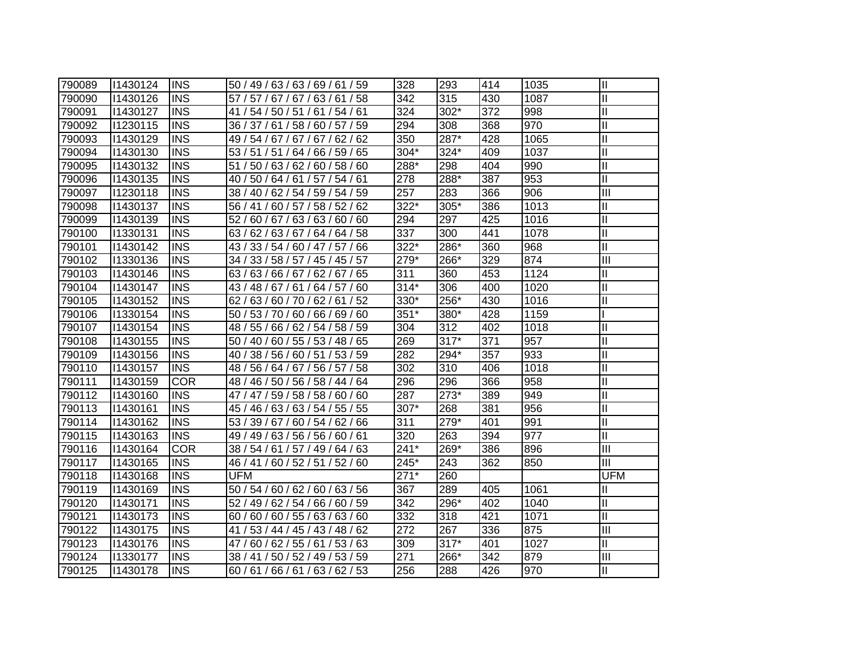| 790089 | 11430124 | <b>INS</b>              | 50 / 49 / 63 / 63 / 69 / 61 / 59    | 328    | 293    | 414 | 1035 | $\mathbf{I}$            |
|--------|----------|-------------------------|-------------------------------------|--------|--------|-----|------|-------------------------|
| 790090 | 11430126 | <b>INS</b>              | 57 / 57 / 67 / 67 / 63 / 61 / 58    | 342    | 315    | 430 | 1087 | Ш                       |
| 790091 | 11430127 | <b>INS</b>              | 41 / 54 / 50 / 51 / 61 / 54 / 61    | 324    | 302*   | 372 | 998  | $\mathbf{II}$           |
| 790092 | 11230115 | <b>INS</b>              | 36 / 37 / 61 / 58 / 60 / 57 / 59    | 294    | 308    | 368 | 970  | $\mathbf{I}$            |
| 790093 | 11430129 | <b>INS</b>              | 49 / 54 / 67 / 67 / 67 / 62 / 62    | 350    | 287*   | 428 | 1065 | $\mathbf{I}$            |
| 790094 | 11430130 | <b>INS</b>              | 53 / 51 / 51 / 64 / 66 / 59 / 65    | 304*   | 324*   | 409 | 1037 | $\mathbf{I}$            |
| 790095 | 11430132 | <b>INS</b>              | 51 / 50 / 63 / 62 / 60 / 58 / 60    | 288*   | 298    | 404 | 990  | $\mathbf{I}$            |
| 790096 | 11430135 | <b>INS</b>              | 40 / 50 / 64 / 61 / 57 / 54 / 61    | 278    | 288*   | 387 | 953  | $\overline{\mathsf{I}}$ |
| 790097 | 11230118 | <b>INS</b>              | 38 / 40 / 62 / 54 / 59 / 54 / 59    | 257    | 283    | 366 | 906  | $\overline{III}$        |
| 790098 | 11430137 | $\overline{\text{INS}}$ | 56 / 41 / 60 / 57 / 58 / 52 / 62    | $322*$ | 305*   | 386 | 1013 | $\overline{\mathsf{I}}$ |
| 790099 | 11430139 | <b>INS</b>              | 60 / 67 / 63 / 63 / 60 / 60<br>52/  | 294    | 297    | 425 | 1016 | Ш                       |
| 790100 | 11330131 | <b>INS</b>              | 64 / 64 / 58<br>63/<br>162/63/67/   | 337    | 300    | 441 | 1078 | Ш                       |
| 790101 | 11430142 | <b>INS</b>              | 43 / 33 / 54 / 60 / 47 / 57 / 66    | 322*   | 286*   | 360 | 968  | Ш                       |
| 790102 | 11330136 | <b>INS</b>              | 34 / 33 / 58 / 57 / 45 / 45 / 57    | 279*   | 266*   | 329 | 874  | III                     |
| 790103 | 11430146 | <b>INS</b>              | 63/63/66/67/62/67/65                | 311    | 360    | 453 | 1124 | Ш                       |
| 790104 | 11430147 | <b>INS</b>              | 43 / 48 / 67 / 61 / 64 / 57 / 60    | $314*$ | 306    | 400 | 1020 | $\mathbf{I}$            |
| 790105 | 11430152 | <b>INS</b>              | 62 / 63 / 60 / 70 / 62 / 61 / 52    | 330*   | 256*   | 430 | 1016 | $\mathbf{I}$            |
| 790106 | 11330154 | <b>INS</b>              | 50 / 53 / 70 / 60 / 66 / 69 / 60    | $351*$ | 380*   | 428 | 1159 |                         |
| 790107 | 11430154 | <b>INS</b>              | 48 / 55 / 66 / 62 / 54 / 58 / 59    | 304    | 312    | 402 | 1018 | $\mathbf{I}$            |
| 790108 | 11430155 | <b>INS</b>              | 50 / 40 / 60 / 55 / 53 / 48 / 65    | 269    | $317*$ | 371 | 957  | $\mathbf{I}$            |
| 790109 | 11430156 | <b>INS</b>              | 40 / 38 / 56 / 60 / 51 / 53 / 59    | 282    | 294*   | 357 | 933  | $\mathbf{I}$            |
| 790110 | 11430157 | <b>INS</b>              | 48 / 56 / 64 / 67 / 56 / 57 / 58    | 302    | 310    | 406 | 1018 | $\mathbf{I}$            |
| 790111 | 11430159 | <b>COR</b>              | 48 / 46 / 50 / 56 / 58 / 44 / 64    | 296    | 296    | 366 | 958  | $\mathbf{I}$            |
| 790112 | 11430160 | <b>INS</b>              | 47 / 47 / 59 / 58 / 58 / 60 / 60    | 287    | 273*   | 389 | 949  | Ш                       |
| 790113 | 11430161 | <b>INS</b>              | 45 / 46 / 63 / 63 / 54 / 55 / 55    | 307*   | 268    | 381 | 956  | Ш                       |
| 790114 | 11430162 | <b>INS</b>              | 53 / 39 / 67 / 60 / 54 / 62 / 66    | 311    | 279*   | 401 | 991  | Ш                       |
| 790115 | 11430163 | <b>INS</b>              | 49 / 49 / 63 / 56 / 56 / 60 / 61    | 320    | 263    | 394 | 977  | Ш                       |
| 790116 | 11430164 | <b>COR</b>              | 38 / 54 / 61 / 57 / 49 / 64 / 63    | $241*$ | 269*   | 386 | 896  | III                     |
| 790117 | 11430165 | <b>INS</b>              | 46 / 41 / 60 / 52 / 51 / 52 / 60    | 245*   | 243    | 362 | 850  | Ш                       |
| 790118 | 11430168 | <b>INS</b>              | <b>UFM</b>                          | $271*$ | 260    |     |      | <b>UFM</b>              |
| 790119 | 11430169 | <b>INS</b>              | 50 / 54 / 60 / 62 / 60 / 63 / 56    | 367    | 289    | 405 | 1061 | Ш                       |
| 790120 | 11430171 | <b>INS</b>              | 52 / 49 / 62 / 54 / 66 / 60 / 59    | 342    | 296*   | 402 | 1040 | Ш                       |
| 790121 | 11430173 | <b>INS</b>              | 60 / 60 / 60 / 55 / 63 / 63 / 60    | 332    | 318    | 421 | 1071 | Ш                       |
| 790122 | 11430175 | <b>INS</b>              | 53 / 44 / 45 / 43 / 48 / 62<br>41 / | 272    | 267    | 336 | 875  | Ш                       |
| 790123 | 11430176 | <b>INS</b>              | 60 / 62 / 55 / 61 / 53 / 63<br>47 / | 309    | $317*$ | 401 | 1027 | Ш                       |
| 790124 | 11330177 | <b>INS</b>              | 38 / 41 / 50 / 52 / 49 / 53 / 59    | 271    | 266*   | 342 | 879  | Ш                       |
| 790125 | 11430178 | <b>INS</b>              | 60/61/66/61/63/62/53                | 256    | 288    | 426 | 970  | Ш                       |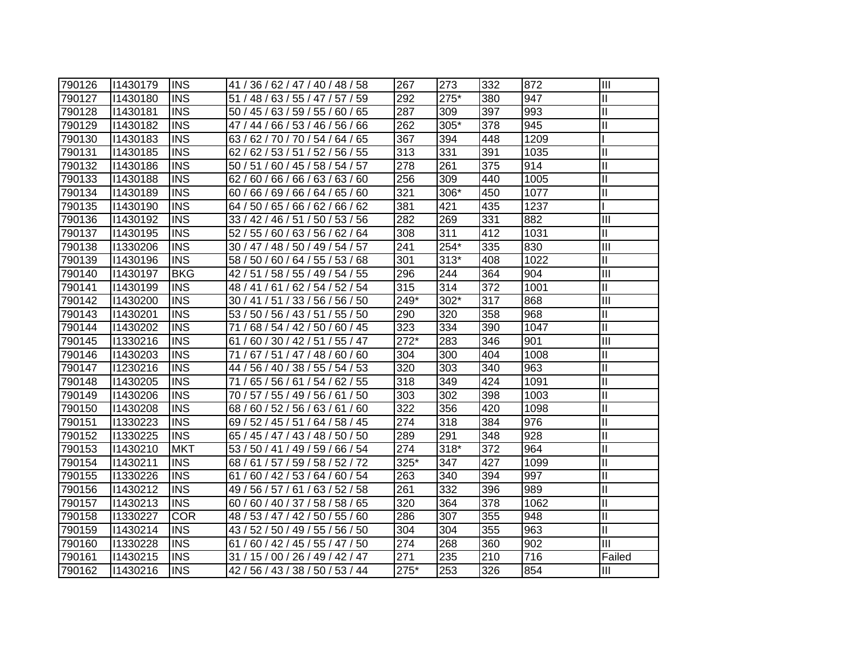| 790126 | 11430179 | <b>IINS</b> | 41 / 36 / 62 / 47 / 40 / 48 / 58    | 267    | 273    | 332 | 872  | Ш                         |
|--------|----------|-------------|-------------------------------------|--------|--------|-----|------|---------------------------|
| 790127 | 11430180 | <b>INS</b>  | 51 / 48 / 63 / 55 / 47 / 57 / 59    | 292    | 275*   | 380 | 947  | $\mathbf{I}$              |
| 790128 | 11430181 | <b>INS</b>  | 50 / 45 / 63 / 59 / 55 / 60 / 65    | 287    | 309    | 397 | 993  | $\mathbf{I}$              |
| 790129 | 11430182 | <b>INS</b>  | 47 / 44 / 66 / 53 / 46 / 56 / 66    | 262    | 305*   | 378 | 945  | $\mathbf{I}$              |
| 790130 | 11430183 | INS         | 63 / 62 / 70 / 70 / 54 / 64 / 65    | 367    | 394    | 448 | 1209 |                           |
| 790131 | 11430185 | <b>INS</b>  | 62 / 62 / 53 / 51 / 52 / 56 / 55    | 313    | 331    | 391 | 1035 | $\mathbf{I}$              |
| 790132 | 11430186 | <b>INS</b>  | 50 / 51 / 60 / 45 / 58 / 54 / 57    | 278    | 261    | 375 | 914  | $\mathbf{I}$              |
| 790133 | 11430188 | <b>INS</b>  | 62/60/66/66/63/63/60                | 256    | 309    | 440 | 1005 | $\mathbf{I}$              |
| 790134 | 11430189 | <b>INS</b>  | 60 / 66 / 69 / 66 / 64 / 65 / 60    | 321    | 306*   | 450 | 1077 | $\mathbf{I}$              |
| 790135 | 11430190 | <b>INS</b>  | 64 / 50 / 65 / 66 / 62 / 66 / 62    | 381    | 421    | 435 | 1237 |                           |
| 790136 | 11430192 | <b>INS</b>  | 33 / 42 / 46 / 51 /<br>50 / 53 / 56 | 282    | 269    | 331 | 882  | $\mathbf{III}$            |
| 790137 | 11430195 | <b>INS</b>  | 52 / 55 / 60 / 63 / 56 / 62 / 64    | 308    | 311    | 412 | 1031 | $\mathbf{I}$              |
| 790138 | 11330206 | <b>INS</b>  | 30 / 47 / 48 / 50 / 49 / 54 / 57    | 241    | 254*   | 335 | 830  | $\overline{\mathbf{III}}$ |
| 790139 | 11430196 | <b>INS</b>  | 58 / 50 / 60 / 64 / 55 / 53 / 68    | 301    | $313*$ | 408 | 1022 | $\mathbf{I}$              |
| 790140 | 11430197 | <b>BKG</b>  | 42 / 51 / 58 / 55 / 49 / 54 / 55    | 296    | 244    | 364 | 904  | III                       |
| 790141 | 11430199 | <b>INS</b>  | 48 / 41 / 61 / 62 / 54 / 52 / 54    | 315    | 314    | 372 | 1001 | Ш                         |
| 790142 | 11430200 | <b>INS</b>  | 30 / 41 / 51 / 33 / 56 / 56 / 50    | 249*   | $302*$ | 317 | 868  | $\mathbf{III}$            |
| 790143 | 11430201 | <b>INS</b>  | 53 / 50 / 56 / 43 / 51 / 55 / 50    | 290    | 320    | 358 | 968  | $\mathbf{I}$              |
| 790144 | 11430202 | <b>INS</b>  | 71 / 68 / 54 / 42 / 50 / 60 / 45    | 323    | 334    | 390 | 1047 | $\mathbf{I}$              |
| 790145 | 11330216 | <b>INS</b>  | 61 / 60 / 30 / 42 / 51 / 55 / 47    | $272*$ | 283    | 346 | 901  | Ш                         |
| 790146 | 11430203 | <b>INS</b>  | 71 / 67 / 51 / 47 / 48 / 60 / 60    | 304    | 300    | 404 | 1008 | $\mathbf{I}$              |
| 790147 | 11230216 | <b>INS</b>  | 44 / 56 / 40 / 38 / 55 / 54 / 53    | 320    | 303    | 340 | 963  | $\mathbf{I}$              |
| 790148 | 11430205 | <b>INS</b>  | 71/<br>65 / 56 / 61 / 54 / 62 / 55  | 318    | 349    | 424 | 1091 | $\mathbf{I}$              |
| 790149 | 11430206 | <b>INS</b>  | 70 / 57 / 55 / 49 / 56 / 61 / 50    | 303    | 302    | 398 | 1003 | $\mathbf{I}$              |
| 790150 | 11430208 | <b>INS</b>  | 68 / 60 / 52 / 56 / 63 / 61 / 60    | 322    | 356    | 420 | 1098 | $\mathbf{I}$              |
| 790151 | 11330223 | <b>INS</b>  | 69 / 52 / 45 / 51 / 64 / 58 / 45    | 274    | 318    | 384 | 976  | $\mathbf{I}$              |
| 790152 | 11330225 | <b>INS</b>  | 65 / 45 / 47 / 43 / 48 / 50 / 50    | 289    | 291    | 348 | 928  | $\mathbf{I}$              |
| 790153 | 11430210 | <b>MKT</b>  | 53 / 50 / 41 / 49 / 59 / 66 / 54    | 274    | 318*   | 372 | 964  | $\mathbf{I}$              |
| 790154 | 11430211 | <b>INS</b>  | 68 / 61 / 57 / 59 / 58 / 52 / 72    | 325*   | 347    | 427 | 1099 | $\mathbf{I}$              |
| 790155 | 11330226 | <b>INS</b>  | 61 / 60 / 42 / 53 / 64 / 60 / 54    | 263    | 340    | 394 | 997  | $\mathbf{I}$              |
| 790156 | 11430212 | <b>INS</b>  | 49 / 56 / 57 / 61 / 63 / 52 / 58    | 261    | 332    | 396 | 989  | $\mathbf{I}$              |
| 790157 | 11430213 | <b>INS</b>  | 60 / 60 / 40 / 37 / 58 / 58 / 65    | 320    | 364    | 378 | 1062 | $\mathbf{I}$              |
| 790158 | 11330227 | <b>COR</b>  | 48 / 53 / 47 / 42 / 50 / 55 / 60    | 286    | 307    | 355 | 948  | $\mathbf{I}$              |
| 790159 | 11430214 | <b>INS</b>  | 43 / 52 / 50 / 49 / 55 / 56 / 50    | 304    | 304    | 355 | 963  | $\mathbf{I}$              |
| 790160 | 11330228 | <b>INS</b>  | 61 / 60 / 42 / 45 / 55 / 47 / 50    | 274    | 268    | 360 | 902  | III                       |
| 790161 | 11430215 | <b>INS</b>  | 31 / 15 / 00 / 26 / 49 / 42 / 47    | 271    | 235    | 210 | 716  | Failed                    |
| 790162 | 11430216 | <b>INS</b>  | 42 / 56 / 43 / 38 / 50 / 53 / 44    | 275*   | 253    | 326 | 854  | Ш                         |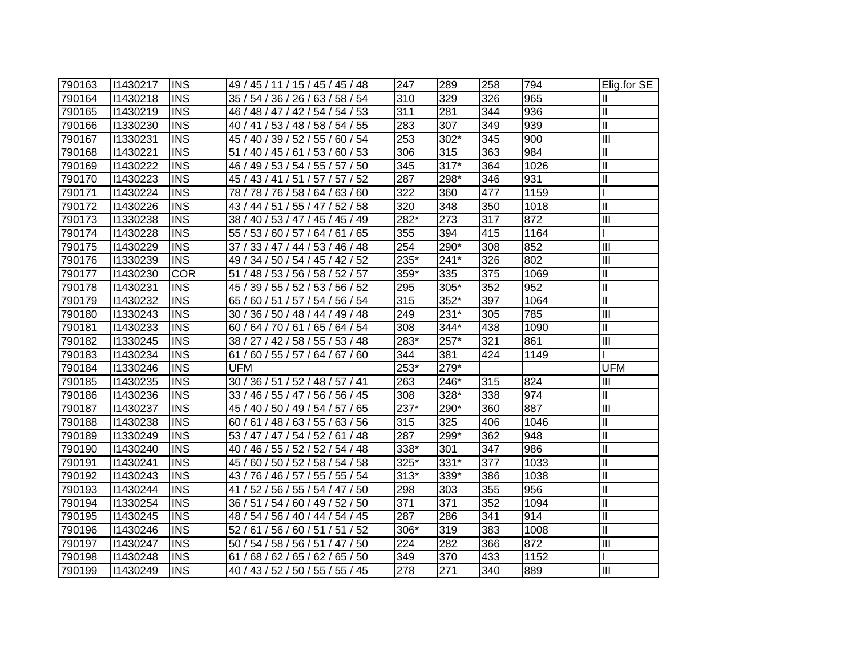| 790163 | 11430217 | <b>IINS</b> | 49 / 45 / 11 / 15 / 45 / 45 / 48    | 247    | 289    | 258 | 794  | Elig.for SE             |
|--------|----------|-------------|-------------------------------------|--------|--------|-----|------|-------------------------|
| 790164 | 11430218 | <b>INS</b>  | 35 / 54 / 36 / 26 / 63 / 58 / 54    | 310    | 329    | 326 | 965  | Ш                       |
| 790165 | 11430219 | <b>INS</b>  | 46 / 48 / 47 / 42 / 54 / 54 / 53    | 311    | 281    | 344 | 936  | Ш                       |
| 790166 | 11330230 | <b>INS</b>  | 40 / 41 / 53 / 48 / 58 / 54 / 55    | 283    | 307    | 349 | 939  | $\mathbf{I}$            |
| 790167 | 11330231 | <b>INS</b>  | 45 / 40 / 39 / 52 / 55 / 60 / 54    | 253    | $302*$ | 345 | 900  | $\overline{\mathbb{H}}$ |
| 790168 | 11430221 | <b>INS</b>  | 51 / 40 / 45 / 61 / 53 / 60 / 53    | 306    | 315    | 363 | 984  | $\mathbf{I}$            |
| 790169 | 11430222 | <b>INS</b>  | 46 / 49 / 53 / 54 / 55 / 57 / 50    | 345    | $317*$ | 364 | 1026 | $\mathbf{I}$            |
| 790170 | 11430223 | <b>INS</b>  | 45 / 43 / 41 / 51 / 57 / 57 / 52    | 287    | 298*   | 346 | 931  | $\mathbf{I}$            |
| 790171 | 11430224 | <b>INS</b>  | 78 / 78 / 76 / 58 / 64 / 63 / 60    | 322    | 360    | 477 | 1159 |                         |
| 790172 | 11430226 | <b>INS</b>  | 43 / 44 / 51 / 55 / 47 / 52 / 58    | 320    | 348    | 350 | 1018 | Ш                       |
| 790173 | 11330238 | <b>INS</b>  | 38 / 40 / 53 / 47 / 45 / 45 / 49    | 282*   | 273    | 317 | 872  | $\overline{\mathbb{I}}$ |
| 790174 | 11430228 | <b>INS</b>  | 55 / 53 / 60 / 57 / 64 / 61 / 65    | 355    | 394    | 415 | 1164 |                         |
| 790175 | 11430229 | <b>INS</b>  | 33 / 47 / 44 / 53 / 46 / 48<br>37 / | 254    | 290*   | 308 | 852  | $\overline{\mathbb{I}}$ |
| 790176 | 11330239 | <b>INS</b>  | 49 / 34 / 50 / 54 / 45 / 42 / 52    | 235*   | $241*$ | 326 | 802  | $\mathbf{III}$          |
| 790177 | 11430230 | <b>COR</b>  | 51 / 48 / 53 / 56 / 58 / 52 / 57    | 359*   | 335    | 375 | 1069 | Ш                       |
| 790178 | 11430231 | <b>INS</b>  | 45 / 39 / 55 / 52 / 53 / 56 / 52    | 295    | 305*   | 352 | 952  | Ш                       |
| 790179 | 11430232 | <b>INS</b>  | 65 / 60 / 51 / 57 / 54 / 56 / 54    | 315    | 352*   | 397 | 1064 | $\mathbf{I}$            |
| 790180 | 11330243 | <b>INS</b>  | 30 / 36 / 50 / 48 / 44 / 49 / 48    | 249    | 231*   | 305 | 785  | $\mathbf{III}$          |
| 790181 | 11430233 | <b>INS</b>  | 60 / 64 / 70 / 61 / 65 / 64 / 54    | 308    | 344*   | 438 | 1090 | Ш                       |
| 790182 | 11330245 | <b>INS</b>  | 38 / 27 / 42 / 58 / 55 / 53 / 48    | 283*   | 257*   | 321 | 861  | Ш                       |
| 790183 | 11430234 | <b>INS</b>  | 61 / 60 / 55 / 57 / 64 / 67 / 60    | 344    | 381    | 424 | 1149 |                         |
| 790184 | 11330246 | <b>INS</b>  | <b>UFM</b>                          | $253*$ | 279*   |     |      | <b>UFM</b>              |
| 790185 | 11430235 | <b>INS</b>  | 30 / 36 / 51 / 52 / 48 / 57 / 41    | 263    | 246*   | 315 | 824  | Ш                       |
| 790186 | 11430236 | <b>INS</b>  | 33 / 46 / 55 / 47 / 56 / 56 / 45    | 308    | 328*   | 338 | 974  | $\mathbf{II}$           |
| 790187 | 11430237 | <b>INS</b>  | 45 / 40 / 50 / 49 / 54 / 57 / 65    | 237*   | 290*   | 360 | 887  | $\mathbf{III}$          |
| 790188 | 11430238 | <b>INS</b>  | 60 / 61 / 48 / 63 / 55 / 63 / 56    | 315    | 325    | 406 | 1046 | Ш                       |
| 790189 | 11330249 | <b>INS</b>  | 53 / 47 / 47 / 54 / 52 / 61 / 48    | 287    | 299*   | 362 | 948  | $\mathbf{I}$            |
| 790190 | 11430240 | <b>INS</b>  | 40 / 46 / 55 / 52 / 52 / 54 / 48    | 338*   | 301    | 347 | 986  | $\mathbf{I}$            |
| 790191 | 11430241 | <b>INS</b>  | 45 / 60 / 50 / 52 / 58 / 54 / 58    | 325*   | 331*   | 377 | 1033 | $\mathbf{I}$            |
| 790192 | 11430243 | <b>INS</b>  | 43 / 76 / 46 / 57 / 55 / 55 / 54    | $313*$ | 339*   | 386 | 1038 | $\mathbf{I}$            |
| 790193 | 11430244 | <b>INS</b>  | 41 / 52 / 56 / 55 / 54 / 47 / 50    | 298    | 303    | 355 | 956  | $\mathbf{I}$            |
| 790194 | 11330254 | <b>INS</b>  | 36 / 51 / 54 / 60 / 49 / 52 / 50    | 371    | 371    | 352 | 1094 | $\mathbf{I}$            |
| 790195 | 11430245 | <b>INS</b>  | 48 / 54 / 56 / 40 / 44 / 54 / 45    | 287    | 286    | 341 | 914  | $\mathbf{I}$            |
| 790196 | 11430246 | <b>INS</b>  | 52 / 61 / 56 / 60 / 51 / 51 / 52    | 306*   | 319    | 383 | 1008 | Ш                       |
| 790197 | 11430247 | <b>INS</b>  | 50 / 54 / 58 / 56 / 51 / 47 / 50    | 224    | 282    | 366 | 872  | Ш                       |
| 790198 | 11430248 | <b>INS</b>  | 68 / 62 / 65 / 62 / 65 / 50<br>61/  | 349    | 370    | 433 | 1152 |                         |
| 790199 | 11430249 | <b>INS</b>  | 40 / 43 / 52 / 50 / 55 / 55 / 45    | 278    | 271    | 340 | 889  | Ш                       |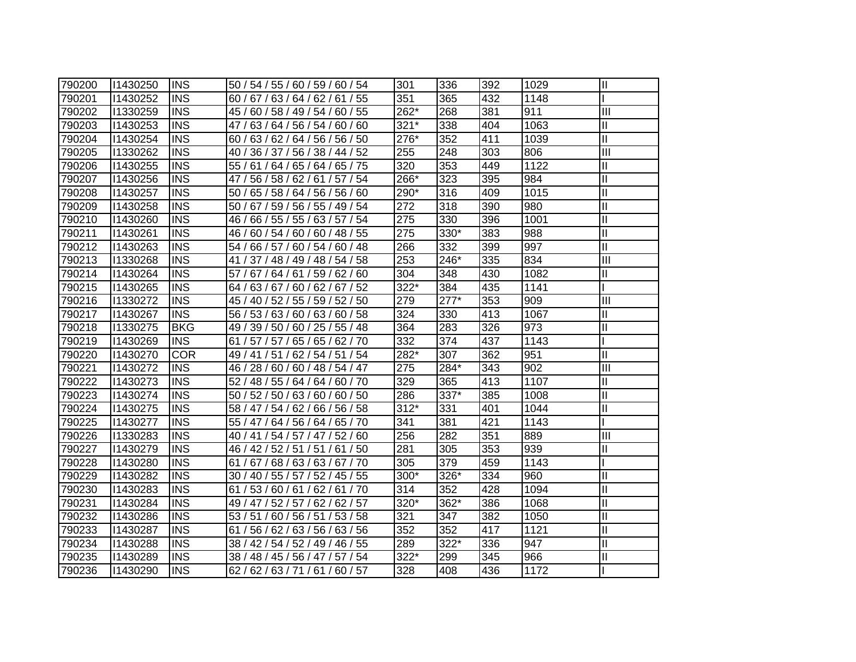| 790200 | 11430250 | IINS       | 50 / 54 / 55 / 60 / 59 / 60 / 54    | 301    | 336    | 392 | 1029              | $\mathbf{I}$            |
|--------|----------|------------|-------------------------------------|--------|--------|-----|-------------------|-------------------------|
| 790201 | 11430252 | <b>INS</b> | 60 / 67 / 63 / 64 / 62 / 61 / 55    | 351    | 365    | 432 | 1148              |                         |
| 790202 | 11330259 | <b>INS</b> | 45 / 60 / 58 / 49 / 54 / 60 / 55    | 262*   | 268    | 381 | 911               | III                     |
| 790203 | 11430253 | <b>INS</b> | 47 / 63 / 64 / 56 / 54 / 60 / 60    | $321*$ | 338    | 404 | 1063              | Ш                       |
| 790204 | 11430254 | <b>INS</b> | 60 / 63 / 62 / 64 / 56 / 56 / 50    | 276*   | 352    | 411 | 1039              | $\overline{\mathbb{I}}$ |
| 790205 | 11330262 | <b>INS</b> | 40 / 36 / 37 / 56 / 38 / 44 / 52    | 255    | 248    | 303 | 806               | $\mathbf{III}$          |
| 790206 | 11430255 | <b>INS</b> | 55 / 61 / 64 / 65 / 64 / 65 / 75    | 320    | 353    | 449 | 1122              | Ш                       |
| 790207 | 11430256 | <b>INS</b> | 56 / 58 / 62 / 61 / 57 / 54<br>47 / | 266*   | 323    | 395 | 984               | $\overline{\mathsf{I}}$ |
| 790208 | 11430257 | <b>INS</b> | 50 / 65 / 58 / 64 / 56 / 56 / 60    | 290*   | 316    | 409 | 1015              | $\mathbf{I}$            |
| 790209 | 11430258 | <b>INS</b> | 67 / 59 / 56 / 55 / 49 / 54<br>50/  | 272    | 318    | 390 | 980               | Ш                       |
| 790210 | 11430260 | <b>INS</b> | 66 / 55 / 55 / 63 / 57 / 54<br>46 / | 275    | 330    | 396 | 1001              | Ш                       |
| 790211 | 11430261 | <b>INS</b> | 60 / 54 / 60 / 60 / 48 / 55<br>46 / | 275    | 330*   | 383 | 988               | Ш                       |
| 790212 | 11430263 | <b>INS</b> | 54/<br>66 / 57 / 60 / 54 / 60 / 48  | 266    | 332    | 399 | 997               | Ш                       |
| 790213 | 11330268 | <b>INS</b> | 41/<br>37 / 48 / 49 / 48 / 54 / 58  | 253    | 246*   | 335 | 834               | $\mathbf{III}$          |
| 790214 | 11430264 | <b>INS</b> | 57 / 67 / 64 / 61 / 59 / 62 / 60    | 304    | 348    | 430 | 1082              | Ш                       |
| 790215 | 11430265 | <b>INS</b> | 64 / 63 / 67 / 60 / 62 / 67 / 52    | 322*   | 384    | 435 | 1141              |                         |
| 790216 | 11330272 | <b>INS</b> | 45 / 40 / 52 / 55 / 59 / 52 / 50    | 279    | $277*$ | 353 | 909               | III                     |
| 790217 | 11430267 | <b>INS</b> | 56 / 53 / 63 / 60 / 63 / 60 / 58    | 324    | 330    | 413 | 1067              | Ш                       |
| 790218 | 11330275 | <b>BKG</b> | 49 / 39 / 50 / 60 / 25 / 55 / 48    | 364    | 283    | 326 | 973               | $\mathbf{I}$            |
| 790219 | 11430269 | <b>INS</b> | 61 / 57 / 57 / 65 / 65 / 62 / 70    | 332    | 374    | 437 | 1143              |                         |
| 790220 | 11430270 | <b>COR</b> | 49 / 41 / 51 / 62 / 54 / 51 / 54    | 282*   | 307    | 362 | 951               | $\mathbf{I}$            |
| 790221 | 11430272 | <b>INS</b> | 46 / 28 / 60 / 60 / 48 / 54 / 47    | 275    | 284*   | 343 | 902               | Ш                       |
| 790222 | 11430273 | <b>INS</b> | 52 / 48 / 55 / 64 / 64 / 60 / 70    | 329    | 365    | 413 | 1107              | Ш                       |
| 790223 | 11430274 | <b>INS</b> | 50 / 52 / 50 / 63 / 60 / 60 / 50    | 286    | 337*   | 385 | 1008              | $\mathbf{I}$            |
| 790224 | 11430275 | <b>INS</b> | 58 / 47 / 54 / 62 / 66 / 56 / 58    | $312*$ | 331    | 401 | 1044              | Ш                       |
| 790225 | 11430277 | <b>INS</b> | 55 / 47 / 64 / 56 / 64 / 65 / 70    | 341    | 381    | 421 | 1143              |                         |
| 790226 | 11330283 | <b>INS</b> | 40 / 41 / 54 / 57 / 47 / 52 / 60    | 256    | 282    | 351 | 889               | $\mathbf{III}$          |
| 790227 | 11430279 | <b>INS</b> | 46 / 42 / 52 / 51 / 51 / 61 / 50    | 281    | 305    | 353 | 939               | Ш                       |
| 790228 | 11430280 | <b>INS</b> | 61 / 67 / 68 / 63 / 63 / 67 / 70    | 305    | 379    | 459 | 1143              |                         |
| 790229 | 11430282 | <b>INS</b> | 30 / 40 / 55 / 57 / 52 / 45 / 55    | 300*   | 326*   | 334 | 960               | $\mathbf{I}$            |
| 790230 | 11430283 | <b>INS</b> | 61 / 53 / 60 / 61 / 62 / 61 / 70    | 314    | 352    | 428 | 1094              | $\mathbf{I}$            |
| 790231 | 11430284 | <b>INS</b> | 49 / 47 / 52 / 57 / 62 / 62 / 57    | 320*   | 362*   | 386 | 1068              | Ш                       |
| 790232 | 11430286 | <b>INS</b> | 53 / 51 / 60 / 56 / 51 / 53 / 58    | 321    | 347    | 382 | 1050              | $\mathbf{I}$            |
| 790233 | 11430287 | <b>INS</b> | 61 / 56 / 62 / 63 / 56 / 63 / 56    | 352    | 352    | 417 | $\overline{11}21$ | Ш                       |
| 790234 | 11430288 | <b>INS</b> | 38 / 42 / 54 / 52 / 49 / 46 / 55    | 289    | 322*   | 336 | 947               | Ш                       |
| 790235 | 11430289 | <b>INS</b> | 38 / 48 / 45 / 56 / 47 / 57 / 54    | 322*   | 299    | 345 | 966               | Ш                       |
| 790236 | 11430290 | <b>INS</b> | 62/62/63/71/61/60/57                | 328    | 408    | 436 | 1172              |                         |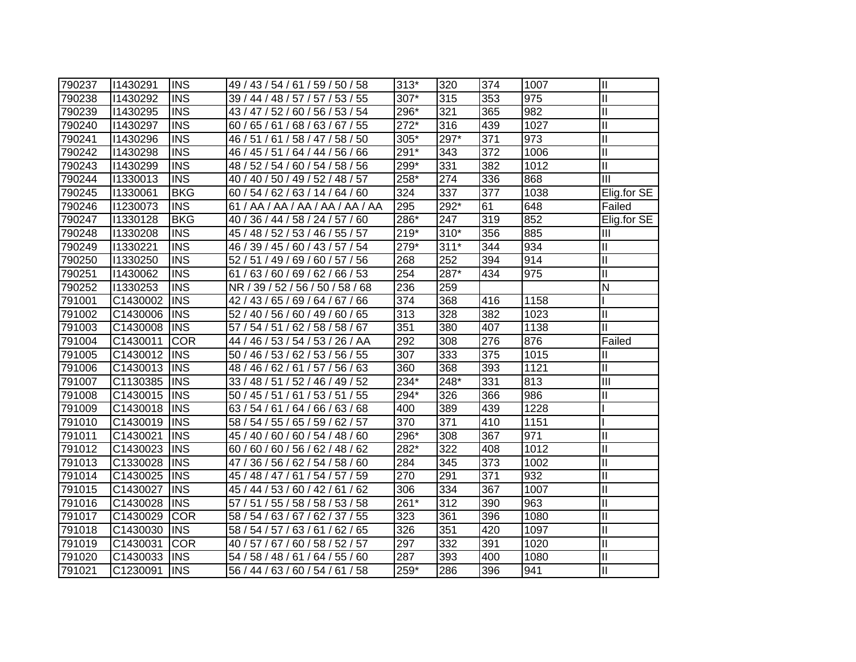| 790237 | 11430291 | <b>INS</b> | 49 / 43 / 54 / 61 / 59 / 50 / 58 | $313*$           | 320    | 374 | 1007 | $\mathbf{I}$            |
|--------|----------|------------|----------------------------------|------------------|--------|-----|------|-------------------------|
| 790238 | 11430292 | <b>INS</b> | 39 / 44 / 48 / 57 / 57 / 53 / 55 | 307*             | 315    | 353 | 975  | $\mathbf{I}$            |
| 790239 | 11430295 | <b>INS</b> | 43 / 47 / 52 / 60 / 56 / 53 / 54 | 296*             | 321    | 365 | 982  | $\overline{\mathbb{I}}$ |
| 790240 | 11430297 | <b>INS</b> | 60 / 65 / 61 / 68 / 63 / 67 / 55 | $272*$           | 316    | 439 | 1027 | $\mathbf{I}$            |
| 790241 | 11430296 | <b>INS</b> | 46 / 51 / 61 / 58 / 47 / 58 / 50 | 305*             | 297*   | 371 | 973  | $\mathbf{I}$            |
| 790242 | 11430298 | <b>INS</b> | 46 / 45 / 51 / 64 / 44 / 56 / 66 | 291*             | 343    | 372 | 1006 | $\mathbf{I}$            |
| 790243 | 11430299 | <b>INS</b> | 48 / 52 / 54 / 60 / 54 / 58 / 56 | 299*             | 331    | 382 | 1012 | $\mathbf{I}$            |
| 790244 | 11330013 | <b>INS</b> | 40 / 40 / 50 / 49 / 52 / 48 / 57 | 258*             | 274    | 336 | 868  | III                     |
| 790245 | 11330061 | <b>BKG</b> | 60 / 54 / 62 / 63 / 14 / 64 / 60 | 324              | 337    | 377 | 1038 | Elig.for SE             |
| 790246 | 11230073 | <b>INS</b> | 61 / AA / AA / AA / AA / AA / AA | 295              | 292*   | 61  | 648  | Failed                  |
| 790247 | 11330128 | <b>BKG</b> | 40 / 36 / 44 / 58 / 24 / 57 / 60 | 286*             | 247    | 319 | 852  | Elig.for SE             |
| 790248 | 11330208 | <b>INS</b> | 45 / 48 / 52 / 53 / 46 / 55 / 57 | $219*$           | $310*$ | 356 | 885  | Ш                       |
| 790249 | 11330221 | <b>INS</b> | 46 / 39 / 45 / 60 / 43 / 57 / 54 | 279*             | $311*$ | 344 | 934  | Ш                       |
| 790250 | 11330250 | <b>INS</b> | 52 / 51 / 49 / 69 / 60 / 57 / 56 | 268              | 252    | 394 | 914  | $\mathbf{II}$           |
| 790251 | 11430062 | <b>INS</b> | 61 / 63 / 60 / 69 / 62 / 66 / 53 | 254              | 287*   | 434 | 975  | $\mathbf{I}$            |
| 790252 | 11330253 | <b>INS</b> | NR / 39 / 52 / 56 / 50 / 58 / 68 | 236              | 259    |     |      | N                       |
| 791001 | C1430002 | <b>INS</b> | 42 / 43 / 65 / 69 / 64 / 67 / 66 | 374              | 368    | 416 | 1158 |                         |
| 791002 | C1430006 | <b>INS</b> | 52 / 40 / 56 / 60 / 49 / 60 / 65 | 313              | 328    | 382 | 1023 | Ш                       |
| 791003 | C1430008 | <b>INS</b> | 57 / 54 / 51 / 62 / 58 / 58 / 67 | 351              | 380    | 407 | 1138 | Ш                       |
| 791004 | C1430011 | <b>COR</b> | 44 / 46 / 53 / 54 / 53 / 26 / AA | 292              | 308    | 276 | 876  | Failed                  |
| 791005 | C1430012 | <b>INS</b> | 50 / 46 / 53 / 62 / 53 / 56 / 55 | 307              | 333    | 375 | 1015 | Ш                       |
| 791006 | C1430013 | <b>INS</b> | 48 / 46 / 62 / 61 / 57 / 56 / 63 | 360              | 368    | 393 | 1121 | $\mathbf{I}$            |
| 791007 | C1130385 | <b>INS</b> | 33 / 48 / 51 / 52 / 46 / 49 / 52 | 234*             | 248*   | 331 | 813  | III                     |
| 791008 | C1430015 | <b>INS</b> | 50 / 45 / 51 / 61 / 53 / 51 / 55 | 294*             | 326    | 366 | 986  | Ш                       |
| 791009 | C1430018 | <b>INS</b> | 63 / 54 / 61 / 64 / 66 / 63 / 68 | 400              | 389    | 439 | 1228 |                         |
| 791010 | C1430019 | <b>INS</b> | 58 / 54 / 55 / 65 / 59 / 62 / 57 | $\overline{370}$ | 371    | 410 | 1151 |                         |
| 791011 | C1430021 | <b>INS</b> | 45 / 40 / 60 / 60 / 54 / 48 / 60 | 296*             | 308    | 367 | 971  | $\mathbf{I}$            |
| 791012 | C1430023 | <b>INS</b> | 60 / 60 / 60 / 56 / 62 / 48 / 62 | 282*             | 322    | 408 | 1012 | Ш                       |
| 791013 | C1330028 | <b>INS</b> | 47 / 36 / 56 / 62 / 54 / 58 / 60 | 284              | 345    | 373 | 1002 | Ш                       |
| 791014 | C1430025 | <b>INS</b> | 45 / 48 / 47 / 61 / 54 / 57 / 59 | 270              | 291    | 371 | 932  | Ш                       |
| 791015 | C1430027 | <b>INS</b> | 45 / 44 / 53 / 60 / 42 / 61 / 62 | 306              | 334    | 367 | 1007 | Ш                       |
| 791016 | C1430028 | <b>INS</b> | 57 / 51 / 55 / 58 / 58 / 53 / 58 | 261*             | 312    | 390 | 963  | Ш                       |
| 791017 | C1430029 | <b>COR</b> | 58 / 54 / 63 / 67 / 62 / 37 / 55 | 323              | 361    | 396 | 1080 | $\mathbf{I}$            |
| 791018 | C1430030 | <b>INS</b> | 58 / 54 / 57 / 63 / 61 / 62 / 65 | 326              | 351    | 420 | 1097 | $\mathbf{I}$            |
| 791019 | C1430031 | <b>COR</b> | 40 / 57 / 67 / 60 / 58 / 52 / 57 | 297              | 332    | 391 | 1020 | $\mathbf{I}$            |
| 791020 | C1430033 | <b>INS</b> | 54 / 58 / 48 / 61 / 64 / 55 / 60 | 287              | 393    | 400 | 1080 | $\mathbf{I}$            |
| 791021 | C1230091 | <b>INS</b> | 56 / 44 / 63 / 60 / 54 / 61 / 58 | $259*$           | 286    | 396 | 941  | Ш                       |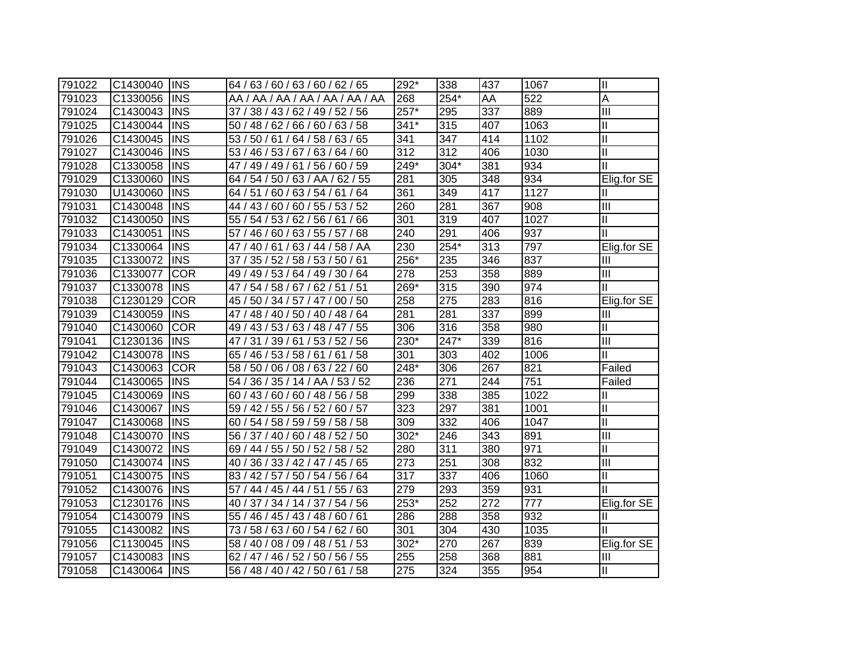| 791022 | C1430040 | <b>INS</b> | 64 / 63 / 60 / 63 / 60 / 62 / 65    | 292*             | 338    | 437 | 1067 | Ш                       |
|--------|----------|------------|-------------------------------------|------------------|--------|-----|------|-------------------------|
| 791023 | C1330056 | <b>INS</b> | AA / AA / AA / AA / AA / AA / AA    | 268              | 254*   | AA  | 522  | A                       |
| 791024 | C1430043 | <b>INS</b> | 37 / 38 / 43 / 62 / 49 / 52 / 56    | $257*$           | 295    | 337 | 889  | $\overline{\mathbb{H}}$ |
| 791025 | C1430044 | INS        | 50 / 48 / 62 / 66 / 60 / 63 / 58    | 341*             | 315    | 407 | 1063 | Ш                       |
| 791026 | C1430045 | <b>INS</b> | 53 / 50 / 61 / 64 / 58 / 63 / 65    | 341              | 347    | 414 | 1102 | $\overline{\mathbb{I}}$ |
| 791027 | C1430046 | <b>INS</b> | 53 / 46 / 53 / 67 / 63 / 64 / 60    | 312              | 312    | 406 | 1030 | $\mathbf{II}$           |
| 791028 | C1330058 | <b>INS</b> | 47 / 49 / 49 / 61 / 56 / 60 / 59    | 249*             | $304*$ | 381 | 934  | $\mathbf{I}$            |
| 791029 | C1330060 | <b>INS</b> | 64 / 54 / 50 / 63 / AA / 62 / 55    | 281              | 305    | 348 | 934  | Elig.for SE             |
| 791030 | U1430060 | <b>INS</b> | 64 / 51 / 60 / 63 / 54 / 61 / 64    | 361              | 349    | 417 | 1127 | Ш                       |
| 791031 | C1430048 | <b>INS</b> | 44 / 43 / 60 / 60 / 55 / 53 / 52    | 260              | 281    | 367 | 908  | Ш                       |
| 791032 | C1430050 | <b>INS</b> | 55 / 54 / 53 / 62 / 56 / 61 / 66    | 301              | 319    | 407 | 1027 | Ш                       |
| 791033 | C1430051 | <b>INS</b> | 46 / 60 / 63 / 55 / 57 / 68<br>57/  | 240              | 291    | 406 | 937  | ΙI                      |
| 791034 | C1330064 | <b>INS</b> | 40/61<br>63 / 44 / 58 / AA<br>47 /  | 230              | 254*   | 313 | 797  | Elig.for SE             |
| 791035 | C1330072 | <b>INS</b> | 35 / 52 / 58 / 53 / 50 / 61<br>37/  | 256*             | 235    | 346 | 837  | Ш                       |
| 791036 | C1330077 | <b>COR</b> | 49 / 49 / 53 / 64 / 49 / 30 / 64    | 278              | 253    | 358 | 889  | III                     |
| 791037 | C1330078 | <b>INS</b> | 54 / 58 / 67 / 62 / 51 / 51<br>47/  | 269*             | 315    | 390 | 974  | Ш                       |
| 791038 | C1230129 | <b>COR</b> | 45 / 50 / 34 / 57 / 47 / 00 / 50    | 258              | 275    | 283 | 816  | Elig.for SE             |
| 791039 | C1430059 | <b>INS</b> | 47 / 48 / 40 / 50 / 40 / 48 / 64    | 281              | 281    | 337 | 899  | Ш                       |
| 791040 | C1430060 | <b>COR</b> | 49 / 43 / 53 / 63 / 48 / 47 / 55    | 306              | 316    | 358 | 980  | Ш                       |
| 791041 | C1230136 | <b>INS</b> | 31 / 39 / 61 / 53 / 52 / 56<br>47 / | 230*             | 247*   | 339 | 816  | III                     |
| 791042 | C1430078 | <b>INS</b> | 65 / 46 / 53 / 58 / 61 / 61 / 58    | 301              | 303    | 402 | 1006 | Ш                       |
| 791043 | C1430063 | <b>COR</b> | 58 / 50 / 06 / 08 / 63 / 22 / 60    | 248*             | 306    | 267 | 821  | Failed                  |
| 791044 | C1430065 | <b>INS</b> | 54 / 36 / 35 / 14 / AA / 53 / 52    | 236              | 271    | 244 | 751  | Failed                  |
| 791045 | C1430069 | <b>INS</b> | 60 / 43 / 60 / 60 / 48 / 56 / 58    | 299              | 338    | 385 | 1022 | Ш                       |
| 791046 | C1430067 | <b>INS</b> | 59 / 42 / 55 / 56 / 52 / 60 / 57    | 323              | 297    | 381 | 1001 | $\mathbf{II}$           |
| 791047 | C1430068 | <b>INS</b> | 60 / 54 / 58 / 59 / 59 / 58 / 58    | 309              | 332    | 406 | 1047 | II                      |
| 791048 | C1430070 | <b>INS</b> | 56 / 37 / 40 / 60 / 48 / 52 / 50    | 302*             | 246    | 343 | 891  | Ш                       |
| 791049 | C1430072 | <b>INS</b> | 69 / 44 / 55 / 50 / 52 / 58 / 52    | 280              | 311    | 380 | 971  | Ш                       |
| 791050 | C1430074 | <b>INS</b> | 40 / 36 / 33 / 42 / 47 / 45 / 65    | 273              | 251    | 308 | 832  | Ш                       |
| 791051 | C1430075 | <b>INS</b> | 83 / 42 / 57 / 50 / 54 / 56 / 64    | 317              | 337    | 406 | 1060 | Ш                       |
| 791052 | C1430076 | <b>INS</b> | 57 / 44 / 45 / 44 / 51 / 55 / 63    | 279              | 293    | 359 | 931  | Ш                       |
| 791053 | C1230176 | <b>INS</b> | 40 / 37 / 34 / 14 / 37 / 54 / 56    | 253*             | 252    | 272 | 777  | Elig.for SE             |
| 791054 | C1430079 | <b>INS</b> | 55 / 46 / 45 / 43 / 48 / 60 / 61    | 286              | 288    | 358 | 932  |                         |
| 791055 | C1430082 | <b>INS</b> | 73 / 58 / 63 / 60 / 54 / 62 / 60    | 301              | 304    | 430 | 1035 | Ш                       |
| 791056 | C1130045 | <b>INS</b> | 58 / 40 / 08 / 09 / 48 / 51 / 53    | 302*             | 270    | 267 | 839  | Elig.for SE             |
| 791057 | C1430083 | <b>INS</b> | 46 / 52 / 50 / 56 / 55<br>62/47/    | 255              | 258    | 368 | 881  | Ш                       |
| 791058 | C1430064 | <b>INS</b> | 56 / 48 / 40 / 42 / 50 / 61 / 58    | $\overline{275}$ | 324    | 355 | 954  | Ш                       |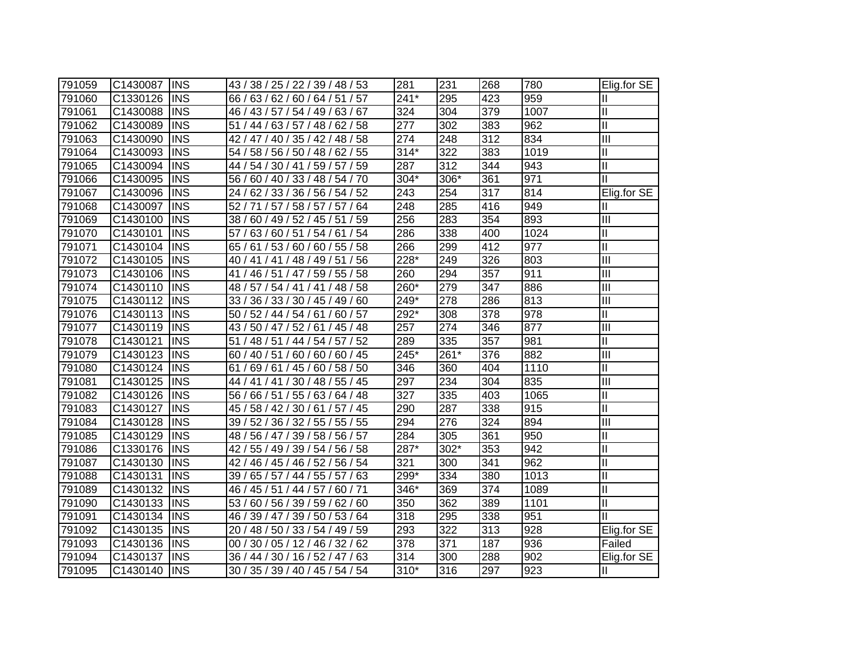| 791059 | C1430087 | <b>INS</b> | 43 / 38 / 25 / 22 / 39 / 48 / 53    | 281    | 231  | 268 | 780  | Elig.for $SE$              |
|--------|----------|------------|-------------------------------------|--------|------|-----|------|----------------------------|
| 791060 | C1330126 | <b>INS</b> | 66 / 63 / 62 / 60 / 64 / 51 / 57    | $241*$ | 295  | 423 | 959  | Ш                          |
| 791061 | C1430088 | <b>INS</b> | 46 / 43 / 57 / 54 / 49 / 63 / 67    | 324    | 304  | 379 | 1007 | Ш                          |
| 791062 | C1430089 | <b>INS</b> | 51 / 44 / 63 / 57 / 48 / 62 / 58    | 277    | 302  | 383 | 962  | $\mathop{\rm II}\nolimits$ |
| 791063 | C1430090 | <b>INS</b> | 42 / 47 / 40 / 35 / 42 / 48 / 58    | 274    | 248  | 312 | 834  | $\overline{III}$           |
| 791064 | C1430093 | <b>INS</b> | 54 / 58 / 56 / 50 / 48 / 62 / 55    | $314*$ | 322  | 383 | 1019 | $\mathbf{I}$               |
| 791065 | C1430094 | <b>INS</b> | 44 / 54 / 30 / 41 / 59 / 57 / 59    | 287    | 312  | 344 | 943  | $\mathbf{I}$               |
| 791066 | C1430095 | <b>INS</b> | 56 / 60 / 40 / 33 / 48 / 54 / 70    | 304*   | 306* | 361 | 971  | Ш                          |
| 791067 | C1430096 | <b>INS</b> | 24/<br>62 / 33 / 36 / 56 / 54 / 52  | 243    | 254  | 317 | 814  | Elig.for SE                |
| 791068 | C1430097 | <b>INS</b> | 52 / 71 / 57 / 58 / 57 / 57 / 64    | 248    | 285  | 416 | 949  | Ш                          |
| 791069 | C1430100 | <b>INS</b> | (60 / 49 / 52 / 45 / 51 / 59<br>38/ | 256    | 283  | 354 | 893  | Ш                          |
| 791070 | C1430101 | <b>INS</b> | 57<br>63/60/51/54/61<br>/54         | 286    | 338  | 400 | 1024 | $\mathop{\rm II}\nolimits$ |
| 791071 | C1430104 | <b>INS</b> | 61 / 53 / 60 / 60 / 55 / 58<br>65/  | 266    | 299  | 412 | 977  | $\mathsf{II}$              |
| 791072 | C1430105 | <b>INS</b> | 40 / 41 / 41 / 48 / 49 / 51 / 56    | 228*   | 249  | 326 | 803  | III                        |
| 791073 | C1430106 | <b>INS</b> | 46 / 51 / 47 / 59 / 55 / 58<br>41 / | 260    | 294  | 357 | 911  | $\overline{III}$           |
| 791074 | C1430110 | <b>INS</b> | 48 / 57 / 54 / 41 / 41 / 48 / 58    | 260*   | 279  | 347 | 886  | $\overline{III}$           |
| 791075 | C1430112 | <b>INS</b> | 33 / 36 / 33 / 30 / 45 / 49 / 60    | 249*   | 278  | 286 | 813  | $\overline{\mathbb{H}}$    |
| 791076 | C1430113 | <b>INS</b> | 50 / 52 / 44 / 54 / 61 / 60 / 57    | 292*   | 308  | 378 | 978  | $\mathbf{I}$               |
| 791077 | C1430119 | <b>INS</b> | 43 / 50 / 47 / 52 / 61 / 45 / 48    | 257    | 274  | 346 | 877  | III                        |
| 791078 | C1430121 | <b>INS</b> | 51 / 48 / 51 / 44 / 54 / 57 / 52    | 289    | 335  | 357 | 981  | $\mathbf{I}$               |
| 791079 | C1430123 | <b>INS</b> | 60 / 40 / 51 / 60 / 60 / 60 / 45    | 245*   | 261* | 376 | 882  | III                        |
| 791080 | C1430124 | <b>INS</b> | 61<br>69/61/45/60/58/50             | 346    | 360  | 404 | 1110 | $\mathbf{I}$               |
| 791081 | C1430125 | <b>INS</b> | 44 / 41 / 41 / 30 / 48 / 55 / 45    | 297    | 234  | 304 | 835  | Ш                          |
| 791082 | C1430126 | <b>INS</b> | 56 / 66 / 51 / 55 / 63 / 64 / 48    | 327    | 335  | 403 | 1065 | $\mathbf{I}$               |
| 791083 | C1430127 | <b>INS</b> | 45 / 58 / 42 / 30 / 61 / 57 / 45    | 290    | 287  | 338 | 915  | $\mathbf{I}$               |
| 791084 | C1430128 | <b>INS</b> | 39 / 52 / 36 / 32 / 55 / 55 / 55    | 294    | 276  | 324 | 894  | $\mathbf{III}$             |
| 791085 | C1430129 | <b>INS</b> | 48 / 56 / 47 / 39 / 58 / 56 / 57    | 284    | 305  | 361 | 950  | $\mathbf{I}$               |
| 791086 | C1330176 | <b>INS</b> | 42 / 55 / 49 / 39 / 54 / 56 / 58    | $287*$ | 302* | 353 | 942  | $\mathbf{II}$              |
| 791087 | C1430130 | <b>INS</b> | 42 / 46 / 45 / 46 / 52 / 56 / 54    | 321    | 300  | 341 | 962  | $\mathbf{I}$               |
| 791088 | C1430131 | <b>INS</b> | 39 / 65 / 57 / 44 / 55 / 57 / 63    | 299*   | 334  | 380 | 1013 | Ш                          |
| 791089 | C1430132 | <b>INS</b> | 46 / 45 / 51 / 44 / 57 / 60 / 71    | 346*   | 369  | 374 | 1089 | Ш                          |
| 791090 | C1430133 | <b>INS</b> | 53 / 60 / 56 / 39 / 59 / 62 / 60    | 350    | 362  | 389 | 1101 | $\mathbf{I}$               |
| 791091 | C1430134 | <b>INS</b> | 46 / 39 / 47 / 39 / 50 / 53 / 64    | 318    | 295  | 338 | 951  | Ш                          |
| 791092 | C1430135 | <b>INS</b> | 20 / 48 / 50 / 33 / 54 / 49 / 59    | 293    | 322  | 313 | 928  | Elig.for SE                |
| 791093 | C1430136 | <b>INS</b> | 00 / 30 / 05 / 12 / 46 / 32 / 62    | 378    | 371  | 187 | 936  | Failed                     |
| 791094 | C1430137 | <b>INS</b> | 36 / 44 / 30 / 16 / 52 / 47 / 63    | 314    | 300  | 288 | 902  | Elig.for SE                |
| 791095 | C1430140 | INS        | 30 / 35 / 39 / 40 / 45 / 54 / 54    | 310*   | 316  | 297 | 923  | Ш                          |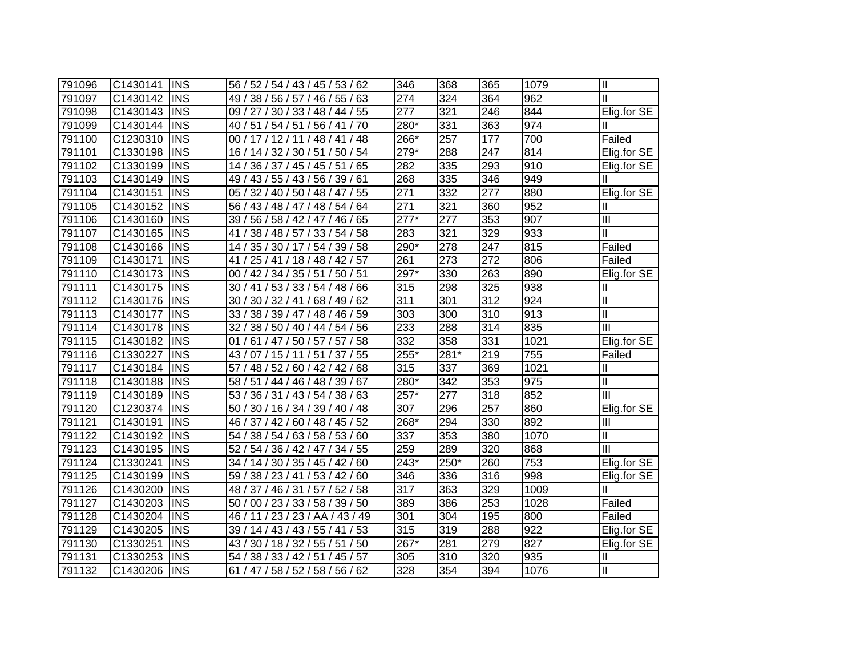| 791096 | C1430141 | <b>INS</b> | 56 / 52 / 54 / 43 / 45 / 53 / 62               | 346              | 368  | 365 | 1079 | $\mathbf{  }$              |
|--------|----------|------------|------------------------------------------------|------------------|------|-----|------|----------------------------|
| 791097 | C1430142 | <b>INS</b> | 49 / 38 / 56 / 57 / 46 / 55 / 63               | 274              | 324  | 364 | 962  | Ш                          |
| 791098 | C1430143 | <b>INS</b> | 09 / 27 / 30 / 33 / 48 / 44 / 55               | 277              | 321  | 246 | 844  | Elig.for SE                |
| 791099 | C1430144 | <b>INS</b> | 40 / 51 / 54 / 51 / 56 / 41 / 70               | 280*             | 331  | 363 | 974  |                            |
| 791100 | C1230310 | <b>INS</b> | 00 / 17 / 12 / 11 / 48 / 41 / 48               | 266*             | 257  | 177 | 700  | Failed                     |
| 791101 | C1330198 | <b>INS</b> | 16 / 14 / 32 / 30 / 51 / 50 / 54               | 279*             | 288  | 247 | 814  | Elig.for SE                |
| 791102 | C1330199 | <b>INS</b> | 14 / 36 / 37 / 45 / 45 / 51 / 65               | 282              | 335  | 293 | 910  | Elig.for SE                |
| 791103 | C1430149 | <b>INS</b> | 49 / 43 / 55 / 43 / 56 / 39 / 61               | 268              | 335  | 346 | 949  |                            |
| 791104 | C1430151 | <b>INS</b> | 40 / 50 / 48 / 47 / 55<br>32/<br>05/           | $\overline{271}$ | 332  | 277 | 880  | Elig.for SE                |
| 791105 | C1430152 | <b>INS</b> | 43/48/47/<br>48 / 54 / 64<br>56/               | $\overline{271}$ | 321  | 360 | 952  | Ш                          |
| 791106 | C1430160 | <b>INS</b> | 56 / 58 / 42 / 47 / 46 / 65<br>39 <sub>1</sub> | $277*$           | 277  | 353 | 907  | $\overline{\mathbb{H}}$    |
| 791107 | C1430165 | <b>INS</b> | /58<br>33/54<br>41<br>38/48/57/                | 283              | 321  | 329 | 933  | $\mathbf{I}$               |
| 791108 | C1430166 | <b>INS</b> | 54 / 39 / 58<br>35/30/17/<br>14 /              | 290*             | 278  | 247 | 815  | Failed                     |
| 791109 | C1430171 | <b>INS</b> | 25 / 41 / 18 / 48 / 42 / 57<br>41/             | 261              | 273  | 272 | 806  | Failed                     |
| 791110 | C1430173 | <b>INS</b> | 00 / 42 / 34 / 35 / 51 / 50 / 51               | 297*             | 330  | 263 | 890  | Elig.for SE                |
| 791111 | C1430175 | <b>INS</b> | 30 / 41 / 53 / 33 / 54 / 48 / 66               | 315              | 298  | 325 | 938  | Ш                          |
| 791112 | C1430176 | <b>INS</b> | 30 / 30 / 32 / 41 / 68 / 49 / 62               | 311              | 301  | 312 | 924  | Ш                          |
| 791113 | C1430177 | <b>INS</b> | 33/<br>38 / 39 / 47 /<br>48 / 46 / 59          | 303              | 300  | 310 | 913  | $\mathbf{I}$               |
| 791114 | C1430178 | <b>INS</b> | 32/<br>38 / 50 / 40 / 44 / 54 / 56             | 233              | 288  | 314 | 835  | Ш                          |
| 791115 | C1430182 | <b>INS</b> | 61 / 47 / 50 / 57 / 57<br>/58<br>01            | 332              | 358  | 331 | 1021 | Elig.for SE                |
| 791116 | C1330227 | <b>INS</b> | 15 / 11 / 51 / 37 / 55<br>43/<br>07/           | $255*$           | 281* | 219 | 755  | Failed                     |
| 791117 | C1430184 | <b>INS</b> | 57 / 48 / 52 / 60 / 42 / 42 / 68               | 315              | 337  | 369 | 1021 | Ш                          |
| 791118 | C1430188 | <b>INS</b> | 58 / 51 / 44 / 46 / 48 / 39 / 67               | 280*             | 342  | 353 | 975  | $\mathbf{II}$              |
| 791119 | C1430189 | <b>INS</b> | 53 / 36 / 31 / 43 / 54 / 38 / 63               | $257*$           | 277  | 318 | 852  | Ш                          |
| 791120 | C1230374 | <b>INS</b> | 50 / 30 / 16 / 34 / 39 / 40 / 48               | 307              | 296  | 257 | 860  | Elig.for SE                |
| 791121 | C1430191 | <b>INS</b> | 46 / 37 / 42 / 60 / 48 / 45 / 52               | 268*             | 294  | 330 | 892  | Ш                          |
| 791122 | C1430192 | <b>INS</b> | 54 / 38 / 54 / 63 / 58 / 53 / 60               | 337              | 353  | 380 | 1070 | $\mathop{\rm II}\nolimits$ |
| 791123 | C1430195 | <b>INS</b> | 52 / 54 / 36 / 42 / 47 / 34 / 55               | 259              | 289  | 320 | 868  | Ш                          |
| 791124 | C1330241 | <b>INS</b> | 34 / 14 / 30 / 35 / 45 / 42 / 60               | $243*$           | 250* | 260 | 753  | Elig.for SE                |
| 791125 | C1430199 | <b>INS</b> | 59 / 38 / 23 / 41 / 53 / 42 / 60               | 346              | 336  | 316 | 998  | Elig.for SE                |
| 791126 | C1430200 | <b>INS</b> | 48 / 37 / 46 / 31 / 57 / 52 / 58               | 317              | 363  | 329 | 1009 |                            |
| 791127 | C1430203 | <b>INS</b> | 00 / 23 / 33 / 58 / 39 / 50<br>50/             | 389              | 386  | 253 | 1028 | Failed                     |
| 791128 | C1430204 | <b>INS</b> | 23/<br>23 / AA / 43 / 49<br>46<br>11           | 301              | 304  | 195 | 800  | Failed                     |
| 791129 | C1430205 | <b>INS</b> | 55/41/53<br>39/14/43/43/                       | 315              | 319  | 288 | 922  | Elig.for SE                |
| 791130 | C1330251 | <b>INS</b> | 30/18/32/<br>55/51<br>/50<br>43/               | $267*$           | 281  | 279 | 827  | Elig.for SE                |
| 791131 | C1330253 | <b>INS</b> | 38/33/42/<br>51/45/57<br>54 /                  | 305              | 310  | 320 | 935  | Ш                          |
| 791132 | C1430206 | <b>INS</b> | 61 / 47 / 58 / 52 / 58 / 56 / 62               | 328              | 354  | 394 | 1076 | Ш                          |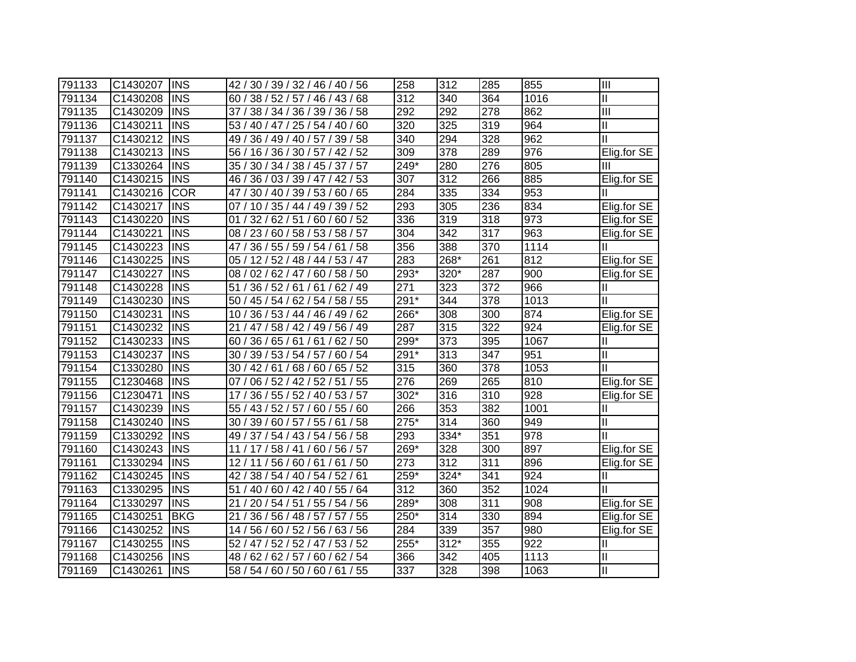| 791133 | C1430207 | <b>INS</b> | 42 / 30 / 39 / 32 / 46 / 40 / 56     | 258                | 312    | 285 | 855  | Ш             |
|--------|----------|------------|--------------------------------------|--------------------|--------|-----|------|---------------|
| 791134 | C1430208 | <b>INS</b> | 60 / 38 / 52 / 57 / 46 / 43 / 68     | 312                | 340    | 364 | 1016 | Ш             |
| 791135 | C1430209 | <b>INS</b> | 37 / 38 / 34 / 36 / 39 / 36 / 58     | 292                | 292    | 278 | 862  | Ш             |
| 791136 | C1430211 | <b>INS</b> | 53 / 40 / 47 / 25 / 54 / 40 / 60     | 320                | 325    | 319 | 964  | Ш             |
| 791137 | C1430212 | <b>INS</b> | 49 / 36 / 49 / 40 / 57 / 39 / 58     | 340                | 294    | 328 | 962  | Ш             |
| 791138 | C1430213 | <b>INS</b> | 56 / 16 / 36 / 30 / 57 / 42 / 52     | 309                | 378    | 289 | 976  | Elig.for SE   |
| 791139 | C1330264 | <b>INS</b> | 35 / 30 / 34 / 38 / 45 / 37 / 57     | 249*               | 280    | 276 | 805  | Ш             |
| 791140 | C1430215 | <b>INS</b> | 36 / 03 / 39 / 47 / 42 / 53<br>46 /  | 307                | 312    | 266 | 885  | Elig.for SE   |
| 791141 | C1430216 | <b>COR</b> | 30 / 40 / 39 / 53 / 60 / 65<br>47 /  | 284                | 335    | 334 | 953  |               |
| 791142 | C1430217 | <b>INS</b> | 07 / 10 / 35 / 44 / 49 / 39 / 52     | 293                | 305    | 236 | 834  | Elig.for SE   |
| 791143 | C1430220 | <b>INS</b> | 32/62/51/<br>60/60/52<br>01 /        | 336                | 319    | 318 | 973  | Elig.for SE   |
| 791144 | C1430221 | <b>INS</b> | 08 / 23 / 60 / 58 / 53 / 58 / 57     | 304                | 342    | 317 | 963  | Elig.for SE   |
| 791145 | C1430223 | <b>INS</b> | 36 / 55 / 59 / 54 / 61 / 58<br>47 .  | 356                | 388    | 370 | 1114 | Ш             |
| 791146 | C1430225 | <b>INS</b> | 05 / 12 / 52 / 48 / 44 / 53 / 47     | 283                | 268*   | 261 | 812  | Elig.for SE   |
| 791147 | C1430227 | <b>INS</b> | 02 / 62 / 47 / 60 / 58 / 50<br>08 /  | 293*               | $320*$ | 287 | 900  | Elig.for SE   |
| 791148 | C1430228 | <b>INS</b> | 51/<br>36/52/61/61/62/49             | 271                | 323    | 372 | 966  | Ш             |
| 791149 | C1430230 | <b>INS</b> | 50 / 45 / 54 / 62 / 54 / 58 / 55     | 291*               | 344    | 378 | 1013 | Ш             |
| 791150 | C1430231 | <b>INS</b> | 10 / 36 / 53 / 44 / 46 / 49 / 62     | 266*               | 308    | 300 | 874  | Elig.for SE   |
| 791151 | C1430232 | <b>INS</b> | 21/<br>47 / 58 / 42 / 49 / 56 / 49 / | 287                | 315    | 322 | 924  | Elig.for SE   |
| 791152 | C1430233 | IINS       | 60 / 36 / 65 / 61 / 61 / 62 / 50     | 299*               | 373    | 395 | 1067 | Ш             |
| 791153 | C1430237 | <b>INS</b> | 30 / 39 / 53 / 54 / 57 / 60 / 54     | 291*               | 313    | 347 | 951  | $\mathbf{I}$  |
| 791154 | C1330280 | <b>INS</b> | 30 / 42 / 61 / 68 / 60 / 65 / 52     | 315                | 360    | 378 | 1053 | Ш             |
| 791155 | C1230468 | <b>INS</b> | 07/<br>06 / 52 / 42 / 52 / 51<br>/55 | 276                | 269    | 265 | 810  | Elig.for SE   |
| 791156 | C1230471 | <b>INS</b> | 17/<br>36 / 55 / 52 / 40 / 53 / 57   | 302*               | 316    | 310 | 928  | Elig.for SE   |
| 791157 | C1430239 | <b>INS</b> | 55 / 43 / 52 / 57 / 60 / 55 / 60     | 266                | 353    | 382 | 1001 | Ш             |
| 791158 | C1430240 | <b>INS</b> | 30 / 39 / 60 / 57 / 55 / 61<br>/58   | $\overline{275}^*$ | 314    | 360 | 949  | Ш             |
| 791159 | C1330292 | <b>INS</b> | 49 / 37 / 54 / 43 / 54 / 56 / 58     | 293                | 334*   | 351 | 978  | $\mathbf{H}$  |
| 791160 | C1430243 | <b>INS</b> | 11 / 17 / 58 / 41 / 60 / 56 / 57     | 269*               | 328    | 300 | 897  | Elig.for SE   |
| 791161 | C1330294 | <b>INS</b> | 12/11/56/60/61/61/50                 | 273                | 312    | 311 | 896  | Elig.for SE   |
| 791162 | C1430245 | <b>INS</b> | 42 / 38 / 54 / 40 / 54 / 52 / 61     | 259*               | 324*   | 341 | 924  | Ш             |
| 791163 | C1330295 | <b>INS</b> | 51<br>/ 40 / 60 / 42 / 40 / 55 / 64  | 312                | 360    | 352 | 1024 | Ш             |
| 791164 | C1330297 | <b>INS</b> | 21/<br>20 / 54 / 51 / 55 / 54 / 56   | 289*               | 308    | 311 | 908  | Elig.for SE   |
| 791165 | C1430251 | <b>BKG</b> | 21<br>36 / 56 / 48 / 57 / 57 / 55    | 250*               | 314    | 330 | 894  | Elig.for SE   |
| 791166 | C1430252 | <b>INS</b> | 14 / 56 / 60 / 52 / 56 / 63 / 56     | 284                | 339    | 357 | 980  | Elig.for SE   |
| 791167 | C1430255 | <b>INS</b> | 52 / 47 / 52 / 52 / 47 / 53 / 52     | $255*$             | $312*$ | 355 | 922  | Ш             |
| 791168 | C1430256 | <b>INS</b> | 48 / 62 / 62 / 57 /<br>60/62/54      | 366                | 342    | 405 | 1113 | $\mathbf{  }$ |
| 791169 | C1430261 | <b>INS</b> | 58 / 54 / 60 / 50 / 60 / 61 / 55     | $\overline{337}$   | 328    | 398 | 1063 | $\mathbf{II}$ |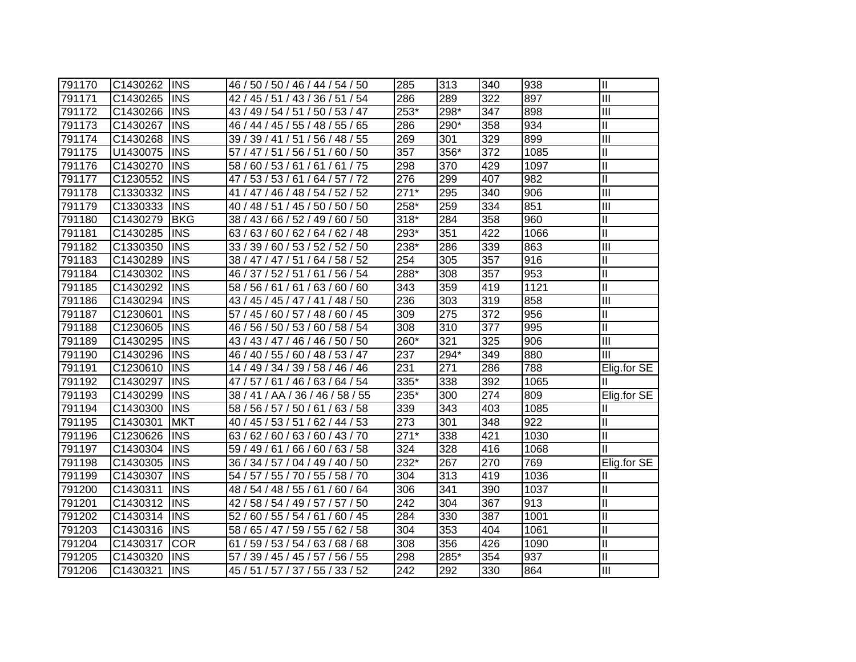| 791170 | C1430262 | <b>INS</b> | 46 / 50 / 50 / 46 / 44 / 54 / 50    | 285               | 313              | 340 | 938  | Ш                         |
|--------|----------|------------|-------------------------------------|-------------------|------------------|-----|------|---------------------------|
| 791171 | C1430265 | <b>INS</b> | 42 / 45 / 51 / 43 / 36 / 51 / 54    | 286               | 289              | 322 | 897  | III                       |
| 791172 | C1430266 | <b>INS</b> | 43 / 49 / 54 / 51 / 50 / 53 / 47    | $253*$            | 298*             | 347 | 898  | III                       |
| 791173 | C1430267 | <b>INS</b> | 46 / 44 / 45 / 55 / 48 / 55 / 65    | 286               | 290*             | 358 | 934  | Ш                         |
| 791174 | C1430268 | <b>INS</b> | 39 / 39 / 41 / 51 / 56 / 48 / 55    | 269               | 301              | 329 | 899  | $\overline{\mathbb{H}}$   |
| 791175 | U1430075 | <b>INS</b> | 57 / 47 / 51 / 56 / 51 / 60 / 50    | 357               | 356*             | 372 | 1085 | Ш                         |
| 791176 | C1430270 | <b>INS</b> | 58 / 60 / 53 / 61 / 61 / 61 / 75    | 298               | 370              | 429 | 1097 | Ш                         |
| 791177 | C1230552 | <b>INS</b> | 53 / 53 / 61 / 64 / 57 / 72<br>47 / | 276               | 299              | 407 | 982  | $\overline{\mathsf{I}}$   |
| 791178 | C1330332 | <b>INS</b> | 47 / 46 / 48 / 54 / 52 / 52<br>41 / | $\overline{271*}$ | 295              | 340 | 906  | $\overline{\mathbb{H}}$   |
| 791179 | C1330333 | <b>INS</b> | 40 / 48 / 51 / 45 / 50 / 50 / 50    | $258*$            | 259              | 334 | 851  | $\overline{\mathbf{m}}$   |
| 791180 | C1430279 | <b>BKG</b> | 38 / 43 / 66 / 52 / 49 / 60 / 50    | $318*$            | 284              | 358 | 960  | Ш                         |
| 791181 | C1430285 | <b>INS</b> | 63/60/62/<br>64 / 62 / 48<br>63/    | 293*              | 351              | 422 | 1066 | $\overline{\mathsf{I}}$   |
| 791182 | C1330350 | <b>INS</b> | 33 / 39 / 60 / 53 / 52 / 52 / 50    | 238*              | 286              | 339 | 863  | $\overline{\mathbb{H}}$   |
| 791183 | C1430289 | <b>INS</b> | 38 / 47 / 47 / 51 / 64 / 58 / 52    | 254               | 305              | 357 | 916  | Ш                         |
| 791184 | C1430302 | <b>INS</b> | 46 / 37 / 52 / 51 / 61 / 56 / 54    | $288*$            | 308              | 357 | 953  | Ш                         |
| 791185 | C1430292 | <b>INS</b> | 58 / 56 / 61 / 61 / 63 / 60 / 60    | 343               | 359              | 419 | 1121 | Ш                         |
| 791186 | C1430294 | <b>INS</b> | 43 / 45 / 45 / 47 / 41 / 48 / 50    | 236               | 303              | 319 | 858  | $\overline{\mathbb{H}}$   |
| 791187 | C1230601 | <b>INS</b> | 57 / 45 / 60 / 57 / 48 / 60 / 45    | 309               | $\overline{275}$ | 372 | 956  | Ш                         |
| 791188 | C1230605 | <b>INS</b> | 56 / 50 / 53 / 60 / 58 / 54<br>46 / | 308               | 310              | 377 | 995  | Ш                         |
| 791189 | C1430295 | <b>INS</b> | 43 / 43 / 47 / 46 / 46 / 50 / 50    | 260*              | 321              | 325 | 906  | $\overline{\mathbf{III}}$ |
| 791190 | C1430296 | <b>INS</b> | 46 / 40 / 55 / 60 / 48 / 53 / 47    | 237               | 294*             | 349 | 880  | III                       |
| 791191 | C1230610 | <b>INS</b> | 14 / 49 / 34 / 39 / 58 / 46 / 46    | 231               | 271              | 286 | 788  | Elig.for SE               |
| 791192 | C1430297 | <b>INS</b> | 47 / 57 / 61 / 46 / 63 / 64 / 54    | $335*$            | 338              | 392 | 1065 | Ш                         |
| 791193 | C1430299 | <b>INS</b> | 38 / 41 / AA / 36 / 46 / 58 / 55    | 235*              | 300              | 274 | 809  | Elig.for SE               |
| 791194 | C1430300 | <b>INS</b> | 58 / 56 / 57 / 50 / 61 / 63 / 58    | 339               | 343              | 403 | 1085 | Ш                         |
| 791195 | C1430301 | <b>MKT</b> | 40 / 45 / 53 / 51 / 62 / 44 / 53    | $\overline{273}$  | 301              | 348 | 922  | Ш                         |
| 791196 | C1230626 | <b>INS</b> | 63 / 62 / 60 / 63 / 60 / 43 / 70    | $271*$            | 338              | 421 | 1030 | Ш                         |
| 791197 | C1430304 | <b>INS</b> | 59 / 49 / 61 / 66 / 60 / 63 / 58    | 324               | 328              | 416 | 1068 | Ш                         |
| 791198 | C1430305 | <b>INS</b> | 36 / 34 / 57 / 04 / 49 / 40 / 50    | $232*$            | 267              | 270 | 769  | Elig.for SE               |
| 791199 | C1430307 | <b>INS</b> | 54 / 57 / 55 / 70 / 55 / 58 / 70    | 304               | 313              | 419 | 1036 | Ш                         |
| 791200 | C1430311 | <b>INS</b> | 48 / 54 / 48 / 55 / 61 / 60 / 64    | 306               | 341              | 390 | 1037 | Ш                         |
| 791201 | C1430312 | <b>INS</b> | 42 / 58 / 54 / 49 / 57 / 57 / 50    | 242               | 304              | 367 | 913  | Ш                         |
| 791202 | C1430314 | <b>INS</b> | 52/<br>60 / 55 / 54 / 61 / 60 / 45  | 284               | 330              | 387 | 1001 | $\mathbf{I}$              |
| 791203 | C1430316 | <b>INS</b> | 58 / 65 / 47 / 59 / 55 / 62 / 58    | 304               | 353              | 404 | 1061 | $\mathbf{I}$              |
| 791204 | C1430317 | <b>COR</b> | 59 / 53 / 54 / 63 / 68 / 68<br>61   | 308               | 356              | 426 | 1090 | $\mathbf{I}$              |
| 791205 | C1430320 | <b>INS</b> | 57/<br>39 / 45 / 45 / 57 / 56 / 55  | 298               | 285*             | 354 | 937  | Ш                         |
| 791206 | C1430321 | <b>INS</b> | 45 / 51 / 57 / 37 / 55 / 33 / 52    | 242               | 292              | 330 | 864  | III                       |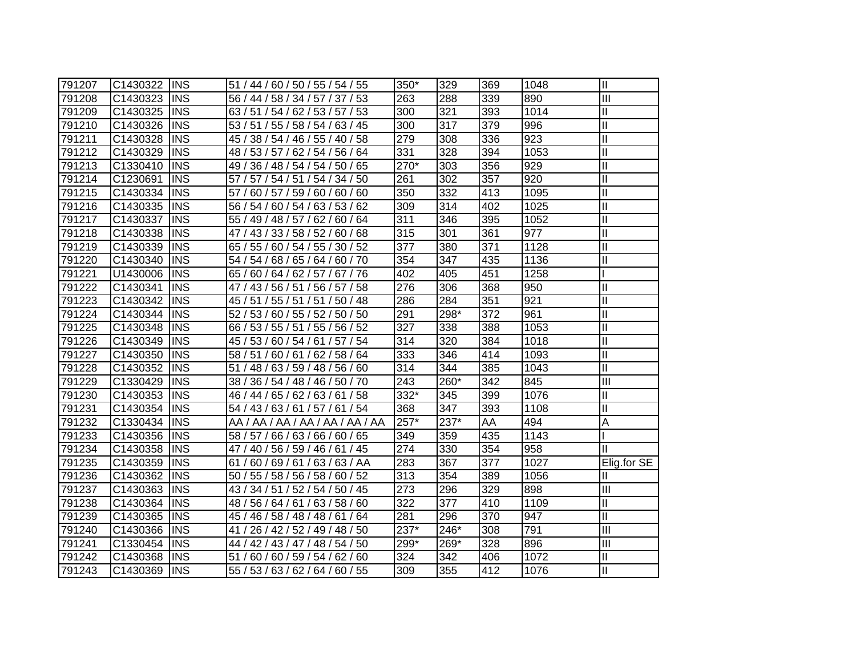| 791207 | C1430322 | <b>INS</b>  | 51 / 44 / 60 / 50 / 55 / 54 / 55    | 350* | 329  | 369 | 1048 | Ш             |
|--------|----------|-------------|-------------------------------------|------|------|-----|------|---------------|
| 791208 | C1430323 | <b>INS</b>  | 56 / 44 / 58 / 34 / 57 / 37 / 53    | 263  | 288  | 339 | 890  | Ш             |
| 791209 | C1430325 | <b>INS</b>  | 63/51/54/62/53/57/53                | 300  | 321  | 393 | 1014 | $\mathbf{II}$ |
| 791210 | C1430326 | <b>INS</b>  | 53 / 51 / 55 / 58 / 54 / 63 / 45    | 300  | 317  | 379 | 996  | Ш             |
| 791211 | C1430328 | <b>INS</b>  | 45 / 38 / 54 / 46 / 55 / 40 / 58    | 279  | 308  | 336 | 923  | $\mathbf{I}$  |
| 791212 | C1430329 | <b>INS</b>  | 48 / 53 / 57 / 62 / 54 / 56 / 64    | 331  | 328  | 394 | 1053 | $\mathbf{I}$  |
| 791213 | C1330410 | <b>INS</b>  | 49 / 36 / 48 / 54 / 54 / 50 / 65    | 270* | 303  | 356 | 929  | $\mathbf{I}$  |
| 791214 | C1230691 | <b>INS</b>  | 57 / 57 / 54 / 51 / 54 / 34 / 50    | 261  | 302  | 357 | 920  | Ш             |
| 791215 | C1430334 | <b>INS</b>  | 57 / 60 / 57 / 59 / 60 / 60 / 60    | 350  | 332  | 413 | 1095 | Ш             |
| 791216 | C1430335 | <b>INS</b>  | 56 / 54 / 60 / 54 / 63 / 53 / 62    | 309  | 314  | 402 | 1025 | Ш             |
| 791217 | C1430337 | <b>INS</b>  | 55 / 49 / 48 / 57 /<br>62/60/64     | 311  | 346  | 395 | 1052 | $\mathbf{I}$  |
| 791218 | C1430338 | <b>INS</b>  | 47 / 43 / 33 / 58 / 52 / 60 / 68    | 315  | 301  | 361 | 977  | $\mathbf{I}$  |
| 791219 | C1430339 | <b>INS</b>  | 65 / 55 / 60 / 54 / 55 / 30 / 52    | 377  | 380  | 371 | 1128 | $\mathbf{I}$  |
| 791220 | C1430340 | <b>INS</b>  | 54 / 54 / 68 / 65 / 64 / 60 / 70    | 354  | 347  | 435 | 1136 | Ш             |
| 791221 | U1430006 | <b>INS</b>  | 65 / 60 / 64 / 62 / 57 / 67 / 76    | 402  | 405  | 451 | 1258 |               |
| 791222 | C1430341 | <b>INS</b>  | 47 / 43 / 56 / 51 / 56 / 57 / 58    | 276  | 306  | 368 | 950  | Ш             |
| 791223 | C1430342 | <b>INS</b>  | 45 / 51 / 55 / 51 / 51 / 50 / 48    | 286  | 284  | 351 | 921  | $\mathbf{I}$  |
| 791224 | C1430344 | <b>INS</b>  | 52 / 53 / 60 / 55 / 52 / 50 / 50    | 291  | 298* | 372 | 961  | Ш             |
| 791225 | C1430348 | <b>IINS</b> | 66 / 53 / 55 / 51 / 55 / 56 / 52    | 327  | 338  | 388 | 1053 | $\mathbf{I}$  |
| 791226 | C1430349 | <b>INS</b>  | 45 / 53 / 60 / 54 / 61 / 57 / 54    | 314  | 320  | 384 | 1018 | $\mathbf{I}$  |
| 791227 | C1430350 | <b>IINS</b> | 58 / 51 / 60 / 61 / 62 / 58 / 64    | 333  | 346  | 414 | 1093 | Ш             |
| 791228 | C1430352 | <b>INS</b>  | 51 / 48 / 63 / 59 / 48 / 56 / 60    | 314  | 344  | 385 | 1043 | $\mathbf{I}$  |
| 791229 | C1330429 | <b>INS</b>  | 38 / 36 / 54 / 48 / 46 / 50 / 70    | 243  | 260* | 342 | 845  | Ш             |
| 791230 | C1430353 | <b>INS</b>  | 46 / 44 / 65 / 62 / 63 / 61 / 58    | 332* | 345  | 399 | 1076 | Ш             |
| 791231 | C1430354 | <b>INS</b>  | 54 / 43 / 63 / 61 / 57 / 61 / 54    | 368  | 347  | 393 | 1108 | $\mathbf{I}$  |
| 791232 | C1330434 | <b>INS</b>  | AA / AA / AA / AA / AA / AA / AA    | 257* | 237* | AA  | 494  | A             |
| 791233 | C1430356 | <b>INS</b>  | 58 / 57 / 66 / 63 / 66 / 60 / 65    | 349  | 359  | 435 | 1143 |               |
| 791234 | C1430358 | <b>INS</b>  | 47 / 40 / 56 / 59 / 46 / 61 / 45    | 274  | 330  | 354 | 958  | Ш             |
| 791235 | C1430359 | <b>INS</b>  | 61/60/69/61/63/63/AA                | 283  | 367  | 377 | 1027 | Elig.for SE   |
| 791236 | C1430362 | <b>INS</b>  | 50 / 55 / 58 / 56 / 58 / 60 / 52    | 313  | 354  | 389 | 1056 | Ш             |
| 791237 | C1430363 | <b>INS</b>  | 43 / 34 / 51 / 52 / 54 / 50 / 45    | 273  | 296  | 329 | 898  | III           |
| 791238 | C1430364 | <b>INS</b>  | 48 / 56 / 64 / 61 / 63 / 58 / 60    | 322  | 377  | 410 | 1109 | Ш             |
| 791239 | C1430365 | <b>INS</b>  | 45 / 46 / 58 / 48 / 48 / 61 / 64    | 281  | 296  | 370 | 947  | Ш             |
| 791240 | C1430366 | <b>INS</b>  | 26 / 42 / 52 / 49 / 48 / 50<br>41 / | 237* | 246* | 308 | 791  | Ш             |
| 791241 | C1330454 | <b>INS</b>  | 44 / 42 / 43 / 47 / 48 / 54 / 50    | 299* | 269* | 328 | 896  | Ш             |
| 791242 | C1430368 | <b>INS</b>  | 51 / 60 / 60 / 59 / 54 / 62 / 60    | 324  | 342  | 406 | 1072 | Ш             |
| 791243 | C1430369 | <b>INS</b>  | 55 / 53 / 63 / 62 / 64 / 60 / 55    | 309  | 355  | 412 | 1076 | Ш             |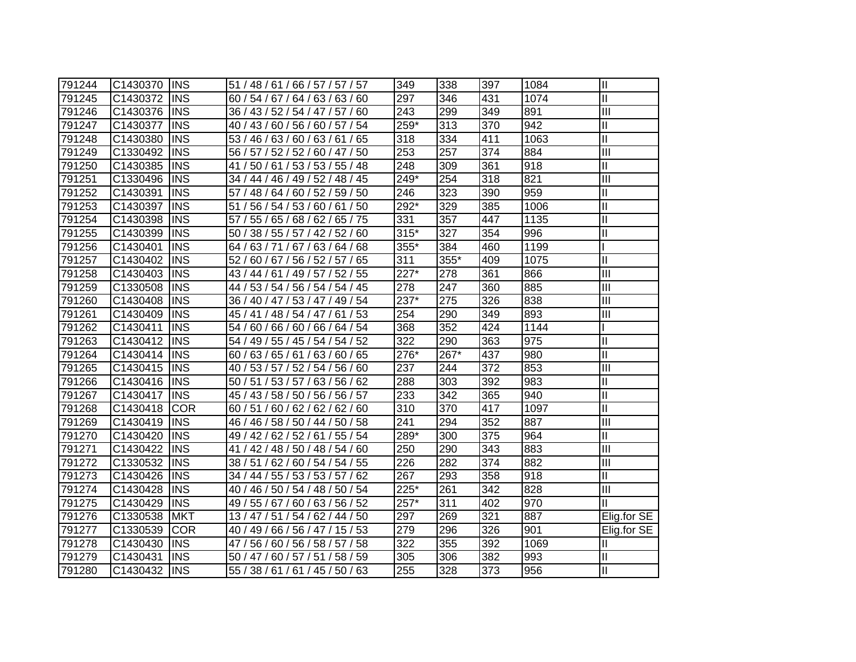| 791244 | C1430370 | <b>INS</b>  | 51 / 48 / 61 / 66 / 57 / 57 / 57   | 349    | 338  | 397 | 1084             | Ш                          |
|--------|----------|-------------|------------------------------------|--------|------|-----|------------------|----------------------------|
| 791245 | C1430372 | <b>INS</b>  | 60 / 54 / 67 / 64 / 63 / 63 / 60   | 297    | 346  | 431 | 1074             | $\overline{\mathsf{I}}$    |
| 791246 | C1430376 | <b>INS</b>  | 36 / 43 / 52 / 54 / 47 / 57 / 60   | 243    | 299  | 349 | 891              | Ш                          |
| 791247 | C1430377 | <b>INS</b>  | 40 / 43 / 60 / 56 / 60 / 57 / 54   | 259*   | 313  | 370 | $\overline{942}$ | $\overline{\mathsf{I}}$    |
| 791248 | C1430380 | <b>INS</b>  | 53 / 46 / 63 / 60 / 63 / 61 / 65   | 318    | 334  | 411 | 1063             | $\overline{\mathsf{I}}$    |
| 791249 | C1330492 | <b>INS</b>  | 56 / 57 / 52 / 52 / 60 / 47 / 50   | 253    | 257  | 374 | 884              | $\overline{III}$           |
| 791250 | C1430385 | <b>INS</b>  | 41 / 50 / 61 / 53 / 53 / 55 / 48   | 248    | 309  | 361 | 918              | $\ensuremath{\mathsf{II}}$ |
| 791251 | C1330496 | <b>INS</b>  | 34 / 44 / 46 / 49 / 52 / 48 / 45   | 249*   | 254  | 318 | 821              | $\overline{III}$           |
| 791252 | C1430391 | <b>INS</b>  | 57 / 48 / 64 / 60 / 52 / 59 / 50   | 246    | 323  | 390 | 959              | $\ensuremath{\mathsf{II}}$ |
| 791253 | C1430397 | <b>INS</b>  | 51 / 56 / 54 / 53 / 60 / 61 / 50   | 292*   | 329  | 385 | 1006             | $\overline{\mathsf{I}}$    |
| 791254 | C1430398 | <b>INS</b>  | 55 / 65 / 68 / 62 / 65 / 75<br>57/ | 331    | 357  | 447 | 1135             | Ш                          |
| 791255 | C1430399 | <b>INS</b>  | 38 / 55 / 57 / 42 / 52 / 60<br>50/ | $315*$ | 327  | 354 | 996              | $\mathbf{I}$               |
| 791256 | C1430401 | <b>INS</b>  | 63/71/67/<br>63/64/68<br>64 /      | 355*   | 384  | 460 | 1199             |                            |
| 791257 | C1430402 | <b>INS</b>  | 52 / 60 / 67 / 56 / 52 / 57 / 65   | 311    | 355* | 409 | 1075             | $\mathbf{I}$               |
| 791258 | C1430403 | <b>INS</b>  | 43 / 44 / 61 / 49 / 57 / 52 / 55   | 227*   | 278  | 361 | 866              | Ш                          |
| 791259 | C1330508 | <b>INS</b>  | 44 / 53 / 54 / 56 / 54 / 54 / 45   | 278    | 247  | 360 | 885              | Ш                          |
| 791260 | C1430408 | <b>INS</b>  | 36 / 40 / 47 / 53 / 47 / 49 / 54   | 237*   | 275  | 326 | 838              | III                        |
| 791261 | C1430409 | <b>INS</b>  | 45 / 41 / 48 / 54 / 47 / 61 / 53   | 254    | 290  | 349 | 893              | III                        |
| 791262 | C1430411 | <b>INS</b>  | 54 / 60 / 66 / 60 / 66 / 64 / 54   | 368    | 352  | 424 | 1144             |                            |
| 791263 | C1430412 | <b>INS</b>  | 54 / 49 / 55 / 45 / 54 / 54 / 52   | 322    | 290  | 363 | 975              | $\mathbf{I}$               |
| 791264 | C1430414 | <b>IINS</b> | 60 / 63 / 65 / 61 / 63 / 60 / 65   | 276*   | 267* | 437 | 980              | Ш                          |
| 791265 | C1430415 | <b>INS</b>  | 40 / 53 / 57 / 52 / 54 / 56 / 60   | 237    | 244  | 372 | 853              | Ш                          |
| 791266 | C1430416 | <b>INS</b>  | 50 / 51 / 53 / 57 / 63 / 56 / 62   | 288    | 303  | 392 | 983              | Ш                          |
| 791267 | C1430417 | <b>INS</b>  | 45 / 43 / 58 / 50 / 56 / 56 / 57   | 233    | 342  | 365 | 940              | Ш                          |
| 791268 | C1430418 | <b>COR</b>  | 60 / 51 / 60 / 62 / 62 / 62 / 60   | 310    | 370  | 417 | 1097             | $\mathbf{I}$               |
| 791269 | C1430419 | <b>INS</b>  | 46 / 46 / 58 / 50 / 44 / 50 / 58   | 241    | 294  | 352 | 887              | IШ                         |
| 791270 | C1430420 | <b>INS</b>  | 49 / 42 / 62 / 52 / 61 / 55 / 54   | 289*   | 300  | 375 | 964              | $\ensuremath{\mathsf{II}}$ |
| 791271 | C1430422 | <b>INS</b>  | 41 / 42 / 48 / 50 / 48 / 54 / 60   | 250    | 290  | 343 | 883              | III                        |
| 791272 | C1330532 | <b>INS</b>  | 38 / 51 / 62 / 60 / 54 / 54 / 55   | 226    | 282  | 374 | 882              | III                        |
| 791273 | C1430426 | <b>INS</b>  | 34 / 44 / 55 / 53 / 53 / 57 / 62   | 267    | 293  | 358 | 918              | $\ensuremath{\mathsf{II}}$ |
| 791274 | C1430428 | <b>INS</b>  | 40 / 46 / 50 / 54 / 48 / 50 / 54   | 225*   | 261  | 342 | 828              | Ш                          |
| 791275 | C1430429 | <b>INS</b>  | 49 / 55 / 67 / 60 / 63 / 56 / 52   | $257*$ | 311  | 402 | 970              | Ш                          |
| 791276 | C1330538 | <b>MKT</b>  | 13 / 47 / 51 / 54 / 62 / 44 / 50   | 297    | 269  | 321 | 887              | Elig.for SE                |
| 791277 | C1330539 | <b>COR</b>  | 40 / 49 / 66 / 56 / 47 / 15 / 53   | 279    | 296  | 326 | 901              | Elig.for SE                |
| 791278 | C1430430 | <b>INS</b>  | 47 / 56 / 60 / 56 / 58 / 57 / 58   | 322    | 355  | 392 | 1069             | Ш                          |
| 791279 | C1430431 | <b>INS</b>  | 50 / 47 / 60 / 57 / 51 / 58 / 59   | 305    | 306  | 382 | 993              | Ш                          |
| 791280 | C1430432 | <b>INS</b>  | 55 / 38 / 61 / 61 / 45 / 50 / 63   | 255    | 328  | 373 | 956              | Ш                          |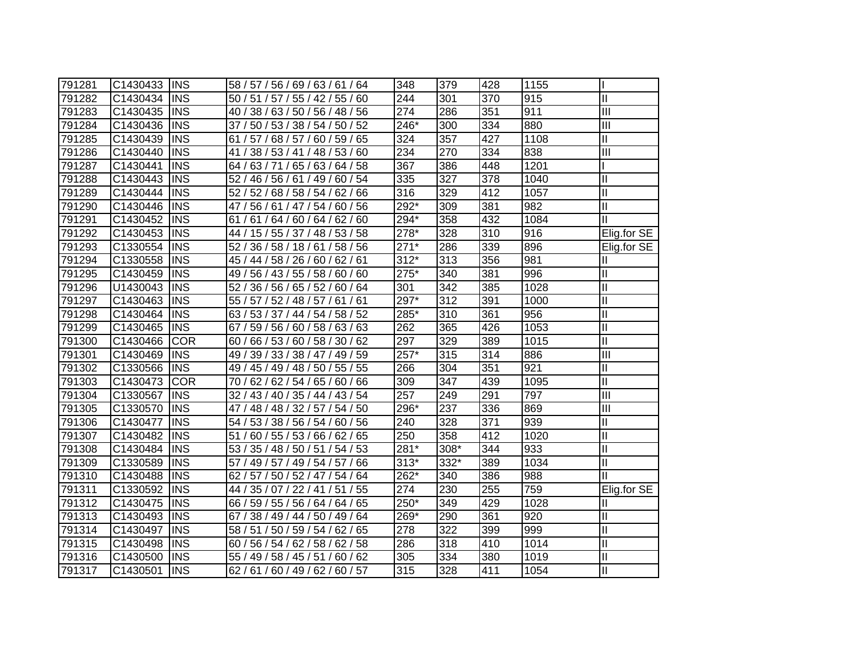| 791281 | C1430433 | <b>INS</b> | 58 / 57 / 56 / 69 / 63 / 61 / 64   | 348    | 379  | 428 | 1155 |                         |
|--------|----------|------------|------------------------------------|--------|------|-----|------|-------------------------|
| 791282 | C1430434 | <b>INS</b> | 50 / 51 / 57 / 55 / 42 / 55 / 60   | 244    | 301  | 370 | 915  | $\mathbf{II}$           |
| 791283 | C1430435 | <b>INS</b> | 40 / 38 / 63 / 50 / 56 / 48 / 56   | 274    | 286  | 351 | 911  | Ш                       |
| 791284 | C1430436 | <b>INS</b> | 37 / 50 / 53 / 38 / 54 / 50 / 52   | 246*   | 300  | 334 | 880  | Ш                       |
| 791285 | C1430439 | <b>INS</b> | 61 / 57 / 68 / 57 / 60 / 59 / 65   | 324    | 357  | 427 | 1108 | $\overline{\mathsf{I}}$ |
| 791286 | C1430440 | <b>INS</b> | 41 / 38 / 53 / 41 / 48 / 53 / 60   | 234    | 270  | 334 | 838  | $\overline{III}$        |
| 791287 | C1430441 | <b>INS</b> | 64 / 63 / 71 / 65 / 63 / 64 / 58   | 367    | 386  | 448 | 1201 |                         |
| 791288 | C1430443 | <b>INS</b> | 52 / 46 / 56 / 61 / 49 / 60 / 54   | 335    | 327  | 378 | 1040 | $\mathbf{I}$            |
| 791289 | C1430444 | <b>INS</b> | 52 / 52 / 68 / 58 / 54 / 62 / 66   | 316    | 329  | 412 | 1057 | Ш                       |
| 791290 | C1430446 | <b>INS</b> | 47 / 56 / 61 / 47 / 54 / 60 / 56   | 292*   | 309  | 381 | 982  | $\overline{\mathsf{I}}$ |
| 791291 | C1430452 | <b>INS</b> | 61/64/60/64/62/60<br>61 /          | 294*   | 358  | 432 | 1084 | Ш                       |
| 791292 | C1430453 | <b>INS</b> | 44 / 15 / 55 / 37 / 48 / 53 / 58   | 278*   | 328  | 310 | 916  | Elig.for SE             |
| 791293 | C1330554 | <b>INS</b> | 36 / 58 / 18 / 61 / 58 / 56<br>52/ | $271*$ | 286  | 339 | 896  | Elig.for SE             |
| 791294 | C1330558 | <b>INS</b> | 45 / 44 / 58 / 26 / 60 / 62 / 61   | $312*$ | 313  | 356 | 981  | Ш                       |
| 791295 | C1430459 | <b>INS</b> | 49 / 56 / 43 / 55 / 58 / 60 / 60   | 275*   | 340  | 381 | 996  | Ш                       |
| 791296 | U1430043 | <b>INS</b> | 52 / 36 / 56 / 65 / 52 / 60 / 64   | 301    | 342  | 385 | 1028 | Ш                       |
| 791297 | C1430463 | <b>INS</b> | 55 / 57 / 52 / 48 / 57 / 61 / 61   | 297*   | 312  | 391 | 1000 | $\mathbf{I}$            |
| 791298 | C1430464 | <b>INS</b> | 63 / 53 / 37 / 44 / 54 / 58 / 52   | 285*   | 310  | 361 | 956  | Ш                       |
| 791299 | C1430465 | <b>INS</b> | 67 / 59 / 56 / 60 / 58 / 63 / 63   | 262    | 365  | 426 | 1053 | $\mathbf{I}$            |
| 791300 | C1430466 | <b>COR</b> | 60 / 66 / 53 / 60 / 58 / 30 / 62   | 297    | 329  | 389 | 1015 | $\mathbf{I}$            |
| 791301 | C1430469 | <b>INS</b> | 49 / 39 / 33 / 38 / 47 / 49 / 59   | 257*   | 315  | 314 | 886  | Ш                       |
| 791302 | C1330566 | <b>INS</b> | 49 / 45 / 49 / 48 / 50 / 55 / 55   | 266    | 304  | 351 | 921  | Ш                       |
| 791303 | C1430473 | <b>COR</b> | 70 / 62 / 62 / 54 / 65 / 60 / 66   | 309    | 347  | 439 | 1095 | $\mathbf{I}$            |
| 791304 | C1330567 | <b>INS</b> | 32 / 43 / 40 / 35 / 44 / 43 / 54   | 257    | 249  | 291 | 797  | Ш                       |
| 791305 | C1330570 | <b>INS</b> | 47 / 48 / 48 / 32 / 57 / 54 / 50   | 296*   | 237  | 336 | 869  | III                     |
| 791306 | C1430477 | <b>INS</b> | 54 / 53 / 38 / 56 / 54 / 60 / 56   | 240    | 328  | 371 | 939  | Ш                       |
| 791307 | C1430482 | <b>INS</b> | 51/<br>60 / 55 / 53 / 66 / 62 / 65 | 250    | 358  | 412 | 1020 | Ш                       |
| 791308 | C1430484 | <b>INS</b> | 53 / 35 / 48 / 50 / 51 / 54 / 53   | $281*$ | 308* | 344 | 933  | Ш                       |
| 791309 | C1330589 | <b>INS</b> | 57 / 49 / 57 / 49 / 54 / 57 / 66   | $313*$ | 332* | 389 | 1034 | Ш                       |
| 791310 | C1430488 | <b>INS</b> | 62 / 57 / 50 / 52 / 47 / 54 / 64   | 262*   | 340  | 386 | 988  | Ш                       |
| 791311 | C1330592 | <b>INS</b> | 44 / 35 / 07 / 22 / 41 / 51 / 55   | 274    | 230  | 255 | 759  | Elig.for SE             |
| 791312 | C1430475 | <b>INS</b> | 66 / 59 / 55 / 56 / 64 / 64 / 65   | 250*   | 349  | 429 | 1028 | Ш                       |
| 791313 | C1430493 | <b>INS</b> | 67 / 38 / 49 / 44 / 50 / 49 / 64   | 269*   | 290  | 361 | 920  | Ш                       |
| 791314 | C1430497 | <b>INS</b> | 58 / 51 / 50 / 59 / 54 / 62 / 65   | 278    | 322  | 399 | 999  | Ш                       |
| 791315 | C1430498 | <b>INS</b> | 60 / 56 / 54 / 62 / 58 / 62 / 58   | 286    | 318  | 410 | 1014 | Ш                       |
| 791316 | C1430500 | INS        | 55 / 49 / 58 / 45 / 51 / 60 / 62   | 305    | 334  | 380 | 1019 | $\mathbf{I}$            |
| 791317 | C1430501 | <b>INS</b> | 62/61/60/49/62/60/57               | 315    | 328  | 411 | 1054 | Ш                       |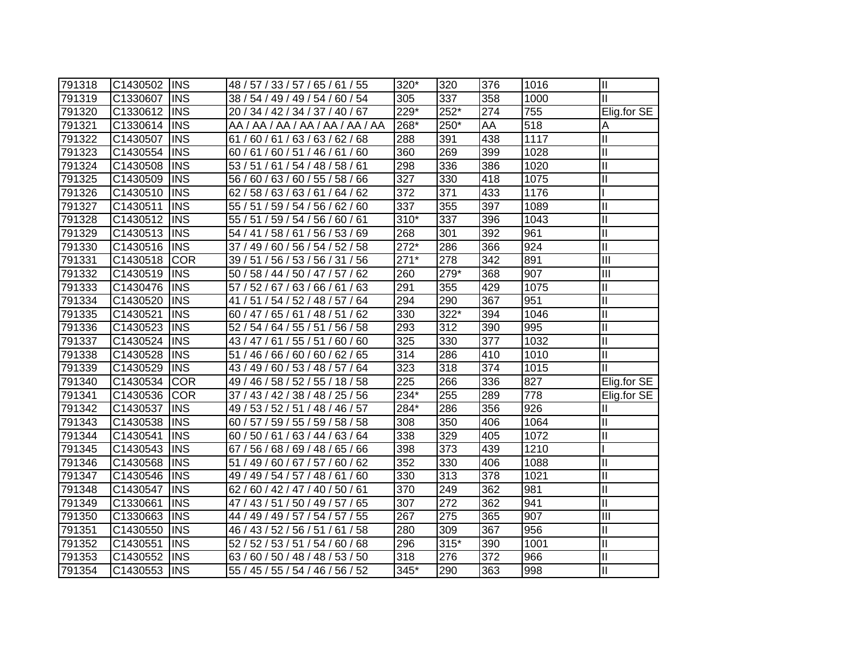| 791318 | C1430502 | <b>INS</b> | 48 / 57 / 33 / 57 / 65 / 61 / 55    | 320*               | 320              | 376 | 1016 | Ш                       |
|--------|----------|------------|-------------------------------------|--------------------|------------------|-----|------|-------------------------|
| 791319 | C1330607 | <b>INS</b> | 38 / 54 / 49 / 49 / 54 / 60 / 54    | 305                | 337              | 358 | 1000 | $\mathbf{I}$            |
| 791320 | C1330612 | <b>INS</b> | 20 / 34 / 42 / 34 / 37 / 40 / 67    | 229*               | $252*$           | 274 | 755  | Elig.for SE             |
| 791321 | C1330614 | <b>INS</b> | AA / AA / AA / AA / AA / AA / AA    | 268*               | 250*             | AA  | 518  | A                       |
| 791322 | C1430507 | <b>INS</b> | 61/60/61/63/63/62/68                | 288                | 391              | 438 | 1117 | Ш                       |
| 791323 | C1430554 | <b>INS</b> | 60 / 61 / 60 / 51 / 46 / 61 / 60    | 360                | 269              | 399 | 1028 | Ш                       |
| 791324 | C1430508 | <b>INS</b> | 53 / 51 / 61 / 54 / 48 / 58 / 61    | 298                | 336              | 386 | 1020 | Ш                       |
| 791325 | C1430509 | <b>INS</b> | 56 / 60 / 63 / 60 / 55 / 58 / 66    | $\overline{327}$   | 330              | 418 | 1075 | $\overline{\mathsf{I}}$ |
| 791326 | C1430510 | <b>INS</b> | 58 / 63 / 63 / 61 / 64 / 62<br>62/  | $\overline{372}$   | $\overline{371}$ | 433 | 1176 |                         |
| 791327 | C1430511 | <b>INS</b> | 55 / 51 / 59 / 54 / 56 / 62 / 60    | $\overline{337}$   | 355              | 397 | 1089 | $\overline{\mathsf{I}}$ |
| 791328 | C1430512 | <b>INS</b> | 55 / 51 / 59 / 54 /<br>56 / 60 / 61 | $310*$             | 337              | 396 | 1043 | $\mathbf{II}$           |
| 791329 | C1430513 | <b>INS</b> | 58/61/<br>56 / 53 / 69<br>54/41/    | 268                | 301              | 392 | 961  | Ξ                       |
| 791330 | C1430516 | <b>INS</b> | 49 / 60 / 56 / 54 / 52 / 58<br>37/  | $\overline{272}^*$ | 286              | 366 | 924  | Ξ                       |
| 791331 | C1430518 | <b>COR</b> | 39 / 51 / 56 / 53 / 56 / 31 / 56    | $271*$             | 278              | 342 | 891  | Ш                       |
| 791332 | C1430519 | <b>INS</b> | 50 / 58 / 44 / 50 / 47 / 57 / 62    | 260                | 279*             | 368 | 907  | III                     |
| 791333 | C1430476 | <b>INS</b> | 57/<br>52 / 67 / 63 / 66 / 61 / 63  | 291                | 355              | 429 | 1075 | $\mathbf{I}$            |
| 791334 | C1430520 | <b>INS</b> | 51 / 54 / 52 / 48 / 57 / 64<br>41/  | 294                | 290              | 367 | 951  | $\mathbf{I}$            |
| 791335 | C1430521 | <b>INS</b> | 60 / 47 / 65 / 61<br>/48/51<br>/62  | 330                | 322*             | 394 | 1046 | $\mathbf{I}$            |
| 791336 | C1430523 | <b>INS</b> | 52 / 54 / 64 / 55 / 51 / 56 / 58    | 293                | 312              | 390 | 995  | $\mathbf{I}$            |
| 791337 | C1430524 | <b>INS</b> | 43 / 47 / 61 / 55 / 51 / 60 / 60    | 325                | 330              | 377 | 1032 | $\mathbf{I}$            |
| 791338 | C1430528 | <b>INS</b> | 51 / 46 / 66 / 60 / 60 / 62 / 65    | 314                | 286              | 410 | 1010 | $\mathbf{II}$           |
| 791339 | C1430529 | <b>INS</b> | 43 / 49 / 60 / 53 / 48 / 57 / 64    | 323                | 318              | 374 | 1015 | $\mathbf{II}$           |
| 791340 | C1430534 | <b>COR</b> | 49 / 46 / 58 / 52 / 55 / 18 / 58    | 225                | 266              | 336 | 827  | Elig.for SE             |
| 791341 | C1430536 | <b>COR</b> | 37 / 43 / 42 / 38 / 48 / 25 / 56    | $234*$             | 255              | 289 | 778  | Elig.for SE             |
| 791342 | C1430537 | <b>INS</b> | 49 / 53 / 52 / 51 / 48 / 46 / 57    | 284*               | 286              | 356 | 926  | Ш                       |
| 791343 | C1430538 | <b>INS</b> | 60 / 57 / 59 / 55 / 59 / 58 / 58    | 308                | 350              | 406 | 1064 | $\mathbf{II}$           |
| 791344 | C1430541 | <b>INS</b> | 60 / 50 / 61 / 63 / 44 / 63 / 64    | 338                | 329              | 405 | 1072 | $\mathbf{II}$           |
| 791345 | C1430543 | <b>INS</b> | 67 / 56 / 68 / 69 / 48 / 65 / 66    | 398                | 373              | 439 | 1210 |                         |
| 791346 | C1430568 | <b>INS</b> | 51 / 49 / 60 / 67 / 57 / 60 / 62    | 352                | 330              | 406 | 1088 | $\mathbf{II}$           |
| 791347 | C1430546 | <b>INS</b> | 49 / 49 / 54 / 57 / 48 / 61<br>/60  | 330                | 313              | 378 | 1021 | $\mathbf{II}$           |
| 791348 | C1430547 | <b>INS</b> | 62/<br>60 / 42 / 47 / 40 / 50 / 61  | 370                | 249              | 362 | 981  | $\mathbf{II}$           |
| 791349 | C1330661 | <b>INS</b> | 47 / 43 / 51 / 50 / 49 / 57 / 65    | 307                | 272              | 362 | 941  | Ш                       |
| 791350 | C1330663 | <b>INS</b> | 44 / 49 / 49 / 57 / 54 / 57 / 55    | 267                | 275              | 365 | 907  | Ш                       |
| 791351 | C1430550 | <b>INS</b> | 46 / 43 / 52 / 56 / 51 / 61<br>/58  | 280                | 309              | 367 | 956  | $\mathbf{II}$           |
| 791352 | C1430551 | <b>INS</b> | 52/<br>52 / 53 / 51 / 54 / 60 / 68  | 296                | 315*             | 390 | 1001 | $\mathbf{II}$           |
| 791353 | C1430552 | <b>INS</b> | 63 / 60 / 50 / 48 / 48 / 53 / 50    | 318                | 276              | 372 | 966  | $\mathbf{  }$           |
| 791354 | C1430553 | <b>INS</b> | 55 / 45 / 55 / 54 / 46 / 56 / 52    | $345*$             | 290              | 363 | 998  | II                      |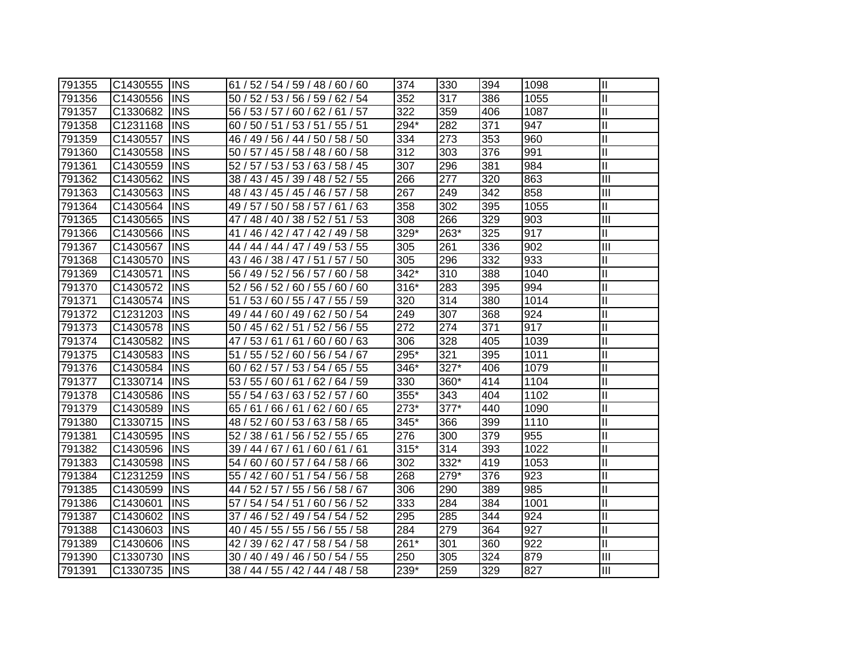| 791355 | C1430555 | <b>INS</b> | 61 / 52 / 54 / 59 / 48 / 60 / 60    | 374    | 330  | 394 | 1098 | $\mathbf{I}$            |
|--------|----------|------------|-------------------------------------|--------|------|-----|------|-------------------------|
| 791356 | C1430556 | <b>INS</b> | 50 / 52 / 53 / 56 / 59 / 62 / 54    | 352    | 317  | 386 | 1055 | $\mathbf{I}$            |
| 791357 | C1330682 | <b>INS</b> | 56 / 53 / 57 / 60 / 62 / 61 / 57    | 322    | 359  | 406 | 1087 | $\mathbf{I}$            |
| 791358 | C1231168 | <b>INS</b> | 60 / 50 / 51 / 53 / 51 / 55 / 51    | 294*   | 282  | 371 | 947  | $\mathbf{I}$            |
| 791359 | C1430557 | <b>INS</b> | 46 / 49 / 56 / 44 / 50 / 58 / 50    | 334    | 273  | 353 | 960  | $\mathbf{I}$            |
| 791360 | C1430558 | <b>INS</b> | 50 / 57 / 45 / 58 / 48 / 60 / 58    | 312    | 303  | 376 | 991  | $\mathbf{I}$            |
| 791361 | C1430559 | <b>INS</b> | 52 / 57 / 53 / 53 / 63 / 58 / 45    | 307    | 296  | 381 | 984  | $\mathbf{I}$            |
| 791362 | C1430562 | <b>INS</b> | 38 / 43 / 45 / 39 / 48 / 52 / 55    | 266    | 277  | 320 | 863  | $\overline{\mathbb{H}}$ |
| 791363 | C1430563 | <b>INS</b> | 48 / 43 / 45 / 45 / 46 / 57 / 58    | 267    | 249  | 342 | 858  | $\overline{III}$        |
| 791364 | C1430564 | <b>INS</b> | 49 / 57 / 50 / 58 / 57 / 61 / 63    | 358    | 302  | 395 | 1055 | $\overline{\mathbf{u}}$ |
| 791365 | C1430565 | <b>INS</b> | 47 / 48 / 40 / 38 / 52 / 51 / 53    | 308    | 266  | 329 | 903  | $\overline{\mathbb{I}}$ |
| 791366 | C1430566 | <b>INS</b> | 41 / 46 / 42 / 47 / 42 / 49 / 58    | 329*   | 263* | 325 | 917  | $\mathbf{I}$            |
| 791367 | C1430567 | <b>INS</b> | 49 / 53 / 55<br>44 / 44 / 44 / 47 / | 305    | 261  | 336 | 902  | $\overline{\mathbb{I}}$ |
| 791368 | C1430570 | <b>INS</b> | 43 / 46 / 38 / 47 / 51 / 57 / 50    | 305    | 296  | 332 | 933  | $\mathbf{I}$            |
| 791369 | C1430571 | <b>INS</b> | 56 / 49 / 52 / 56 / 57 / 60 / 58    | 342*   | 310  | 388 | 1040 | $\mathbf{I}$            |
| 791370 | C1430572 | <b>INS</b> | 52 / 56 / 52 / 60 / 55 / 60 / 60    | $316*$ | 283  | 395 | 994  | $\mathbf{I}$            |
| 791371 | C1430574 | <b>INS</b> | 51 / 53 / 60 / 55 / 47 / 55 / 59    | 320    | 314  | 380 | 1014 | $\mathbf{I}$            |
| 791372 | C1231203 | <b>INS</b> | 49 / 44 / 60 / 49 / 62 / 50 / 54    | 249    | 307  | 368 | 924  | $\mathbf{I}$            |
| 791373 | C1430578 | <b>INS</b> | 50/45/62/51<br>52 / 56 / 55         | 272    | 274  | 371 | 917  | $\mathbf{I}$            |
| 791374 | C1430582 | <b>INS</b> | 60/60/63<br>47 / 53 / 61<br>/61     | 306    | 328  | 405 | 1039 | $\mathbf{I}$            |
| 791375 | C1430583 | <b>INS</b> | 51 / 55 / 52 / 60 / 56 / 54 / 67    | 295*   | 321  | 395 | 1011 | $\mathbf{I}$            |
| 791376 | C1430584 | <b>INS</b> | 60 / 62 / 57 / 53 / 54 / 65 / 55    | 346*   | 327* | 406 | 1079 | $\mathbf{I}$            |
| 791377 | C1330714 | <b>INS</b> | 53 / 55 / 60 / 61 / 62 / 64 / 59    | 330    | 360* | 414 | 1104 | $\mathbf{I}$            |
| 791378 | C1430586 | <b>INS</b> | 55 / 54 / 63 / 63 / 52 / 57 / 60    | 355*   | 343  | 404 | 1102 | $\mathbf{I}$            |
| 791379 | C1430589 | <b>INS</b> | 65 / 61 / 66 / 61 / 62 / 60 / 65    | 273*   | 377* | 440 | 1090 | $\mathbf{I}$            |
| 791380 | C1330715 | <b>INS</b> | 48 / 52 / 60 / 53 / 63 / 58 / 65    | 345*   | 366  | 399 | 1110 | $\mathbf{I}$            |
| 791381 | C1430595 | <b>INS</b> | 52 / 38 / 61 / 56 / 52 / 55 / 65    | 276    | 300  | 379 | 955  | $\mathbf{I}$            |
| 791382 | C1430596 | <b>INS</b> | 39 / 44 / 67 / 61 / 60 / 61 / 61    | $315*$ | 314  | 393 | 1022 | $\mathbf{I}$            |
| 791383 | C1430598 | <b>INS</b> | 54 / 60 / 60 / 57 / 64 / 58 / 66    | 302    | 332* | 419 | 1053 | $\mathbf{I}$            |
| 791384 | C1231259 | <b>INS</b> | 55 / 42 / 60 / 51 / 54 / 56 / 58    | 268    | 279* | 376 | 923  | $\mathbf{I}$            |
| 791385 | C1430599 | <b>INS</b> | 44 / 52 / 57 / 55 / 56 / 58 / 67    | 306    | 290  | 389 | 985  | $\mathbf{I}$            |
| 791386 | C1430601 | <b>INS</b> | 57 / 54 / 54 / 51 / 60 / 56 / 52    | 333    | 284  | 384 | 1001 | $\mathbf{I}$            |
| 791387 | C1430602 | <b>INS</b> | 37 / 46 / 52 / 49 / 54 / 54 / 52    | 295    | 285  | 344 | 924  | $\mathbf{I}$            |
| 791388 | C1430603 | <b>INS</b> | 40 / 45 / 55 / 55 / 56 / 55 / 58    | 284    | 279  | 364 | 927  | $\mathbf{I}$            |
| 791389 | C1430606 | <b>INS</b> | 39 / 62 / 47 / 58 / 54 / 58<br>42/  | 261*   | 301  | 360 | 922  | $\mathbf{I}$            |
| 791390 | C1330730 | <b>INS</b> | 30 / 40 / 49 / 46 / 50 / 54 / 55    | 250    | 305  | 324 | 879  | Ш                       |
| 791391 | C1330735 | <b>INS</b> | 38 / 44 / 55 / 42 / 44 / 48 / 58    | 239*   | 259  | 329 | 827  | Ш                       |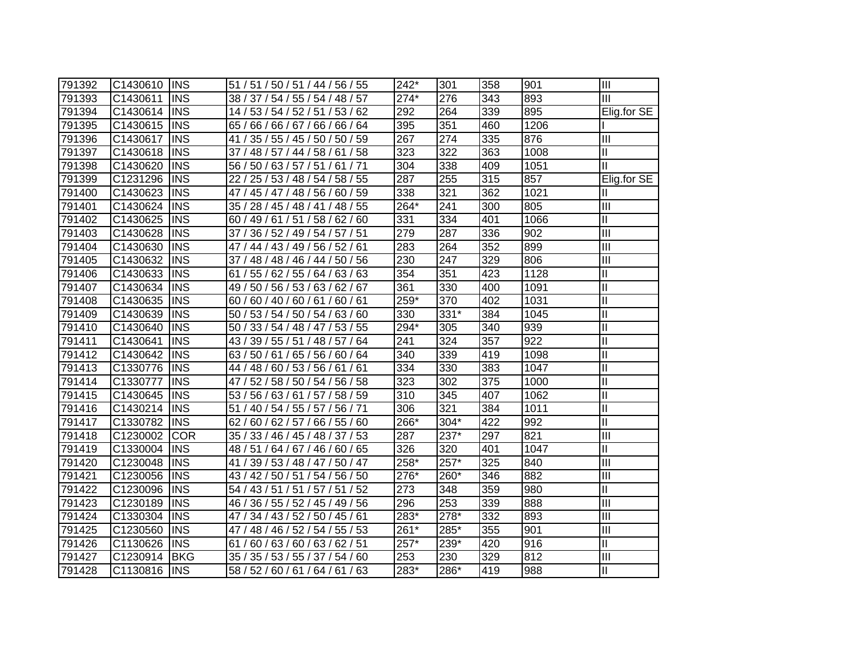| 791392 | C1430610 | <b>IINS</b> | 51 / 51 / 50 / 51 / 44 / 56 / 55    | $242*$           | 301  | 358 | 901  | Ш                          |
|--------|----------|-------------|-------------------------------------|------------------|------|-----|------|----------------------------|
| 791393 | C1430611 | <b>IINS</b> | 38 / 37 / 54 / 55 / 54 / 48 / 57    | $274*$           | 276  | 343 | 893  | IШ                         |
| 791394 | C1430614 | <b>INS</b>  | 14 / 53 / 54 / 52 / 51 / 53 / 62    | 292              | 264  | 339 | 895  | Elig.for SE                |
| 791395 | C1430615 | <b>INS</b>  | 65 / 66 / 66 / 67 / 66 / 66 / 64    | 395              | 351  | 460 | 1206 |                            |
| 791396 | C1430617 | <b>INS</b>  | 41 / 35 / 55 / 45 / 50 / 50 / 59    | $\overline{267}$ | 274  | 335 | 876  | $\overline{\mathsf{III}}$  |
| 791397 | C1430618 | <b>INS</b>  | 37 / 48 / 57 / 44 / 58 / 61 / 58    | $\overline{323}$ | 322  | 363 | 1008 | Ξ                          |
| 791398 | C1430620 | <b>INS</b>  | 56 / 50 / 63 / 57 / 51 / 61 / 71    | 304              | 338  | 409 | 1051 | $\mathbf{I}$               |
| 791399 | C1231296 | <b>INS</b>  | 22 / 25 / 53 / 48 / 54 / 58 / 55    | $\sqrt{287}$     | 255  | 315 | 857  | Elig.for SE                |
| 791400 | C1430623 | <b>INS</b>  | 47 / 45 / 47 / 48 / 56 / 60 / 59    | 338              | 321  | 362 | 1021 | Ш                          |
| 791401 | C1430624 | <b>INS</b>  | 35 / 28 / 45 / 48 / 41 / 48 / 55    | $264*$           | 241  | 300 | 805  | $\overline{\mathbb{H}}$    |
| 791402 | C1430625 | <b>INS</b>  | 60 / 49 / 61 / 51 / 58 / 62 / 60    | 331              | 334  | 401 | 1066 | $\overline{\mathbb{I}}$    |
| 791403 | C1430628 | <b>INS</b>  | 36 / 52 / 49 / 54 / 57 / 51<br>37 / | 279              | 287  | 336 | 902  | $\overline{\mathsf{III}}$  |
| 791404 | C1430630 | <b>INS</b>  | 47 / 44 / 43 / 49 / 56 / 52 / 61    | 283              | 264  | 352 | 899  | $\overline{\mathsf{III}}$  |
| 791405 | C1430632 | <b>INS</b>  | 37 / 48 / 48 / 46 / 44 / 50 / 56    | 230              | 247  | 329 | 806  | Ш                          |
| 791406 | C1430633 | <b>INS</b>  | 61 / 55 / 62 / 55 / 64 / 63 / 63    | 354              | 351  | 423 | 1128 | $\mathop{\rm II}\nolimits$ |
| 791407 | C1430634 | <b>INS</b>  | 49 / 50 / 56 / 53 / 63 / 62 / 67    | 361              | 330  | 400 | 1091 | $\mathbf{I}$               |
| 791408 | C1430635 | <b>INS</b>  | 60/60/40/60/61/60/61                | 259*             | 370  | 402 | 1031 | $\mathbf{I}$               |
| 791409 | C1430639 | <b>INS</b>  | 50 / 53 / 54 / 50 / 54 / 63 / 60    | 330              | 331* | 384 | 1045 | $\mathbf{I}$               |
| 791410 | C1430640 | <b>INS</b>  | 50 / 33 / 54 / 48 / 47 / 53 / 55    | 294*             | 305  | 340 | 939  | $\mathbf{I}$               |
| 791411 | C1430641 | <b>INS</b>  | 43 / 39 / 55 / 51 / 48 / 57 / 64    | 241              | 324  | 357 | 922  | $\mathbf{I}$               |
| 791412 | C1430642 | <b>INS</b>  | 63 / 50 / 61 / 65 / 56 / 60 / 64    | 340              | 339  | 419 | 1098 | $\mathbf{I}$               |
| 791413 | C1330776 | <b>INS</b>  | 44 / 48 / 60 / 53 / 56 / 61 / 61    | 334              | 330  | 383 | 1047 | Ш                          |
| 791414 | C1330777 | <b>INS</b>  | 47 / 52 / 58 / 50 / 54 / 56 / 58    | $\overline{323}$ | 302  | 375 | 1000 | Ш                          |
| 791415 | C1430645 | <b>INS</b>  | 53 / 56 / 63 / 61 / 57 / 58 / 59    | 310              | 345  | 407 | 1062 | $\mathbf{II}$              |
| 791416 | C1430214 | <b>INS</b>  | 51 / 40 / 54 / 55 / 57 / 56 / 71    | 306              | 321  | 384 | 1011 | $\mathbf{II}$              |
| 791417 | C1330782 | <b>INS</b>  | 62 / 60 / 62 / 57 / 66 / 55 / 60    | 266*             | 304* | 422 | 992  | $\mathbf{II}$              |
| 791418 | C1230002 | <b>COR</b>  | 35 / 33 / 46 / 45 / 48 / 37 / 53    | 287              | 237* | 297 | 821  | $\overline{\mathsf{III}}$  |
| 791419 | C1330004 | <b>INS</b>  | 48 / 51 / 64 / 67 / 46 / 60 / 65    | 326              | 320  | 401 | 1047 | Ш                          |
| 791420 | C1230048 | <b>INS</b>  | 41 / 39 / 53 / 48 / 47 / 50 / 47    | $258*$           | 257* | 325 | 840  | $\overline{\mathsf{III}}$  |
| 791421 | C1230056 | <b>INS</b>  | 43 / 42 / 50 / 51 / 54 / 56 / 50    | 276*             | 260* | 346 | 882  | $\overline{\mathsf{III}}$  |
| 791422 | C1230096 | <b>INS</b>  | 54 / 43 / 51 / 51 / 57 / 51 / 52    | 273              | 348  | 359 | 980  | Ш                          |
| 791423 | C1230189 | <b>INS</b>  | 46 / 36 / 55 / 52 / 45 / 49 / 56    | 296              | 253  | 339 | 888  | Ш                          |
| 791424 | C1330304 | <b>INS</b>  | 34 / 43 / 52 / 50 / 45 / 61<br>47/  | $283*$           | 278* | 332 | 893  | $\overline{\mathsf{III}}$  |
| 791425 | C1230560 | <b>INS</b>  | 47 / 48 / 46 / 52 / 54 / 55 / 53    | 261*             | 285* | 355 | 901  | Ш                          |
| 791426 | C1130626 | <b>INS</b>  | 60 / 63 / 60 / 63 / 62 / 51<br>61/  | $257*$           | 239* | 420 | 916  | $\mathbf{II}$              |
| 791427 | C1230914 | <b>BKG</b>  | 35 / 35 / 53 / 55 / 37 / 54 / 60    | 253              | 230  | 329 | 812  | Ш                          |
| 791428 | C1130816 | <b>INS</b>  | 58 / 52 / 60 / 61 / 64 / 61 / 63    | $283*$           | 286* | 419 | 988  | Ш                          |